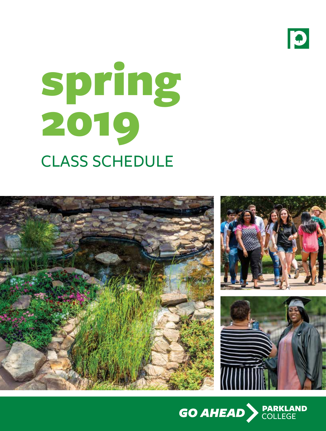

# CLASS SCHEDULE spring 2019



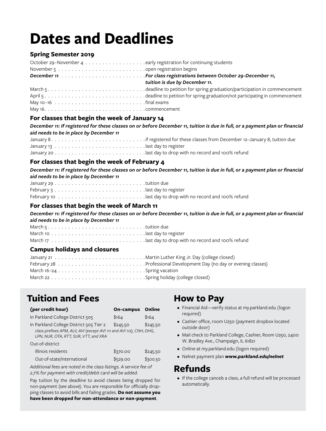# **Dates and Deadlines**

# **Spring Semester 2019**

| tuition is due by December 11. |
|--------------------------------|
|                                |
|                                |
|                                |
|                                |

# **For classes that begin the week of January 14**

*December 11: If registered for these classes on or before December 11, tuition is due in full, or a payment plan or financial aid needs to be in place by December 11*

# **For classes that begin the week of February 4**

*December 11: If registered for these classes on or before December 11, tuition is due in full, or a payment plan or financial aid needs to be in place by December 11*

# **For classes that begin the week of March 11**

*December 11: If registered for these classes on or before December 11, tuition is due in full, or a payment plan or financial aid needs to be in place by December 11*

March 5 tuition due March 10 last day to register

March 17 last day to drop with no record and 100% refund

# **Campus holidays and closures**

# **Tuition and Fees**

| (per credit hour)                                                                                                                                        | <b>On-campus</b> | Online   |
|----------------------------------------------------------------------------------------------------------------------------------------------------------|------------------|----------|
| In Parkland College District 505                                                                                                                         | \$164            | \$164    |
| In Parkland College District 505 Tier 2<br>class prefixes AFM, ALV, AVI (except AVI 111 and AVI 112), CNH, DHG,<br>LPN, NUR, OTA, RTT, SUR, VTT, and XRA | \$245.50         | \$245.50 |
| Out-of-district                                                                                                                                          |                  |          |
| Illinois residents                                                                                                                                       | \$370.00         | \$245.50 |
| Out-of-state/international                                                                                                                               | \$529.00         | \$300.50 |

*Additional fees are noted in the class listings. A service fee of 2.7% for payment with credit/debit card will be added.*

Pay tuition by the deadline to avoid classes being dropped for non-payment (see above). You are responsible for officially dropping classes to avoid bills and failing grades.**Do not assume you have been dropped for non-attendance or non-payment**.

# **How to Pay**

- Financial Aid—verify status at my.parkland.edu (logon required)
- Cashier office, room U250 (payment dropbox located outside door)
- Mail check to Parkland College, Cashier, Room U250, 2400 W. Bradley Ave., Champaign, IL 61821
- Online at my.parkland.edu (logon required)
- Nelnet payment plan *www.parkland.edu/nelnet*

# **Refunds**

• If the college cancels a class, a full refund will be processed automatically.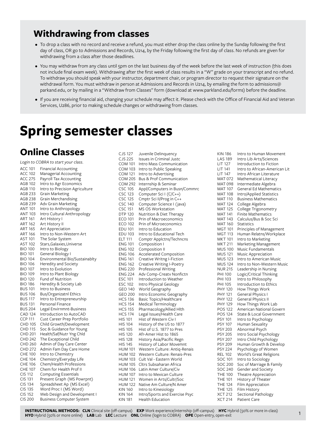# **Withdrawing from classes**

- To drop a class with no record and receive a refund, you must either drop the class online by the Sunday following the first day of class, OR go to Admissions and Records, U214, by the Friday following the first day of class. No refunds are given for withdrawing from a class after those deadlines.
- You may withdraw from any class until 5pm on the last business day of the week before the last week of instruction (this does not include final exam week). Withdrawing after the first week of class results in a "W" grade on your transcript and no refund. To withdraw you should speak with your instructor, department chair, or program director to request their signature on the withdrawal form. You must withdraw in person at Admissions and Records in U214, by emailing the form to admissions@ parkand.edu, or by mailing in a "Withdraw from Classes" form (download at www.parkland.edu/forms) before the deadline.
- If you are receiving financial aid, changing your schedule may affect it. Please check with the Office of Financial Aid and Veteran Services, U286, prior to making schedule changes or withdrawing from classes.

# **Spring semester classes**

# **Online Classes**

*Login to COBRA to start your class.* ACC 101 Financial Accounting ACC 102 Managerial Accounting ACC 275 Payroll Tax Accounting AGB 102 Intro to Agr Economics AGB 110 Intro to Precision Agriculture AGB 233 Grain Marketing AGB 238 Grain Merchandising AGB 239 Adv Grain Marketing ANT 101 Intro to Anthropology ANT 103 Intro Cultural Anthropology ART 161 Art History I ART 162 Art History II ART 165 Art Appreciation ART 166 Intro to Non-Western Art AST 101 The Solar System AST 102 Stars,Galaxies,Universe BIO 100 Intro to Biology BIO 101 General Biology I BIO 104 Environmental Bio/Sustainablty BIO 106 Heredity and Society BIO 107 Intro to Evolution BIO 109 Intro to Plant Biology BIO 120 Fund of Nutrition BIO 186 Heredity & Society Lab BUS 101 Intro to Business BUS 106 Bus/Organizatnl Ethics BUS 117 Intro to Entrepreneurship BUS 131 Personal Finance BUS 204 Legal Envirnmnt-Business CAD 124 Introduction to AutoCAD CCP 111 Cust Career Prep Portfolio CHD 105 Child Growth/Development CHD 115 Soc & Guidance for Young CHD 201 Health/Saf/Nutr Yng Chld CHD 242 The Exceptional Child CHD 260 Admin of Day Care Center CHD 272 Admin Fam Day Care Home CHE 100 Intro to Chemistry CHE 104 Chemistry/Everyday Life CHE 106 Chem/Health Professions CHE 107 Chem for Health Prof II CIS 112 Computing Essentials CIS 131 Present Graph (MS Powrpnt) CIS 134 Spreadsheet Ap (MS Excel) CIS 135 Word Proc I (MS Word) CIS 152 Web Design and Development I CIS 200 Business Computer System

| CJS 127        | Juvenile Delinguency                |
|----------------|-------------------------------------|
| CJS 225        | <b>Issues in Criminal Justc</b>     |
| <b>COM 101</b> | Intro Mass Communication            |
| <b>COM 103</b> | Intro to Public Speaking            |
| <b>COM 121</b> | Intro to Advertising                |
| <b>COM 205</b> | <b>Bus &amp; Prof Communication</b> |
| <b>COM 292</b> | Internship & Seminar                |
| <b>CSC 105</b> | Appl/Computers in Busn/Commrc       |
| <b>CSC 123</b> | Computer Sci I (C/C++)              |
| <b>CSC 125</b> | Cmptr Sci II/Prog in C++            |
| <b>CSC 140</b> | Computer Science I (java)           |
| <b>CSC 151</b> | <b>MS OS Workstation</b>            |
| <b>DTP 120</b> | Nutrition & Diet Therapy            |
| <b>ECO 101</b> | Prin of Macroeconomics              |
| <b>ECO 102</b> | Prin of Microeconomics              |
| <b>EDU 101</b> | Intro to Education                  |
| <b>EDU 103</b> | Intro to Educational Tech           |
| <b>ELT 111</b> | Comptr Applctns/Techncns            |
| <b>ENG 101</b> | Composition I                       |
| <b>ENG 102</b> | Composition II                      |
| <b>ENG 106</b> | <b>Accelerated Composition</b>      |
| <b>ENG 161</b> | Creative Writng I-Fiction           |
| <b>ENG 162</b> | Creative Writing I-Poetry           |
| <b>ENG 220</b> | Professional Writing                |
| <b>ENG 224</b> | Adv Comp-Creatv Nonfictn            |
| <b>ESC 101</b> | Introduction to Weather             |
| <b>ESC 102</b> | Intro Physical Geology              |
| <b>GEO 140</b> | World Geography                     |
| <b>GEO 200</b> | Intro Economic Geography            |
| <b>HCS 136</b> | Basic Topics/Healthcare             |
| <b>HCS 154</b> | Medical Terminology                 |
| <b>HCS 155</b> | Pharmacology/Allied Hlth            |
| <b>HCS 174</b> | Legal Issues/Health Care            |
| <b>HIS 101</b> | Hist of Western Civ I               |
| <b>HIS 104</b> | History of the US to 1877           |
| <b>HIS 105</b> | Hist of U.S. 1877 to Pres           |
| <b>HIS 120</b> | Afr-Amer Hist to 1865               |
| <b>HIS 128</b> | History Asia/Pacific Regn           |
| <b>HIS 145</b> | History of Labor Movemnt            |
| <b>HUM 101</b> | Western Culture: Antig-Renais       |
| <b>HUM 102</b> | Western Culture: Renais-Pres        |
| <b>HUM 103</b> | Cult Val - Eastern World            |
| <b>HUM 105</b> | Cltrs Subsaharan Africa             |
| <b>HUM 106</b> | Latin Amer Culture/Civ              |
| <b>HUM 107</b> | Intro to Mexican Culture            |
| <b>HUM 121</b> | Women in Arts/Cultr/Soc             |
| <b>HUM 122</b> | Native Am Culture/N Amer            |
| <b>KIN 160</b> | Intro to Kinesiology                |
| <b>KIN 164</b> | Intro/Sports and Exercise Psyc      |
| <b>KIN 181</b> | <b>Health Education</b>             |
|                |                                     |

| KIN 186<br><b>LAS 189</b><br>LIT 127<br>LIT 141<br>LIT 147<br><b>MAT 072</b><br>MAT 098<br><b>MAT 107</b><br><b>MAT 108</b><br><b>MAT 110</b><br>MAT 124<br><b>MAT 125</b><br><b>MAT 141</b><br><b>MAT 143</b><br>MAT 160<br>MGT 101<br>MGT 113<br>MKT 101<br>MKT 211<br><b>MUS 100</b><br>MUS 121<br><b>MUS 123</b><br><b>MUS 124</b><br>NUR 215<br>PHI 100<br>PHI 103<br><b>PHI 105</b><br><b>PHY 120</b><br><b>PHY 121</b><br>PHY 122<br>PHY 129<br><b>POS 122</b><br><b>POS 124</b><br><b>PSY 101</b><br><b>PSY 107</b><br><b>PSY 203</b><br><b>PSY 205</b><br><b>PSY 207</b><br><b>PSY 209</b><br><b>PSY 224</b> | Intro to Human Movement<br>Intro Lib Arts/Sciences<br>Introduction to Fiction<br>Intro to African-American Lit<br>Intro African Literature<br>Mathematical Literacy<br>Intermediate Algebra<br>General Ed Mathematics<br>Intro/Applied Statistics<br><b>Business Mathematics</b><br>College Algebra<br>College Trigonometry<br><b>Finite Mathematics</b><br>Calculus/Bus & Soc Sci<br>Statistics<br>Principles of Management<br>Human Relatns/Workplace<br>Intro to Marketing<br>Marketing Management<br>Music Fundamentals<br>Music Appreciation<br>Intro to American Music<br>Intro to Non-Western Music<br>Leadership in Nursing<br>Logic/Critical Thinking<br>Intro to Philosophy<br>Introduction to Ethics<br>How Things Work<br>General Physics I<br>General Physics II<br>How Things Work Lab<br>American National Govern<br>State & Local Government<br>Intro to Psychology<br>Human Sexuality<br>Abnormal Psych<br>Intro Social Psychology<br>Intro Child Psychology<br>Human Growth & Develop<br>Psychology of Women |
|-----------------------------------------------------------------------------------------------------------------------------------------------------------------------------------------------------------------------------------------------------------------------------------------------------------------------------------------------------------------------------------------------------------------------------------------------------------------------------------------------------------------------------------------------------------------------------------------------------------------------|--------------------------------------------------------------------------------------------------------------------------------------------------------------------------------------------------------------------------------------------------------------------------------------------------------------------------------------------------------------------------------------------------------------------------------------------------------------------------------------------------------------------------------------------------------------------------------------------------------------------------------------------------------------------------------------------------------------------------------------------------------------------------------------------------------------------------------------------------------------------------------------------------------------------------------------------------------------------------------------------------------------------------------|
|                                                                                                                                                                                                                                                                                                                                                                                                                                                                                                                                                                                                                       |                                                                                                                                                                                                                                                                                                                                                                                                                                                                                                                                                                                                                                                                                                                                                                                                                                                                                                                                                                                                                                |
|                                                                                                                                                                                                                                                                                                                                                                                                                                                                                                                                                                                                                       |                                                                                                                                                                                                                                                                                                                                                                                                                                                                                                                                                                                                                                                                                                                                                                                                                                                                                                                                                                                                                                |
|                                                                                                                                                                                                                                                                                                                                                                                                                                                                                                                                                                                                                       |                                                                                                                                                                                                                                                                                                                                                                                                                                                                                                                                                                                                                                                                                                                                                                                                                                                                                                                                                                                                                                |
|                                                                                                                                                                                                                                                                                                                                                                                                                                                                                                                                                                                                                       |                                                                                                                                                                                                                                                                                                                                                                                                                                                                                                                                                                                                                                                                                                                                                                                                                                                                                                                                                                                                                                |
|                                                                                                                                                                                                                                                                                                                                                                                                                                                                                                                                                                                                                       |                                                                                                                                                                                                                                                                                                                                                                                                                                                                                                                                                                                                                                                                                                                                                                                                                                                                                                                                                                                                                                |
|                                                                                                                                                                                                                                                                                                                                                                                                                                                                                                                                                                                                                       |                                                                                                                                                                                                                                                                                                                                                                                                                                                                                                                                                                                                                                                                                                                                                                                                                                                                                                                                                                                                                                |
|                                                                                                                                                                                                                                                                                                                                                                                                                                                                                                                                                                                                                       |                                                                                                                                                                                                                                                                                                                                                                                                                                                                                                                                                                                                                                                                                                                                                                                                                                                                                                                                                                                                                                |
|                                                                                                                                                                                                                                                                                                                                                                                                                                                                                                                                                                                                                       |                                                                                                                                                                                                                                                                                                                                                                                                                                                                                                                                                                                                                                                                                                                                                                                                                                                                                                                                                                                                                                |
|                                                                                                                                                                                                                                                                                                                                                                                                                                                                                                                                                                                                                       |                                                                                                                                                                                                                                                                                                                                                                                                                                                                                                                                                                                                                                                                                                                                                                                                                                                                                                                                                                                                                                |
| <b>REL 102</b>                                                                                                                                                                                                                                                                                                                                                                                                                                                                                                                                                                                                        | World's Great Religions                                                                                                                                                                                                                                                                                                                                                                                                                                                                                                                                                                                                                                                                                                                                                                                                                                                                                                                                                                                                        |
| SOC 101                                                                                                                                                                                                                                                                                                                                                                                                                                                                                                                                                                                                               | Intro to Sociology                                                                                                                                                                                                                                                                                                                                                                                                                                                                                                                                                                                                                                                                                                                                                                                                                                                                                                                                                                                                             |
| SOC 200                                                                                                                                                                                                                                                                                                                                                                                                                                                                                                                                                                                                               | Soc of Marriage & Family                                                                                                                                                                                                                                                                                                                                                                                                                                                                                                                                                                                                                                                                                                                                                                                                                                                                                                                                                                                                       |
| SOC 240                                                                                                                                                                                                                                                                                                                                                                                                                                                                                                                                                                                                               | Gender and Society                                                                                                                                                                                                                                                                                                                                                                                                                                                                                                                                                                                                                                                                                                                                                                                                                                                                                                                                                                                                             |
| THE 100                                                                                                                                                                                                                                                                                                                                                                                                                                                                                                                                                                                                               | Theatre Appreciation                                                                                                                                                                                                                                                                                                                                                                                                                                                                                                                                                                                                                                                                                                                                                                                                                                                                                                                                                                                                           |
| <b>THE 101</b><br>THE 124                                                                                                                                                                                                                                                                                                                                                                                                                                                                                                                                                                                             | History of Theater<br>Film Appreciation                                                                                                                                                                                                                                                                                                                                                                                                                                                                                                                                                                                                                                                                                                                                                                                                                                                                                                                                                                                        |
| <b>THE 125</b>                                                                                                                                                                                                                                                                                                                                                                                                                                                                                                                                                                                                        | Film History                                                                                                                                                                                                                                                                                                                                                                                                                                                                                                                                                                                                                                                                                                                                                                                                                                                                                                                                                                                                                   |
| <b>XCT 212</b>                                                                                                                                                                                                                                                                                                                                                                                                                                                                                                                                                                                                        | Sectional Pathology                                                                                                                                                                                                                                                                                                                                                                                                                                                                                                                                                                                                                                                                                                                                                                                                                                                                                                                                                                                                            |
| XCT 214                                                                                                                                                                                                                                                                                                                                                                                                                                                                                                                                                                                                               | <b>Patient Care</b>                                                                                                                                                                                                                                                                                                                                                                                                                                                                                                                                                                                                                                                                                                                                                                                                                                                                                                                                                                                                            |
|                                                                                                                                                                                                                                                                                                                                                                                                                                                                                                                                                                                                                       |                                                                                                                                                                                                                                                                                                                                                                                                                                                                                                                                                                                                                                                                                                                                                                                                                                                                                                                                                                                                                                |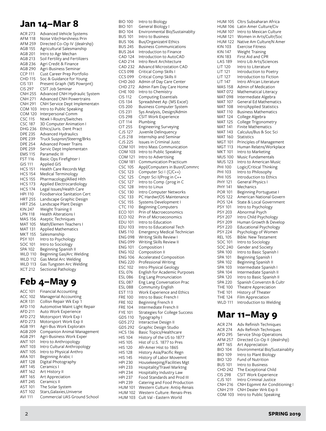# **Jan 14–Mar 8**

| <b>ACR 273</b>                   | Advanced Vehicle Systems                          |
|----------------------------------|---------------------------------------------------|
| <b>AFM 118</b>                   | Noise Vibr/Harshness Prin                         |
| <b>AFM 259</b>                   | Directed Co-Op IV (dealrshp)                      |
| AGB 155                          | Agricultural Salesmanship                         |
| AGB 201                          | Intro to Agr Mechan                               |
| AGB 213                          | Soil Fertility and Fertilizers                    |
| AGB 236                          | Agri Credit & Finance                             |
| AGB 290                          | Agri-Business Seminar                             |
| <b>CCP 111</b>                   | Cust Career Prep Portfolio                        |
| <b>CHD 115</b>                   | Soc & Guidance for Young                          |
| <b>CIS 131</b>                   | Present Graph (MS Powrpnt)                        |
| <b>CIS 297</b>                   | CSIT Job Seminar                                  |
| <b>CNH 255</b>                   | Advanced CNH Hydraulic System                     |
| <b>CNH 271</b>                   | <b>Advanced CNH Powertrains</b>                   |
| <b>CNH 291</b>                   | CNH Service Dept Implementatn                     |
| <b>COM 103</b>                   | Intro to Public Speaking                          |
| <b>COM 120</b>                   | Interpersonal Comm                                |
| <b>CSC 115</b>                   | Ntwk I-Routrs/Switches                            |
| <b>CSC 187</b>                   | 3D Computer Animation I                           |
| <b>DHG 236</b>                   | Ethics/Juris. Dent Pract                          |
| <b>DPE 235</b>                   | <b>Advanced Hydraulics</b>                        |
| <b>DPE 239</b>                   | Truck Suspnsn/Steerng/Brks                        |
| <b>DPE 254</b>                   | <b>Advanced Power Trains</b>                      |
| <b>DPE 259</b>                   | Servic Dept Implementatn                          |
| <b>EMS 115</b>                   | Paramedic III                                     |
| <b>FST 116</b>                   | Basic Ops Firefighter I                           |
| <b>GIS 111</b>                   | <b>Applied GIS</b>                                |
| <b>HCS 151</b>                   | Health Care Records Mgt                           |
| <b>HCS 154</b>                   | Medical Terminology                               |
| <b>HCS 155</b>                   | Pharmacology/Allied Hlth                          |
| <b>HCS 173</b>                   | Applied Electrocardiology                         |
| <b>HCS 174</b>                   | Legal Issues/Health Care                          |
| <b>HPI 110</b>                   | Foodservice Sanitation Cert                       |
| <b>HRT 255</b>                   | Landscape Graphic Design                          |
| HRT 256                          | Landscape Plant Design                            |
| <b>KIN 247</b>                   | Weight Training II                                |
| <b>LPN 118</b>                   | <b>Health Alterations I</b><br>Aseptic Techniques |
| <b>MAS 156</b><br><b>MAT 105</b> | Math/Elemen Teachers I                            |
| <b>MAT 131</b>                   | <b>Applied Mathematics</b>                        |
| <b>MKT 155</b>                   | Salesmanship                                      |
| PSY 101                          | Intro to Psychology                               |
| SOC 101                          | Intro to Sociology                                |
| SPA 102                          | Beginning Spanish II                              |
| <b>WLD 110</b>                   | Beginning Gas/Arc Welding                         |
| <b>WLD 112</b>                   | Gas Metal Arc Welding                             |
| <b>WLD 113</b>                   | Gas Tungsten Arc Welding                          |
| <b>XCT 212</b>                   | Sectional Pathology                               |
|                                  |                                                   |

# **Feb 4–May 9**

ACC 101 Financial Accounting ACC 102 Managerial Accounting ACR 131 Collisn Repair Wk Exp 1 AFD 110 Automotive Maint Light Repair AFD 211 Auto Work Experience AFD 272 Motorsport Work Exp I AFD 273 Motorsport Work Exp II AGB 191 Agri-Bus Work Exploratn AGB 209 Companion Animal Management AGB 291 Agri-Business Work Exper ANT 101 Intro to Anthropology ANT 103 Intro Cultural Anthropology ANT 105 Intro to Physical Anthro ARA 101 Beginning Arabic I ART 128 Digital Photography ART 145 Ceramics I ART 162 Art History II ART 165 Art Appreciation ART 245 Ceramics II AST 101 The Solar System AST 102 Stars,Galaxies,Universe AVI 111 Commercial UAS Ground School

| <b>BIO 100</b> | Intro to Biology                    |
|----------------|-------------------------------------|
| <b>BIO 101</b> | General Biology I                   |
| <b>BIO 104</b> | Environmental Bio/Sustainablty      |
| <b>BUS 101</b> | Intro to Business                   |
| <b>BUS 106</b> | Bus/Organizatnl Ethics              |
| <b>BUS 245</b> | <b>Business Communications</b>      |
| <b>BUS 264</b> | Introduction to Finance             |
| <b>CAD 124</b> | Introduction to AutoCAD             |
| <b>CAD 214</b> | Intro Revit Architecture            |
| <b>CAD 232</b> | <b>Advancd Microstation CAD</b>     |
| <b>CCS 098</b> | Critical Comp Skills I              |
| <b>CCS 099</b> | Critical Comp Skills II             |
| CHD 260        | Admin of Day Care Center            |
| <b>CHD 272</b> | Admin Fam Day Care Home             |
| <b>CHE 100</b> | Intro to Chemistry                  |
| <b>CIS 112</b> | <b>Computing Essentials</b>         |
| <b>CIS 134</b> | Spreadsheet Ap (MS Excel)           |
| <b>CIS 200</b> | <b>Business Computer System</b>     |
| CIS 231        | Sys Analysis, Design/Admin          |
| <b>CIS 298</b> | CSIT Work Experience                |
| <b>CIT 114</b> | Plumbing                            |
| <b>CIT 255</b> | Engineering Surveying               |
| CJS 127        | Juvenile Delinquency                |
| <b>CJS 218</b> | Internship and Seminar              |
| CJS 225        | <b>Issues in Criminal Justc</b>     |
| <b>COM 101</b> | Intro Mass Communication            |
| <b>COM 103</b> | Intro to Public Speaking            |
| COM 121        | Intro to Advertising                |
| <b>COM 181</b> | Communication Practicum             |
| <b>CSC 105</b> | Appl/Computers in Busn/Commrc       |
| <b>CSC 123</b> | Computer Sci I (C/C++)              |
| <b>CSC 125</b> | Cmptr Sci II/Prog in C++            |
| <b>CSC 127</b> | Intro to Comp (prog in C            |
| <b>CSC 128</b> | Intro to Linux                      |
| <b>CSC 130</b> | Intro Computer Networks             |
| <b>CSC 133</b> | PC Hardwr/OS Maintenance            |
| <b>CSC 155</b> | Systems Development I               |
| <b>CTC 110</b> | Beginning Computers                 |
| <b>ECO 101</b> | Prin of Macroeconomics              |
| <b>ECO 102</b> | Prin of Microeconomics              |
| <b>EDU 101</b> | Intro to Education                  |
| <b>EDU 103</b> | Intro to Educational Tech           |
| <b>EMS 110</b> | <b>Emergency Medical Technician</b> |
| <b>ENG 098</b> | Writing Skills Review I             |
| <b>ENG 099</b> | Writing Skills Review II            |
| <b>ENG 101</b> | Composition I                       |
| <b>ENG 102</b> | Composition II                      |
| <b>ENG 106</b> | Accelerated Composition             |
| <b>ENG 220</b> | Professional Writing                |
| ESC 102        | Intro Physical Geology              |
| ESL 076        | English for Academic Purposes       |
| <b>ESL 086</b> | Eng Lang Pronunciation              |
| ESL 087        | Eng Lang Conversation Prac          |
| <b>ESL 088</b> | Community English                   |
| EST 113        | Work Experience and Ethics          |
| <b>FRE 100</b> | Intro to Basic French I             |
| <b>FRE 102</b> | Beginning French II                 |
| <b>FRE 104</b> | Intermediate French II              |
| FYE 101        | Strategies for College Success      |
| GDS 110        | Typography I                        |
| GDS 272        | Interactive Design II               |
| GDS 292        | Graphic Design Studio               |
| <b>HCS 136</b> | Basic Topics/Healthcare             |
| <b>HIS 104</b> | History of the US to 1877           |
| <b>HIS 105</b> | Hist of U.S. 1877 to Pres           |
| <b>HIS 120</b> | Afr-Amer Hist to 1865               |
| <b>HIS 128</b> | History Asia/Pacific Regn           |
| <b>HIS 145</b> | History of Labor Movemnt            |
| <b>HPI 230</b> | Housekeeping/Facilities Mgt         |
| HPI 233        | Hospitality/Travel Marktng          |
| HPI 234        | Hospitality Industry Law            |
| HPI 237        | Food Standards and Prod III         |
| HPI 239        | Catering and Food Production        |
| <b>HUM 101</b> | Western Culture: Antiq-Renais       |
| <b>HUM 102</b> | Western Culture: Renais-Pres        |
| <b>HUM 103</b> | Cult Val - Eastern World            |

| <b>HUM 105</b> | Cltrs Subsaharan Africa       |
|----------------|-------------------------------|
| HUM 106        | Latin Amer Culture/Civ        |
| HUM 107        | Intro to Mexican Culture      |
| HUM 121        | Women in Arts/Cultr/Soc       |
| HUM 122        | Native Am Culture/N Amer      |
| KIN 103        | <b>Exercise Fitness</b>       |
| KIN 147        | Weight Training               |
| KIN 183        | First Aid and CPR             |
| <b>LAS 189</b> | Intro Lib Arts/Sciences       |
| <b>LIT 120</b> | Intro to Literature           |
| LIT 121        | Introduction to Poetry        |
| LIT 127        | Introduction to Fiction       |
| LIT 147        | Intro African Literature      |
| MAS 158        | Admin of Medication           |
| MAT 072        | Mathematical Literacy         |
| <b>MAT 098</b> | Intermediate Algebra          |
| <b>MAT 107</b> | General Ed Mathematics        |
| MAT 108        | Intro/Applied Statistics      |
| <b>MAT 110</b> | <b>Business Mathematics</b>   |
| MAT 124        | College Algebra               |
| MAT 125        | College Trigonometry          |
| <b>MAT 141</b> | <b>Finite Mathematics</b>     |
| <b>MAT 143</b> | Calculus/Bus & Soc Sci        |
| MAT 160        | Statistics                    |
| MGT 101        | Principles of Management      |
| MGT 113        | Human Relatns/Workplace       |
| <b>MKT 101</b> | Intro to Marketing            |
| MUS 100        | Music Fundamentals            |
| <b>MUS 123</b> | Intro to American Music       |
| <b>PHI 100</b> | Logic/Critical Thinking       |
| PHI 103        | Intro to Philosophy           |
| PHI 105        | Introduction to Ethics        |
| <b>PHY 121</b> | General Physics I             |
| PHY 141        | Mechanics                     |
| <b>POR 101</b> | Beginning Portuguese I        |
| <b>POS 122</b> | American National Govern      |
| <b>POS 124</b> | State & Local Government      |
| <b>PSY 101</b> | Intro to Psychology           |
| <b>PSY 203</b> | Abnormal Psych                |
| <b>PSY 207</b> | Intro Child Psychology        |
| PSY 209        | Human Growth & Develop        |
| <b>PSY 220</b> | <b>Educational Psychology</b> |
| <b>PSY 224</b> | Psychology of Women           |
| <b>REL 105</b> | Bible: New Testament          |
| SOC 101        | Intro to Sociology            |
| SOC 240        | Gender and Society            |
| SPA 100        | Intro to Basic Spanish I      |
| SPA 101        | Beginning Spanish I           |
| SPA 102        | Beginning Spanish II          |
| SPA 103        | Intermediate Spanish I        |
| SPA 104        | Intermediate Spanish II       |
| SPA 120        | Intro to Basic Spanish II     |
| SPA 220        | Spanish Converstn & Cultr     |
| THE 100        | Theatre Appreciation          |
| <b>THE 101</b> | History of Theater            |
| THE 124        | Film Appreciation             |
| <b>WLD 111</b> | Introduction to Welding       |
|                |                               |

# **Mar 11–May 9**

| <b>ACR 274</b> | Adv Refinish Techniques              |
|----------------|--------------------------------------|
| <b>ACR 274</b> | Adv Refinish Techniques              |
| AFD 295        | Service Shop Operations              |
| AFM 257        | Directed Co-Op II (dealrshp)         |
| ART 165        | Art Appreciation                     |
| <b>BIO 104</b> | Environmental Bio/Sustainablty       |
| <b>BIO 109</b> | Intro to Plant Biology               |
| <b>BIO 120</b> | <b>Fund of Nutrition</b>             |
| <b>BUS 101</b> | Intro to Business                    |
| CHD 242        | The Exceptional Child                |
| <b>CIS 298</b> | <b>CSIT Work Experience</b>          |
| CJS 101        | Intro Criminal Justice               |
| CNH 216        | <b>CNH Egpmnt Air Conditioning I</b> |
| CNH 219        | CNH Dealer Wrk Exp II                |
| COM 103        | Intro to Public Speaking             |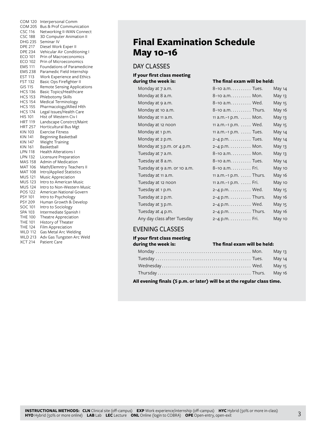| <b>COM 120</b> | Interpersonal Comm           |
|----------------|------------------------------|
| <b>COM 205</b> | Bus & Prof Communication     |
| <b>CSC 116</b> | Networking II-WAN Connect    |
| <b>CSC 188</b> | 3D Computer Animation II     |
| <b>DHG 235</b> | Seminar IV                   |
|                |                              |
| <b>DPE 217</b> | Diesel Work Exper II         |
| <b>DPE 234</b> | Vehicular Air Conditioning I |
| <b>ECO 101</b> | Prin of Macroeconomics       |
| <b>ECO 102</b> | Prin of Microeconomics       |
| EMS 111        | Foundations of Paramedicine  |
| <b>EMS 238</b> | Paramedic Field Internship   |
| <b>EST 113</b> | Work Experience and Ethics   |
| <b>FST 132</b> | Basic Ops Firefighter II     |
| <b>GIS 115</b> |                              |
|                | Remote Sensing Applications  |
| <b>HCS 136</b> | Basic Topics/Healthcare      |
| <b>HCS 153</b> | Phlebotomy Skills            |
| <b>HCS 154</b> | Medical Terminology          |
| <b>HCS 155</b> | Pharmacology/Allied Hlth     |
| <b>HCS 174</b> | Legal Issues/Health Care     |
| <b>HIS 101</b> | Hist of Western Civ I        |
| <b>HRT 119</b> | Landscape Constrct/Maint     |
| <b>HRT 257</b> | Horticultural Bus Mgt        |
| <b>KIN 103</b> | <b>Exercise Fitness</b>      |
| <b>KIN 141</b> | Beginning Basketball         |
|                |                              |
| KIN 147        | Weight Training              |
| <b>KIN 161</b> | Basketball                   |
| LPN 118        | <b>Health Alterations I</b>  |
| <b>LPN 132</b> | Licensure Preparation        |
| <b>MAS 158</b> | Admin of Medication          |
| MAT 106        | Math/Elemntry Teachers II    |
| <b>MAT 108</b> | Intro/Applied Statistics     |
| <b>MUS 121</b> | Music Appreciation           |
| <b>MUS 123</b> | Intro to American Music      |
| <b>MUS 124</b> | Intro to Non-Western Music   |
| <b>POS 122</b> | American National Govern     |
|                |                              |
| PSY 101        | Intro to Psychology          |
| <b>PSY 209</b> | Human Growth & Develop       |
| SOC 101        | Intro to Sociology           |
| <b>SPA 103</b> | Intermediate Spanish I       |
| <b>THE 100</b> | Theatre Appreciation         |
| <b>THE 101</b> | History of Theater           |
| <b>THE 124</b> | Film Appreciation            |
| <b>WLD 112</b> | Gas Metal Arc Welding        |
| <b>WLD 213</b> | Adv Gas Tungsten Arc Weld    |
| <b>XCT 214</b> | Patient Care                 |
|                |                              |

# **Final Examination Schedule May 10-16**

# DAY CLASSES

# **If your first class meeting**

| Monday at 7 a.m.             |
|------------------------------|
| Monday at 8 a.m.             |
| Monday at 9 a.m.             |
| Monday at 10 a.m.            |
| Monday at 11 a.m.            |
| Monday at 12 noon            |
| Monday at 1 p.m.             |
| Monday at 2 p.m.             |
| Monday at 3 p.m. or 4 p.m.   |
| Tuesday at 7 a.m.            |
| Tuesday at 8 a.m.            |
| Tuesday at 9 a.m. or 10 a.m. |
| Tuesday at 11 a.m.           |
| Tuesday at 12 noon           |
| Tuesday at 1 p.m.            |
| Tuesday at 2 p.m.            |
| Tuesday at 3 p.m.            |
| Tuesday at 4 p.m.            |
| Any day class after Tuesday  |

#### **during the week is: The final exam will be held:**

| Monday at 7 a.m.             | 8–10 a.m. Tues.                     | May 14 |
|------------------------------|-------------------------------------|--------|
| Monday at 8 a.m.             | 8–10 a.m. Mon.                      | May 13 |
| Monday at 9 a.m.             | 8–10 a.m. Wed.                      | May 15 |
| Monday at 10 a.m.            | 8-10 a.m. Thurs.                    | May 16 |
| Monday at 11 a.m.            | 11 a.m. $-1$ p.m. $\dots$ . Mon.    | May 13 |
| Monday at 12 noon            | 11 a.m. $-1$ p.m. $\dots$ . Wed.    | May 15 |
| Monday at 1 p.m.             | 11 a.m. $-1$ p.m. $\dots$ . Tues.   | May 14 |
| Monday at 2 p.m.             | 2–4 p.m. $\dots \dots$ . Tues.      | May 14 |
| Monday at 3 p.m. or 4 p.m.   | 2-4 p.m. Mon.                       | May 13 |
| Tuesday at 7 a.m.            | 8-10 a.m. Mon.                      | May 13 |
| Tuesday at 8 a.m.            | 8-10 a.m. Tues.                     | May 14 |
| Tuesday at 9 a.m. or 10 a.m. | 8-10 a.m. Fri.                      | May 10 |
| Tuesday at 11 a.m.           | 11 a.m. $-1$ p.m. $\ldots$ . Thurs. | May 16 |
| Tuesday at 12 noon           | 11 $a.m.-1 p.m. \ldots$ . Fri.      | May 10 |
| Tuesday at 1 p.m.            | 2–4 p.m. Wed.                       | May 15 |
| Tuesday at 2 p.m.            | 2-4 p.m. Thurs.                     | May 16 |
| Tuesday at 3 p.m.            | 2-4 p.m. Wed.                       | May 15 |
| Tuesday at 4 p.m.            | 2–4 p.m. $\dots \dots$ . Thurs.     | May 16 |
| Any day class after Tuesday  | 2-4 p.m. Fri.                       | May 10 |

# EVENING CLASSES

#### **If your first class meeting during the week is: The final exam will be held:**

**All evening finals (5 p.m. or later) will be at the regular class time.**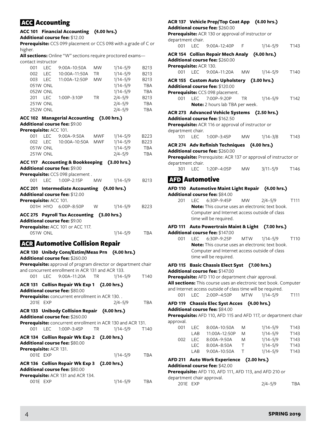# ACC Accounting

# **ACC 101 Financial Accounting (4.00 hrs.)**

**Additional course fee:** \$12.00

**Prerequisite:** CCS 099 placement or CCS 098 with a grade of C or higher.

**All sections:** Online "W" sections require proctored exams contact instructor

| 001 | LEC.     | 9:00A-10:50A  | <b>MW</b> | $1/14 - 5/9$ | B <sub>2</sub> 13 |
|-----|----------|---------------|-----------|--------------|-------------------|
| 002 | I FC.    | 10:00A-11:50A | ΤR        | $1/14 - 5/9$ | B213              |
| 003 | I FC.    | 11:00A-12:50P | <b>MW</b> | $1/14 - 5/9$ | B213              |
|     | 051W ONL |               |           | $1/14 - 5/9$ | <b>TBA</b>        |
|     | 052W ONL |               |           | $1/14 - 5/9$ | <b>TBA</b>        |
| 201 | I FC.    | 1:00P-3:10P   | TR        | $2/4 - 5/9$  | B213              |
|     | 251W ONL |               |           | $2/4 - 5/9$  | <b>TBA</b>        |
|     | 252W ONL |               |           | $2/4 - 5/9$  | <b>TBA</b>        |

# **ACC 102 Managerial Accounting (3.00 hrs.) Additional course fee:** \$9.00

#### **Prerequisite:** ACC 101.

| 001 | I EC.           | $9:00A - 9:50A$   | MWF | $1/14 - 5/9$ | B <sub>223</sub> |
|-----|-----------------|-------------------|-----|--------------|------------------|
| 002 | LEC             | 10:00A-10:50A MWF |     | $1/14 - 5/9$ | B <sub>223</sub> |
|     | 051W ONL        |                   |     | $1/14 - 5/9$ | TBA              |
|     | <b>251W ONL</b> |                   |     | $2/4 - 5/9$  | TBA              |
|     |                 |                   |     |              |                  |

#### **ACC 117 Accounting & Bookkeeping (3.00 hrs.) Additional course fee:** \$9.00

**Prerequisite:** CCS 098 placement .

|                        | <b>Prefequisite:</b> CC3 096 placement.                                     |          |          |                  |
|------------------------|-----------------------------------------------------------------------------|----------|----------|------------------|
|                        | 001 LEC 1:00P-2:15P MW                                                      |          | 1/14–5/9 | B <sub>213</sub> |
|                        | ACC 201 Intermediate Accounting (4.00 hrs.)                                 |          |          |                  |
|                        | <b>Additional course fee: \$12.00</b>                                       |          |          |                  |
| Prerequisite: ACC 101. |                                                                             |          |          |                  |
|                        | 001H HYO 6:00P-8:50P                                                        | <b>W</b> | 1/14–5/9 | B <sub>223</sub> |
|                        | ACC 275 Payroll Tax Accounting (3.00 hrs.)<br>Additional course fee: \$9.00 |          |          |                  |

#### **Additional course fee:** \$9.00 **Prerequisite:** ACC 101 or ACC 117.

051W ONL 1/14–5/9 TBA

# ACR Automotive Collision Repair

|                        |            | ACR 130 Unibdy Cons/Estim/Meas Prn (4.00 hrs.)<br><b>Additional course fee: \$260.00</b>                                                                                |                   |                  |
|------------------------|------------|-------------------------------------------------------------------------------------------------------------------------------------------------------------------------|-------------------|------------------|
|                        |            | Prerequisite: approval of program director or department chair<br>and concurrent enrollment in ACR 131 and ACR 133.                                                     |                   |                  |
|                        |            | 001 LEC 9:00A-11:20A TR                                                                                                                                                 | 1/14–5/9          | T <sub>140</sub> |
|                        |            | ACR 131 Collisn Repair Wk Exp 1 (2.00 hrs.)<br>Additional course fee: \$80.00<br><b>Prerequisite:</b> concurrent enrollment in ACR 130                                  |                   |                  |
|                        | 201F FXP   |                                                                                                                                                                         | $2/4 - 5/9$       | <b>TBA</b>       |
| 001                    | <b>LEC</b> | ACR 133 Unibody Collision Repair (4.00 hrs.)<br>Additional course fee: \$260.00<br><b>Prerequisite:</b> concurrent enrollment in ACR 130 and ACR 131.<br>1:00P-3:45P TR | $1/14 - 5/9$ T140 |                  |
| Prerequisite: ACR 131. | 001E EXP   | ACR 134 Collisn Repair Wk Exp 2 (2.00 hrs.)<br><b>Additional course fee: \$80.00</b>                                                                                    | 1/14–5/9          | <b>TBA</b>       |
|                        |            | ACR 136 Collisn Repair Wk Exp 3 (2.00 hrs.)<br><b>Additional course fee: \$80.00</b><br><b>Prerequisite:</b> ACR 131 and ACR 134.                                       |                   |                  |
|                        | 001E EXP   |                                                                                                                                                                         | 1/14–5/9          | <b>TBA</b>       |

# **ACR 137 Vehicle Prep/Top Coat App (4.00 hrs.)**

**Additional course fee:** \$260.00

**Prerequisite:** ACR 130 or approval of instructor or department chair.

|                                        | . |  |                  |
|----------------------------------------|---|--|------------------|
| $1/14 - 5/9$<br>001 LEC 9:00A-12:40P F |   |  | T <sub>143</sub> |

| Prerequisite: ACR 130. | ACR 154 Collisn Repair Mech Analy (4.00 hrs.)<br><b>Additional course fee:</b> \$260.00                                                                     |  |      |
|------------------------|-------------------------------------------------------------------------------------------------------------------------------------------------------------|--|------|
|                        | 001 LEC 9:00A-11:20A MW 1/14-5/9                                                                                                                            |  | T140 |
|                        | ACR 155 Custom Auto Upholstery (3.00 hrs.)<br><b>Additional course fee:</b> \$120.00<br>Prerequisite: CCS 098 placement.<br>001 LEC 7:00P-9:20P TR 1/14-5/9 |  | T142 |
|                        | <b>Note:</b> 2 hours lab TBA per week.<br>ACR 273 Advanced Vehicle Systems (2.50 hrs.)<br>$\bm{\mathsf{Additional}}$ course fee: $\$162.50$                 |  |      |
| department chair.      | <b>Prerequisite:</b> ACR 116 or approval of instructor or<br>101 LEC 1:00P-3:45P MW 1/14-3/8                                                                |  | T143 |
|                        | ACR 274 Adv Refinish Techniques (4.00 hrs.)                                                                                                                 |  |      |

# **Additional course fee:** \$260.00

**Prerequisite:** Prerequisite: ACR 137 or approval of instructor or department chair.

301 LEC 1:20P–4:05P MW 3/11–5/9 T146

# AFD Automotive

# **AFD 110 Automotive Maint Light Repair (4.00 hrs.) Additional course fee:** \$84.00

201 LEC 6:30P–9:45P MW 2/4–5/9 T111 **Note:** This course uses an electronic text book. Computer and Internet access outside of class time will be required.

### **AFD 111 Auto Powertrain Maint & Light (7.00 hrs.) Additional course fee:** \$147.00

001 LEC 6:30P–9:25P MTW 1/14–5/9 T110 **Note:** This course uses an electronic text book. Computer and Internet access outside of class time will be required.

# **AFD 115 Basic Chassis Elect Syst (7.00 hrs.) Additional course fee:** \$147.00

**Prerequisite:** AFD 110 or department chair approval. **All sections:** This course uses an electronic text book. Computer and Internet access outside of class time will be required. 001 LEC 2:00P–4:50P MTW 1/14–5/9 T111

# **AFD 119 Chassis Elec Syst Acces (4.00 hrs.)**

### **Additional course fee:** \$84.00

**Prerequisite:** AFD 110, AFD 115 and AFD 117, or department chair approval.

| OO1 | I FC. | 8:00A-10:50A    | M  | $1/14 - 5/9$ | T <sub>143</sub> |
|-----|-------|-----------------|----|--------------|------------------|
|     | I AR  | 11:00A-12:50P   | M  | $1/14 - 5/9$ | T <sub>143</sub> |
| 002 | I EC. | $8:00A - 9:50A$ | M  | $1/14 - 5/9$ | T <sub>143</sub> |
|     | I EC. | $8:00A - 8:50A$ | т. | $1/14 - 5/9$ | T <sub>143</sub> |
|     | I AR  | $9:00A-10:50A$  |    | $1/14 - 5/9$ | T <sub>143</sub> |
|     |       |                 |    |              |                  |

#### **AFD 211 Auto Work Experience (2.00 hrs.) Additional course fee:** \$42.00

# **Prerequisite:** AFD 110, AFD 111, AFD 113, and AFD 210 or

department chair approval. 201E EXP 2/4–5/9 TBA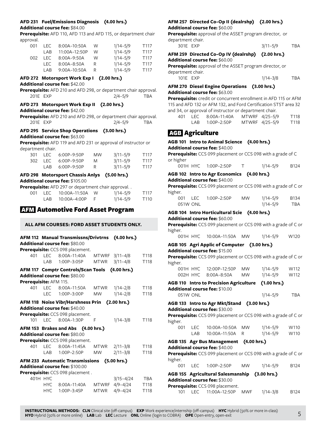# **AFD 231 Fuel/Emissions Diagnosis (4.00 hrs.)**

#### **Additional course fee:** \$84.00

**Prerequisite:** AFD 110, AFD 113 and AFD 115, or department chair approval.

| 001 | I EC. | $8:00A-10:50A$  | W  | $1/14 - 5/9$ | T <sub>117</sub> |
|-----|-------|-----------------|----|--------------|------------------|
|     | I AR  | 11:00A-12:50P   | W  | $1/14 - 5/9$ | T <sub>117</sub> |
| 002 | I FC. | $8:00A - 9:50A$ | W  | $1/14 - 5/9$ | T <sub>117</sub> |
|     | I EC. | $8:00A - 8:50A$ | R. | $1/14 - 5/9$ | T <sub>117</sub> |
|     | I AR  | 9:00A-10:50A    | R  | $1/14 - 5/9$ | T <sub>117</sub> |

### **AFD 272 Motorsport Work Exp I (2.00 hrs.)**

**Additional course fee:** \$42.00

**Prerequisite:** AFD 210 and AFD 298, or department chair approval. 201E EXP 2/4–5/9 TBA

# **AFD 273 Motorsport Work Exp II (2.00 hrs.)**

**Additional course fee:** \$42.00

**Prerequisite:** AFD 210 and AFD 298, or department chair approval. 201E EXP 2/4–5/9 TBA

#### **AFD 295 Service Shop Operations (3.00 hrs.) Additional course fee:** \$63.00

**Prerequisite:** AFD 119 and AFD 231 or approval of instructor or department chair.

| 301 | <b>LEC</b> | 6:00P–9:50P | <b>MW</b> | $3/11 - 5/9$ | T <sub>117</sub> |
|-----|------------|-------------|-----------|--------------|------------------|
|     | 302 LEC    | 6:00P–9:50P | M         | $3/11 - 5/9$ | T <sub>117</sub> |
|     | I AR-      | 6:00P-9:50P |           | $3/11 - 5/9$ | T <sub>117</sub> |

#### **AFD 298 Motorsport Chassis Anlys (5.00 hrs.) Additional course fee:** \$105.00

|     |      | <b>Prerequisite:</b> AFD 297 or department chair approval |              |                  |
|-----|------|-----------------------------------------------------------|--------------|------------------|
| 001 |      | LEC 10:00A-11:50A W                                       | 1/14–5/9     | T <sub>117</sub> |
|     | LAB. | 10:00A-4:00P                                              | $1/14 - 5/9$ | T <sub>110</sub> |

# AFM Automotive Ford Asset Program

# **ALL AFM COURSES: FORD ASSET STUDENTS ONLY.**

# **AFM 112 Manual Transmissns/Drivtrns (4.00 hrs.) Additional course fee:** \$80.00

**Prerequisite:** CCS 098 placement

|                        |      | <b>Figrequisite.</b> CCJ 070 placement.        |           |                |            |
|------------------------|------|------------------------------------------------|-----------|----------------|------------|
| 401                    |      | LEC 8:00A-11:40A MTWRF 3/11-4/8                |           |                | T118       |
|                        | LAB  | 1:00P-3:05P                                    |           | MTWR 3/11-4/8  | T118       |
|                        |      | AFM 117 Comptr Controls/Scan Tools (4.00 hrs.) |           |                |            |
|                        |      | Additional course fee: \$80.00                 |           |                |            |
| Prerequisite: AFM 115. |      |                                                |           |                |            |
| 401                    | LEC  | 8:00A-11:50A MTWR 1/14-2/8                     |           |                | T118       |
|                        |      | LEC 1:00P-3:00P                                | <b>MW</b> | $1/14 - 2/8$   | T118       |
|                        |      | AFM 118 Noise Vibr/Harshness Prin (2.00 hrs.)  |           |                |            |
|                        |      | Additional course fee: \$40.00                 |           |                |            |
|                        |      | Prerequisite: CCS 098 placement.               |           |                |            |
| 101                    |      | LEC 8:00A-1:30P                                | F         | $1/14 - 3/8$   | T118       |
|                        |      | AFM 153 Brakes and Abs (4.00 hrs.)             |           |                |            |
|                        |      | <b>Additional course fee: \$80.00</b>          |           |                |            |
|                        |      | Prerequisite: CCS 098 placement.               |           |                |            |
| 401                    |      | LEC 8:00A-11:45A MTWR 2/11-3/8                 |           |                | T118       |
|                        |      | LAB 1:00P-2:50P MW                             |           | $2/11 - 3/8$   | T118       |
|                        |      | AFM 233 Automatic Transmissions (5.00 hrs.)    |           |                |            |
|                        |      | <b>Additional course fee: \$100.00</b>         |           |                |            |
|                        |      | Prerequisite: CCS 098 placement.               |           |                |            |
| 401H HYC               |      |                                                |           | 3/15-4/24      | <b>TBA</b> |
|                        | HYC. | 8:00A-11:40A                                   |           | MTWRF 4/9-4/24 | T118       |

HYC 1:00P–3:45P MTWR 4/9–4/24 T118

### **AFM 257 Directed Co-Op II (dealrshp) (2.00 hrs.) Additional course fee:** \$60.00

**Prerequisite:** approval of the ASSET program director, or department chair.

| 301E EXP | $3/11 - 5/9$ | TBA |
|----------|--------------|-----|
|          |              |     |

#### **AFM 259 Directed Co-Op IV (dealrshp) (2.00 hrs.) Additional course fee:** \$60.00

**Prerequisite:** approval of the ASSET program director, or department chair. 101E EXP

| $1/14 - 3/8$ | TBA |
|--------------|-----|
|--------------|-----|

# **AFM 270 Diesel Engine Operations (3.00 hrs.) Additional course fee:** \$63.00

**Prerequisite:** credit or concurrent enrollment in AFD 115 or AFM 115 and AFD 132 or AFM 132, and Ford Certification STST area 32 and 34, or approval of instructor or department chair.

|  | 401 LEC 8:00A-11:40A | MTWRF 4/25-5/9 | T118             |
|--|----------------------|----------------|------------------|
|  | LAB 1:00P-2:50P      | MTWRF 4/25-5/9 | T <sub>118</sub> |

# AGB Agriculture

| AGB 101 Intro to Animal Science (4.00 hrs.) |            |                                                                               |            |              |             |
|---------------------------------------------|------------|-------------------------------------------------------------------------------|------------|--------------|-------------|
|                                             |            | Additional course fee: \$40.00                                                |            |              |             |
|                                             |            | Prerequisite: CCS 099 placement or CCS 098 with a grade of C                  |            |              |             |
| or higher                                   |            | 001H HYC 1:00P-2:50P                                                          | $\top$     | $1/14 - 5/9$ | <b>B124</b> |
|                                             |            | AGB 102 Intro to Agr Economics (4.00 hrs.)                                    |            |              |             |
|                                             |            | Additional course fee: \$40.00                                                |            |              |             |
| higher.                                     |            | Prerequisite: CCS 099 placement or CCS 098 with a grade of C or               |            |              |             |
| 001                                         | <b>LEC</b> | 1:00P-2:50P                                                                   | <b>MW</b>  | $1/14 - 5/9$ | <b>B134</b> |
| 051W ONL                                    |            |                                                                               |            | $1/14 - 5/9$ | <b>TBA</b>  |
|                                             |            | AGB 104 Intro Horticultural Scie (4.00 hrs.)                                  |            |              |             |
|                                             |            | Additional course fee: \$60.00                                                |            |              |             |
|                                             |            | Prerequisite: CCS 099 placement or CCS 098 with a grade of C or               |            |              |             |
| higher.<br>001H HYC                         |            | 10:00A-11:50A                                                                 | <b>MW</b>  | $1/14 - 5/9$ | W120        |
|                                             |            |                                                                               |            |              |             |
|                                             |            | AGB 105 Agri Applic of Computer (3.00 hrs.)<br>Additional course fee: \$15.00 |            |              |             |
|                                             |            | Prerequisite: CCS 099 placement or CCS 098 with a grade of C or               |            |              |             |
| higher.                                     |            |                                                                               |            |              |             |
| 001H HYC                                    |            | 12:00P-12:50P                                                                 | <b>MW</b>  | $1/14 - 5/9$ | W112        |
| 002H HYC                                    |            | $8:00A - 8:50A$                                                               | <b>MW</b>  | $1/14 - 5/9$ | W112        |
|                                             |            | AGB 110 Intro to Precision Agriculture (1.00 hrs.)                            |            |              |             |
|                                             |            | Additional course fee: \$10.00                                                |            |              |             |
| 051W ONL                                    |            |                                                                               |            | $1/14 - 5/9$ | <b>TBA</b>  |
|                                             |            | AGB 133 Intro to Agr Mkt/Stand (3.00 hrs.)                                    |            |              |             |
|                                             |            | Additional course fee: \$30.00                                                |            |              |             |
| higher.                                     |            | Prerequisite: CCS 099 placement or CCS 098 with a grade of C or               |            |              |             |
| 001                                         | <b>LEC</b> | 10:00A-10:50A                                                                 | <b>MW</b>  | 1/14-5/9     | W110        |
|                                             | I AR       | 10:00A-11:50A                                                                 | R          | $1/14 - 5/9$ | W110        |
|                                             |            | AGB 135 Agr Bus Management (4.00 hrs.)                                        |            |              |             |
|                                             |            | Additional course fee: \$40.00                                                |            |              |             |
|                                             |            | Prerequisite: CCS 099 placement or CCS 098 with a grade of C or               |            |              |             |
| higher.                                     |            |                                                                               |            |              |             |
|                                             |            | 001 LEC 1:00P-2:50P                                                           | <b>MW</b>  | $1/14 - 5/9$ | B124        |
|                                             |            | AGB 155 Agricultural Salesmanship (3.00 hrs.)                                 |            |              |             |
|                                             |            | Additional course fee: \$30.00                                                |            |              |             |
|                                             |            | Prerequisite: CCS 098 placement.                                              |            |              |             |
| 101                                         | LEC        | 11:00A-12:50P                                                                 | <b>MWF</b> | $1/14 - 3/8$ | B124        |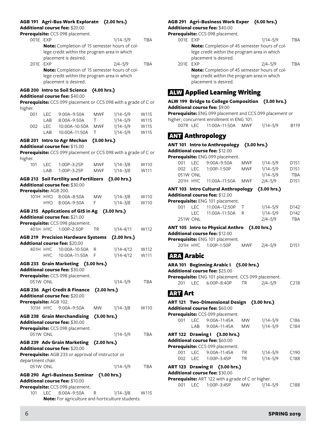# **AGB 191 Agri-Bus Work Exploratn (2.00 hrs.)**

**Additional course fee:** \$20.00

|                        |            | Prerequisite: CCS 098 placement.                                |             |               |            |
|------------------------|------------|-----------------------------------------------------------------|-------------|---------------|------------|
| 001E EXP               |            |                                                                 |             | $1/14 - 5/9$  | TBA        |
|                        |            | Note: Completion of 15 semester hours of col-                   |             |               |            |
|                        |            | lege credit within the program area in which                    |             |               |            |
|                        |            | placement is desired.                                           |             |               |            |
| 201E                   | <b>EXP</b> |                                                                 |             | $2/4 - 5/9$   | <b>TBA</b> |
|                        |            | Note: Completion of 15 semester hours of col-                   |             |               |            |
|                        |            | lege credit within the program area in which                    |             |               |            |
|                        |            | placement is desired.                                           |             |               |            |
|                        |            |                                                                 |             |               |            |
|                        |            | <b>AGB 200 Intro to Soil Science</b>                            | (4.00 hrs.) |               |            |
|                        |            | Additional course fee: \$40.00                                  |             |               |            |
|                        |            | Prerequisite: CCS 099 placement or CCS 098 with a grade of C or |             |               |            |
| higher.                |            |                                                                 |             |               |            |
| 001                    | <b>LEC</b> | 9:00A-9:50A                                                     | MWF         | $1/14 - 5/9$  | W115       |
|                        | LAB        | 8:00A-9:50A                                                     | Τ           | $1/14 - 5/9$  | W115       |
| 002                    | LEC        | 10:00A-10:50A                                                   | MWF         | $1/14 - 5/9$  | W115       |
|                        | LAB        | 10:00A-11:50A                                                   | Т           | $1/14 - 5/9$  | W115       |
|                        |            |                                                                 |             |               |            |
|                        |            | <b>AGB 201 Intro to Agr Mechan</b>                              | (3.00 hrs.) |               |            |
|                        |            | Additional course fee: \$15.00                                  |             |               |            |
|                        |            | Prerequisite: CCS 099 placement or CCS 098 with a grade of C or |             |               |            |
| higher.                |            |                                                                 |             |               |            |
| 101                    | <b>LEC</b> | 1:00P-3:25P                                                     | <b>MWF</b>  | $1/14 - 3/8$  | W110       |
|                        | LAB        | 1:00P-3:25P                                                     | <b>MWF</b>  | $1/14 - 3/8$  | W111       |
|                        |            | <b>AGB 213 Soil Fertility and Fertilizers</b>                   |             | (3.00 hrs.)   |            |
|                        |            | Additional course fee: \$30.00                                  |             |               |            |
| Prerequisite: AGB 200. |            |                                                                 |             |               |            |
|                        | 101H HYO   | 8:00A-8:50A                                                     | <b>MW</b>   | $1/14 - 3/8$  | W110       |
|                        | <b>HYO</b> | 8:00A-9:50A                                                     | F           | $1/14 - 3/8$  | W110       |
|                        |            |                                                                 |             |               |            |
|                        |            | AGB 215 Applications of GIS in Ag (3.00 hrs.)                   |             |               |            |
|                        |            | Additional course fee: \$21.00                                  |             |               |            |
|                        |            | Prerequisite: CCS 098 placement.                                |             |               |            |
|                        |            | 401H HYC 1:00P-2:50P                                            | ΤR          | $1/14 - 4/11$ | W112       |
|                        |            | <b>AGB 219 Precision Hardware Systems</b>                       |             | (2.00 hrs.)   |            |
|                        |            | Addtional course fee: \$20.00                                   |             |               |            |
|                        | 401H HYC   | 10:00A-10:50A                                                   | R           | $1/14 - 4/12$ | W112       |
|                        | <b>HYC</b> |                                                                 | F           | $1/14 - 4/12$ |            |
|                        |            | 10:00A-11:50A                                                   |             |               | W111       |
|                        |            | AGB 233 Grain Marketing (3.00 hrs.)                             |             |               |            |
|                        |            | Additional course fee: \$30.00                                  |             |               |            |
|                        |            | Prerequisite: CCS 098 placement.                                |             |               |            |
| 051W ONL               |            |                                                                 |             | $1/14 - 5/9$  | <b>TBA</b> |
|                        |            |                                                                 |             |               |            |
|                        |            | AGB 236 Agri Credit & Finance (2.00 hrs.)                       |             |               |            |
|                        |            | Additional course fee: \$20.00                                  |             |               |            |
| Prerequisite: AGB 102. |            |                                                                 |             |               |            |
|                        |            | 101H HYC 9:00A-9:50A                                            | MW          | $1/14 - 3/8$  | W110       |
|                        |            | <b>AGB 238 Grain Merchandising</b>                              | (3.00 hrs.) |               |            |
|                        |            | <b>Additional course fee: \$30.00</b>                           |             |               |            |
|                        |            | Prerequisite: CCS 098 placement.                                |             |               |            |
| 051W ONL               |            |                                                                 |             | $1/14 - 5/9$  | TBA        |
|                        |            |                                                                 |             |               |            |
|                        |            | AGB 239 Adv Grain Marketing (2.00 hrs.)                         |             |               |            |
|                        |            | Additional course fee: \$20.00                                  |             |               |            |
|                        |            | Prerequisite: AGB 233 or approval of instructor or              |             |               |            |
| department chair.      |            |                                                                 |             |               |            |
| 051W ONL               |            |                                                                 |             | $1/14 - 5/9$  | TBA        |
|                        |            | AGB 290 Agri-Business Seminar (1.00 hrs.)                       |             |               |            |
|                        |            | <b>Additional course fee: \$10.00</b>                           |             |               |            |
|                        |            |                                                                 |             |               |            |
|                        |            | Prerequisite: CCS 098 placement.                                |             |               |            |
| 101                    |            | LEC 8:00A-9:50A                                                 | R           | $1/14 - 3/8$  | W115       |

**Note:** For agriculture and horticulture students.

### **AGB 291 Agri-Business Work Exper (4.00 hrs.) Additional course fee:** \$40.00

**Prerequisite:** CCS 098 placement.

|          | $\mathbf{r}$ equisite. $\mathop{\text{CCS}}$ 070 placement. |              |            |  |  |
|----------|-------------------------------------------------------------|--------------|------------|--|--|
| 001E EXP |                                                             | $1/14 - 5/9$ | <b>TBA</b> |  |  |
|          | Note: Completion of 45 semester hours of col-               |              |            |  |  |
|          | lege credit within the program area in which                |              |            |  |  |
|          | placement is desired.                                       |              |            |  |  |
| 201F FXP |                                                             | $2/4 - 5/9$  | <b>TBA</b> |  |  |
|          | Note: Completion of 45 semester hours of col-               |              |            |  |  |
|          | lege credit within the program area in which                |              |            |  |  |

# ALW Applied Learning Writing

placement is desired.

**ALW 199 Bridge to College Composition (3.00 hrs.) Additional course fee:** \$9.00 **Prerequisite:** ENG 099 placement and CCS 099 placement or higher; concurrent enrollment in ENG 101.

007R LEC 11:00A–11:50A MWF 1/14–5/9 B119

# ANT Anthropology

| ANT 101 Intro to Anthropology (3.00 hrs.) |  |
|-------------------------------------------|--|
| <b>Additional course fee: \$12.00</b>     |  |
|                                           |  |

| Prerequisite: ENG 099 placement. |       |               |            |              |                  |  |
|----------------------------------|-------|---------------|------------|--------------|------------------|--|
| OO1.                             | LEC   | 9:00A-9:50A   | <b>MWF</b> | $1/14 - 5/9$ | D <sub>151</sub> |  |
| 002                              | I FC. | $1:00P-1:50P$ | MWF        | $1/14 - 5/9$ | D <sub>151</sub> |  |
| 051W ONL                         |       |               |            | $1/14 - 5/9$ | <b>TBA</b>       |  |
| $201H$ HYC                       |       | 11:00A-11:50A | MWF        | $2/4 - 5/9$  | D <sub>151</sub> |  |
|                                  |       |               |            |              |                  |  |

**ANT 103 Intro Cultural Anthropology (3.00 hrs.) Additional course fee:** \$12.00

**Prerequisite:** ENG 101 placement.

|      | <b>Crequisite:</b> Live To Placement. |                       |  |              |                  |  |  |
|------|---------------------------------------|-----------------------|--|--------------|------------------|--|--|
| 001. |                                       | LEC  11:00A-12:50P  T |  | $1/14 - 5/9$ | D <sub>142</sub> |  |  |
|      |                                       | LEC  11:00A-11:50A  R |  | $1/14 - 5/9$ | D <sub>142</sub> |  |  |
|      | <b>251W ONL</b>                       |                       |  | 2/4–5/9      | TBA              |  |  |

**ANT 105 Intro to Physical Anthro (3.00 hrs.)**

**Additional course fee:** \$12.00

| Prerequisite: ENG 101 placement. |                      |     |             |                  |  |
|----------------------------------|----------------------|-----|-------------|------------------|--|
|                                  | 201H HYC 1:00P-1:50P | MWF | $2/4 - 5/9$ | D <sub>151</sub> |  |

# ARA Arabic

|                |  | ARA 101 Beginning Arabic I (5.00 hrs.)              |  |  |
|----------------|--|-----------------------------------------------------|--|--|
|                |  | <b>Additional course fee:</b> \$25.00               |  |  |
|                |  | Prerequisite: ENG 101 placement. CCS 099 placement. |  |  |
|                |  | 201 LEC 6:00P-8:40P TR 2/4-5/9 C218                 |  |  |
| <b>ART Art</b> |  |                                                     |  |  |

|     | ART 121 Two-Dimensional Design (3.00 hrs.)                |           |              |                  |
|-----|-----------------------------------------------------------|-----------|--------------|------------------|
|     | <b>Additional course fee:</b> \$60.00                     |           |              |                  |
|     | Prerequisite: CCS 099 placement.                          |           |              |                  |
| 001 | LEC 9:00A-11:45A                                          | MW .      | 1/14–5/9     | C <sub>186</sub> |
|     | LAB 9:00A-11:45A MW                                       |           | 1/14–5/9     | C <sub>184</sub> |
|     | ART 122 Drawing I (3.00 hrs.)                             |           |              |                  |
|     | <b>Additional course fee:</b> \$60.00                     |           |              |                  |
|     | Prerequisite: CCS 099 placement.                          |           |              |                  |
|     | 001 LEC 9:00A-11:45A                                      | <b>TR</b> | $1/14 - 5/9$ | C <sub>190</sub> |
|     | 002 LEC 1:00P-3:45P                                       | <b>TR</b> | $1/14 - 5/9$ | C188             |
|     | ART 123 Drawing II (3.00 hrs.)                            |           |              |                  |
|     | <b>Additional course fee:</b> \$30.00                     |           |              |                  |
|     | <b>Prerequisite:</b> ART 122 with a grade of C or higher. |           |              |                  |

| <b>Telequisite.</b> ANTILEZ WILLI a grade OFC OF Higher. |           |              |                  |
|----------------------------------------------------------|-----------|--------------|------------------|
| 001                                                      | <b>MW</b> | $1/14 - 5/9$ | C <sub>188</sub> |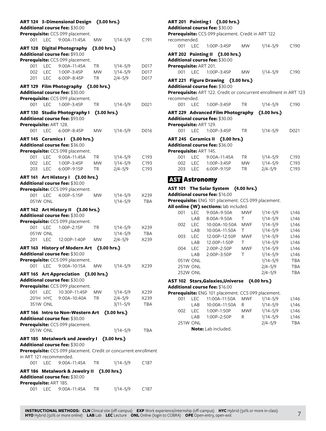|                         |                 | ART 124 3-Dimensional Design (3.00 hrs.)<br>Additional course fee: \$30.00<br>Prerequisite: CCS 099 placement.                                    |           |              |                  |
|-------------------------|-----------------|---------------------------------------------------------------------------------------------------------------------------------------------------|-----------|--------------|------------------|
| 001                     |                 | LEC 9:00A-11:45A                                                                                                                                  | MW.       | $1/14 - 5/9$ | C <sub>191</sub> |
|                         |                 | ART 128 Digital Photography (3.00 hrs.)                                                                                                           |           |              |                  |
|                         |                 | Additional course fee: \$93.00                                                                                                                    |           |              |                  |
|                         |                 | Prerequisite: CCS 099 placement.                                                                                                                  |           |              |                  |
|                         |                 | 001 LEC 9:00A-11:45A                                                                                                                              | TR        | $1/14 - 5/9$ | D017             |
| 002                     |                 | LEC 1:00P-3:45P                                                                                                                                   | <b>MW</b> | $1/14 - 5/9$ | D017             |
|                         |                 | 201 LEC 6:00P-8:45P                                                                                                                               | TR        | $2/4 - 5/9$  | D017             |
|                         |                 | ART 129 Film Photography (3.00 hrs.)<br>Additional course fee: \$30.00                                                                            |           |              |                  |
|                         |                 | Prerequisite: CCS 099 placement.                                                                                                                  |           |              |                  |
| 001                     | <b>LEC</b>      | 1:00P-3:45P                                                                                                                                       | ТR        | $1/14 - 5/9$ | D021             |
|                         |                 | ART 130 Studio Photography I (3.00 hrs.)                                                                                                          |           |              |                  |
|                         |                 | Additional course fee: \$93.00                                                                                                                    |           |              |                  |
| Prerequisite: ART 128.  |                 |                                                                                                                                                   |           |              |                  |
| 001                     | <b>LEC</b>      | 6:00P-8:45P                                                                                                                                       | <b>MW</b> | $1/14 - 5/9$ | D016             |
|                         |                 | ART 145 Ceramics I (3.00 hrs.)                                                                                                                    |           |              |                  |
|                         |                 | Additional course fee: \$36.00                                                                                                                    |           |              |                  |
|                         |                 | Prerequisite: CCS 098 placement.                                                                                                                  |           |              |                  |
| 001                     |                 | LEC 9:00A-11:45A                                                                                                                                  | <b>TR</b> | $1/14 - 5/9$ | C <sub>193</sub> |
| 002                     | <b>LEC</b>      | 1:00P-3:45P                                                                                                                                       | <b>MW</b> | $1/14 - 5/9$ | C193             |
|                         |                 | 203 LEC 6:00P-9:15P                                                                                                                               | TR        | $2/4 - 5/9$  | C193             |
|                         |                 | ART 161 Art History I (3.00 hrs.)<br>Additional course fee: \$30.00                                                                               |           |              |                  |
|                         |                 | Prerequisite: CCS 099 placement.                                                                                                                  |           |              |                  |
| 001                     |                 | LEC  4:00P-5:15P                                                                                                                                  | <b>MW</b> | $1/14 - 5/9$ | X239             |
|                         | 051W ONL        |                                                                                                                                                   |           | $1/14 - 5/9$ | TBA              |
|                         |                 | ART 162 Art History II (3.00 hrs.)<br>Additional course fee: \$30.00                                                                              |           |              |                  |
| 001                     | <b>LEC</b>      | Prerequisite: CCS 099 placement.<br>1:00P-2:15P                                                                                                   | TR        | $1/14 - 5/9$ | X239             |
|                         | 051W ONL        |                                                                                                                                                   |           | $1/14 - 5/9$ | TBA              |
| 201                     | LEC             | 12:00P-1:40P                                                                                                                                      | <b>MW</b> | $2/4 - 5/9$  | X239             |
|                         |                 |                                                                                                                                                   |           |              |                  |
|                         |                 | ART 163 History of Modern Art (3.00 hrs.)<br>Additional course fee: \$30.00<br>Prerequisite: CCS 099 placement.                                   |           |              |                  |
|                         |                 | 001 LEC 9:00A-10:15A                                                                                                                              | MW        | $1/14 - 5/9$ | X239             |
|                         |                 |                                                                                                                                                   |           |              |                  |
|                         |                 | ART 165 Art Appreciation (3.00 hrs.)<br>Additional course fee: \$30.00<br>Prerequisite: CCS 099 placement.                                        |           |              |                  |
| 001                     |                 | LEC 10:30P-11:45P                                                                                                                                 | <b>MW</b> | 1/14–5/9     | X239             |
|                         |                 | 201H HYC 9:00A-10:40A                                                                                                                             | TR        | $2/4 - 5/9$  | X239             |
|                         | <b>351W ONL</b> |                                                                                                                                                   |           | $3/11 - 5/9$ | TBA              |
|                         |                 | ART 166 Intro to Non-Western Art (3.00 hrs.)<br>Additional course fee: \$30.00                                                                    |           |              |                  |
|                         |                 | Prerequisite: CCS 099 placement.                                                                                                                  |           |              |                  |
|                         | 051W ONL        |                                                                                                                                                   |           | $1/14 - 5/9$ | TBA              |
| in ART 121 recommended. |                 | ART 185 Metalwork and Jewelry I (3.00 hrs.)<br>Additional course fee: \$30.00<br>Prerequisite: CCS 099 placement. Credit or concurrent enrollment |           |              |                  |
| 001                     | LEC             | 9:00A–11:45A                                                                                                                                      | <b>TR</b> | 1/14-5/9     | C187             |
|                         |                 |                                                                                                                                                   |           |              |                  |
| Prerequisite: ART 185.  |                 | ART 186 Metalwork & Jewelry II (3.00 hrs.)<br>Additional course fee: \$30.00                                                                      |           |              |                  |
| 001                     | <b>LEC</b>      | 9:00A-11:45A                                                                                                                                      | TR        | $1/14 - 5/9$ | C <sub>187</sub> |

| recommended.           |         | ART 201 Painting I (3.00 hrs.)<br>Additional course fee: \$30.00<br>Prerequisite: CCS 099 placement. Credit in ART 122                    |                 |               |                          |
|------------------------|---------|-------------------------------------------------------------------------------------------------------------------------------------------|-----------------|---------------|--------------------------|
|                        |         | 001 LEC 1:00P-3:45P                                                                                                                       | <b>MW</b>       | 1/14-5/9 C190 |                          |
| Prerequisite: ART 201. |         | ART 202 Painting II (3.00 hrs.)<br>Additional course fee: \$30.00                                                                         |                 |               |                          |
|                        |         | 001 LEC 1:00P-3:45P                                                                                                                       | <b>MW</b>       | 1/14-5/9 C190 |                          |
| recommended.           |         | ART 221 Figure Drawing (3.00 hrs.)<br>Additional course fee: \$30.00<br>Prerequisite: ART 122. Credit or concurrent enrollment in ART 123 |                 |               |                          |
|                        |         | 001 LEC 1:00P-3:45P TR                                                                                                                    |                 | 1/14-5/9 C190 |                          |
| Prerequisite: ART 129. |         | ART 229 Advanced Film Photography (3.00 hrs.)<br><b>Additional course fee: </b> \$30.00                                                   |                 |               |                          |
|                        | 001 LEC | 1:00P-3:45P                                                                                                                               | TR <sub>2</sub> | 1/14-5/9      | D <sub>021</sub>         |
| Prerequisite: ART 145. |         | ART 245 Ceramics II (3.00 hrs.)<br>Additional course fee: \$36.00                                                                         |                 |               |                          |
|                        |         | 001 LEC 9:00A-11:45A TR 1/14-5/9<br>002 LEC 1:00P-3:45P MW 1/14-5/9 C193<br>203 LEC 6:00P-9:15P                                           | <b>TR</b>       | $2/4 - 5/9$   | C193<br>C <sub>193</sub> |
| <b>AST Astronomy</b>   |         |                                                                                                                                           |                 |               |                          |

# **AST 101 The Solar System (4.00 hrs.) Additional course fee:** \$16.00

**Prerequisite:** ENG 101 placement. CCS 099 placement.

**All online (W) sections:** lab included.

| 001 | LEC             | 9:00A-9:50A   | <b>MWF</b> | $1/14 - 5/9$ | L146       |
|-----|-----------------|---------------|------------|--------------|------------|
|     | LAB             | 8:00A-9:50A   | т          | $1/14 - 5/9$ | L146       |
| 002 | I FC            | 10:00A-10:50A | <b>MWF</b> | $1/14 - 5/9$ | L146       |
|     | LAB             | 10:00A-11:50A | т          | $1/14 - 5/9$ | L146       |
| 003 | LEC             | 12:00P-12:50P | <b>MWF</b> | $1/14 - 5/9$ | L146       |
|     | LAB             | 12:00P-1:50P  | т          | $1/14 - 5/9$ | L146       |
| 004 | I FC            | 2:00P-2:50P   | <b>MWF</b> | $1/14 - 5/9$ | L146       |
|     | LAB             | 2:00P-3:50P   | Τ          | $1/14 - 5/9$ | L146       |
|     | 051W ONL        |               |            | $1/14 - 5/9$ | <b>TBA</b> |
|     | <b>251W ONL</b> |               |            | $2/4 - 5/9$  | <b>TBA</b> |
|     | 252W ONL        |               |            | $2/4 - 5/9$  | TBA        |
|     |                 |               |            |              |            |

# **AST 102 Stars,Galaxies,Universe (4.00 hrs.)**

**Additional course fee:** \$16.00

**Prerequisite:** ENG 101 placement. CCS 099 placement.

| 001             |      |                            |     | $1/14 - 5/9$ | L <sub>146</sub> |
|-----------------|------|----------------------------|-----|--------------|------------------|
|                 | I AR | 10:00A-11:50A              | R   | $1/14 - 5/9$ | L <sub>146</sub> |
| 002             | LEC  | 1:00P-1:50P                | MWF | $1/14 - 5/9$ | L <sub>146</sub> |
|                 | LAB  | 1:00P-2:50P                | R.  | $1/14 - 5/9$ | L146             |
| <b>251W ONL</b> |      |                            |     | $2/4 - 5/9$  | TBA              |
|                 |      | <b>Note:</b> Lab included. |     |              |                  |
|                 |      |                            |     |              |                  |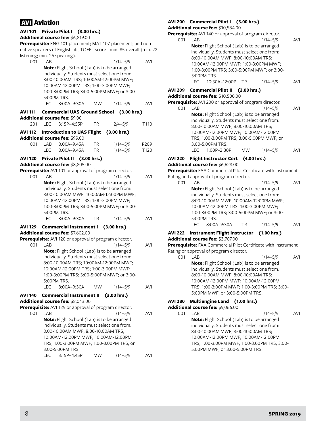# AVI Aviation

# **AVI 101 Private Pilot I (3.00 hrs.)**

#### **Additional course fee:** \$6,819.00

**Prerequisite:** ENG 101 placement; MAT 107 placement; and nonnative speakers of English: ibt TOEFL score - min. 85 overall (min. 22  $list = min$  26 speaking)

| 001     | LAB        |                                                                                             |             | $1/14 - 5/9$ | <b>AVI</b> |
|---------|------------|---------------------------------------------------------------------------------------------|-------------|--------------|------------|
|         |            | Note: Flight School (Lab) is to be arranged<br>individually. Students must select one from: |             |              |            |
|         |            | 8:00-10:00AM TRS; 10:00AM-12:00PM MWF;                                                      |             |              |            |
|         |            | 10:00AM-12:00PM TRS; 1:00-3:00PM MWF;                                                       |             |              |            |
|         |            | 1:00-3:00PM TRS; 3:00-5:00PM MWF; or 3:00-                                                  |             |              |            |
|         | LEC        | 5:00PM TRS.<br>8:00A-9:30A                                                                  | <b>MW</b>   |              | <b>AVI</b> |
|         |            |                                                                                             |             | $1/14 - 5/9$ |            |
| AVI 111 |            | Commercial UAS Ground School (3.00 hrs.)<br><b>Additional course fee: \$9.00</b>            |             |              |            |
| 201     | <b>LEC</b> | 3:15P-4:55P                                                                                 | TR          | $2/4 - 5/9$  | T110       |
| AVI 112 |            | <b>Introduction to UAS Flight</b>                                                           |             | (3.00 hrs.)  |            |
|         |            | <b>Additional course fee: \$99.00</b>                                                       |             |              |            |
| 001     | LAB        | 8:00A-9:45A                                                                                 | ΤR          | $1/14 - 5/9$ | P209       |
|         | <b>LEC</b> | 8:00A-9:45A                                                                                 | <b>TR</b>   | $1/14 - 5/9$ | T120       |
| AVI 120 |            | <b>Private Pilot II</b>                                                                     | (3.00 hrs.) |              |            |
|         |            | Additional course fee: \$8,805.00                                                           |             |              |            |
|         |            | Prerequisite: AVI 101 or approval of program director.                                      |             |              |            |
| 001     | LAB        |                                                                                             |             | $1/14 - 5/9$ | <b>AVI</b> |
|         |            | Note: Flight School (Lab) is to be arranged                                                 |             |              |            |
|         |            | individually. Students must select one from:<br>8:00-10:00AM MWF; 10:00AM-12:00PM MWF;      |             |              |            |
|         |            | 10:00AM-12:00PM TRS; 1:00-3:00PM MWF;                                                       |             |              |            |
|         |            | 1:00-3:00PM TRS; 3:00-5:00PM MWF; or 3:00-                                                  |             |              |            |
|         |            | 5:00PM TRS.                                                                                 |             |              |            |
|         | LEC        | 8:00A-9:30A                                                                                 | TR          | $1/14 - 5/9$ | <b>AVI</b> |
| AVI 129 |            | Commercial Instrument I (3.00 hrs.)                                                         |             |              |            |
|         |            | Additional course fee: \$7,602.00                                                           |             |              |            |
|         |            | Prerequisite: AVI 120 or approval of program director                                       |             |              |            |
| 001     | LAB        |                                                                                             |             | $1/14 - 5/9$ | <b>AVI</b> |
|         |            | Note: Flight School (Lab) is to be arranged                                                 |             |              |            |
|         |            | individually. Students must select one from:<br>8:00-10:00AM TRS; 10:00AM-12:00PM MWF;      |             |              |            |
|         |            | 10:00AM-12:00PM TRS; 1:00-3:00PM MWF;                                                       |             |              |            |
|         |            | 1:00-3:00PM TRS; 3:00-5:00PM MWF; or 3:00-                                                  |             |              |            |
|         |            | 5:00PM TRS.                                                                                 |             |              |            |
|         | LEC        | 8:00A-9:30A                                                                                 | <b>MW</b>   | $1/14 - 5/9$ | <b>AVI</b> |
|         |            | AVI 140 Commercial Instrument II                                                            |             | (3.00 hrs.)  |            |
|         |            |                                                                                             |             |              |            |

**Additional course fee:** \$8,043.00

- **Prerequisite:** AVI 129 or approval of program director.
	- 001 LAB 1/14–5/9 AVI **Note:** Flight School (Lab) is to be arranged individually. Students must select one from: 8:00-10:00AM MWF; 8:00-10:00AM TRS; 10:00AM-12:00PM MWF; 10:00AM-12:00PM TRS; 1:00-3:00PM MWF; 1:00-3:00PM TRS; or 3:00-5:00PM TRS. LEC 3:15P–4:45P MW 1/14–5/9 AVI

# **AVI 200 Commercial Pilot I (3.00 hrs.)**

**Additional course fee:** \$10,584.00

**Prerequisite:** AVI 140 or approval of program director. 001 LAB 1/14–5/9 AVI **Note:** Flight School (Lab) is to be arranged individually. Students must select one from: 8:00-10:00AM MWF; 8:00-10:00AM TRS; 10:00AM-12:00PM MWF; 1:00-3:00PM MWF; 1:00-3:00PM TRS; 3:00-5:00PM MWF; or 3:00- 5:00PM TRS. LEC 10:30A-12:00P TR 1/14-5/9 AVI **AVI 209 Commercial Pilot II (3.00 hrs.) Additional course fee:** \$10,500.00 **Prerequisite:** AVI 200 or approval of program director. 001 LAB 1/14–5/9 AVI **Note:** Flight School (Lab) is to be arranged individually. Students must select one from: 8:00-10:00AM MWF; 8:00-10:00AM TRS; 10:00AM-12:00PM MWF; 10:00AM-12:00PM TRS; 1:00-3:00PM TRS; 3:00-5:00PM MWF; or 3:00-5:00PM TRS. LEC 1:00P–2:30P MW 1/14–5/9 AVI

# **AVI 220 Flight Instructor Cert (4.00 hrs.)**

### **Additional course fee:** \$6,628.00

**Prerequisite:** FAA Commercial Pilot Certificate with Instrument Rating and approval of program director. .

001 LAB 1/14–5/9 AVI **Note:** Flight School (Lab) is to be arranged individually. Students must select one from: 8:00-10:00AM MWF; 10:00AM-12:00PM MWF; 10:00AM-12:00PM TRS; 1:00-3:00PM MWF; 1:00-3:00PM TRS; 3:00-5:00PM MWF; or 3:00- 5:00PM TRS. LEC 8:00A–9:30A TR 1/14–5/9 AVI

#### **AVI 222 Instrument Flight Instructor (1.00 hrs.) Additional course fee:** \$3,707.00

**Prerequisite:** FAA Commercial Pilot Certificate with Instrument

Rating or approval of program director. 001 LAB 1/14–5/9 AVI **Note:** Flight School (Lab) is to be arranged individually. Students must select one from: 8:00-10:00AM MWF; 8:00-10:00AM TRS; 10:00AM-12:00PM MWF; 10:00AM-12:00PM TRS; 1:00-3:00PM MWF; 1:00-3:00PM TRS; 3:00- 5:00PM MWF; or 3:00-5:00PM TRS.

# **AVI 280 Multiengine Land (1.00 hrs.)**

# **Additional course fee:** \$9,066.00

001 LAB 1/14–5/9 AVI **Note:** Flight School (Lab) is to be arranged individually. Students must select one from: 8:00-10:00AM MWF; 8:00-10:00AM TRS; 10:00AM-12:00PM MWF; 10:00AM-12:00PM TRS; 1:00-3:00PM MWF; 1:00-3:00PM TRS; 3:00- 5:00PM MWF; or 3:00-5:00PM TRS.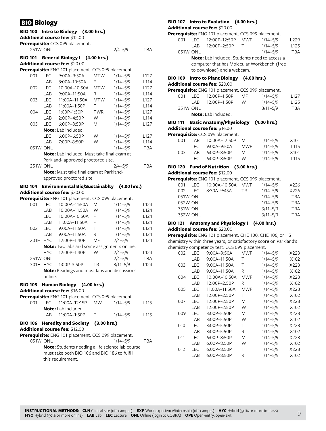# **BIO Biology**

# **BIO 100 Intro to Biology (3.00 hrs.)**

**Additional course fee:** \$12.00

| Prerequisite: CCS 099 placement. |             |     |
|----------------------------------|-------------|-----|
| <b>251W ONL</b>                  | $2/4 - 5/9$ | TBA |

# **BIO 101 General Biology I (4.00 hrs.)**

# **Additional course fee:** \$20.00

|     |      | <b>Prerequisite:</b> ENG 101 placement. CCS 099 placement. |       |              |                  |
|-----|------|------------------------------------------------------------|-------|--------------|------------------|
|     |      | 001 LEC 9:00A-9:50A MTW                                    |       | 1/14–5/9     | L <sub>127</sub> |
|     | I AR | 8:00A-10:50A                                               | - F - | $1/14 - 5/9$ | L <sub>114</sub> |
| 002 | IFC. | 10:00A-10:50A MTW                                          |       | $1/14 - 5/9$ | L <sub>127</sub> |
|     | I AR | 9:00A–11:50A                                               | - R   | $1/14 - 5/9$ | L <sub>114</sub> |

| 003             | LEC        | 11:00A-11:50A                                      | <b>MTW</b> | $1/14 - 5/9$ | L <sub>127</sub> |
|-----------------|------------|----------------------------------------------------|------------|--------------|------------------|
|                 | LAB        | 11:00A-1:50P                                       | F          | $1/14 - 5/9$ | L114             |
| 004             | <b>LEC</b> | $1:00P-1:50P$                                      | <b>TWR</b> | $1/14 - 5/9$ | L <sub>127</sub> |
|                 | LAB        | $2:00P-4:50P$                                      | W          | $1/14 - 5/9$ | L114             |
| 005             | I FC       | $6:00P - 8:50P$                                    | M          | $1/14 - 5/9$ | L <sub>127</sub> |
|                 |            | <b>Note:</b> Lab included.                         |            |              |                  |
|                 | LEC        | $6:00P - 6:50P$                                    | W          | $1/14 - 5/9$ | L <sub>127</sub> |
|                 | I AR       | 7:00P-8:50P                                        | W          | $1/14 - 5/9$ | L114             |
| 051W ONL        |            |                                                    |            | $1/14 - 5/9$ | <b>TBA</b>       |
|                 |            | <b>Note:</b> Lab included. Must take final exam at |            |              |                  |
|                 |            | Parkland-approved proctored site.                  |            |              |                  |
| <b>251W ONL</b> |            |                                                    |            | $2/4 - 5/9$  | TBA              |
|                 |            | <b>Note:</b> Must take final exam at Parkland-     |            |              |                  |

approved proctored site

### **BIO 104 Environmental Bio/Sustainablty (4.00 hrs.) Additional course fee:** \$20.00

**Prerequisite:** ENG 101 placement. CCS 099 placement.

|                 |            | <b>Press</b> Eiver for placement. CCS 022 placement.                       |           |              |                  |
|-----------------|------------|----------------------------------------------------------------------------|-----------|--------------|------------------|
| 001             | LEC.       | 10:00A-11:50A                                                              | M         | $1/14 - 5/9$ | L <sub>124</sub> |
|                 | LAB        | $10:00A-11:50A$                                                            | W         | $1/14 - 5/9$ | L124             |
|                 | LEC.       | $10:00A-10:50A$                                                            | F         | $1/14 - 5/9$ | L124             |
|                 | LAB        | $11:00A-11:50A$                                                            | F         | $1/14 - 5/9$ | L124             |
| 002             | <b>LEC</b> | 9:00A-11:50A                                                               | т         | $1/14 - 5/9$ | L124             |
|                 | LAB        | 9:00A-11:50A                                                               | R         | $1/14 - 5/9$ | L124             |
| 201H HYC        |            | 12:00P-1:40P                                                               | MF        | $2/4 - 5/9$  | L <sub>124</sub> |
|                 |            | <b>Note:</b> Two labs and some assignments online.                         |           |              |                  |
|                 | HYC.       | 12:00P-1:40P                                                               | W         | $2/4 - 5/9$  | L <sub>124</sub> |
| <b>251W ONL</b> |            |                                                                            |           | $2/4 - 5/9$  | <b>TBA</b>       |
| 301H HYC        |            | 1:00P-3:50P                                                                | <b>TR</b> | $3/11 - 5/9$ | L124             |
|                 | online.    | Note: Readings and most labs and discussions                               |           |              |                  |
|                 |            | BIO 105 Human Biology (4.00 hrs.)<br><b>Additional course fee:</b> \$16.00 |           |              |                  |

|  | <b>Prerequisite:</b> ENG 101 placement. CCS 099 placement.                        |          |      |
|--|-----------------------------------------------------------------------------------|----------|------|
|  | 001 LEC 11:00A-12:15P MW                                                          | 1/14–5/9 | L115 |
|  | <b>Note:</b> Lab included.                                                        |          |      |
|  | LAB 11:00A-1:50P F                                                                | 1/14–5/9 | L115 |
|  | BIO 106 Heredity and Society (3.00 hrs.)<br><b>Additional course fee: \$12.00</b> |          |      |

**Prerequisite:** ENG 101 placement. CCS 099 placement.

051W ONL 1/14–5/9 TBA **Note:** Students needing a life science lab course must take both BIO 106 and BIO 186 to fulfill this requirement.

# **BIO 107 Intro to Evolution (4.00 hrs.)**

**Additional course fee:** \$20.00

|     |                 | Prerequisite: ENG 101 placement. CCS 099 placement.                                                                               |        |              |                  |
|-----|-----------------|-----------------------------------------------------------------------------------------------------------------------------------|--------|--------------|------------------|
| 001 | LEC.            | 12:00P-12:50P                                                                                                                     | MWF    | $1/14 - 5/9$ | L <sub>229</sub> |
|     | LAB             | 12:00P-2:50P                                                                                                                      | $\top$ | $1/14 - 5/9$ | L <sub>125</sub> |
|     | 051W ONL        |                                                                                                                                   |        | $1/14 - 5/9$ | <b>TBA</b>       |
|     |                 | <b>Note:</b> Lab included. Students need to access a<br>computer that has Molecular Workbench (free<br>to download) and a webcam. |        |              |                  |
|     |                 | BIO 109 Intro to Plant Biology (4.00 hrs.)<br><b>Additional course fee:</b> \$20.00                                               |        |              |                  |
|     |                 | Prerequisite: ENG 101 placement. CCS 099 placement.                                                                               |        |              |                  |
| 001 | LEC.            | 12:00P-1:50P                                                                                                                      | MF.    | $1/14 - 5/9$ | L <sub>127</sub> |
|     |                 | LAB 12:00P-1:50P                                                                                                                  | W      | $1/14 - 5/9$ | L <sub>125</sub> |
|     | <b>351W ONL</b> |                                                                                                                                   |        | $3/11 - 5/9$ | <b>TBA</b>       |

**Note:** Lab included.

# **BIO 111 Basic Anatomy/Physiology (4.00 hrs.)**

**Additional course fee:** \$16.00

| <b>Prerequisite:</b> CCS 099 placement. |       |                 |     |              |                  |  |  |  |  |
|-----------------------------------------|-------|-----------------|-----|--------------|------------------|--|--|--|--|
| OO1                                     | I AR  | 10:00A-12:50P   | M   | 1/14–5/9     | X <sub>101</sub> |  |  |  |  |
|                                         |       | LEC 9:00A-9:50A | MWF | $1/14 - 5/9$ | L115             |  |  |  |  |
| 003                                     | I AR  | $6:00P - 8:50P$ | M   | $1/14 - 5/9$ | X <sub>101</sub> |  |  |  |  |
|                                         | I FC. | $6:00P - 8:50P$ | W   | $1/14 - 5/9$ | L <sub>115</sub> |  |  |  |  |

# **BIO 120 Fund of Nutrition (3.00 hrs.)**

# **Additional course fee:** \$12.00

**Prerequisite:** ENG 101 placement. CCS 099 placement.

| 001      | I FC.    | 10:00A-10:50A | MWF       | $1/14 - 5/9$ | X226       |
|----------|----------|---------------|-----------|--------------|------------|
| 002      | TEC.     | 8:30A-9:45A   | <b>TR</b> | $1/14 - 5/9$ | X226       |
| 051W ONL |          |               |           | $1/14 - 5/9$ | <b>TBA</b> |
|          | 052W ONL |               |           | $1/14 - 5/9$ | <b>TBA</b> |
| 351W ONL |          |               |           | $3/11 - 5/9$ | <b>TBA</b> |
| 352W ONL |          |               |           | $3/11 - 5/9$ | <b>TBA</b> |
|          |          |               |           |              |            |

# **BIO 121 Anatomy and Physiology I (4.00 hrs.)**

**Additional course fee:** \$20.00

**Prerequisite:** ENG 101 placement. CHE 100, CHE 106, or HS chemistry within three years, or satisfactory score on Parkland's chemistry competency test. CCS 099 placement.

| critisti y competency test. CCS 022 placement. |            |                 |            |              |      |  |
|------------------------------------------------|------------|-----------------|------------|--------------|------|--|
| 002                                            | LEC.       | 9:00A-9:50A     | <b>MWF</b> | $1/14 - 5/9$ | X223 |  |
|                                                | LAB        | 9:00A-11:50A    | Т          | $1/14 - 5/9$ | X102 |  |
| 003                                            | <b>LEC</b> | 9:00A-11:50A    | Τ          | $1/14 - 5/9$ | X223 |  |
|                                                | LAB        | 9:00A-11:50A    | R          | $1/14 - 5/9$ | X102 |  |
| 004                                            | <b>LEC</b> | 10:00A-10:50A   | MWF        | $1/14 - 5/9$ | X223 |  |
|                                                | LAB        | 12:00P-2:50P    | R          | $1/14 - 5/9$ | X102 |  |
| 005                                            | <b>LEC</b> | 11:00A-11:50A   | MWF        | $1/14 - 5/9$ | X223 |  |
|                                                | LAB        | 12:00P-2:50P    | Τ          | $1/14 - 5/9$ | X102 |  |
| 007                                            | <b>LEC</b> | 12:00P-2:50P    | M          | $1/14 - 5/9$ | X223 |  |
|                                                | LAB        | 12:00P-2:50P    | W          | $1/14 - 5/9$ | X102 |  |
| 009                                            | <b>LEC</b> | 3:00P-5:50P     | M          | $1/14 - 5/9$ | X223 |  |
|                                                | LAB        | 3:00P-5:50P     | W          | $1/14 - 5/9$ | X102 |  |
| 010                                            | LEC        | 3:00P-5:50P     | Τ          | $1/14 - 5/9$ | X223 |  |
|                                                | LAB        | 3:00P-5:50P     | R          | $1/14 - 5/9$ | X102 |  |
| 011                                            | LEC        | 6:00P-8:50P     | M          | $1/14 - 5/9$ | X223 |  |
|                                                | LAB        | $6:00P - 8:50P$ | W          | $1/14 - 5/9$ | X102 |  |
| 012                                            | LEC        | $6:00P - 8:50P$ | Τ          | $1/14 - 5/9$ | X223 |  |
|                                                | LAB        | 6:00P-8:50P     | R          | $1/14 - 5/9$ | X102 |  |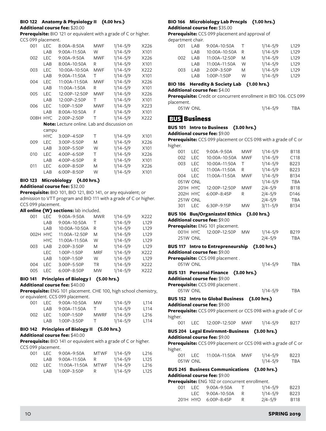# **BIO 122 Anatomy & Physiology II (4.00 hrs.)**

**Additional course fee:** \$20.00

**Prerequisite:** BIO 121 or equivalent with a grade of C or higher. CCS 099 placement.

| 001  | <b>LEC</b> | 8:00A-8:50A                                        | MWF | $1/14 - 5/9$ | X226 |
|------|------------|----------------------------------------------------|-----|--------------|------|
|      | LAB        | 9:00A-11:50A                                       | W   | $1/14 - 5/9$ | X101 |
| 002  | <b>LEC</b> | $9:00A-9:50A$                                      | MWF | $1/14 - 5/9$ | X226 |
|      | LAB        | 8:00A-10:50A                                       | R   | $1/14 - 5/9$ | X101 |
| 003  | <b>LEC</b> | 10:00A-10:50A                                      | MWF | $1/14 - 5/9$ | X222 |
|      | LAB        | 9:00A-11:50A                                       | т   | $1/14 - 5/9$ | X101 |
| 004  | <b>LEC</b> | 11:00A-11:50A                                      | MWF | $1/14 - 5/9$ | X226 |
|      | LAB        | 11:00A-1:50A                                       | R   | $1/14 - 5/9$ | X101 |
| 005  | <b>LEC</b> | 12:00P-12:50P                                      | MWF | $1/14 - 5/9$ | X226 |
|      | LAB        | 12:00P-2:50P                                       | Τ   | $1/14 - 5/9$ | X101 |
| 006  | <b>LEC</b> | 1:00P-1:50P                                        | MWF | $1/14 - 5/9$ | X223 |
|      | LAB        | 8:00A-10:50A                                       | F   | $1/14 - 5/9$ | X101 |
| 008H | <b>HYC</b> | 2:00P-2:50P                                        | Τ   | $1/14 - 5/9$ | X222 |
|      |            | <b>Note:</b> Lecture online. Lab and discussion on |     |              |      |
|      | campu      |                                                    |     |              |      |
|      | <b>HYC</b> | 3:00P-4:50P                                        | Τ   | $1/14 - 5/9$ | X101 |
| 009  | <b>LEC</b> | 3:00P-5:50P                                        | M   | $1/14 - 5/9$ | X226 |
|      | LAB        | 3:00P-5:50P                                        | W   | $1/14 - 5/9$ | X101 |
| 010  | <b>LEC</b> | 4:00P-6:50P                                        | Τ   | $1/14 - 5/9$ | X226 |
|      | LAB        | 4:00P-6:50P                                        | R   | $1/14 - 5/9$ | X101 |
| 011  | <b>LEC</b> | 6:00P-8:50P                                        | M   | $1/14 - 5/9$ | X226 |
|      | LAB        | 6:00P-8:50P                                        | W   | $1/14 - 5/9$ | X101 |
|      |            |                                                    |     |              |      |

**BIO 123 Microbiology (4.00 hrs.)**

**Additional course fee:** \$32.00

**Prerequisite:** BIO 101, BIO 121, BIO 141, or any equivalent; or admission to VTT program and BIO 111 with a grade of C or higher. CCS 099 placement.

### **All online (W) sections:** lab included.

| 001  | LEC        | 9:00A-9:50A   | <b>MWR</b> | $1/14 - 5/9$ | X222             |
|------|------------|---------------|------------|--------------|------------------|
|      | LAB        | 9:00A-10:50A  | т          | $1/14 - 5/9$ | L <sub>129</sub> |
|      | LAB        | 10:00A-10:50A | R          | $1/14 - 5/9$ | L <sub>129</sub> |
| 002H | <b>HYC</b> | 11:00A-12:50P | M          | $1/14 - 5/9$ | L <sub>129</sub> |
|      | <b>HYC</b> | 11:00A-11:50A | W          | $1/14 - 5/9$ | L <sub>129</sub> |
| 003  | LAB        | $2:00P-3:50P$ | M          | $1/14 - 5/9$ | L <sub>129</sub> |
|      | LEC.       | 1:00P-1:50P   | MRF        | $1/14 - 5/9$ | X222             |
|      | LAB        | 1:00P-1:50P   | W          | $1/14 - 5/9$ | L <sub>129</sub> |
| 004  | <b>LEC</b> | 3:00P-5:50P   | TR         | $1/14 - 5/9$ | X222             |
| 005  | I FC.      | 6:00P-8:50P   | MW         | $1/14 - 5/9$ | X222             |

# **BIO 141 Principles of Biology I (5.00 hrs.)**

**Additional course fee:** \$40.00

**Prerequisite:** ENG 101 placement. CHE 100, high school chemistry, or equivalent. CCS 099 placement.

| 001 | I EC. | $9:00A-10:50A$  | <b>MW</b> | $1/14 - 5/9$ | l 114            |
|-----|-------|-----------------|-----------|--------------|------------------|
|     | I AR  | $9:00A-11:50A$  | т.        | $1/14 - 5/9$ | l 114            |
| 002 | LEC.  | $1:00P-1:50P$   | MWRF      | $1/14 - 5/9$ | L <sub>216</sub> |
|     | I AR  | $1:00P - 3:50P$ | . E       | $1/14 - 5/9$ | L <sub>114</sub> |

### **BIO 142 Principles of Biology II (5.00 hrs.) Additional course fee:** \$40.00

**Prerequisite:** BIO 141 or equivalent with a grade of C or higher. CCS 099 placement.

|     | . <u>.</u> |                    |             |              |      |
|-----|------------|--------------------|-------------|--------------|------|
| 001 | LEC        | 9:00A–9:50A        | <b>MTWF</b> | $1/14 - 5/9$ | L216 |
|     | I AR-      | 9:00A–11:50A       | R           | $1/14 - 5/9$ | L125 |
| 002 | LEC        | 11:00A–11:50A MTWF |             | $1/14 - 5/9$ | L216 |
|     | I AR       | 1:00P-3:50P        | R           | 1/14–5/9     | L125 |

# **BIO 166 Microbiology Lab Prncpls (1.00 hrs.) Additional course fee:** \$35.00

**Prerequisite:** CCS 099 placement and approval of department chair.

| 001 | I AR | 9:00A-10:50A  |   | $1/14 - 5/9$ | L <sub>129</sub> |
|-----|------|---------------|---|--------------|------------------|
|     | I AR | 10:00A-10:50A | R | $1/14 - 5/9$ | L <sub>129</sub> |
| 002 | I AR | 11:00A-12:50P | M | $1/14 - 5/9$ | 1129             |
|     | I AR | 11:00A-11:50A | W | $1/14 - 5/9$ | 1129             |
| 003 | I AR | $2:00P-3:50P$ | M | $1/14 - 5/9$ | L <sub>129</sub> |
|     | I AR | $1:00P-1:50P$ | W | $1/14 - 5/9$ | 1129             |

# **BIO 186 Heredity & Society Lab (1.00 hrs.)**

#### **Additional course fee:** \$4.00

**Prerequisite:** Credit or concurrent enrollment in BIO 106. CCS 099 placement.

| 051W ONL | 1/14–5/9 | <b>TBA</b> |
|----------|----------|------------|
|          |          |            |

# **BUS Business**

# **BUS 101 Intro to Business (3.00 hrs.)**

**Additional course fee:** \$9.00

**Prerequisite:** CCS 099 placement or CCS 098 with a grade of C or higher.

| 001             | LEC.       | $9:00A - 9:50A$ | <b>MWF</b> | $1/14 - 5/9$ | <b>B118</b> |
|-----------------|------------|-----------------|------------|--------------|-------------|
| 002             | <b>LEC</b> | 10:00A-10:50A   | <b>MWF</b> | $1/14 - 5/9$ | C118        |
| 003             | LEC        | 10:00A-11:50A   | т          | $1/14 - 5/9$ | B223        |
|                 | <b>LEC</b> | 11:00A-11:50A   | R          | $1/14 - 5/9$ | B223        |
| 004             | I FC       | 11:00A-11:50A   | <b>MWF</b> | $1/14 - 5/9$ | <b>B134</b> |
| 051W ONL        |            |                 |            | $1/14 - 5/9$ | <b>TBA</b>  |
| 201H HYC        |            | 12:00P-12:50P   | <b>MWF</b> | $2/4 - 5/9$  | <b>B118</b> |
| 202H HYC        |            | 6:00P-8:45P     | R          | $2/4 - 5/9$  | D146        |
| <b>251W ONL</b> |            |                 |            | $2/4 - 5/9$  | <b>TBA</b>  |
| 301             | I FC       | 6:30P-9:15P     | MW         | $3/11 - 5/9$ | <b>B134</b> |

# **BUS 106 Bus/Organizatnl Ethics (3.00 hrs.)**

**Additional course fee:** \$9.00

|                                  |  | $DILC 117$ $Intra to Entronronourchin$ (2.00 hrs.) |  |              |                   |  |
|----------------------------------|--|----------------------------------------------------|--|--------------|-------------------|--|
| <b>251W ONL</b>                  |  |                                                    |  | 2/4–5/9      | TBA               |  |
|                                  |  | 001H HYC 12:00P-12:50P MW                          |  | $1/14 - 5/9$ | B <sub>2</sub> 19 |  |
| Prerequisite: ENG 101 placement. |  |                                                    |  |              |                   |  |

# **BUS 117 Intro to Entrepreneurship (3.00 hrs.)**

# **Additional course fee:** \$9.00

| Prerequisite: CCS 098 placement. |              |     |
|----------------------------------|--------------|-----|
| 051W ONL                         | $1/14 - 5/9$ | TBA |

### **BUS 131 Personal Finance (3.00 hrs.)**

**Additional course fee:** \$9.00

| Prerequisite: CCS 098 placement. |              |     |
|----------------------------------|--------------|-----|
| 051W ONL                         | $1/14 - 5/9$ | TBA |

# **BUS 152 Intro to Global Business (3.00 hrs.)**

#### **Additional course fee:** \$9.00

**Prerequisite:** CCS 099 placement or CCS 098 with a grade of C or higher.

001 LEC 12:00P–12:50P MWF 1/14–5/9 B217

#### **BUS 204 Legal Envirnmnt-Business (3.00 hrs.) Additional course fee:** \$9.00

**Prerequisite:** CCS 099 placement or CCS 098 with a grade of C or higher.

| . . |          | 001 LEC 11:00A-11:50A MWF | 1/14–5/9 | B223 |
|-----|----------|---------------------------|----------|------|
|     | 051W ONL |                           | 1/14–5/9 | TBA  |

### **BUS 245 Business Communications (3.00 hrs.) Additional course fee:** \$9.00

**Prerequisite:** ENG 102 or concurrent enrollment.

| OO1 | LEC 9:00A-9:50A      |     | $1/14 - 5/9$ | B <sub>223</sub> |
|-----|----------------------|-----|--------------|------------------|
|     | LEC 9:00A-10:50A     | - R | $1/14 - 5/9$ | B223             |
|     | 201H HYO 6:00P-8:45P |     | 2/4–5/9      | <b>B118</b>      |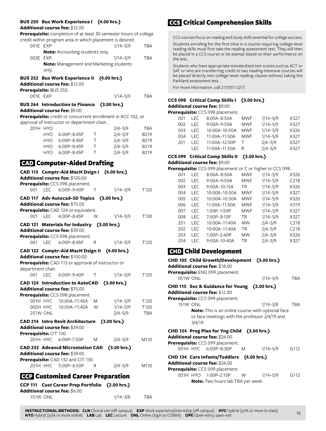#### **BUS 250 Bus Work Experience I (4.00 hrs.)**

#### **Additional course fee:** \$12.00

**Prerequisite:** completion of at least 30 semester hours of college credit within program area in which placement is desired.

| OO1E EXP |                                                | $1/14 - 5/9$ | TBA |
|----------|------------------------------------------------|--------------|-----|
|          | <b>Note:</b> Accounting students only.         |              |     |
| 002E EXP |                                                | $1/14 - 5/9$ | TRA |
|          | <b>Note:</b> Management and Marketing students |              |     |
|          | only.                                          |              |     |

#### **BUS 252 Bus Work Experience II (4.00 hrs.)**

**Additional course fee:** \$12.00

| Prerequisite: BUS 250. |      |                                                    |    |                                                              |                  |
|------------------------|------|----------------------------------------------------|----|--------------------------------------------------------------|------------------|
| 001F FXP               |      |                                                    |    | $1/14 - 5/9$                                                 | <b>TBA</b>       |
|                        |      | BUS 264 Introduction to Finance (3.00 hrs.)        |    |                                                              |                  |
|                        |      | <b>Additional course fee: \$9.00</b>               |    |                                                              |                  |
|                        |      |                                                    |    | Prerequisite: credit or concurrent enrollment in ACC 102, or |                  |
|                        |      | approval of instructor or department chair         |    |                                                              |                  |
| 201H HYO               |      |                                                    |    | $2/4 - 5/9$                                                  | <b>TBA</b>       |
|                        |      | HYO 6:00P-8:45P                                    | т  | $2/4 - 5/9$                                                  | B219             |
|                        |      | HYO 6:00P-8:45P                                    | T. | $2/4 - 5/9$                                                  | B219             |
|                        |      | HYO 6:00P-8:45P                                    | T. | $2/4 - 5/9$                                                  | <b>B219</b>      |
|                        |      | HYO 6:00P-8:45P                                    | т  | $2/4 - 5/9$                                                  | B219             |
|                        |      | <b>GAD Computer-Aided Drafting</b>                 |    |                                                              |                  |
|                        |      |                                                    |    |                                                              |                  |
|                        |      | CAD 113 Comptr-Aid MacH Dsign I (4.00 hrs.)        |    |                                                              |                  |
|                        |      | Additional course fee: \$100.00                    |    |                                                              |                  |
|                        |      | Prerequisite: CCS 098 placement.                   |    |                                                              |                  |
|                        |      | 001 LEC 6:00P-9:40P                                | Т  | $1/14 - 5/9$                                                 | T120             |
|                        |      | CAD 117 Adv Autocad-3D Topics (3.00 hrs.)          |    |                                                              |                  |
|                        |      | <b>Additional course fee: \$75.00</b>              |    |                                                              |                  |
|                        |      | Prerequisite: CAD 124 or equivalent.               |    |                                                              |                  |
| 001                    | I FC | 6:00P-8:45P                                        | W  | $1/14 - 5/9$                                                 | T130             |
|                        |      | CAD 121 Materials for Industry (3.00 hrs.)         |    |                                                              |                  |
|                        |      | Additional course fee: \$39.00                     |    |                                                              |                  |
|                        |      | Prerequisite: CCS 098 placement.                   |    |                                                              |                  |
|                        |      | 001 LEC 6:00P-8:45P                                | R  | $1/14 - 5/9$                                                 | T <sub>120</sub> |
|                        |      | <b>CAD 122 Comptr-Aid MacH Dsign II</b>            |    | (4.00 hrs.)                                                  |                  |
|                        |      | Additional course fee: \$100.00                    |    |                                                              |                  |
|                        |      | Prerequisite: CAD 113 or approval of instructor or |    |                                                              |                  |

department chair. 001 LEC 6:00P-9:40P T 1/14-5/9 T120 **CAD 124 Introduction to AutoCAD (3.00 hrs.) Additional course fee:** \$75.00 **Prerequisite:** CCS 098 placement. 001H HYC 10:00A–11:45A M 1/14–5/9 T120 002H HYC 10:00A–11:45A W 1/14–5/9 T120 251W ONL 2/4–5/9 TBA **CAD 214 Intro Revit Architecture (3.00 hrs.) Additional course fee:** \$39.00 **Prerequisite:** CIT 130. 201H HYC 6:00P–7:50P M 2/4–5/9 M110 **CAD 232 Advancd Microstation CAD (3.00 hrs.) Additional course fee:** \$39.00 **Prerequisite:** CAD 132 and CIT 130. 201H HYC 5:00P–6:50P R 2/4–5/9 M110

# CCP Customized Career Preparation

| CCP 111 Cust Career Prep Portfolio (2.00 hrs.) |              |            |
|------------------------------------------------|--------------|------------|
| <b>Additional course fee:</b> \$6.00           |              |            |
| <b>151W ONL</b>                                | $1/14 - 3/8$ | <b>TBA</b> |

# CCS Critical Comprehension Skills

CCS courses focus on reading and study skills essential for college success. Students enrolling for the first time in a course requiring college-level reading skills must first take the reading assessment test. They will then be placed in a CCS course or be exempt based on their performance on the test.

Students who have appropriate standardized test scores such as ACT or SAT or who are transferring credit in two reading-intensive courses will be placed directly into college-level reading classes without taking the Parkland assessment test.

For more information, call 217/351-2217.

### **CCS 098 Critical Comp Skills I (3.00 hrs.) Additional course fee:** \$9.00

|     |       | Prerequisite: CCS 098 placement. |            |              |      |
|-----|-------|----------------------------------|------------|--------------|------|
| 001 | I FC. | 8:00A-8:50A                      | <b>MWF</b> | $1/14 - 5/9$ | X327 |
| 002 | I FC. | $9:00A-9:50A$                    | <b>MWF</b> | $1/14 - 5/9$ | X327 |
| 003 | I FC. | 10:00A-10:50A                    | <b>MWF</b> | $1/14 - 5/9$ | X326 |
| 004 | I FC. | 11:00A-11:50A                    | <b>MWF</b> | $1/14 - 5/9$ | X327 |
| 201 | I FC. | 11:00A-12:50P                    | T          | $2/4 - 5/9$  | X327 |
|     | I FC. | 11:00A-11:50A                    | R          | $2/4 - 5/9$  | X327 |

# **CCS 099 Critical Comp Skills II (3.00 hrs.)**

# **Additional course fee:** \$9.00

| <b>Prerequisite:</b> CCS 099 placement or C or higher in CCS 098. |            |                 |            |              |                  |  |
|-------------------------------------------------------------------|------------|-----------------|------------|--------------|------------------|--|
| 001                                                               | LEC        | $8:00A - 8:50A$ | <b>MWF</b> | $1/14 - 5/9$ | X326             |  |
| 002                                                               | <b>LEC</b> | $9:00A - 9:50A$ | <b>MWF</b> | $1/14 - 5/9$ | C <sub>218</sub> |  |
| 003                                                               | <b>LEC</b> | $9:00A-10:15A$  | TR         | $1/14 - 5/9$ | X326             |  |
| 004                                                               | <b>LEC</b> | 10:00A-10:50A   | MWF        | $1/14 - 5/9$ | X327             |  |
| 005                                                               | <b>LEC</b> | 10:00A-10:50A   | <b>MWF</b> | $1/14 - 5/9$ | X320             |  |
| 006                                                               | <b>LEC</b> | 11:00A-11:50A   | <b>MWF</b> | $1/14 - 5/9$ | X319             |  |
| 007                                                               | LEC        | 1:00P-1:50P     | <b>MWF</b> | $1/14 - 5/9$ | X327             |  |
| 008                                                               | I FC       | 7:00P-8:15P     | TR         | $1/14 - 5/9$ | X327             |  |
| 201                                                               | I FC       | 10:00A-11:40A   | <b>MW</b>  | $2/4 - 5/9$  | C <sub>218</sub> |  |
| 202                                                               | I FC       | 10:00A-11:40A   | <b>TR</b>  | $2/4 - 5/9$  | C <sub>218</sub> |  |
| 203                                                               | <b>LEC</b> | 1:00P-2:40P     | <b>MW</b>  | $2/4 - 5/9$  | X326             |  |
| 204                                                               | I FC       | $9:00A-10:40A$  | TR         | $2/4 - 5/9$  | X327             |  |
|                                                                   |            |                 |            |              |                  |  |

# CHD Child Development

| CHD 105 Child Growth/Development (3.00 hrs.)<br><b>Additional course fee:</b> \$18.00 |              |      |
|---------------------------------------------------------------------------------------|--------------|------|
| <b>Prerequisite:</b> ENG 099 placement.                                               |              |      |
| 051W ONL                                                                              | $1/14 - 5/9$ | TBA  |
| CHD 115 Soc & Guidance for Young (2.00 hrs.)                                          |              |      |
| <b>Additional course fee:</b> \$12.00                                                 |              |      |
| Prerequisite: CCS 099 placement.                                                      |              |      |
| <b>151W ONL</b>                                                                       | $1/14 - 3/8$ | TBA  |
| to face meetings with the professor 2/4/19 and<br>$3/4/19$ .                          |              |      |
| CHD 124 Prog Plan for Yng Child (3.00 hrs.)<br><b>Additional course fee:</b> \$24.00  |              |      |
| Prerequisite: CCS 099 placement.                                                      |              |      |
| 001H HYC 6:00P-8:30P<br>M                                                             | $1/14 - 5/9$ | G112 |
| CHD 134 Care Infants/Toddlers (4.00 hrs.)                                             |              |      |
| <b>Additional course fee:</b> \$24.00                                                 |              |      |
| Prerequisite: CCS 099 placement.                                                      |              |      |
| 001H HYO 1:00P-2:15P<br>W                                                             | $1/14 - 5/9$ | G112 |
| <b>Note:</b> Two hours lab TBA per week.                                              |              |      |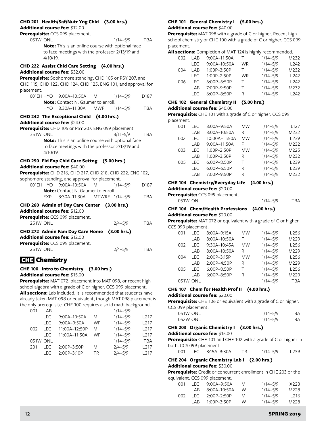# **CHD 201 Health/Saf/Nutr Yng Chld (3.00 hrs.)**

**Additional course fee:** \$12.00

|                      |          | $\boldsymbol{\mathsf{u}}$ uulullal Course Tee; $\mathfrak{g}$ IZ.00<br>Prerequisite: CCS 099 placement.                             |            |              |                  |
|----------------------|----------|-------------------------------------------------------------------------------------------------------------------------------------|------------|--------------|------------------|
| 051W ONL             | 4/10/19. | Note: This is an online course with optional face<br>to face meetings with the professor 2/13/19 and                                |            | $1/14 - 5/9$ | <b>TBA</b>       |
|                      |          | CHD 222 Assist Chld Care Setting (4.00 hrs.)                                                                                        |            |              |                  |
|                      |          | Additional course fee: \$32.00                                                                                                      |            |              |                  |
|                      |          | Prerequisite: Sophomore standing, CHD 105 or PSY 207, and                                                                           |            |              |                  |
|                      |          | CHD 115, CHD 122, CHD 124, CHD 125, ENG 101, and approval for                                                                       |            |              |                  |
| placement.           |          |                                                                                                                                     |            |              |                  |
|                      |          | 001EH HYO 9:00A-10:50A                                                                                                              | M          | $1/14 - 5/9$ | D <sub>187</sub> |
|                      |          | <b>Note:</b> Contact N. Gaumer to enroll.                                                                                           |            |              |                  |
|                      |          | HYO 8:30A-11:30A                                                                                                                    | <b>MWF</b> | $1/14 - 5/9$ | <b>TBA</b>       |
|                      |          | CHD 242 The Exceptional Child (4.00 hrs.)<br>Additional course fee: \$24.00<br>Prerequisite: CHD 105 or PSY 207. ENG 099 placement. |            |              |                  |
| 351W ONL             |          |                                                                                                                                     |            | $3/11 - 5/9$ | TBA              |
|                      | 4/10/19. | Note: This is an online course with optional face<br>to face meetings with the professor 2/13/19 and                                |            |              |                  |
|                      |          | CHD 250 Fld Exp Chid Care Settng (5.00 hrs.)                                                                                        |            |              |                  |
|                      |          | Additional course fee: \$40.00                                                                                                      |            |              |                  |
|                      |          | Prerequisite: CHD 216, CHD 217, CHD 218, CHD 222, ENG 102,                                                                          |            |              |                  |
|                      |          | sophomore standing, and approval for placement.                                                                                     |            |              |                  |
|                      |          | 001EH HYO 9:00A-10:50A                                                                                                              | M          | $1/14 - 5/9$ | D187             |
|                      |          | <b>Note:</b> Contact N. Gaumer to enroll.                                                                                           |            |              |                  |
|                      |          | EXP 8:30A-11:30A MTWRF 1/14-5/9                                                                                                     |            |              | <b>TBA</b>       |
|                      |          | CHD 260 Admin of Day Care Center (3.00 hrs.)<br>Additional course fee: \$12.00<br>Prerequisite: CCS 099 placement.                  |            |              |                  |
| 251W ONL             |          |                                                                                                                                     |            | 2/4–5/9      | TBA              |
|                      |          | CHD 272 Admin Fam Day Care Home<br>Additional course fee: \$12.00<br>Prerequisite: CCS 099 placement.                               |            | (3.00 hrs.)  |                  |
| 251W ONL             |          |                                                                                                                                     |            | $2/4 - 5/9$  | TBA              |
| <b>GHz</b> Chemistry |          |                                                                                                                                     |            |              |                  |

# **CHE 100 Intro to Chemistry (3.00 hrs.)**

**Additional course fee:** \$15.00

**Prerequisite:** MAT 072, placement into MAT 098, or recent high school algebra with a grade of C or higher. CCS 099 placement. **All sections:** Lab included. It is recommended that students have already taken MAT 098 or equivalent, though MAT 098 placement is the only prerequisite. CHE 100 requires a solid math background.

| 001 | I AR     |               |           | $1/14 - 5/9$ |                  |
|-----|----------|---------------|-----------|--------------|------------------|
|     | I FC     | 9:00A-10:50A  | M         | $1/14 - 5/9$ | L <sub>217</sub> |
|     | I FC.    | 9:00A-9:50A   | <b>WF</b> | $1/14 - 5/9$ | L <sub>217</sub> |
| 002 | I EC.    | 11:00A-12:50P | M         | $1/14 - 5/9$ | L <sub>217</sub> |
|     | I FC     | 11:00A-11:50A | <b>WF</b> | $1/14 - 5/9$ | L <sub>217</sub> |
|     | 051W ONL |               |           | $1/14 - 5/9$ | <b>TBA</b>       |
| 201 | I EC.    | 2:00P-3:50P   | M         | $2/4 - 5/9$  | L <sub>217</sub> |
|     | I FC     | 2:00P-3:10P   | TR        | $2/4 - 5/9$  | L <sub>217</sub> |
|     |          |               |           |              |                  |

# **CHE 101 General Chemistry I (5.00 hrs.) Additional course fee:** \$40.00

**Prerequisite:** MAT 098 with a grade of C or higher. Recent high school chemistry or CHE 100 with a grade of C or higher. CCS 099 placement.

| All sections: Completion of MAT 124 is highly recommended. |  |
|------------------------------------------------------------|--|
|------------------------------------------------------------|--|

| 002 | LAB   | 9:00A-11:50A    | т         | $1/14 - 5/9$ | M232 |
|-----|-------|-----------------|-----------|--------------|------|
|     | I EC. | 9:00A-10:50A    | <b>WR</b> | $1/14 - 5/9$ | L242 |
| 004 | I AR  | 1:00P-3:50P     |           | $1/14 - 5/9$ | M232 |
|     | I FC. | $1:00P - 2:50P$ | <b>WR</b> | $1/14 - 5/9$ | L242 |
| 006 | I FC. | 6:00P-6:50P     | $\top$    | $1/14 - 5/9$ | L242 |
|     | LAB   | 7:00P-9:50P     | $\top$    | $1/14 - 5/9$ | M232 |
|     | I FC. | 6:00P-8:50P     | R         | $1/14 - 5/9$ | L242 |

#### **CHE 102 General Chemistry II (5.00 hrs.)**

#### **Additional course fee:** \$40.00

**Prerequisite:** CHE 101 with a grade of C or higher. CCS 099 placement.

| 001 | I FC. | 8:00A-9:50A   | <b>MW</b> | $1/14 - 5/9$ | L <sub>127</sub> |
|-----|-------|---------------|-----------|--------------|------------------|
|     | LAB   | 8:00A-10:50A  | R         | $1/14 - 5/9$ | M232             |
| 002 | I FC  | 10:00A-11:50A | МW        | $1/14 - 5/9$ | L <sub>239</sub> |
|     | LAB   | 9:00A-11:50A  | F         | $1/14 - 5/9$ | M232             |
| 003 | I FC. | 1:00P-2:50P   | <b>MW</b> | $1/14 - 5/9$ | M225             |
|     | LAB   | 1:00P-3:50P   | R         | $1/14 - 5/9$ | M232             |
| 005 | I FC. | 6:00P-8:50P   | Τ         | $1/14 - 5/9$ | L <sub>239</sub> |
|     | LEC.  | 6:00P-6:50P   | R         | $1/14 - 5/9$ | L <sub>239</sub> |
|     | LAB   | 7:00P-9:50P   | R         | $1/14 - 5/9$ | M232             |

### **CHE 104 Chemistry/Everyday Life (4.00 hrs.)**

**Additional course fee:** \$20.00

|  | Prerequisite: CCS 099 placement. |  |
|--|----------------------------------|--|
|--|----------------------------------|--|

| 051W ONL | $1/14 - 5/9$ | TBA |
|----------|--------------|-----|

# **CHE 106 Chem/Health Professions (4.00 hrs.)**

**Additional course fee:** \$20.00

**Prerequisite:** MAT 072 or equivalent with a grade of C or higher. CCS 099 placement.

| 001 | I FC.    | 8:00A-9:15A    | <b>MW</b> | $1/14 - 5/9$ | L <sub>256</sub> |
|-----|----------|----------------|-----------|--------------|------------------|
|     | LAB      | 8:00A-10:50A   | F         | $1/14 - 5/9$ | M229             |
| 002 | I FC.    | 9:30A-10:45A   | <b>MW</b> | $1/14 - 5/9$ | L256             |
|     | LAB      | $8:00A-10:50A$ | R         | $1/14 - 5/9$ | M229             |
| 004 | I EC     | 2:00P-3:15P    | <b>MW</b> | $1/14 - 5/9$ | L <sub>256</sub> |
|     | LAB      | 2:00P-4:50P    | R         | $1/14 - 5/9$ | M229             |
| 005 | I FC.    | 6:00P-8:50P    | Τ         | $1/14 - 5/9$ | L <sub>256</sub> |
|     | LAB      | 6:00P-8:50P    | R         | $1/14 - 5/9$ | M229             |
|     | 051W ONL |                |           | $1/14 - 5/9$ | <b>TBA</b>       |
|     |          |                |           |              |                  |

# **CHE 107 Chem for Health Prof II (4.00 hrs.)**

### **Additional course fee:** \$20.00

**Prerequisite:** CHE 106 or equivalent with a grade of C or higher. CCS 099 placement.

| 051W ONL | $1/14 - 5/9$ | TBA |
|----------|--------------|-----|
| 052W ONL | $1/14 - 5/9$ | TBA |

### **CHE 203 Organic Chemistry I (3.00 hrs.)**

#### **Additional course fee:** \$15.00

**Prerequisite:** CHE 101 and CHE 102 with a grade of C or higher in both. CCS 099 placement.

|  | 001 LEC 8:15A-9:30A | $1/14 - 5/9$ | L <sub>239</sub> |
|--|---------------------|--------------|------------------|
|  |                     |              |                  |

# **CHE 204 Organic Chemistry Lab I (2.00 hrs.)**

**Additional course fee:** \$30.00

**Prerequisite:** Credit or concurrent enrollment in CHE 203 or the equivalent. CCS 099 placement.

| 001 | LEC.  | $9:00A - 9:50A$ | M | $1/14 - 5/9$ | X223             |
|-----|-------|-----------------|---|--------------|------------------|
|     | I AR. | $8:00A-10:50A$  | W | $1/14 - 5/9$ | M228             |
| 002 | TEC.  | 2:00P-2:50P     | M | $1/14 - 5/9$ | L <sub>216</sub> |
|     | I AR  | $1:00P-3:50P$   | W | $1/14 - 5/9$ | M228             |
|     |       |                 |   |              |                  |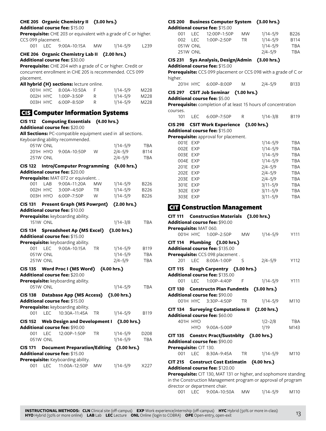# **CHE 205 Organic Chemistry II (3.00 hrs.)**

#### **Additional course fee:** \$15.00

**Prerequisite:** CHE 203 or equivalent with a grade of C or higher. CCS 099 placement.

|  |  | 001 LEC 9:00A-10:15A | MW. | $1/14 - 5/9$ | L <sub>239</sub> |
|--|--|----------------------|-----|--------------|------------------|
|--|--|----------------------|-----|--------------|------------------|

# **CHE 206 Organic Chemistry Lab II (2.00 hrs.)**

**Additional course fee:** \$30.00

**Prerequisite:** CHE 204 with a grade of C or higher. Credit or concurrent enrollment in CHE 205 is recommended. CCS 099 placement.

**All hybrid (H) sections:** lecture online.

| 001H HYC 8:00A-10:50A | $1/14 - 5/9$ | M228 |
|-----------------------|--------------|------|
| 002H HYC 1:00P-3:50P  | $1/14 - 5/9$ | M228 |
| 003H HYC 6:00P-8:50P  | $1/14 - 5/9$ | M228 |

# CIS Computer Information Systems

| <b>CIS 112</b> |                 | <b>Computing Essentials (4.00 hrs.)</b><br>Additional course fee: \$20.00 |           |              |            |
|----------------|-----------------|---------------------------------------------------------------------------|-----------|--------------|------------|
|                |                 | All Sections: PC-compatible equipment used in all sections.               |           |              |            |
|                |                 | Keyboarding ability recommended.                                          |           |              |            |
|                | 051W ONL        |                                                                           |           | $1/14 - 5/9$ | <b>TBA</b> |
|                | 201H HYO        | 9:00A-10:50P                                                              | W         | $2/4 - 5/9$  | B114       |
|                | 251W ONL        |                                                                           |           | $2/4 - 5/9$  | <b>TBA</b> |
| <b>CIS 122</b> |                 | <b>Intro/Computer Programming</b>                                         |           | (4.00 hrs.)  |            |
|                |                 | Additional course fee: \$20.00                                            |           |              |            |
|                |                 | Prerequisite: MAT 072 or equivalent. .                                    |           |              |            |
| 001            | LAB             | 9:00A-11:20A                                                              | <b>MW</b> | $1/14 - 5/9$ | B226       |
|                | 002H HYC        | 3:00P-4:50P                                                               | TR        | $1/14 - 5/9$ | B226       |
|                | 003H HYO        | 6:00P-7:50P                                                               | W         | $1/14 - 5/9$ | B226       |
|                |                 | CIS 131 Present Graph (MS Powrpnt)                                        |           | (2.00 hrs.)  |            |
|                |                 | Additional course fee: \$10.00                                            |           |              |            |
|                |                 | Prerequisite: keyboarding ability.                                        |           |              |            |
|                | <b>151W ONL</b> |                                                                           |           | $1/14 - 3/8$ | TBA        |
|                |                 | CIS 134 Spreadsheet Ap (MS Excel)                                         |           | (3.00 hrs.)  |            |
|                |                 | Additional course fee: \$15.00                                            |           |              |            |
|                |                 | Prerequisite: keyboarding ability.                                        |           |              |            |
| 001            | <b>LEC</b>      | 9:00A-10:15A                                                              | <b>TR</b> | $1/14 - 5/9$ | B119       |
|                | 051W ONL        |                                                                           |           | $1/14 - 5/9$ | <b>TBA</b> |
|                | 251W ONL        |                                                                           |           | $2/4 - 5/9$  | <b>TBA</b> |
| <b>CIS 135</b> |                 | Word Proc I (MS Word)                                                     |           | (4.00 hrs.)  |            |
|                |                 | Additional course fee: \$20.00                                            |           |              |            |
|                |                 | Prerequisite: keyboarding ability.                                        |           |              |            |
|                | 051W ONL        |                                                                           |           | $1/14 - 5/9$ | <b>TBA</b> |
| <b>CIS 138</b> |                 | <b>Database App (MS Access)</b>                                           |           | (3.00 hrs.)  |            |
|                |                 | Additional course fee: \$15.00                                            |           |              |            |
|                |                 | Prerequisite: keyboarding ability.                                        |           |              |            |
|                |                 | 001 LEC 10:30A-11:45A                                                     | <b>TR</b> | $1/14 - 5/9$ | B119       |
| <b>CIS 152</b> |                 | Web Design and Development I (3.00 hrs.)                                  |           |              |            |
|                |                 | Additional course fee: \$90.00                                            |           |              |            |
| 001            | <b>LEC</b>      | 12:00P-1:50P                                                              | <b>TR</b> | 1/14-5/9     | D208       |
|                | 051W ONL        |                                                                           |           | $1/14 - 5/9$ | <b>TBA</b> |
| <b>CIS 171</b> |                 | Document Preparation/Editing (3.00 hrs.)                                  |           |              |            |
|                |                 | Additional course fee: \$15.00                                            |           |              |            |
|                |                 | Prerequisite: Keyboarding ability.                                        |           |              |            |
|                |                 | 001 LEC 11:00A-12:50P                                                     | <b>MW</b> | 1/14-5/9     | X227       |
|                |                 |                                                                           |           |              |            |

# **CIS 200 Business Computer System (3.00 hrs.)**

| <b>Additional course fee: \$15.00</b> |                 |                      |           |              |                  |  |  |
|---------------------------------------|-----------------|----------------------|-----------|--------------|------------------|--|--|
|                                       |                 | 001 LEC 12:00P-1:50P | <b>MW</b> | $1/14 - 5/9$ | B <sub>226</sub> |  |  |
| ററാ                                   | IFC.            | 1:00P-2:50P          | TR.       | $1/14 - 5/9$ | <b>B114</b>      |  |  |
|                                       | 051W ONL        |                      |           | $1/14 - 5/9$ | TBA              |  |  |
|                                       | <b>251W ONL</b> |                      |           | $2/4 - 5/9$  | TBA              |  |  |

**CIS 231 Sys Analysis, Design/Admin (3.00 hrs.)**

**Additional course fee:** \$15.00

**Prerequisite:** CCS 099 placement or CCS 098 with a grade of C or higher.

|  | 201H HYC 6:00P-8:00P |  | $2/4 - 5/9$ | <b>B133</b> |
|--|----------------------|--|-------------|-------------|
|--|----------------------|--|-------------|-------------|

# **CIS 297 CSIT Job Seminar (1.00 hrs.)**

# **Additional course fee:** \$5.00

**Prerequisite:** completion of at least 15 hours of concentration courses.

101 LEC 6:00P–7:50P R 1/14–3/8 B119

# **CIS 298 CSIT Work Experience (3.00 hrs.)**

**Additional course fee:** \$15.00

**Prerequisite:** approval for placement.

| 001E EXP | $1/14 - 5/9$ | <b>TBA</b> |
|----------|--------------|------------|
| 002E EXP | $1/14 - 5/9$ | <b>TBA</b> |
| 003E EXP | $1/14 - 5/9$ | <b>TBA</b> |
| 004E EXP | $1/14 - 5/9$ | <b>TBA</b> |
| 201E EXP | $2/4 - 5/9$  | <b>TBA</b> |
| 202E EXP | $2/4 - 5/9$  | <b>TBA</b> |
| 203E EXP | $2/4 - 5/9$  | <b>TBA</b> |
| 301E EXP | $3/11 - 5/9$ | <b>TBA</b> |
| 302E EXP | $3/11 - 5/9$ | <b>TBA</b> |
| 303E EXP | $3/11 - 5/9$ | <b>TBA</b> |

# **GTT** Construction Management

| <b>CIT 111</b>         |            | <b>Construction Materials (3.00 hrs.)</b><br><b>Additional course fee: \$90.00</b> |           |              |            |
|------------------------|------------|------------------------------------------------------------------------------------|-----------|--------------|------------|
| Prerequisite: MAT 060. |            |                                                                                    |           |              |            |
|                        |            | 001H HYC 1:00P-2:50P                                                               | <b>MW</b> | $1/14 - 5/9$ | Y111       |
| <b>CIT 114</b>         |            | Plumbing (3.00 hrs.)                                                               |           |              |            |
|                        |            | Additional course fee: \$135.00                                                    |           |              |            |
|                        |            | Prerequisite: CCS 098 placement.                                                   |           |              |            |
|                        |            | 201 LEC 8:00A-1:00P                                                                | S         | $2/4 - 5/9$  | Y112       |
| <b>CIT 115</b>         |            | Rough Carpentry (3.00 hrs.)                                                        |           |              |            |
|                        |            | Additional course fee: \$135.00                                                    |           |              |            |
| 001                    | <b>LEC</b> | $1:00P-4:40P$                                                                      | − F       | $1/14 - 5/9$ | Y111       |
| <b>CIT 130</b>         |            | <b>Constructn Plan Fundmtls</b>                                                    |           | (3.00 hrs.)  |            |
|                        |            | <b>Additional course fee: \$90.00</b>                                              |           |              |            |
|                        |            | 001H HYC 3:30P-4:50P                                                               | <b>TR</b> | $1/14 - 5/9$ | M110       |
|                        |            | CIT 134 Surveying Computations II (2.00 hrs.)                                      |           |              |            |
|                        |            | Additional course fee: \$60.00                                                     |           |              |            |
|                        | 401H HYO   |                                                                                    |           | $1/2 - 2/8$  | <b>TBA</b> |
|                        |            | HYO 9:00A-5:00P                                                                    |           | 1/19         | M143       |
|                        |            | CIT 135 Constrc Pract/Sustnblty (3.00 hrs.)                                        |           |              |            |
|                        |            | <b>Additional course fee: \$90.00</b>                                              |           |              |            |
| Prerequisite: CIT 130. |            |                                                                                    |           |              |            |
| 001                    | <b>LEC</b> | 8:30A-9:45A                                                                        | <b>TR</b> | $1/14 - 5/9$ | M110       |
|                        |            | CIT 215 Construct Cost Estimatin (4.00 hrs.)                                       |           |              |            |
|                        |            | Additional course fee: \$120.00                                                    |           |              |            |
|                        |            | Prerequisite: CIT 130, MAT 131 or higher, and sophomore standing                   |           |              |            |
|                        |            | in the Construction Management program or approval of program                      |           |              |            |
|                        |            | director or department chair.                                                      |           |              |            |

001 LEC 9:00A–10:50A MW 1/14–5/9 M110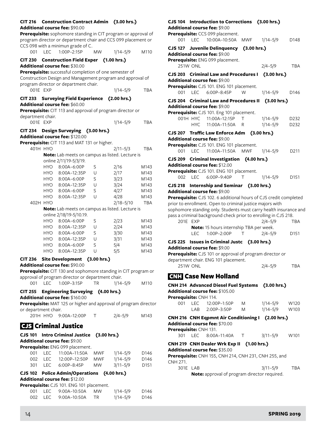| CIT 216 Construction Contract Admin (3.00 hrs.) |  |
|-------------------------------------------------|--|
| <b>Additional course fee:</b> \$90.00           |  |

**Prerequisite:** sophomore standing in CIT program or approval of program director or department chair and CCS 099 placement or CCS 098 with a minimun grade of C. 001 LEC 1:00P–2:15P MW 1/14–5/9 M110

#### **CIT 230 Construction Field Exper (1.00 hrs.) Additional course fee:** \$30.00

**Prerequisite:** successful completion of one semester of Construction Design and Management program and approval of program director or department chair. 001E EXP 1/14-5/9 TBA

### **CIT 233 Surveying Field Experience (2.00 hrs.) Additional course fee:** \$60.00

**Prerequisite:** CIT 113 and approval of program director or department chair.

| 001E EXP | $1/14 - 5/9$ | TBA |
|----------|--------------|-----|
|          |              |     |

# **CIT 234 Design Surveying (3.00 hrs.)**

**Additional course fee:** \$120.00

|          |            | Prerequisite: CIT 113 and MAT 131 or higher. |                                                 |                                                        |            |
|----------|------------|----------------------------------------------|-------------------------------------------------|--------------------------------------------------------|------------|
| 401H HYO |            |                                              |                                                 | $2/11 - 5/3$                                           | TBA        |
|          |            |                                              | Note: Lab meets on campus as listed. Lecture is |                                                        |            |
|          |            | online 2/11/19-5/3/19.                       |                                                 |                                                        |            |
|          | <b>HYO</b> | $8:00A-6:00P$                                | S                                               | 2/16                                                   | M143       |
|          | HYO L      | 8:00A-12:35P                                 | U                                               | 2/17                                                   | M143       |
|          | HYO 1      | $8:00A-6:00P$                                | S                                               | 3/23                                                   | M143       |
|          | HYO L      | 8:00A-12:35P                                 | U                                               | 3/24                                                   | M143       |
|          | HYO 1      | $8:00A-6:00P$                                | S                                               | 4/27                                                   | M143       |
|          | HYO.       | 8:00A-12:35P                                 | U                                               | 4/28                                                   | M143       |
| 402H     | <b>HYO</b> |                                              |                                                 | $2/18 - 5/10$                                          | <b>TBA</b> |
|          |            |                                              |                                                 | <b>Note:</b> Lab meets on campus as listed. Lecture is |            |
|          |            | online 2/18/19-5/10.19.                      |                                                 |                                                        |            |
|          | <b>HYO</b> | $8:00A-6:00P$                                | S                                               | 2/23                                                   | M143       |
|          | HYO        | 8:00A-12:35P                                 | U                                               | 2/24                                                   | M143       |
|          | HYO 1      | $8:00A-6:00P$                                | S                                               | 3/30                                                   | M143       |
|          | HYO        | 8:00A-12:35P                                 | U                                               | 3/31                                                   | M143       |
|          | HYO        | $8:00A-6:00P$                                | S                                               | 5/4                                                    | M143       |
|          | HYO.       | 8:00A-12:35P                                 | U                                               | 5/5                                                    | M143       |
|          |            |                                              |                                                 |                                                        |            |

#### **CIT 236 Site Development (3.00 hrs.) Additional course fee:** \$90.00

**Prerequisite:** CIT 130 and sophomore standing in CIT program or approval of program director or department chair.

001 LEC 1:00P–3:15P TR 1/14–5/9 M110

# **CIT 255 Engineering Surveying (4.00 hrs.)**

**Additional course fee:** \$160.00

**Prerequisite:** MAT 125 or higher and approval of program director or department chair.

| 201H HYO 9:00A-12:00P | $2/4 - 5/9$ | M143 |
|-----------------------|-------------|------|
|-----------------------|-------------|------|

# CJS Criminal Justice

### **CJS 101 Intro Criminal Justice (3.00 hrs.) Additional course fee:** \$9.00

**Prerequisite:** ENG 099 placement. LEC 11:00A–11:50A MWF 1/14–5/9 D146 LEC 12:00P–12:50P MWF 1/14–5/9 D146 LEC 6:00P–8:45P MW 3/11–5/9 D151

### **CJS 102 Police Admin/Operations (4.00 hrs.) Additional course fee:** \$12.00

**Prerequisite:** CJS 101. ENG 101 placement.

|  | 001 LEC 9:00A-10:50A MW | $1/14 - 5/9$ | D <sub>146</sub> |
|--|-------------------------|--------------|------------------|
|  | 002 LEC 9:00A-10:50A TR | $1/14 - 5/9$ | D <sub>146</sub> |

# **CJS 104 Introduction to Corrections (3.00 hrs.) Additional course fee:** \$9.00 **Prerequisite:** CCS 099 placement. 001 LEC 10:00A–10:50A MWF 1/14–5/9 D148 **CJS 127 Juvenile Delinquency (3.00 hrs.) Additional course fee:** \$9.00 **Prerequisite:** ENG 099 placement. 251W ONL 2/4–5/9 TBA **CJS 203 Criminal Law and Procedures I (3.00 hrs.) Additional course fee:** \$9.00 **Prerequisite:** CJS 101. ENG 101 placement. 001 LEC 6:00P–8:45P W 1/14–5/9 D146 **CJS 204 Criminal Law and Procedures II (3.00 hrs.) Additional course fee:** \$9.00 **Prerequisite:** CJS 101. Eng 101 placement. 001H HYC 11:00A–12:15P T 1/14–5/9 D232 HYC 11:00A–11:50A R 1/14–5/9 D232 **CJS 207 Traffic Law Enforce Adm (3.00 hrs.) Additional course fee:** \$9.00 **Prerequisite:** CJS 101. ENG 101 placement. 001 LEC 11:00A–11:50A MWF 1/14–5/9 D211 **CJS 209 Criminal Investigation (4.00 hrs.) Additional course fee:** \$12.00 **Prerequisite:** CJS 101. ENG 101 placement. 002 LEC 6:00P-9:40P T 1/14-5/9 D151 **CJS 218 Internship and Seminar (3.00 hrs.) Additional course fee:** \$9.00 **Prerequisite:** CJS 102. 6 additional hours of CJS credit completed prior to enrollment. Open to criminal justice majors with sophomore standing only. Students must carry health insurance and pass a criminal background check prior to enrolling in CJS 218. 201E EXP 2/4–5/9 TBA **Note:** 15 hours internship TBA per week. LEC 1:00P–2:00P T 2/4–5/9 D151 **CJS 225 Issues in Criminal Justc (3.00 hrs.) Additional course fee:** \$9.00

**Prerequisite:** CJS 101 or approval of program director or department chair. ENG 101 placement.

251W ONL 2/4–5/9 TBA

# **GNH** Case New Holland

# **CNH 214 Advanced Diesel Fuel Systems (3.00 hrs.) Additional course fee:** \$105.00 **Prerequisite:** CNH 114. 001 LEC 12:00P–1:50P M 1/14–5/9 W120 LAB 2:00P–3:50P M 1/14–5/9 W103 **CNH 216 CNH Eqpmnt Air Conditioning I (2.00 hrs.) Additional course fee:** \$70.00 **Prerequisite:** CNH 131. 301 LEC 8:00A–11:40A T 3/11–5/9 W101 **CNH 219 CNH Dealer Wrk Exp II (1.00 hrs.) Additional course fee:** \$35.00 **Prerequisite:** CNH 155, CNH 214, CNH 231, CNH 255, and CNH 271.

301E LAB 3/11–5/9 TBA **Note:** approval of program director required.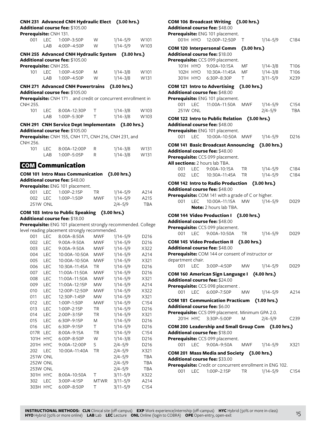| Prerequisite: CNH 131. |                 | CNH 231 Advanced CNH Hydraulic Elect (3.00 hrs.)<br>Additional course fee: \$105.00 |             |               |                   |
|------------------------|-----------------|-------------------------------------------------------------------------------------|-------------|---------------|-------------------|
| 001                    |                 | LEC 1:00P-3:50P                                                                     | W           | 1/14-5/9 W101 |                   |
|                        | LAB             | 4:00P-4:50P                                                                         | W           | $1/14 - 5/9$  | W103              |
|                        |                 | CNH 255 Advanced CNH Hydraulic System (3.00 hrs.)                                   |             |               |                   |
|                        |                 | Additional course fee: \$105.00                                                     |             |               |                   |
| Prerequisite: CNH 255. |                 |                                                                                     |             |               |                   |
| 101                    | LEC             | 1:00P-4:50P                                                                         | M           | $1/14 - 3/8$  | W <sub>101</sub>  |
|                        | LAB             | 1:00P-4:50P                                                                         | W           | $1/14 - 3/8$  | W131              |
|                        |                 | CNH 271 Advanced CNH Powertrains (3.00 hrs.)                                        |             |               |                   |
|                        |                 | <b>Additional course fee: \$105.00</b>                                              |             |               |                   |
| CNH 255.               |                 | Prerequisite: CNH 171. and credit or concurrent enrollment in                       |             |               |                   |
| 101                    | LEC             | 8:00A-12:30P                                                                        | Τ           | 1/14-3/8      | W103              |
|                        | LAB             | 1:00P-5:30P                                                                         | Τ           | $1/14 - 3/8$  | W103              |
|                        |                 | CNH 291 CNH Service Dept Implementatn (3.00 hrs.)                                   |             |               |                   |
|                        |                 | Additional course fee: \$105.00                                                     |             |               |                   |
| CNH 256.               |                 | Prerequisite: CNH 155, CNH 171, CNH 216, CNH 231, and                               |             |               |                   |
| 101                    | LEC             | 8:00A-12:00P                                                                        | R           | 1/14-3/8      | W131              |
|                        |                 | LAB 1:00P-5:05P                                                                     | R           | $1/14 - 3/8$  | W131              |
|                        |                 | <b>COM</b> Communication                                                            |             |               |                   |
|                        |                 | COM 101 Intro Mass Communication (3.00 hrs.)                                        |             |               |                   |
|                        |                 | Additional course fee: \$48.00                                                      |             |               |                   |
|                        |                 | Prerequisite: ENG 101 placement.                                                    |             |               |                   |
| 001                    | LEC             | 1:00P-2:15P                                                                         | TR          | $1/14 - 5/9$  | A214              |
| 002                    | LEC.            | 1:00P-1:50P                                                                         | <b>MWF</b>  | $1/14 - 5/9$  | A215              |
|                        | <b>251W ONL</b> |                                                                                     |             | $2/4 - 5/9$   | <b>TBA</b>        |
|                        |                 | COM 103 Intro to Public Speaking (3.00 hrs.)                                        |             |               |                   |
|                        |                 | Additional course fee: \$18.00                                                      |             |               |                   |
|                        |                 | Prerequisite: ENG 101 placement strongly recommended. College                       |             |               |                   |
|                        |                 | level reading placement strongly recommended.                                       |             |               |                   |
| 001                    | LEC             | 8:00A-8:50A                                                                         | <b>MWF</b>  | $1/14 - 5/9$  | D <sub>2</sub> 16 |
| 002                    | LEC             | 9:00A-9:50A                                                                         | MWF         | 1/14-5/9      | D <sub>2</sub> 16 |
|                        | 003 LEC         | 9:00A-9:50A                                                                         | MWF         | $1/14 - 5/9$  | X322              |
| 004                    |                 | LEC  10:00A-10:50A  MWF                                                             |             | $1/14 - 5/9$  | A214              |
| 005                    |                 | LEC  10:00A-10:50A  MWF                                                             |             | $1/14 - 5/9$  | X321              |
| 006                    | LEC             | 10:30A–11:45A                                                                       | ΤR          | 1/14–5/9      | D216              |
| 007                    | <b>LEC</b>      | 11:00A-11:50A                                                                       | MWF         | $1/14 - 5/9$  | D216              |
| 008                    | LEC             | 11:00A-11:50A                                                                       | <b>MWF</b>  | $1/14 - 5/9$  | X321              |
| 009                    | <b>LEC</b>      | 11:00A-12:15P                                                                       | MW          | $1/14 - 5/9$  | A214              |
| 010                    | LEC             | 12:00P-12:50P                                                                       | <b>MWF</b>  | $1/14 - 5/9$  | X322              |
| 011                    | LEC             | 12:30P-1:45P                                                                        | MW          | $1/14 - 5/9$  | X321              |
| 012                    | <b>LEC</b>      | 1:00P-1:50P                                                                         | <b>MWF</b>  | $1/14 - 5/9$  | C154              |
| 013                    | LEC             | 1:00P-2:15P                                                                         | ΤR          | $1/14 - 5/9$  | D216              |
| 014                    | LEC             | 2:00P-3:15P                                                                         | TR          | $1/14 - 5/9$  | X321              |
| 015                    | LEC             | 6:30P-9:15P                                                                         | M           | $1/14 - 5/9$  | D216              |
| 016                    | LEC             | 6:30P-9:15P                                                                         | Τ           | $1/14 - 5/9$  | D216              |
| 017R                   | <b>LEC</b>      | 8:00A-9:15A                                                                         | TR          | $1/14 - 5/9$  | C154              |
| 101H                   | <b>HYC</b>      | 6:00P-8:50P                                                                         | W           | $1/14 - 3/8$  | D216              |
| 201H                   | <b>HYC</b>      | 9:00A-12:00P                                                                        | S           | $2/4 - 5/9$   | D216              |
| 202                    | LEC             | 10:00A-11:40A                                                                       | TR          | $2/4 - 5/9$   | X321              |
|                        | 251W ONL        |                                                                                     |             | $2/4 - 5/9$   | <b>TBA</b>        |
|                        | 252W ONL        |                                                                                     |             | $2/4 - 5/9$   | <b>TBA</b>        |
|                        | 253W ONL        |                                                                                     |             | $2/4 - 5/9$   | <b>TBA</b>        |
|                        | 301H HYC        | 8:00A-10:50A                                                                        | Τ           | $3/11 - 5/9$  | X322              |
| 302                    | LEC             | 3:00P-4:15P                                                                         | <b>MTWR</b> | $3/11 - 5/9$  | A214              |
|                        | 303H HYC        | 6:00P-8:50P                                                                         | Τ           | $3/11 - 5/9$  | C154              |

# **COM 106 Broadcast Writing (3.00 hrs.)**

**Additional course fee:** \$48.00

|                   |            | Prerequisite: ENG 101 placement.                                                     |             |              |      |
|-------------------|------------|--------------------------------------------------------------------------------------|-------------|--------------|------|
|                   |            | 001H HYO 12:00P-12:50P                                                               | Τ           | 1/14–5/9     | C184 |
|                   |            | <b>COM 120 Interpersonal Comm</b><br>Additional course fee: \$18.00                  | (3.00 hrs.) |              |      |
|                   |            | Prerequisite: CCS 099 placement.<br>101H HYO 9:00A-10:15A                            | MF          | 1/14-3/8     | T106 |
|                   |            | 102H HYO 10:30A-11:45A                                                               | MF          | $1/14 - 3/8$ | T106 |
|                   | 301H HYO   | 6:30P-8:30P                                                                          | T.          | $3/11 - 5/9$ | X239 |
|                   |            | COM 121 Intro to Advertising (3.00 hrs.)                                             |             |              |      |
|                   |            | Additional course fee: \$48.00                                                       |             |              |      |
|                   |            | Prerequisite: ENG 101 placement.                                                     |             |              |      |
| 001 LEC           |            | 11:00A-11:50A                                                                        |             | MWF 1/14-5/9 | C154 |
| 251W ONL          |            |                                                                                      |             | $2/4 - 5/9$  | TBA  |
|                   |            | COM 122 Intro to Public Relation                                                     |             | (3.00 hrs.)  |      |
|                   |            | Additional course fee: \$48.00                                                       |             |              |      |
| 001 LEC           |            | Prerequisite: ENG 101 placement.<br>10:00A-10:50A MWF                                |             | 1/14–5/9     | D216 |
|                   |            |                                                                                      |             |              |      |
|                   |            | COM 141 Basic Broadcast Announcing (3.00 hrs.)<br>Additional course fee: \$48.00     |             |              |      |
|                   |            | Prerequisite: CCS 099 placement.                                                     |             |              |      |
|                   |            | All sections: 2 hours lab TBA.                                                       |             |              |      |
| 001               | <b>LEC</b> | 9:00A-10:15A                                                                         | <b>TR</b>   | 1/14–5/9     | C184 |
| 002               |            | LEC 10:30A-11:45A                                                                    | TR          | 1/14-5/9     | C184 |
|                   |            | COM 142 Intro to Radio Production (3.00 hrs.)                                        |             |              |      |
|                   |            | Additional course fee: \$48.00                                                       |             |              |      |
|                   |            | Prerequisite: COM 141 with a grade of C or higher.                                   |             |              |      |
| 001               | <b>LEC</b> | 10:00A-11:15A<br>Note: 2 hours lab TBA.                                              | MW          | $1/14 - 5/9$ | D029 |
|                   |            |                                                                                      |             |              |      |
|                   |            | COM 144 Video Production I (3.00 hrs.)<br>Additional course fee: \$48.00             |             |              |      |
|                   |            | Prerequisite: CCS 099 placement.                                                     |             |              |      |
|                   |            | 001 LEC 9:00A-10:50A                                                                 | TR          | $1/14 - 5/9$ | D029 |
|                   |            | <b>COM 145 Video Production II</b>                                                   | (3.00 hrs.) |              |      |
|                   |            | Additional course fee: \$48.00                                                       |             |              |      |
|                   |            | Prerequisite: COM 144 or consent of instructor or                                    |             |              |      |
| department chair. |            |                                                                                      |             |              |      |
| 001               | <b>LEC</b> | 3:00P-4:50P                                                                          | MW          | $1/14 - 5/9$ | D029 |
|                   |            | COM 160 American Sign Language I (4.00 hrs.)                                         |             |              |      |
|                   |            | Additional course fee: \$24.00                                                       |             |              |      |
|                   |            | Prerequisite: CCS 098 placement.<br>001 LEC 6:00P-7:50P                              | <b>MW</b>   | $1/14 - 5/9$ | A214 |
|                   |            |                                                                                      |             |              |      |
|                   |            | COM 181 Communication Practicum (1.00 hrs.)<br><b>Additional course fee: </b> \$6.00 |             |              |      |
|                   |            | Prerequisite: CCS 099 placement. Minimum GPA 2.0.                                    |             |              |      |
|                   |            | 201H HYC 3:30P-5:00P                                                                 | M           | $2/4 - 5/9$  | C239 |
|                   |            | COM 200 Leadership and Small Group Com (3.00 hrs.)                                   |             |              |      |
|                   |            | Additional course fee: \$18.00                                                       |             |              |      |
|                   |            | Prerequisite: CCS 099 placement.                                                     |             |              |      |
|                   |            | 001 LEC 9:00A-9:50A                                                                  |             | MWF 1/14-5/9 | X321 |
|                   |            | COM 201 Mass Media and Society (3.00 hrs.)                                           |             |              |      |
|                   |            | Additional course fee: \$33.00                                                       |             |              |      |
|                   |            | Prerequisite: Credit or concurrent enrollment in ENG 102.                            |             |              |      |
|                   |            | 001 LEC 1:00P-2:15P TR                                                               |             | $1/14 - 5/9$ | C154 |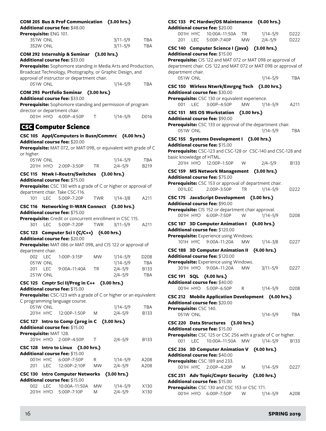## **COM 205 Bus & Prof Communication (3.00 hrs.)**

**Additional course fee:** \$48.00

| Prerequisite: ENG 101. |              |     |  |  |  |
|------------------------|--------------|-----|--|--|--|
| 351W ONL               | $3/11 - 5/9$ | TBA |  |  |  |
| 352W ONL               | $3/11 - 5/9$ | TBA |  |  |  |

# **COM 292 Internship & Seminar (3.00 hrs.)**

**Additional course fee:** \$33.00

| <b>Prerequisite:</b> Sophomore standing in Media Arts and Production, |
|-----------------------------------------------------------------------|
| Broadcast Technology, Photography, or Graphic Design, and             |
| approval of instructor or department chair.                           |

051W ONL 1/14–5/9 TBA

### **COM 293 Portfolio Seminar (3.00 hrs.)**

**Additional course fee:** \$33.00

**Prerequisite:** Sophomore standing and permission of program director or department chair.

|  | 001H HYO 4:00P-4:50P |  | $1/14 - 5/9$ | D016 |
|--|----------------------|--|--------------|------|
|--|----------------------|--|--------------|------|

# GSC Computer Science

# **CSC 105 Appl/Computers in Busn/Commrc (4.00 hrs.) Additional course fee:** \$20.00

**Prerequisite:** MAT 072, or MAT 098, or equivalent with grade of C or higher.

| 051W ONL |                      | $1/14 - 5/9$ | TBA              |
|----------|----------------------|--------------|------------------|
|          | 201H HYO 2:00P-3:50P | $2/4 - 5/9$  | B <sub>219</sub> |

# **CSC 115 Ntwk I-Routrs/Switches (3.00 hrs.)**

#### **Additional course fee:** \$75.00

| CSC 116 Networking II-WAN Connect (3.00 hrs.)                           |
|-------------------------------------------------------------------------|
| $1/14 - 3/8$<br>101 LEC 5:00P-7:20P<br>A211<br>TWR                      |
| department chair. Take CSC-116.                                         |
| <b>Prerequisite:</b> CSC 130 with a grade of C or higher or approval of |

# **Additional course fee:** \$75.00

**Prerequisite:** Credit or concurrent enrollment in CSC 115. 301 LEC 5:00P–7:20P TWR 3/11–5/9 A211

# **CSC 123 Computer Sci I (C/C++) (4.00 hrs.)**

#### **Additional course fee:** \$20.00

**Prerequisite:** MAT 086 or MAT 098, and CIS 122 or approval of department chair.

| $002 \quad \text{F}$ | $1.00P - 3.15P$ | <b>MW</b> | $1/14 - 5/9$ | D <sub>208</sub> |
|----------------------|-----------------|-----------|--------------|------------------|
| 051W ONL             |                 |           | $1/14 - 5/9$ | TBA              |
| 201 LEC              | $9:00A-11:40A$  | TR.       | $2/4 - 5/9$  | B <sub>133</sub> |
| <b>251W ONL</b>      |                 |           | 2/4–5/9      | TBA              |

#### **CSC 125 Cmptr Sci II/Prog in C++ (3.00 hrs.) Additional course fee:** \$15.00

**Prerequisite:** CSC-123 with a grade of C or higher or an equivalent

| <b>Prerequisite:</b> CSC-T23 with a grade of C or higher or an equivalent |              |     |
|---------------------------------------------------------------------------|--------------|-----|
| C programming language course.                                            |              |     |
| 051W ONL                                                                  | $1/14 - 5/9$ | TBA |

|                        | 201H HYC 12:00P-1:50P M                      |           | $2/4 - 5/9$  | <b>B133</b> |
|------------------------|----------------------------------------------|-----------|--------------|-------------|
|                        | CSC 127 Intro to Comp (prog in C (3.00 hrs.) |           |              |             |
|                        | Additional course fee: \$15.00               |           |              |             |
| Prerequisite: MAT 128. |                                              |           |              |             |
|                        | 201H HYO 2:00P-4:50P                         | $\top$    | $2/4 - 5/9$  | <b>B133</b> |
|                        | CSC 128 Intro to Linux (3.00 hrs.)           |           |              |             |
|                        | Additional course fee: \$15.00               |           |              |             |
|                        | 001H HYC 6:00P-7:50P                         | R         | $1/14 - 5/9$ | A208        |
|                        | 201 LEC 12:00P-2:10P                         | <b>MW</b> | $2/4 - 5/9$  | A208        |

|          | CSC 130 Intro Computer Networks (3.00 hrs.)<br>Additional course fee: $$15.00$ |           |              |      |
|----------|--------------------------------------------------------------------------------|-----------|--------------|------|
|          | 002 LEC 10:00A-11:50A                                                          | <b>MW</b> | $1/14 - 5/9$ | X130 |
| 201H HYO | 5:00P-7:10P                                                                    | M         | $2/4 - 5/9$  | X130 |

# **CSC 133 PC Hardwr/OS Maintenance (4.00 hrs.)**

#### **Additional course fee:** \$20.00

|      | 001H HYC 10:00A-11:50A TR |    | $1/14 - 5/9$ | D <sub>222</sub> |
|------|---------------------------|----|--------------|------------------|
| 201- | LEC 5:00P-7:40P           | MW | $2/4 - 5/9$  | D <sub>222</sub> |

# **CSC 140 Computer Science I (java) (3.00 hrs.) Additional course fee:** \$15.00 **Prerequisite:** CIS 122 and MAT 072 or MAT 098 or approval of department chair. CIS 122 and MAT 072 or MAT 098 or approval of department chair. 051W ONL 1/14–5/9 TBA **CSC 150 Wirless Ntwrk/Emrgng Tech (3.00 hrs.) Additional course fee:** \$30.00 **Prerequisite:** CSC 130 or equivalent experience. 001 LEC 3:00P–4:50P MW 1/14–5/9 A211 **CSC 151 MS OS Workstation (3.00 hrs.) Additional course fee:** \$90.00 **Prerequisite:** CSC 133 or approval of the department chair. 051W ONL 1/14–5/9 TBA **CSC 155 Systems Development I (3.00 hrs.) Additional course fee:** \$15.00 **Prerequisite:** CSC-123 and CSC-128 or CSC-140 and CSC-128 and basic knowledge of HTML.

|  | 201H HYO 12:00P-1:50P |  | $2/4 - 5/9$ | B133 |
|--|-----------------------|--|-------------|------|
|--|-----------------------|--|-------------|------|

#### **CSC 159 MS Network Management (3.00 hrs.) Additional course fee:** \$75.00

|                                        | <b>Prerequisite:</b> CSC 153 or approval of department chair. |           |              |                  |
|----------------------------------------|---------------------------------------------------------------|-----------|--------------|------------------|
| 0011 FC                                | 2:00P-3:50P                                                   | TR 1      | $1/14 - 5/9$ | D222             |
|                                        | CSC 175 JavaScript Development (3.00 hrs.)                    |           |              |                  |
| <b>Additional course fee: \$90.00</b>  |                                                               |           |              |                  |
|                                        | <b>Prerequisite:</b> CIS 152 or department chair approval.    |           |              |                  |
|                                        | 001H HYO 6:00P-7:50P                                          | W         | $1/14 - 5/9$ | D <sub>208</sub> |
|                                        | CSC 187 3D Computer Animation I (4.00 hrs.)                   |           |              |                  |
| <b>Additional course fee: \$120.00</b> |                                                               |           |              |                  |
|                                        | <b>Prerequisite:</b> Experience using Windows.                |           |              |                  |
|                                        | 101H HYC 9:00A-11:20A                                         | MW.       | $1/14 - 3/8$ | D227             |
|                                        | CSC 188 3D Computer Animation II (4.00 hrs.)                  |           |              |                  |
| Additional course fee: \$120.00        |                                                               |           |              |                  |
|                                        | <b>Prerequisite:</b> Experience using Windows.                |           |              |                  |
|                                        | 301H HYO 9:00A-11:20A                                         | <b>MW</b> | $3/11 - 5/9$ | D227             |
| CSC 191 SQL (4.00 hrs.)                |                                                               |           |              |                  |
| Additional course fee: \$40.00         |                                                               |           |              |                  |

# 001H HYO 5:00P–6:50P R 1/14–5/9 D208 **CSC 212 Mobile Application Development (4.00 hrs.)**

# **Additional course fee:** \$20.00 **Prerequisite:** CSC 140.

# 051W ONL 1/14–5/9 TBA

**CSC 220 Data Structures (3.00 hrs.) Additional course fee:** \$15.00 **Prerequisite:** CSC 125 or CSC 256 with a grade of C or higher.

# 001 LEC 10:00A–11:50A MW 1/14–5/9 B133 **CSC 236 3D Computer Animation V (4.00 hrs.)**

# **Additional course fee:** \$40.00

**Prerequisite:** CSC 189 and 233. 001H HYC 2:00P–4:20P M 1/14–5/9 D227

# **CSC 251 Adv Topic/Cmptr Security (3.00 hrs.) Additional course fee:** \$15.00 **Prerequisite:** CSC 130 and CSC 153 or CSC 171.

001H HYO 6:00P–7:50P W 1/14–5/9 A208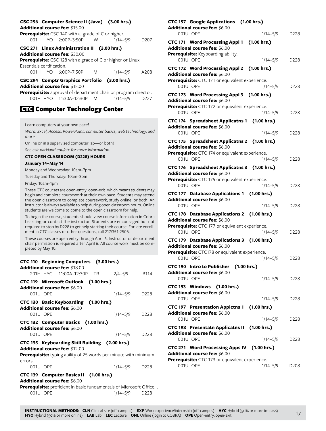# **CSC 256 Computer Science II (Java) (3.00 hrs.)**

#### **Additional course fee:** \$15.00

| <b>Prerequisite:</b> CSC 140 with a grade of C or higher |             |   |              |                  |
|----------------------------------------------------------|-------------|---|--------------|------------------|
| 001H HYO                                                 | 2:00P-3:50P | W | $1/14 - 5/9$ | D <sub>207</sub> |

**CSC 271 Linux Administration II (3.00 hrs.)**

**Additional course fee:** \$30.00

**Prerequisite:** CSC 128 with a grade of C or higher or Linux Essentials certification.

| 001H HYO 6:00P-7:50P |  | 1/14–5/9 | A208 |
|----------------------|--|----------|------|
|----------------------|--|----------|------|

**CSC 294 Comptr Graphics Portfolio (3.00 hrs.) Additional course fee:** \$15.00

**Prerequisite:** approval of department chair or program director. 001H HYO 11:30A–12:30P M 1/14–5/9 D227

# **GTC Computer Technology Center**

Learn computers at your own pace!

*Word, Excel, Access, PowerPoint, computer basics, web technology, and more.*

Online or in a supervised computer lab—or both!

*See csit.parkland.edu/ctc for more information.*

# **CTC OPEN CLASSROOM (D228) HOURS**

#### **January 14–May 14**

Monday and Wednesday: 10am–7pm

Tuesday and Thursday: 10am–3pm

Friday: 10am–1pm

These CTC courses are open-entry, open-exit, which means students may begin and complete coursework at their own pace. Students may attend the open classroom to complete coursework, study online, or both. An instructor is always available to help during open classroom hours. Online students are welcome to come to the open classroom for help.

To begin the course, students should view course information in Cobra Learning or contact the instructor. Students are encouraged but not required to stop by D228 to get help starting their course. For late enrollment in CTC classes or other questions, call 217/351-2506.

These courses are open entry through April 6. Instructor or department chair permission is required after April 6. All course work must be completed by May 10.

| CTC 110 Beginning Computers (3.00 hrs.)<br><b>Additional course fee: \$18.00</b>          |          |                  |
|-------------------------------------------------------------------------------------------|----------|------------------|
| 201H HYC 11:00A-12:30P TR                                                                 | 2/4–5/9  | B114             |
| CTC 119 Microsoft Outlook (1.00 hrs.)<br><b>Additional course fee: \$6.00</b>             |          |                  |
| 001U OPE                                                                                  | 1/14–5/9 | D <sub>228</sub> |
| CTC 130 Basic Keyboarding (1.00 hrs.)<br><b>Additional course fee: \$6.00</b><br>001U OPE | 1/14–5/9 | D <sub>228</sub> |
| CTC 132 Computer Basics (1.00 hrs.)                                                       |          |                  |
| <b>Additional course fee: \$6.00</b>                                                      |          |                  |
| 001U OPE                                                                                  | 1/14-5/9 | D <sub>228</sub> |
| CTC 135 Keyboarding Skill Building (2.00 hrs.)<br><b>Additional course fee: \$12.00</b>   |          |                  |
| <b>Prerequisite:</b> typing ability of 25 words per minute with minimum                   |          |                  |
| errors.<br>001U OPE                                                                       | 1/14-5/9 | D <sub>228</sub> |
| CTC 139 Computer Basics II (1.00 hrs.)<br>Additional course fee: \$6.00                   |          |                  |

#### **Additional course fee:** \$6.00

**Prerequisite:** proficient in basic fundamentals of Microsoft Office. . 001U OPE 1/14–5/9 D228

# **CTC 157 Google Applications (1.00 hrs.) Additional course fee:** \$6.00 001U OPE 1/14-5/9 D228 **CTC 171 Word Processing Appl 1 (1.00 hrs.) Additional course fee:** \$6.00 **Prerequisite:** Keyboarding ability. 001U OPE 1/14–5/9 D228 **CTC 172 Word Processing Appl 2 (1.00 hrs.) Additional course fee:** \$6.00 **Prerequisite:** CTC 171 or equivalent experience. 001U OPE 1/14–5/9 D228 **CTC 173 Word Processing Appl 3 (1.00 hrs.) Additional course fee:** \$6.00 **Prerequisite:** CTC 172 or equivalent experience. 001U OPE 1/14-5/9 D228 **CTC 174 Spreadsheet Applicatns 1 (1.00 hrs.) Additional course fee:** \$6.00 001U OPE 1/14–5/9 D228 **CTC 175 Spreadsheet Applicatns 2 (1.00 hrs.) Additional course fee:** \$6.00 **Prerequisite:** CTC 174 or equivalent experience. 001U OPE 1/14–5/9 D228 **CTC 176 Spreadsheet Applicatns 3 (1.00 hrs.) Additional course fee:** \$6.00 **Prerequisite:** CTC 175 or equivalent experience. 001U OPE 1/14–5/9 D228 **CTC 177 Database Applications 1 (1.00 hrs.) Additional course fee:** \$6.00 001U OPE 1/14–5/9 D228 **CTC 178 Database Applications 2 (1.00 hrs.) Additional course fee:** \$6.00 **Prerequisite:** CTC 177 or equivalent experience. 001U OPE 1/14–5/9 D228 **CTC 179 Database Applications 3 (1.00 hrs.) Additional course fee:** \$6.00 **Prerequisite:** CTC178 or equivalent experience. 001U OPE 1/14–5/9 D228 **CTC 190 Intro to Publisher (1.00 hrs.) Additional course fee:** \$6.00 001U OPE 1/14–5/9 D228 **CTC 193 Windows (1.00 hrs.) Additional course fee:** \$6.00 001U OPE 1/14–5/9 D228 **CTC 197 Presentation Applctns 1 (1.00 hrs.) Additional course fee:** \$6.00 001U OPE 1/14–5/9 D228 **CTC 198 Presentatn Applicatns II (1.00 hrs.) Additional course fee:** \$6.00 001U OPE 1/14–5/9 D228 **CTC 271 Word Processing Apps IV (1.00 hrs.) Additional course fee:** \$6.00 **Prerequisite:** CTC 173 or equivalent experience. 001U OPE 1/14–5/9 D208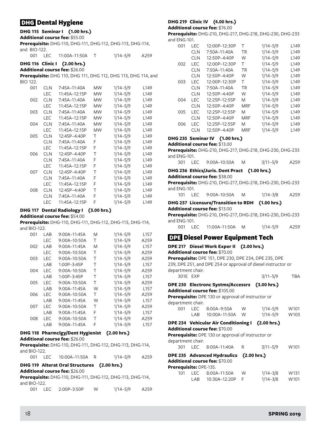# DHG Dental Hygiene

# **DHG 115 Seminar I (1.00 hrs.)**

**Additional course fee:** \$55.00

**Prerequisite:** DHG-110, DHG-111, DHG-112, DHG-113, DHG-114, and BIO-122.

| 001 LEC 11:00A-11:50A T |  | $1/14 - 5/9$ | A259 |
|-------------------------|--|--------------|------|
|-------------------------|--|--------------|------|

# **DHG 116 Clinic I (2.00 hrs.)**

**Additional course fee:** \$26.00

**Prerequisite:** DHG 110, DHG 111, DHG 112, DHG 113, DHG 114, and BIO 122.

| 001 | CLN        | 7:45A-11:40A  | МW        | $1/14 - 5/9$ | L <sub>149</sub> |
|-----|------------|---------------|-----------|--------------|------------------|
|     | LEC        | 11:45A-12:15P | МW        | $1/14 - 5/9$ | L149             |
| 002 | CLN        | 7:45A-11:40A  | МW        | $1/14 - 5/9$ | L <sub>149</sub> |
|     | LEC        | 11:45A-12:15P | <b>MW</b> | $1/14 - 5/9$ | L <sub>149</sub> |
| 003 | CI N       | 7:45A-11:40A  | <b>MW</b> | $1/14 - 5/9$ | L <sub>149</sub> |
|     | LEC        | 11:45A-12:15P | <b>MW</b> | $1/14 - 5/9$ | L149             |
| 004 | <b>CLN</b> | 7:45A-11:40A  | <b>MW</b> | $1/14 - 5/9$ | L149             |
|     | LEC        | 11:45A-12:15P | МW        | $1/14 - 5/9$ | L <sub>149</sub> |
| 005 | <b>CLN</b> | 12:45P-4:40P  | Τ         | $1/14 - 5/9$ | L149             |
|     | <b>CLN</b> | 7:45A-11:40A  | F         | $1/14 - 5/9$ | L149             |
|     | LEC        | 11:45A-12:15P | F         | $1/14 - 5/9$ | L149             |
| 006 | CLN        | 12:45P-4:40P  | Τ         | $1/14 - 5/9$ | L <sub>149</sub> |
|     | <b>CLN</b> | 7:45A-11:40A  | F         | $1/14 - 5/9$ | L <sub>149</sub> |
|     | LEC        | 11:45A-12:15P | F         | $1/14 - 5/9$ | L149             |
| 007 | CI N       | 12:45P-4:40P  | Τ         | $1/14 - 5/9$ | L <sub>149</sub> |
|     | <b>CLN</b> | 7:45A-11:40A  | F         | $1/14 - 5/9$ | L <sub>149</sub> |
|     | LEC        | 11:45A-12:15P | F         | $1/14 - 5/9$ | L149             |
| 008 | <b>CLN</b> | 12:45P-4:40P  | Τ         | $1/14 - 5/9$ | L <sub>149</sub> |
|     | CLN        | 7:45A-11:40A  | F         | $1/14 - 5/9$ | L <sub>149</sub> |
|     | LEC        | 11:45A-12:15P | F         | $1/14 - 5/9$ | L149             |
|     |            |               |           |              |                  |

# **DHG 117 Dental Radiology I (3.00 hrs.)**

**Additional course fee:** \$54.00

**Prerequisite:** DHG-110, DHG-111, DHG-112, DHG-113, DHG-114, and BIO-122.

| 001 | I AR | 9:00A–11:45A   | M | $1/14 - 5/9$ | L <sub>157</sub> |
|-----|------|----------------|---|--------------|------------------|
|     | LEC  | 9:00A-10:50A   | т | $1/14 - 5/9$ | A259             |
| 002 | I AR | $9:00A-11:45A$ | M | $1/14 - 5/9$ | L <sub>157</sub> |
|     | LEC  | $9:00A-10:50A$ | т | $1/14 - 5/9$ | A259             |
| 003 | LEC  | $9:00A-10:50A$ | Τ | $1/14 - 5/9$ | A259             |
|     | LAB  | $1:00P-3:45P$  | т | $1/14 - 5/9$ | L <sub>157</sub> |
| 004 | LEC  | 9:00A–10:50A   | т | $1/14 - 5/9$ | A259             |
|     | LAB  | $1:00P-3:45P$  | Τ | $1/14 - 5/9$ | L <sub>157</sub> |
| 005 | LEC  | $9:00A-10:50A$ | т | $1/14 - 5/9$ | A259             |
|     | LAB  | $9:00A-11:45A$ | W | $1/14 - 5/9$ | L <sub>157</sub> |
| 006 | LEC  | $9:00A-10:50A$ | т | $1/14 - 5/9$ | A259             |
|     | LAB  | $9:00A-11:45A$ | W | $1/14 - 5/9$ | L <sub>157</sub> |
| 007 | LEC  | 9:00A–10:50A   | т | $1/14 - 5/9$ | A259             |
|     | LAB  | 9:00A-11:45A   | F | $1/14 - 5/9$ | L157             |
| 008 | I FC | $9:00A-10:50A$ | т | $1/14 - 5/9$ | A259             |
|     | LAB  | 9:00A-11:45A   | F | $1/14 - 5/9$ | L <sub>157</sub> |
|     |      |                |   |              |                  |

#### **DHG 118 Pharmclgy/Dent Hygienist (2.00 hrs.) Additional course fee:** \$26.00

**Prerequisite:** DHG-110, DHG-111, DHG-112, DHG-113, DHG-114, and BIO-122.

|  |  | 001 LEC 10:00A-11:50A R |  | 1/14–5/9 | A259 |
|--|--|-------------------------|--|----------|------|
|--|--|-------------------------|--|----------|------|

# **DHG 119 Alterat Oral Structures (2.00 hrs.)**

**Additional course fee:** \$26.00

| <b>Prerequisite:</b> DHG-110, DHG-111, DHG-112, DHG-113, DHG-114, |              |       |             |    |              |      |  |
|-------------------------------------------------------------------|--------------|-------|-------------|----|--------------|------|--|
|                                                                   | and BIO-122. |       |             |    |              |      |  |
|                                                                   | 001          | I EC. | 2:00P-3:50P | W. | $1/14 - 5/9$ | A259 |  |

# **DHG 219 Clinic IV (4.00 hrs.)**

**Additional course fee:** \$76.00

**Prerequisite:** DHG-210, DHG-217, DHG-218, DHG-230, DHG-233 and ENG-101.

| 001 | LEC  | 12:00P-12:30P | т          | $1/14 - 5/9$ | L <sub>149</sub> |
|-----|------|---------------|------------|--------------|------------------|
|     | CLN  | 7:50A-11:40A  | TR         | $1/14 - 5/9$ | L <sub>149</sub> |
|     | CLN  | 12:50P-4:40P  | W          | $1/14 - 5/9$ | L <sub>149</sub> |
| 002 | LEC  | 12:00P-12:30P | т          | $1/14 - 5/9$ | L <sub>149</sub> |
|     | CI N | 7:50A-11:40A  | ΤR         | $1/14 - 5/9$ | L <sub>149</sub> |
|     | CLN  | 12:50P-4:40P  | W          | $1/14 - 5/9$ | L <sub>149</sub> |
| 003 | LEC  | 12:00P-12:30P | т          | $1/14 - 5/9$ | L <sub>149</sub> |
|     | CLN  | 7:50A-11:40A  | TR         | $1/14 - 5/9$ | L <sub>149</sub> |
|     | CI N | 12:50P-4:40P  | W          | $1/14 - 5/9$ | L <sub>149</sub> |
| 004 | LEC  | 12:25P-12:55P | M          | $1/14 - 5/9$ | L <sub>149</sub> |
|     | CLN  | 12:50P-4:40P  | <b>MRF</b> | $1/14 - 5/9$ | L <sub>149</sub> |
| 005 | LEC  | 12:25P-12:55P | M          | $1/14 - 5/9$ | L <sub>149</sub> |
|     | CLN  | 12:50P-4:40P  | MRF        | $1/14 - 5/9$ | L <sub>149</sub> |
| 006 | LEC  | 12:25P-12:55P | M          | $1/14 - 5/9$ | L149             |
|     | CLN  | 12:50P-4:40P  | MRF        | 1/14-5/9     | 149              |

# **DHG 235 Seminar IV (1.00 hrs.)**

**Additional course fee:** \$13.00

**Prerequisite:** DHG-210, DHG-217, DHG-218, DHG-230, DHG-233 and ENG-101.

|  |  | 301 LEC 9:00A-10:50A M |  | $3/11 - 5/9$ | A259 |
|--|--|------------------------|--|--------------|------|
|--|--|------------------------|--|--------------|------|

#### **DHG 236 Ethics/Juris. Dent Pract (1.00 hrs.)**

**Additional course fee:** \$38.00

**Prerequisite:** DHG-210, DHG-217, DHG-218, DHG-230, DHG-233 and ENG-101.

101 LEC 9:00A–10:50A M 1/14–3/8 A259

# **DHG 237 Licensure/Transition to RDH (1.00 hrs.) Additional course fee:** \$13.00

**Prerequisite:** DHG-210, DHG-217, DHG-218, DHG-230, DHG-233 and ENG-101.

001 LEC 11:00A–11:50A M 1/14–5/9 A259

# DPE Diesel Power Equipment Tech

**DPE 217 Diesel Work Exper II (2.00 hrs.) Additional course fee:** \$70.00

**Prerequisite:** DPE 151, DPE 230, DPE 234, DPE 235, DPE 239, DPE 251, and DPE 254 or approval of diesel instructor or department chair. 301E EXP 3/11-5/9 TBA

|                        | DPE 230 Electronc Systms/Accessrs (3.00 hrs.)<br><b>Additional course fee: \$105.00</b> |   |              |                  |
|------------------------|-----------------------------------------------------------------------------------------|---|--------------|------------------|
|                        | <b>Prerequisite:</b> DPE 130 or approval of instructor or                               |   |              |                  |
| department chair.      |                                                                                         |   |              |                  |
| 001                    | LEC 8:00A-9:50A                                                                         | W | 1/14–5/9     | W <sub>101</sub> |
|                        | LAB  10:00A-11:50A  W                                                                   |   | $1/14 - 5/9$ | W103             |
|                        | DPE 234 Vehicular Air Conditioning I (2.00 hrs.)                                        |   |              |                  |
|                        | <b>Additional course fee: \$70.00</b>                                                   |   |              |                  |
|                        | Prerequisite: DPE 130 or approval of instructor or                                      |   |              |                  |
| department chair.      |                                                                                         |   |              |                  |
|                        | 301 LEC 8:00A-11:40A R                                                                  |   | $3/11 - 5/9$ | W <sub>101</sub> |
|                        | DPE 235 Advanced Hydraulics (2.00 hrs.)                                                 |   |              |                  |
|                        | <b>Additional course fee: \$70.00</b>                                                   |   |              |                  |
| Prerequisite: DPE-135. |                                                                                         |   |              |                  |
|                        |                                                                                         |   | 111.200      | 1.11777          |

| 101 | LEC 8:00A–11:50A  | - W | $1/14 - 3/8$ | W131 |
|-----|-------------------|-----|--------------|------|
|     | LAB 10:30A-12:20P |     | $1/14 - 3/8$ | W101 |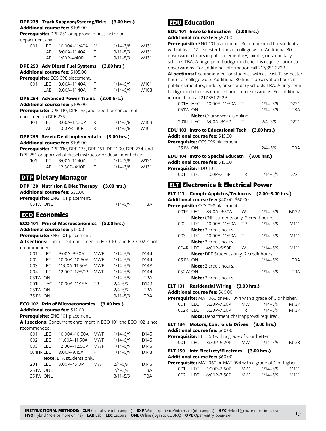# **DPE 239 Truck Suspnsn/Steerng/Brks (3.00 hrs.)**

**Additional course fee:** \$105.00

**Prerequisite:** DPE 251 or approval of instructor or department chair.

| ucpartment chair.             |            |                                                                   |                          |                              |      |
|-------------------------------|------------|-------------------------------------------------------------------|--------------------------|------------------------------|------|
| 001                           | <b>LEC</b> | 10:00A-11:40A                                                     | M                        | $1/14 - 3/8$                 | W131 |
|                               | LAB        | 8:00A-11:40A                                                      | T                        | $3/11 - 5/9$                 | W131 |
|                               | LAB        | $1:00P-4:40P$                                                     | Τ                        | $3/11 - 5/9$                 | W131 |
|                               |            | DPE 253 Adv Diesel Fuel Systems                                   |                          | (3.00 hrs.)                  |      |
|                               |            | Additional course fee: \$105.00                                   |                          |                              |      |
|                               |            | Prerequisite: CCS 098 placement.                                  |                          |                              |      |
| 001                           | LEC        | 8:00A-11:40A                                                      | F                        | $1/14 - 5/9$                 | W101 |
|                               | LAB        | 8:00A-11:40A                                                      | F                        | $1/14 - 5/9$                 | W103 |
|                               |            |                                                                   |                          |                              |      |
|                               |            | <b>DPE 254 Advanced Power Trains</b>                              |                          | (3.00 hrs.)                  |      |
|                               |            | Additional course fee: \$105.00                                   |                          |                              |      |
|                               |            | Prerequisite: DPE 110, DPE 135, and credit or concurrent          |                          |                              |      |
| enrollment in DPE 235.<br>101 | <b>LEC</b> | 8:00A-12:30P                                                      | R                        |                              | W103 |
|                               | LAB        | 1:00P-5:30P                                                       | R                        | $1/14 - 3/8$<br>$1/14 - 3/8$ | W101 |
|                               |            |                                                                   |                          |                              |      |
|                               |            | DPE 259 Servic Dept Implementatn (3.00 hrs.)                      |                          |                              |      |
|                               |            | Additional course fee: \$105.00                                   |                          |                              |      |
|                               |            | Prerequisite: DPE 110, DPE 135, DPE 151, DPE 230, DPE 234, and    |                          |                              |      |
|                               |            | DPE 251 or approval of diesel instructor or department chair.     |                          |                              |      |
| 101                           | <b>LEC</b> | 8:00A-11:40A                                                      | $\top$                   | $1/14 - 3/8$                 | W131 |
|                               | LAB        | 12:30P-4:10P                                                      | $\top$                   | $1/14 - 3/8$                 | W131 |
|                               |            | <b>DTP</b> Dietary Manager                                        |                          |                              |      |
|                               |            |                                                                   |                          |                              |      |
|                               |            | DTP 120 Nutrition & Diet Therapy (3.00 hrs.)                      |                          |                              |      |
|                               |            | Additional course fee: \$30.00                                    |                          |                              |      |
|                               |            | Prerequisite: ENG 101 placement.                                  |                          |                              |      |
|                               | 051W ONL   |                                                                   |                          | $1/14 - 5/9$                 | TBA  |
| ECO Economics                 |            |                                                                   |                          |                              |      |
|                               |            |                                                                   |                          |                              |      |
|                               |            | <b>ECO 101 Prin of Macroeconomics</b>                             |                          | (3.00 hrs.)                  |      |
|                               |            | Additional course fee: \$12.00                                    |                          |                              |      |
|                               |            | Prerequisite: ENG 101 placement.                                  |                          |                              |      |
| recommended.                  |            | All sections: Concurrent enrollment in ECO 101 and ECO 102 is not |                          |                              |      |
| 001                           | LEC.       | 9:00A-9:50A                                                       | <b>MWF</b>               | $1/14 - 5/9$                 | D144 |
|                               | <b>LEC</b> | 10:00A-10:50A                                                     |                          | $1/14 - 5/9$                 | D144 |
| 002<br>003                    | <b>LEC</b> | 11:00A-11:50A                                                     | <b>MWF</b><br><b>MWF</b> | $1/14 - 5/9$                 | D148 |
|                               |            |                                                                   |                          |                              |      |

|                 | UUZ LEC IU.UUA-IU.JUA IVIVE |           | $111 + -317$ | D 144      |
|-----------------|-----------------------------|-----------|--------------|------------|
| 003             | LEC 11:00A-11:50A           | MWF       | $1/14 - 5/9$ | D148       |
| 004 LEC         | 12:00P-12:50P               | MWF       | $1/14 - 5/9$ | D144       |
| 051W ONL        |                             |           | $1/14 - 5/9$ | <b>TBA</b> |
| 201H HYC        | 10:00A–11:15A               | <b>TR</b> | $2/4 - 5/9$  | D143       |
| <b>251W ONL</b> |                             |           | $2/4 - 5/9$  | <b>TBA</b> |
| 351W ONL        |                             |           | $3/11 - 5/9$ | <b>TBA</b> |

# **ECO 102 Prin of Microeconomics (3.00 hrs.)**

**Additional course fee:** \$12.00

**Prerequisite:** ENG 101 placement.

**All sections:** Concurrent enrollment in ECO 101 and ECO 102 is not recommended.

| LEC. | 10:00A-10:50A                     | <b>MWF</b> | $1/14 - 5/9$                    | D145             |
|------|-----------------------------------|------------|---------------------------------|------------------|
| LEC. | 11:00A-11:50A                     | <b>MWF</b> | $1/14 - 5/9$                    | D <sub>145</sub> |
| LEC. | 12:00P-12:50P                     | <b>MWF</b> | $1/14 - 5/9$                    | D <sub>145</sub> |
|      | $8:00A-9:15A$                     | F          | $1/14 - 5/9$                    | D143             |
|      |                                   |            |                                 |                  |
| LEC. | 3:00P-4:40P                       | <b>MW</b>  | $2/4 - 5/9$                     | D <sub>145</sub> |
|      |                                   |            | $2/4 - 5/9$                     | <b>TBA</b>       |
|      |                                   |            | $3/11 - 5/9$                    | <b>TBA</b>       |
|      | 004HR LEC<br>251W ONL<br>351W ONL |            | <b>Note:</b> ETA students only. |                  |

# EDU Education

# **EDU 101 Intro to Education (3.00 hrs.) Additional course fee:** \$52.00

**Prerequisite:** ENG 101 placement. Recommended for students with at least 12 semester hours of college work. Additional 30 observation hours in public elementary, middle, or secondary schools TBA. A fingerprint background check is required prior to observations. For additional information call 217/351-2229.

**Al sections:** Recommended for students with at least 12 semester hours of college work. Additional 30 hours observation hours in public elementary, middle, or secondary schools TBA. A fingerprint background check is required prior to observations. For additional information call 217.351.2229.

|                 | 001H HYC 10:00A-11:50A T                      | $1/14 - 5/9$ | D221             |
|-----------------|-----------------------------------------------|--------------|------------------|
| 051W ONL        |                                               | $1/14 - 5/9$ | <b>TBA</b>       |
|                 | <b>Note:</b> Course work is online.           |              |                  |
|                 | 201H HYC 6:00A-8:15P                          | $2/4 - 5/9$  | D <sub>221</sub> |
|                 | EDU 103 Intro to Educational Tech (3.00 hrs.) |              |                  |
|                 | <b>Additional course fee:</b> \$15.00         |              |                  |
|                 | Prerequisite: CCS 099 placement.              |              |                  |
| <b>251W ONL</b> |                                               | $2/4 - 5/9$  | TBA              |
|                 | EDU 104 Intro to Special Educatn (3.00 hrs.)  |              |                  |
|                 | <b>Additional course fee:</b> \$15.00         |              |                  |

**Prerequisite:** EDU 101. 001 LEC 1:00P–2:15P TR 1/14–5/9 D221

# ELT Electronics & Electrical Power

|     |            | ELT 111 Comptr Applctns/Techncns (2.00–3.00 hrs.) |        |              |            |
|-----|------------|---------------------------------------------------|--------|--------------|------------|
|     |            | <b>Additional course fee: \$40.00-\$60.00</b>     |        |              |            |
|     |            | Prerequisite: CCS 098 placement.                  |        |              |            |
|     | $001R$ IFC | $8:00A - 9:50A$                                   | W      | $1/14 - 5/9$ | M132       |
|     |            | <b>Note:</b> CNH students only. 2 credit hours.   |        |              |            |
| 002 | TEC.       | 10:00A-11:50A                                     | - TR   | $1/14 - 5/9$ | M111       |
|     |            | <b>Note:</b> 3 credit hours.                      |        |              |            |
| 003 |            | LEC 10:00A-11:50A                                 | $\top$ | $1/14 - 5/9$ | M111       |
|     |            | <b>Note:</b> 2 credit hours.                      |        |              |            |
|     | 004R LEC   | 4:00P-5:50P                                       | W      | $1/14 - 5/9$ | M111       |
|     |            | <b>Note:</b> DPE Students only. 2 credit hours.   |        |              |            |
|     | 051W ONL   |                                                   |        | $1/14 - 5/9$ | <b>TBA</b> |
|     |            | <b>Note:</b> 2 credit hours.                      |        |              |            |
|     | 052W ONL   |                                                   |        | $1/14 - 5/9$ | TBA        |
|     |            | <b>Note:</b> 3 credit hours.                      |        |              |            |

# **ELT 131 Residential Wiring (3.00 hrs.)**

**Additional course fee:** \$60.00

|  | Prerequisite: MAT 060 or MAT 094 with a grade of C or higher. |  |
|--|---------------------------------------------------------------|--|
|--|---------------------------------------------------------------|--|

|                                                  | 001 |  | LEC 5:30P-7:20P      | <b>MW</b> | $1/14 - 5/9$ | M <sub>137</sub> |
|--------------------------------------------------|-----|--|----------------------|-----------|--------------|------------------|
|                                                  |     |  | 002R LEC 5:30P-7:20P | TR.       | 1/14–5/9     | M137             |
| <b>Note:</b> Department chair approval required. |     |  |                      |           |              |                  |

#### **ELT 134 Motors, Controls & Drives (3.00 hrs.) Additional course fee:** \$60.00

**Prerequisite:** ELT 150 with a grade of C or better.

001 LEC 3:30P–5:20P MW 1/14–5/9 M133

#### **ELT 150 Intr Electrcty/Electrncs (3.00 hrs.) Additional course fee:** \$60.00

| Prerequisite: MAT 060 or MAT 094 with a grade of C or higher. |     |      |                 |           |          |      |  |  |  |  |
|---------------------------------------------------------------|-----|------|-----------------|-----------|----------|------|--|--|--|--|
|                                                               | 001 |      | LEC 1:00P-2:50P | MW        | 1/14–5/9 | M111 |  |  |  |  |
|                                                               | 002 | LEC. | 6:00P-7:50P     | <b>MW</b> | 1/14–5/9 | M111 |  |  |  |  |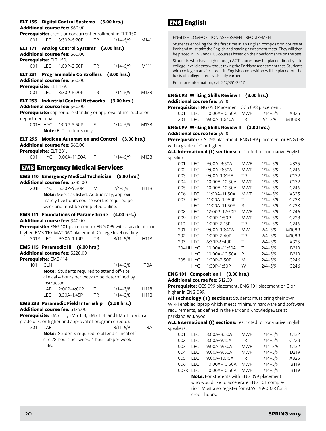|                               |             | ELT 155 Digital Control Systems (3.00 hrs.)<br>Additional course fee: \$60.00                                                                                                                   |           |                              |                  |
|-------------------------------|-------------|-------------------------------------------------------------------------------------------------------------------------------------------------------------------------------------------------|-----------|------------------------------|------------------|
| 001 LEC                       |             | Prerequisite: credit or concurrent enrollment in ELT 150.<br>3:30P-5:20P TR                                                                                                                     |           | $1/14 - 5/9$                 | M141             |
| Prerequisite: ELT 150.        |             | ELT 171 Analog Control Systems (3.00 hrs.)<br>Additional course fee: \$60.00                                                                                                                    |           |                              |                  |
| 001                           | <b>LEC</b>  | 1:00P-2:50P TR                                                                                                                                                                                  |           | 1/14–5/9                     | M111             |
| Prerequisite: ELT 179.        |             | ELT 231 Programmable Controllers (3.00 hrs.)<br>Additional course fee: \$60.00                                                                                                                  |           |                              |                  |
|                               |             | 001 LEC 3:30P-5:20P                                                                                                                                                                             | <b>TR</b> | $1/14 - 5/9$                 | M133             |
| <b>ELT 293</b>                |             | Industrial Control Networks (3.00 hrs.)<br>Additional course fee: \$60.00<br>Prerequisite: sophomore standing or approval of instructor or                                                      |           |                              |                  |
| department chair.<br>001H HYC |             | 1:00P-3:50P<br>Note: ELT students only.                                                                                                                                                         | F         | 1/14-5/9 M133                |                  |
| Prerequisite: ELT 231.        |             | ELT 295 Modicon Automation and Control (3.00 hrs.)<br>Additional course fee: \$60.00                                                                                                            |           |                              |                  |
|                               |             | 001H HYC 9:00A-11:50A F                                                                                                                                                                         |           | $1/14 - 5/9$                 | M133             |
|                               |             | <b>EMS Emergency Medical Services</b>                                                                                                                                                           |           |                              |                  |
|                               |             | EMS 110 Emergency Medical Technician (5.00 hrs.)                                                                                                                                                |           |                              |                  |
|                               |             | Additional course fee: \$285.00<br>201H HYC 5:30P-9:30P<br>Note: Meets as listed. Additionally, approxi-<br>mately five hours course work is required per<br>week and must be completed online. | M         | $2/4 - 5/9$                  | H118             |
|                               |             | <b>EMS 111 Foundations of Paramedicine (4.00 hrs.)</b>                                                                                                                                          |           |                              |                  |
|                               |             | Additional course fee: \$40.00<br>Prerequisite: ENG 101 placement or ENG 099 with a grade of c or<br>higher. EMS 110. MAT 060 placement. College level reading.                                 |           |                              |                  |
|                               |             | 301R LEC 9:30A-1:10P                                                                                                                                                                            | <b>TR</b> | $3/11 - 5/9$                 | H <sub>118</sub> |
| Prerequisite: EMS-114.        |             | EMS 115 Paramedic III (6.00 hrs.)<br>Additional course fee: \$228.00                                                                                                                            |           |                              |                  |
| 101 CLN                       | instructor. | Note: Students required to attend off-site<br>clinical 4 hours per week to be determined by                                                                                                     |           | 1/14-3/8                     | <b>TBA</b>       |
|                               | LAB<br>LEC  | 2:00P-4:00P<br>8:30A-1:45P                                                                                                                                                                      | Τ<br>TR   | $1/14 - 3/8$<br>$1/14 - 3/8$ | H118<br>H118     |
|                               |             | EMS 238 Paramedic Field Internship (2.50 hrs.)                                                                                                                                                  |           |                              |                  |
|                               |             | Additional course fee: \$125.00<br>Prerequisite: EMS 111, EMS 113, EMS 114, and EMS 115 with a                                                                                                  |           |                              |                  |
| 301                           | LAB         | grade of C or higher and approval of program director.<br>Note: Students required to attend clinical off-                                                                                       |           | $3/11 - 5/9$                 | TBA              |
|                               |             | site 28 hours per week. 4 hour lab per week                                                                                                                                                     |           |                              |                  |

#### TBA.

# ENG English

ENGLISH COMPOSITION ASSESSMENT REQUIREMENT

Students enrolling for the first time in an English composition course at Parkland must take the English and reading assessment tests. They will then be placed in ENG and CCS courses based on their performance on the test.

Students who have high enough ACT scores may be placed directly into college-level classes without taking the Parkland assessment test. Students with college transfer credit in English composition will be placed on the basis of college credits already earned.

For more information, call 217/351-2217.

# **ENG 098 Writing Skills Review I (3.00 hrs.) Additional course fee:** \$9.00

**Prerequisite:** ENG 098 Placement. CCS 098 placement.

| 001 | LEC. | 10:00A-10:50A MWF | $1/14 - 5/9$ | X325  |
|-----|------|-------------------|--------------|-------|
| 201 | LEC. | 9:00A–10:40A      | $2/4 - 5/9$  | M108B |

### **ENG 099 Writing Skills Review II (3.00 hrs.) Additional course fee:** \$9.00

**Prerequisite:** CCS 098 placement. ENG 099 placement or ENG 098 with a grade of C or higher.

**ALL International (I) sections:** restricted to non-native English speakers.

| 001 | LEC       | 9:00A-9:50A     | MWF        | $1/14 - 5/9$ | X325             |
|-----|-----------|-----------------|------------|--------------|------------------|
| 002 | LEC       | $9:00A - 9:50A$ | MWF        | $1/14 - 5/9$ | C246             |
| 003 | LEC       | 9:00A–10:15A    | TR         | $1/14 - 5/9$ | C <sub>132</sub> |
| 004 | LEC       | 10:00A-10:50A   | MWF        | $1/14 - 5/9$ | C132             |
| 005 | LEC       | 10:00A–10:50A   | MWF        | $1/14 - 5/9$ | C246             |
| 006 | LEC       | 11:00A-11:50A   | <b>MWF</b> | $1/14 - 5/9$ | X325             |
| 007 | LEC       | 11:00A-12:50P   | т          | $1/14 - 5/9$ | C <sub>228</sub> |
|     | LEC       | 11:00A-11:50A   | R          | $1/14 - 5/9$ | C <sub>228</sub> |
| 008 | LEC       | 12:00P-12:50P   | MWF        | $1/14 - 5/9$ | C <sub>246</sub> |
| 009 | LEC       | 1:00P-1:50P     | MWF        | $1/14 - 5/9$ | C <sub>228</sub> |
| 010 | LEC       | 1:00P-2:15P     | TR         | $1/14 - 5/9$ | C <sub>246</sub> |
| 201 | LEC       | $9:00A-10:40A$  | <b>MW</b>  | $2/4 - 5/9$  | M108B            |
| 202 | LEC       | 1:00P-2:40P     | TR         | $2/4 - 5/9$  | M108B            |
| 203 | LEC       | 6:30P-9:40P     | т          | $2/4 - 5/9$  | X325             |
|     | 204HI HYC | 10:00A-11:50A   | Τ          | $2/4 - 5/9$  | B219             |
|     | HYC.      | 10:00A-10:50A   | R          | $2/4 - 5/9$  | B219             |
|     | 205HI HYC | 1:00P-2:50P     | M          | $2/4 - 5/9$  | C <sub>246</sub> |
|     | HYC.      | 1:00P-1:50P     | W          | 2/4–5/9      | C <sub>246</sub> |

#### **ENG 101 Composition I (3.00 hrs.)**

**Additional course fee:** \$12.00

**Prerequisite:** CCS 099 placement. ENG 101 placement or C or higher in ENG 099.

**All Technology (T) sections:** Students must bring their own Wi-Fi enabled laptop which meets minimum hardware and software requirements, as defined in the Parkland KnowledgeBase at parkland.edu/byod.

**ALL International (I) sections:** restricted to non-native English speakers.

| 001      | I EC. | 8:00A-8:50A   | <b>MWF</b> | $1/14 - 5/9$ | C132              |
|----------|-------|---------------|------------|--------------|-------------------|
| 002      | I FC. | 8:00A-9:15A   | <b>TR</b>  | $1/14 - 5/9$ | C228              |
| 003      | I FC. | 9:00A-9:50A   | <b>MWF</b> | $1/14 - 5/9$ | C132              |
| 004T LEC |       | 9:00A-9:50A   | <b>MWF</b> | $1/14 - 5/9$ | D <sub>2</sub> 19 |
| 005      | I FC. | 9:00A-10:15A  | <b>TR</b>  | $1/14 - 5/9$ | X325              |
| 006      | I FC. | 10:00A-10:50A | <b>MWF</b> | $1/14 - 5/9$ | <b>B119</b>       |
| 007R LEC |       | 10:00A-10:50A | <b>MWF</b> | $1/14 - 5/9$ | <b>B119</b>       |
|          |       |               |            |              |                   |

**Note:** For students with ENG 099 placement who would like to accelerate ENG 101 completion. Must also register for ALW 199-007R for 3 credit hours.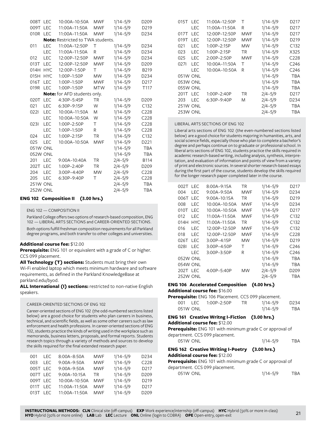| 008T            | <b>LEC</b> | 10:00A-10:50A                            | MWF        | $1/14 - 5/9$ | D <sub>209</sub>  |
|-----------------|------------|------------------------------------------|------------|--------------|-------------------|
| 009T            | LEC        | 11:00A-11:50A                            | MWF        | $1/14 - 5/9$ | D <sub>2</sub> 19 |
| 010R            | <b>LEC</b> | 11:00A-11:50A                            | <b>MWF</b> | $1/14 - 5/9$ | D234              |
|                 |            | <b>Note:</b> Restricted to TWA students. |            |              |                   |
| 011             | <b>LEC</b> | 11:00A-12:50P                            | Τ          | $1/14 - 5/9$ | D234              |
|                 | <b>LEC</b> | 11:00A-11:50A                            | R          | $1/14 - 5/9$ | D234              |
| 012             | <b>LEC</b> | 12:00P-12:50P                            | MWF        | $1/14 - 5/9$ | D234              |
| 013T            | <b>LEC</b> | 12:00P-12:50P                            | <b>MWF</b> | $1/14 - 5/9$ | D <sub>209</sub>  |
| 014H            | <b>HYC</b> | 12:00P-1:50P                             | Τ          | $1/14 - 5/9$ | B219              |
| 015H            | <b>HYC</b> | 1:00P-1:50P                              | <b>MW</b>  | $1/14 - 5/9$ | D234              |
| 016T            | <b>LEC</b> | 1:00P-1:50P                              | <b>MWF</b> | $1/14 - 5/9$ | D217              |
| 019R            | <b>LEC</b> | 1:00P-1:50P                              | <b>MTW</b> | $1/14 - 5/9$ | T <sub>117</sub>  |
|                 |            | <b>Note:</b> for AFD students only.      |            |              |                   |
| 020T            | <b>LEC</b> | 4:30P-5:45P                              | <b>TR</b>  | $1/14 - 5/9$ | D209              |
| 021             | <b>LEC</b> | 6:30P-9:15P                              | W          | $1/14 - 5/9$ | C132              |
| 0221            | LEC        | 10:00A-11:50A                            | M          | $1/14 - 5/9$ | C228              |
|                 | <b>LEC</b> | 10:00A-10:50A                            | W          | $1/14 - 5/9$ | C228              |
| 0231            | <b>LEC</b> | 1:00P-2:50P                              | Τ          | $1/14 - 5/9$ | C228              |
|                 | <b>LEC</b> | 1:00P-1:50P                              | R          | $1/14 - 5/9$ | C228              |
| 024             | <b>LEC</b> | 1:00P-2:15P                              | <b>TR</b>  | $1/14 - 5/9$ | C132              |
| 025             | LEC        | 10:00A-10:50A                            | <b>MWF</b> | $1/14 - 5/9$ | D <sub>221</sub>  |
| 051W ONL        |            |                                          |            | $1/14 - 5/9$ | <b>TBA</b>        |
| 052W ONL        |            |                                          |            | $1/14 - 5/9$ | <b>TBA</b>        |
| 201             | LEC        | 9:00A-10:40A                             | TR         | $2/4 - 5/9$  | <b>B114</b>       |
| 202T            | <b>LEC</b> | 1:00P-2:40P                              | <b>TR</b>  | $2/4 - 5/9$  | D <sub>209</sub>  |
| 204             | LEC        | 3:00P-4:40P                              | <b>MW</b>  | $2/4 - 5/9$  | C228              |
| 205             | LEC        | 6:30P-9:40P                              | Τ          | $2/4 - 5/9$  | C228              |
| 251W ONL        |            |                                          |            | $2/4 - 5/9$  | <b>TBA</b>        |
| <b>252W ONL</b> |            |                                          |            | $2/4 - 5/9$  | TBA               |
|                 |            |                                          |            |              |                   |

### **ENG 102 Composition II (3.00 hrs.)**

ENG 102 — COMPOSITION II

Parkland College offers two options of research-based composition, ENG 102 — LIBERAL ARTS SECTIONS and CAREER-ORIENTED SECTIONS.

Both options fulfill freshman composition requirements for all Parkland degree programs, and both transfer to other colleges and universities.

#### **Additional course fee:** \$12.00

**Prerequisite:** ENG 101 or equivalent with a grade of C or higher. CCS 099 placement.

**All Technology (T) sections:** Students must bring their own Wi-Fi enabled laptop which meets minimum hardware and software requirements, as defined in the Parkland KnowledgeBase at parkland.edu/byod.

**ALL International (I) sections:** restricted to non-native English speakers.

#### CAREER-ORIENTED SECTIONS OF ENG 102

Career-oriented sections of ENG 102 (the odd-numbered sections listed below) are a good choice for students who plan careers in business, technical, and scientific fields, as well as some other careers such as law enforcement and health professions. In career-oriented sections of ENG 102, students practice the kinds of writing used in the workplace such as memoranda, business letters, proposals, and formal reports. Students research topics through a variety of methods and sources to develop the skills required for the final extended research paper.

| 001      | LEC.  | 8:00A-8:50A   | <b>MWF</b> | $1/14 - 5/9$ | D <sub>2</sub> 34 |
|----------|-------|---------------|------------|--------------|-------------------|
| 003      | I FC. | 9:00A-9:50A   | <b>MWF</b> | $1/14 - 5/9$ | C <sub>228</sub>  |
| 005T LEC |       | 9:00A-9:50A   | <b>MWF</b> | $1/14 - 5/9$ | D <sub>217</sub>  |
| 007T LEC |       | 9:00A-10:15A  | TR         | $1/14 - 5/9$ | D <sub>209</sub>  |
| 009T LEC |       | 10:00A-10:50A | <b>MWF</b> | $1/14 - 5/9$ | D <sub>2</sub> 19 |
| 011T     | I FC. | 11:00A-11:50A | <b>MWF</b> | $1/14 - 5/9$ | D <sub>2</sub> 17 |
| 013T     | I FC. | 11:00A-11:50A | <b>MWF</b> | $1/14 - 5/9$ | D <sub>209</sub>  |

| 015T LEC        |            | 11:00A-12:50P   | Τ         | $1/14 - 5/9$ | D <sub>2</sub> 17 |
|-----------------|------------|-----------------|-----------|--------------|-------------------|
|                 | LEC        | 11:00A-11:50A   | R         | $1/14 - 5/9$ | D <sub>2</sub> 17 |
| 017T            | LEC        | 12:00P-12:50P   | MWF       | $1/14 - 5/9$ | D <sub>2</sub> 17 |
| 019T            | LEC        | 12:00P-12:50P   | MWF       | $1/14 - 5/9$ | D <sub>2</sub> 19 |
| 021             | <b>LEC</b> | $1:00P - 2:15P$ | МW        | $1/14 - 5/9$ | C132              |
| 023             | LEC        | 1:00P-2:15P     | <b>TR</b> | $1/14 - 5/9$ | X325              |
| 025             | LEC.       | $2:00P - 2:50P$ | MWF       | $1/14 - 5/9$ | C <sub>228</sub>  |
| 0271            | <b>LEC</b> | 10:00A-11:50A   | Τ         | $1/14 - 5/9$ | C <sub>246</sub>  |
|                 | LEC        | 10:00A-10:50A   | R         | $1/14 - 5/9$ | C <sub>246</sub>  |
| 051W ONL        |            |                 |           | $1/14 - 5/9$ | TBA               |
| 053W ONL        |            |                 |           | $1/14 - 5/9$ | TBA               |
| <b>055W ONL</b> |            |                 |           | $1/14 - 5/9$ | <b>TBA</b>        |
| 201T            | <b>LEC</b> | 1:00P-2:40P     | TR        | $2/4 - 5/9$  | D <sub>2</sub> 17 |
| 203             | <b>LEC</b> | $6:30P-9:40P$   | M         | $2/4 - 5/9$  | D <sub>2</sub> 34 |
| <b>251W ONL</b> |            |                 |           | $2/4 - 5/9$  | TBA               |
| <b>253W ONL</b> |            |                 |           | $2/4 - 5/9$  | TBA               |

#### LIBERAL ARTS SECTIONS OF ENG 102

Liberal arts sections of ENG 102 (the even-numbered sections listed below) are a good choice for students majoring in humanities, arts, and social science fields, especially those who plan to complete a bachelor's degree and perhaps continue on to graduate or professional school. In liberal arts sections of ENG 102, students practice the skills required in academic research-based writing, including analysis, synthesis, interpretation, and evaluation of information and points of view from a variety of print and electronic sources. In several shorter research-based essays during the first part of the course, students develop the skills required for the longer research paper completed later in the course.

| 002T            | I FC       | $8:00A - 9:15A$ | TR  | $1/14 - 5/9$ | D <sub>2</sub> 17 |
|-----------------|------------|-----------------|-----|--------------|-------------------|
| 004             | <b>LEC</b> | $9:00A - 9:50A$ | MWF | $1/14 - 5/9$ | D234              |
| 006T            | I FC       | $9:00A-10:15A$  | TR  | $1/14 - 5/9$ | D <sub>2</sub> 19 |
| 008             | LEC        | 10:00A-10:50A   | MWF | $1/14 - 5/9$ | D234              |
| 010T            | I FC       | 10:00A-10:50A   | MWF | $1/14 - 5/9$ | D <sub>2</sub> 17 |
| 012             | I FC       | 11:00A-11:50A   | MWF | $1/14 - 5/9$ | C132              |
| 014H            | HYC.       | 11:00A-11:50A   | ΤR  | $1/14 - 5/9$ | C <sub>132</sub>  |
| 016             | I FC       | 12:00P-12:50P   | MWF | $1/14 - 5/9$ | C132              |
| 018             | LEC        | 12:00P-12:50P   | MWF | $1/14 - 5/9$ | C <sub>228</sub>  |
| 026T            | <b>LEC</b> | $3:00P-4:15P$   | МW  | $1/14 - 5/9$ | D219              |
| 0281            | I FC       | $3:00P - 4:50P$ | т   | $1/14 - 5/9$ | C <sub>246</sub>  |
|                 | LEC        | $3:00P - 3:50P$ | R   | $1/14 - 5/9$ | C <sub>246</sub>  |
| 052W ONL        |            |                 |     | $1/14 - 5/9$ | TBA               |
| 054W ONL        |            |                 |     | $1/14 - 5/9$ | TBA               |
| 202T LEC        |            | $4:00P - 5:40P$ | МW  | $2/4 - 5/9$  | D <sub>209</sub>  |
| <b>252W ONL</b> |            |                 |     | $2/4 - 5/9$  | TBA               |

## **ENG 106 Accelerated Composition (4.00 hrs.)**

**Additional course fee:** \$16.00

|  |          | Prerequisite: ENG 106 Placement. CCS 099 placement. |      |              |                  |
|--|----------|-----------------------------------------------------|------|--------------|------------------|
|  |          | 001 LEC 1:00P-2:50P                                 | TR . | 1/14–5/9     | D <sub>234</sub> |
|  | 051W ONL |                                                     |      | $1/14 - 5/9$ | TBA              |

#### **ENG 161 Creative Writng I-Fiction (3.00 hrs.) Additional course fee:** \$12.00

**Prerequisite:** ENG 101 with minimum grade C or approval of department. CCS 099 placement.

051W ONL 1/14-5/9 TBA

# **ENG 162 Creative Writing I-Poetry (3.00 hrs.)**

### **Additional course fee:** \$12.00

**Prerequisite:** ENG 101 with minimum grade C or approval of department. CCS 099 placement.

051W ONL 1/14–5/9 TBA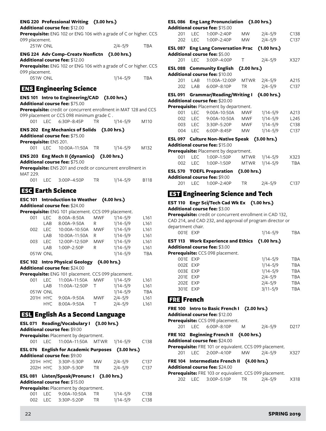# **ENG 220 Professional Writing (3.00 hrs.)**

#### **Additional course fee:** \$12.00

| <b>Prerequisite:</b> ENG 102 or ENG 106 with a grade of C or higher. CCS |             |            |
|--------------------------------------------------------------------------|-------------|------------|
| 099 placement.                                                           |             |            |
| <b>251W ONL</b>                                                          | $2/4 - 5/9$ | <b>TBA</b> |

| ENG 224 Adv Comp-Creatv Nonfictn (3.00 hrs.) |  |
|----------------------------------------------|--|

**Additional course fee:** \$12.00

**Prerequisite:** ENG 102 or ENG 106 with a grade of C or higher. CCS 099 placement.

| 051W ONL | $1/14 - 5/9$ | TBA |
|----------|--------------|-----|
|          |              |     |

# ENS Engineering Science

| ENS 101 Intro to Engineering/CAD (3.00 hrs.) |  |
|----------------------------------------------|--|
| <b>Additional course fee: \$75,00</b>        |  |

| Prerequisite: credit or concurrent enrollment in MAT 128 and CCS |  |
|------------------------------------------------------------------|--|
| 099 placement or CCS 098 minimum grade C.                        |  |

|  |  | 001 LEC 6:30P-8:45P | $1/14 - 5/9$ | M110 |
|--|--|---------------------|--------------|------|

**ENS 202 Eng Mechanics of Solids (3.00 hrs.) Additional course fee:** \$75.00 **Prerequisite:** ENS 201. 001 LEC 10:00A–11:50A TR 1/14–5/9 M132

# **ENS 203 Eng Mech II (dynamics) (3.00 hrs.)**

# **Additional course fee:** \$75.00

**Prerequisite:** ENS 201 and credit or concurrent enrollment in MAT 229.

| 001 LEC 3:00P-4:50P | TR | 1/14–5/9 | <b>B118</b> |
|---------------------|----|----------|-------------|
|---------------------|----|----------|-------------|

# **ESC** Earth Science

#### **ESC 101 Introduction to Weather (4.00 hrs.) Additional course fee:** \$24.00

| Prerequisite: ENG 101 placement. CCS 099 placement. |            |               |            |              |                  |  |  |
|-----------------------------------------------------|------------|---------------|------------|--------------|------------------|--|--|
| 001                                                 | <b>LEC</b> | 8:00A-8:50A   | <b>MWF</b> | $1/14 - 5/9$ | L <sub>161</sub> |  |  |
|                                                     | LAB        | 8:00A-9:50A   | R          | $1/14 - 5/9$ | L <sub>161</sub> |  |  |
| 002                                                 | I FC.      | 10:00A-10:50A | <b>MWF</b> | $1/14 - 5/9$ | L161             |  |  |
|                                                     | LAB        | 10:00A-11:50A | R          | $1/14 - 5/9$ | L <sub>161</sub> |  |  |
| 003                                                 | I FC.      | 12:00P-12:50P | <b>MWF</b> | $1/14 - 5/9$ | L <sub>161</sub> |  |  |
|                                                     | I AR       | 1:00P-2:50P   | R          | $1/14 - 5/9$ | L <sub>161</sub> |  |  |
|                                                     | 051W ONL   |               |            | $1/14 - 5/9$ | <b>TRA</b>       |  |  |

### **ESC 102 Intro Physical Geology (4.00 hrs.) Additional course fee:** \$24.00

**Prerequisite:** ENG 101 placement. CCS 099 placement.

| 001 | I EC.    | 11:00A-11:50A   | MWF    | $1/14 - 5/9$ | L <sub>161</sub> |
|-----|----------|-----------------|--------|--------------|------------------|
|     | I AR     | 11:00A-12:50P   |        | $1/14 - 5/9$ | L <sub>161</sub> |
|     | 051W ONL |                 |        | $1/14 - 5/9$ | <b>TBA</b>       |
|     | 201H HYC | $9:00A - 9:50A$ | MWF    | $2/4 - 5/9$  | L <sub>161</sub> |
|     | HYC.     | 8:00A-9:50A     | $\top$ | $2/4 - 5/9$  | L <sub>161</sub> |
|     |          |                 |        |              |                  |

# ESL English As a Second Language

|     | ESL 071 Reading/Vocabulary I (3.00 hrs.)<br><b>Additional course fee: \$9.00</b> |      |             |                  |
|-----|----------------------------------------------------------------------------------|------|-------------|------------------|
|     | <b>Prerequisite:</b> Placement by department.                                    |      |             |                  |
|     | 001 LEC 11:00A-11:50A MTWR 1/14-5/9                                              |      |             | C138             |
|     | ESL 076 English for Academic Purposes (3.00 hrs.)                                |      |             |                  |
|     | Additional course fee: \$9.00                                                    |      |             |                  |
|     | 201H HYC 3:30P-5:30P                                                             |      | MW 2/4-5/9  | C <sub>137</sub> |
|     | 202H HYC 3:30P-5:30P                                                             | TR I | $2/4 - 5/9$ | C137             |
|     | ESL 081 Listen/Speak/Pronunc I (3.00 hrs.)                                       |      |             |                  |
|     | Additional course fee: \$15.00                                                   |      |             |                  |
|     | <b>Prerequisite:</b> Placement by department.                                    |      |             |                  |
| 001 | LEC 9:00A-10:50A TR                                                              |      | 1/14–5/9    | C <sub>138</sub> |

002 LEC 3:30P–5:20P TR 1/14–5/9 C138

# **ESL 086 Eng Lang Pronunciation (3.00 hrs.) Additional course fee:** \$15.00 201 LEC 1:00P–2:40P MW 2/4–5/9 C138 202 LEC 1:00P–2:40P MW 2/4–5/9 C137 **ESL 087 Eng Lang Conversation Prac (1.00 hrs.) Additional course fee:** \$5.00 201 LEC 3:00P–4:00P T 2/4–5/9 X327 **ESL 088 Community English (2.00 hrs.) Additional course fee:** \$10.00 201 LAB 11:00A–12:00P MTWR 2/4–5/9 A215 202 LAB 6:00P–8:10P TR 2/4–5/9 C137 **ESL 091 Grammar/Reading/Writing I (4.00 hrs.) Additional course fee:** \$20.00 **Prerequisite:** Placement by department. 001 LEC 9:00A–10:50A MWF 1/14–5/9 A213 002 LEC 9:00A–10:50A MWF 1/14–5/9 L245 003 LEC 3:30P–5:20P MWF 1/14–5/9 C138 004 LEC 6:00P–8:45P MW 1/14–5/9 C137 **ESL 097 Culture Non-Native Speak (3.00 hrs.) Additional course fee:** \$15.00 **Prerequisite:** Placement by department. 001 LEC 1:00P–1:50P MTWR 1/14–5/9 X323 002 LEC 1:00P–1:50P MTWR 1/14–5/9 TBA

#### **ESL 570 TOEFL Preparation (3.00 hrs.)**

|  | <b>Additional course fee: \$9.00</b> |     |         |                  |
|--|--------------------------------------|-----|---------|------------------|
|  | 201 LEC 1:00P-2:40P                  | TR. | 2/4–5/9 | C <sub>137</sub> |

# **EST** Engineering Science and Tech

#### **EST 110 Engr Sci/Tech Cad Wk Ex (1.00 hrs.) Additional course fee:** \$3.00

**Prerequisite:** credit or concurrent enrollment in CAD 132, CAD 214, and CAD 232, and approval of program director or department chair. 001E EXP 1/14-5/9 TBA

# **EST 113 Work Experience and Ethics (1.00 hrs.) Additional course fee:** \$3.00

**Prerequisite:** CCS 098 placement.

| 001E EXP | $1/14 - 5/9$ | <b>TBA</b> |
|----------|--------------|------------|
| 002E EXP | $1/14 - 5/9$ | <b>TBA</b> |
| 003E EXP | $1/14 - 5/9$ | <b>TBA</b> |
| 201E EXP | $2/4 - 5/9$  | <b>TBA</b> |
| 202E EXP | $2/4 - 5/9$  | <b>TBA</b> |
| 301E EXP | $3/11 - 5/9$ | <b>TBA</b> |
|          |              |            |

# **FRE** French

#### **FRE 100 Intro to Basic French I (2.00 hrs.) Additional course fee:** \$12.00 **Prerequisite:** CCS 098 placement. 201 LEC 6:00P–8:10P M 2/4–5/9 D217

**FRE 102 Beginning French II (4.00 hrs.)**

**Additional course fee:** \$24.00

| <b>Prerequisite:</b> FRE 101 or equivalent. CCS 099 placement.      |  |                     |       |         |      |  |  |
|---------------------------------------------------------------------|--|---------------------|-------|---------|------|--|--|
|                                                                     |  | 201 LEC 2:00P-4:10P | $-MW$ | 2/4–5/9 | X327 |  |  |
| $\mathsf{FDE}$ 104 Letomea dista Fessale U $\ell$ 4.00 km $\lambda$ |  |                     |       |         |      |  |  |

#### **FRE 104 Intermediate French II (4.00 hrs.) Additional course fee:** \$24.00

# **Prerequisite:** FRE 103 or equivalent. CCS 099 placement

|  |                     |    | <b>Telequisite:</b> $\Gamma$ NE 103 OF equivalent. CC3 022 placement. |      |
|--|---------------------|----|-----------------------------------------------------------------------|------|
|  | 202 LEC 3:00P-5:10P | TR | 2/4–5/9                                                               | X318 |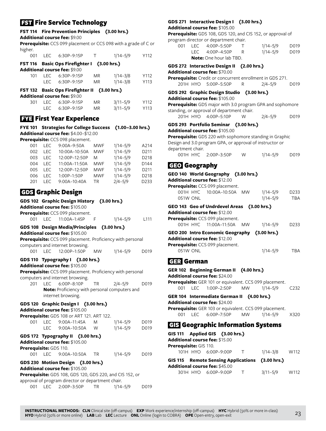# **FST** Fire Service Technology

# **FST 114 Fire Prevention Principles (3.00 hrs.)**

**Additional course fee:** \$9.00

**Prerequisite:** CCS 099 placement or CCS 098 with a grade of C or higher.

|     |      | 001 LEC 6:30P-9:15P                          | $\top$    | $1/14 - 5/9$ | Y112 |
|-----|------|----------------------------------------------|-----------|--------------|------|
|     |      | FST 116 Basic Ops Firefighter I (3.00 hrs.)  |           |              |      |
|     |      | Additional course fee: \$9.00                |           |              |      |
| 101 | I FC | 6:30P-9:15P                                  | MR.       | $1/14 - 3/8$ | Y112 |
|     |      | LEC 6:30P-9:15P                              | <b>MR</b> | $1/14 - 3/8$ | Y113 |
|     |      | FST 132 Basic Ops Firefighter II (3.00 hrs.) |           |              |      |
|     |      | Additional course fee: \$9.00                |           |              |      |
| 301 | LEC. | 6:30P-9:15P                                  | <b>MR</b> | $3/11 - 5/9$ | Y112 |
|     |      | LEC 6:30P-9:15P                              | <b>MR</b> | $3/11 - 5/9$ | Y113 |
|     |      |                                              |           |              |      |

# **FYE First Year Experience**

**FYE 101 Strategies for College Success (1.00–3.00 hrs.) Additional course fee:** \$4.00–\$12.00 **Prerequisite:** CCS 098 placement.

|     | <b>i cuuisite.</b> CCJ 070 placement. |               |            |              |      |  |  |  |  |
|-----|---------------------------------------|---------------|------------|--------------|------|--|--|--|--|
| 001 | <b>LEC</b>                            | 9:00A-9:50A   | <b>MWF</b> | $1/14 - 5/9$ | A214 |  |  |  |  |
| 002 | LEC.                                  | 10:00A-10:50A | <b>MWF</b> | $1/14 - 5/9$ | D211 |  |  |  |  |
| 003 | <b>LEC</b>                            | 12:00P-12:50P | M          | $1/14 - 5/9$ | D218 |  |  |  |  |
| 004 | LEC.                                  | 11:00A-11:50A | <b>MWF</b> | $1/14 - 5/9$ | D144 |  |  |  |  |
| 005 | I FC.                                 | 12:00P-12:50P | <b>MWF</b> | $1/14 - 5/9$ | D211 |  |  |  |  |
| 006 | I FC.                                 | 1:00P-1:50P   | <b>MWF</b> | $1/14 - 5/9$ | D218 |  |  |  |  |
| 201 | I EC.                                 | 9:00A-10:40A  | TR.        | $2/4 - 5/9$  | D233 |  |  |  |  |
|     |                                       |               |            |              |      |  |  |  |  |

# GDS Graphic Design

|                        |            | GDS 102 Graphic Design History (3.00 hrs.)                                                     |           |              |                  |
|------------------------|------------|------------------------------------------------------------------------------------------------|-----------|--------------|------------------|
|                        |            | Additional course fee: \$105.00<br>Prerequisite: CCS 099 placement.                            |           |              |                  |
| 001                    |            | LEC 11:00A-1:45P                                                                               | - F       | $1/14 - 5/9$ | L <sub>111</sub> |
|                        |            | GDS 108 Design Media/Principles (3.00 hrs.)                                                    |           |              |                  |
|                        |            | Additional course fee: \$105.00                                                                |           |              |                  |
|                        |            | Prerequisite: CCS 099 placement. Proficiency with personal<br>computers and internet browsing. |           |              |                  |
| 001                    | <b>LEC</b> | 12:00P-1:50P                                                                                   | <b>MW</b> | $1/14 - 5/9$ | D019             |
|                        |            | GDS 110 Typography I (3.00 hrs.)                                                               |           |              |                  |
|                        |            | Additional course fee: \$105.00                                                                |           |              |                  |
|                        |            | Prerequisite: CCS 099 placement. Proficiency with personal<br>computers and internet browsing. |           |              |                  |
| 201                    | <b>LEC</b> | 6:00P-8:10P                                                                                    | <b>TR</b> | $2/4 - 5/9$  | D019             |
|                        |            | Note: Proficiency with personal computers and                                                  |           |              |                  |
|                        |            | internet browsing.                                                                             |           |              |                  |
|                        |            | GDS 120 Graphic Design I (3.00 hrs.)                                                           |           |              |                  |
|                        |            | Additional course fee: \$105.00                                                                |           |              |                  |
|                        |            | Prerequisite: GDS 108 or ART 121. ART 122.<br>001 LEC 9:00A-11:45A                             | M         | $1/14 - 5/9$ | D019             |
|                        |            | LEC 9:00A-10:50A                                                                               | W         | $1/14 - 5/9$ | D019             |
|                        |            | GDS 172 Typography II (3.00 hrs.)                                                              |           |              |                  |
|                        |            | Additional course fee: \$105.00                                                                |           |              |                  |
| Prerequisite: GDS 110. |            |                                                                                                |           |              |                  |
| 001                    |            | LEC 9:00A-10:50A                                                                               | <b>TR</b> | $1/14 - 5/9$ | D019             |
|                        |            | GDS 230 Motion Design (3.00 hrs.)                                                              |           |              |                  |
|                        |            | Additional course fee: \$105.00                                                                |           |              |                  |
|                        |            | Prerequisite: GDS 108, GDS 120, GDS 220, and CIS 152, or                                       |           |              |                  |
|                        |            | approval of program director or department chair.<br>001 LEC 2:00P-3:50P                       | <b>TR</b> | $1/14 - 5/9$ | D019             |
|                        |            |                                                                                                |           |              |                  |

# **GDS 271 Interactive Design I (3.00 hrs.)**

**Additional course fee:** \$105.00

**Prerequisite:** GDS 108, GDS 120, and CIS 152, or approval of program director or department chair.

| 001 |                                | LEC 4:00P-5:50P |  | $1/14 - 5/9$ | D019 |  |  |
|-----|--------------------------------|-----------------|--|--------------|------|--|--|
|     |                                | LEC 4:00P-4:50P |  | $1/14 - 5/9$ | D019 |  |  |
|     | <b>Note:</b> One hour lab TBD. |                 |  |              |      |  |  |

|                      | GDS 272 Interactive Design II (2.00 hrs.)<br><b>Additional course fee:</b> \$70.00                                                                                                                                                     |     |              |                   |
|----------------------|----------------------------------------------------------------------------------------------------------------------------------------------------------------------------------------------------------------------------------------|-----|--------------|-------------------|
|                      | Prerequisite: Credit or concurrent enrollment in GDS 271.<br>201H HYO 5:00P-5:50P                                                                                                                                                      | R   | $2/4 - 5/9$  | D019              |
|                      | GDS 292 Graphic Design Studio (3.00 hrs.)<br><b>Additional course fee: \$105.00</b><br>Prerequisite: GDS major with 3.0 program GPA and sophomore                                                                                      |     |              |                   |
|                      | standing, or approval of department chair.<br>201H HYO  4:00P-5:10P                                                                                                                                                                    | W   | 2/4–5/9      | D019              |
| department chair.    | GDS 293 Portfolio Seminar (3.00 hrs.)<br><b>Additional course fee:</b> \$105.00<br><b>Prerequisite:</b> GDS 220 with sophomore standing in Graphic<br>Design and 3.0 program GPA, or approval of instructor or<br>001H HYC 2:00P-3:50P | W l | $1/14 - 5/9$ | D019              |
| <b>GEO</b> Geography | GEO 140 World Geography (3.00 hrs.)<br><b>Additional course fee:</b> \$12.00<br>Prerequisite: CCS 099 placement.                                                                                                                       |     |              |                   |
|                      | 001H HYC 10:00A-10:50A MW 1/14-5/9                                                                                                                                                                                                     |     |              | D <sub>2</sub> 33 |

**GEO 143 Geo of Undrdevel Areas (3.00 hrs.)**

| Additional course fee: $$12.00$ |
|---------------------------------|
|                                 |

**Prerequisite:** CCS 099 placement. 001H HYC 11:00A–11:50A MW 1/14–5/9 D233 **GEO 200 Intro Economic Geography (3.00 hrs.)**

051W ONL 1/14–5/9 TBA

**Additional course fee:** \$12.00

| Prerequisite: CCS 099 placement. |              |     |
|----------------------------------|--------------|-----|
| 051W ONL                         | $1/14 - 5/9$ | TBA |

# GER German

|                        | GER 102 Beginning German II (4.00 hrs.)<br><b>Additional course fee: \$24.00</b> |                 |  |
|------------------------|----------------------------------------------------------------------------------|-----------------|--|
|                        | <b>Prerequisite:</b> GER 101 or equivalent. CCS 099 placement.                   |                 |  |
|                        | 001 LEC 1:00P-2:50P MW 1/14-5/9 C232                                             |                 |  |
|                        | GER 104 Intermediate German II (4.00 hrs.)                                       |                 |  |
|                        | <b>Additional course fee: \$24.00</b>                                            |                 |  |
|                        | <b>Prerequisite:</b> GER 103 or equivalent. CCS 099 placement.                   |                 |  |
|                        | 001 LEC 6:00P-7:50P MW 1/14-5/9 X320                                             |                 |  |
|                        | <b>GIS</b> Geographic Information Systems                                        |                 |  |
|                        | GIS 111 Applied GIS (3.00 hrs.)                                                  |                 |  |
|                        | Additional course fee: \$15.00                                                   |                 |  |
| Prerequisite: GIS 110. |                                                                                  |                 |  |
|                        |                                                                                  |                 |  |
|                        | 101H HYO 6:00P-9:00P T                                                           | $1/14-3/8$ W112 |  |
|                        | $CIC 11E$ Demote Cancing Applications (2.00 hrs.)                                |                 |  |

| GIS 115 Remote Sensing Applications (3.00 hrs.)<br><b>Additional course fee: \$45.00</b> |          |              |      |
|------------------------------------------------------------------------------------------|----------|--------------|------|
| 301H HYO 6:00P-9:00P                                                                     | <b>T</b> | $3/11 - 5/9$ | W112 |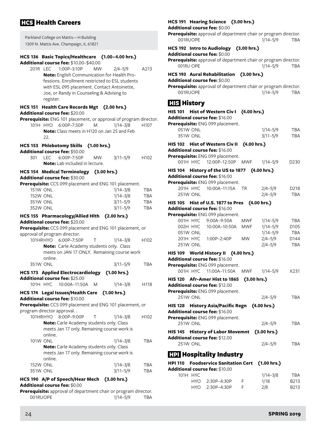# **Health Careers**

| Parkland College on Mattis-H Building   |
|-----------------------------------------|
| 1309 N. Mattis Ave. Champaign, IL 61821 |

# **HCS 136 Basic Topics/Healthcare (1.00–4.00 hrs.)**

**Additional course fee:** \$10.00–\$40.00

201R LEC 1:00P–3:10P MW 2/4–5/9 A213 **Note:** English Communication for Health Professions. Enrollment restricted to ESL students with ESL 095 placement. Contact Antoinette, Joe, or Randy in Counseling & Advising to register.

# **HCS 151 Health Care Records Mgt (2.00 hrs.)**

**Additional course fee:** \$20.00

|  | Prerequisite: ENG 101 placement, or approval of program director. |  |  |
|--|-------------------------------------------------------------------|--|--|
|--|-------------------------------------------------------------------|--|--|

101H HYO 6:00P–7:50P M 1/14–3/8 H107 **Note:** Class meets in H120 on Jan 25 and Feb 22.

# **HCS 153 Phlebotomy Skills (1.00 hrs.)**

**Additional course fee:** \$50.00

|  |                                       | LEC 6:00P-7:50P | <b>MW</b> | $3/11 - 5/9$ | H <sub>102</sub> |
|--|---------------------------------------|-----------------|-----------|--------------|------------------|
|  | <b>Note:</b> Lab included in lecture. |                 |           |              |                  |

#### **HCS 154 Medical Terminology (3.00 hrs.) Additional course fee:** \$30.00

**Prerequisite:** CCS 099 placement and ENG 101 placement.

| <b>151W ONL</b> | $1/14 - 3/8$ | TBA        |
|-----------------|--------------|------------|
| <b>152W ONL</b> | $1/14 - 3/8$ | TBA        |
| 351W ONL        | $3/11 - 5/9$ | <b>TBA</b> |
| 352W ONL        | $3/11 - 5/9$ | TBA        |
|                 |              |            |

#### **HCS 155 Pharmacology/Allied Hlth (2.00 hrs.) Additional course fee:** \$20.00

**Prerequisite:** CCS 099 placement and ENG 101 placement, or approval of program director.

|          |         | 101HRHYO   6:00P-7:50P   T                      | 1/14–3/8                                    | H <sub>102</sub> |
|----------|---------|-------------------------------------------------|---------------------------------------------|------------------|
|          |         | <b>Note:</b> Carle Academy students only. Class |                                             |                  |
|          | online. |                                                 | meets on JAN 17 ONLY. Remaining course work |                  |
| 351W ONL |         |                                                 | $3/11 - 5/9$                                | <b>TBA</b>       |
|          |         |                                                 |                                             |                  |

| <b>HCS 173 Applied Electrocardiology</b> | (1.00 hrs.) |
|------------------------------------------|-------------|
| <b>Additional course fee: </b> \$25.00   |             |

|  | 101H HYC 10:00A-11:50A M |  | $1/14 - 3/8$ | H118 |
|--|--------------------------|--|--------------|------|
|--|--------------------------|--|--------------|------|

**HCS 174 Legal Issues/Health Care (1.00 hrs.)**

**Additional course fee:** \$10.00

**Prerequisite:** CCS 099 placement and ENG 101 placement, or program director approval. .  $101$ HRHVO 8:00P–9:00P–9:00P–9:00P–9:00P–9:00P–9:00P–9:00P–9:00P–9:00P–9:00P–9:00P–9:00P–9:00P–9:00P–9:00P–9:00P–9:00P–9:00P–9:00P–9:00P–9:00P–9:00P–9:00P–9:00P–9:00P–9:00P–9:00P–9:00P–9:00P–9:00P–9:00P–9:00P–9:00P–9:00P–

|                 |         | $101HKHTU$ 8:00P-9:00P I                        | 1114–318     | H IVZ      |
|-----------------|---------|-------------------------------------------------|--------------|------------|
|                 |         | <b>Note:</b> Carle Academy students only. Class |              |            |
|                 |         | meets Jan 17 only. Remaining course work is     |              |            |
|                 | online. |                                                 |              |            |
| <b>101W ONL</b> |         |                                                 | $1/14 - 3/8$ | <b>TBA</b> |
|                 |         | <b>Note:</b> Carle Academy students only. Class |              |            |
|                 |         | meets Jan 17 only. Remaining course work is     |              |            |
|                 | online. |                                                 |              |            |
| <b>152W ONL</b> |         |                                                 | $1/14 - 3/8$ | <b>TBA</b> |
| <b>351W ONL</b> |         |                                                 | $3/11 - 5/9$ | TBA        |
|                 |         |                                                 |              |            |

# **HCS 190 A/P of Speech/Hear Mech (3.00 hrs.) Additional course fee:** \$0.00

**Prerequisite:** approval of department chair or program director. 001RUOPE 1/14-5/9 TBA

# **HCS 191 Hearing Science (3.00 hrs.)**

**Additional course fee:** \$0.00

**Prerequisite:** approval of department chair or program director. 001RUOPE 1/14–5/9 TBA

### **HCS 192 Intro to Audiology (3.00 hrs.)**

**Additional course fee:** \$0.00

| <b>Prerequisite:</b> approval of department chair or program director. |              |     |
|------------------------------------------------------------------------|--------------|-----|
| 001RU OPE                                                              | $1/14 - 5/9$ | TBA |

# **HCS 193 Aural Rehabilitation (3.00 hrs.)**

**Additional course fee:** \$0.00

**Prerequisite:** approval of department chair or program director. 001RUOPE 1/14-5/9 TBA

# **History**

|                 |          | HIS 101 Hist of Western Civ I (4.00 hrs.)                              |             |                            |                    |
|-----------------|----------|------------------------------------------------------------------------|-------------|----------------------------|--------------------|
|                 |          | Additional course fee: \$16.00<br>Prerequisite: ENG 099 placement.     |             |                            |                    |
| 051W ONL        |          |                                                                        |             | $1/14 - 5/9$               | <b>TBA</b>         |
| <b>351W ONL</b> |          |                                                                        |             | $3/11 - 5/9$               | TBA                |
|                 |          | HIS 102 Hist of Western Civ II                                         | (4.00 hrs.) |                            |                    |
|                 |          | Additional course fee: \$16.00                                         |             |                            |                    |
|                 |          | Prerequisite: ENG 099 placement.                                       |             |                            |                    |
|                 |          | 001H HYC 12:00P-12:50P                                                 | MWF         | $1/14 - 5/9$               | D <sub>230</sub>   |
|                 |          | HIS 104 History of the US to 1877 (4.00 hrs.)                          |             |                            |                    |
|                 |          | Additional course fee: \$16.00<br>Prerequisite: ENG 099 placement.     |             |                            |                    |
|                 |          | 201H HYC 10:00A-11:15A                                                 | <b>TR</b>   | $2/4 - 5/9$                | D218               |
| 251W ONL        |          |                                                                        |             | $2/4 - 5/9$                | <b>TBA</b>         |
|                 |          | HIS 105 Hist of U.S. 1877 to Pres (4.00 hrs.)                          |             |                            |                    |
|                 |          | <b>Additional course fee: \$16.00</b>                                  |             |                            |                    |
|                 |          | Prerequisite: ENG 099 placement.                                       |             |                            |                    |
| 001H HYC        |          | 9:00A-9:50A                                                            | <b>MWF</b>  | $1/14 - 5/9$               | <b>TBA</b>         |
| 002H HYC        |          | 10:00A-10:50A                                                          | MWF         | $1/14 - 5/9$               | D <sub>105</sub>   |
|                 | 051W ONL |                                                                        |             | $1/14 - 5/9$               | <b>TBA</b>         |
| 251W ONL        |          | 201H HYC 1:00P-2:40P                                                   | <b>MW</b>   | $2/4 - 5/9$<br>$2/4 - 5/9$ | D144<br><b>TBA</b> |
|                 |          |                                                                        |             |                            |                    |
|                 |          | HIS 109 World History II (4.00 hrs.)<br>Additional course fee: \$16.00 |             |                            |                    |
|                 |          | Prerequisite: ENG 099 placement.                                       |             |                            |                    |
|                 |          | 001H HYC 11:00A-11:50A                                                 | MWF         | $1/14 - 5/9$               | X231               |
|                 |          | HIS 120 Afr-Amer Hist to 1865 (3.00 hrs.)                              |             |                            |                    |
|                 |          | Additional course fee: \$12.00                                         |             |                            |                    |
|                 |          | Prerequisite: ENG 099 placement.                                       |             |                            |                    |
| 251W ONL        |          |                                                                        |             | $2/4 - 5/9$                | <b>TBA</b>         |
|                 |          | HIS 128 History Asia/Pacific Regn                                      |             | (4.00 hrs.)                |                    |
|                 |          | Additional course fee: \$16.00                                         |             |                            |                    |
|                 |          | Prerequisite: ENG 099 placement.                                       |             |                            |                    |
| 251W ONL        |          |                                                                        |             | $2/4 - 5/9$                | <b>TBA</b>         |
|                 |          | HIS 145 History of Labor Movemnt                                       |             | (3.00 hrs.)                |                    |
| 251W ONL        |          | Additional course fee: \$12.00                                         |             |                            | <b>TBA</b>         |
|                 |          |                                                                        |             | $2/4 - 5/9$                |                    |
|                 |          | <b>H2I</b> Hospitality Industry                                        |             |                            |                    |
|                 |          |                                                                        |             |                            |                    |

|                                 |          | HPI 110 Foodservice Sanitation Cert (1.00 hrs.) |    |              |                   |  |  |  |  |
|---------------------------------|----------|-------------------------------------------------|----|--------------|-------------------|--|--|--|--|
| Additional course fee: $$10.00$ |          |                                                 |    |              |                   |  |  |  |  |
|                                 | 101H HYC |                                                 |    | $1/14 - 3/8$ | <b>TBA</b>        |  |  |  |  |
|                                 |          | HYO 2:30P-4:30P                                 | E. | 1/18         | B <sub>2</sub> 13 |  |  |  |  |
|                                 | HYO.     | 2:30P-4:30P                                     |    | 2/8          | B <sub>2</sub> 13 |  |  |  |  |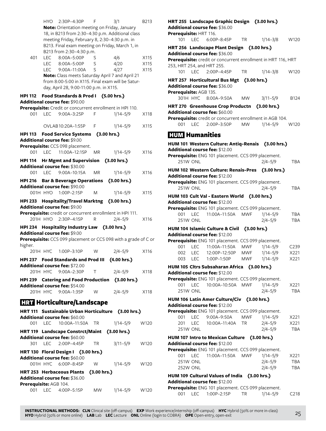|                               | HYO               | 2:30P-4:30P                                                                          | F         | 3/1          | B213         |
|-------------------------------|-------------------|--------------------------------------------------------------------------------------|-----------|--------------|--------------|
|                               |                   | Note: Orientation meeting on Friday, January                                         |           |              |              |
|                               |                   | 18, in B213 from 2:30-4:30 p.m. Additional class                                     |           |              |              |
|                               |                   | meeting Friday, February 8, 2:30-4:30 p.m. in                                        |           |              |              |
|                               |                   | B213. Final exam meeting on Friday, March 1, in                                      |           |              |              |
|                               |                   | B213 from 2:30-4:30 p.m.                                                             |           |              |              |
| 401                           | LEC               | 8:00A-5:00P                                                                          | S         | 4/6          | X115         |
|                               | <b>LEC</b><br>LEC | 8:00A-5:00P<br>9:00A-11:00A                                                          | S<br>S    | 4/20<br>4/27 | X115<br>X115 |
|                               |                   | Note: Class meets Saturday April 7 and April 21                                      |           |              |              |
|                               |                   | from 8:00-5:00 in X115. Final exam will be Satur-                                    |           |              |              |
|                               |                   | day, April 28, 9:00-11:00 p.m. in X115.                                              |           |              |              |
| <b>HPI 112</b>                |                   | Food Standards & Prod I (5.00 hrs.)                                                  |           |              |              |
|                               |                   | Additional course fee: \$90.00                                                       |           |              |              |
|                               |                   | Prerequisite: Credit or concurrent enrollment in HPI 110.                            |           |              |              |
| 001                           | <b>LEC</b>        | 9:00A-3:25P                                                                          | F         | $1/14 - 5/9$ | X118         |
|                               |                   |                                                                                      |           |              |              |
|                               |                   | OVLAB 10:20A-1:55P                                                                   | F         | $1/14 - 5/9$ | X115         |
| HPI 113                       |                   | Food Service Systems (3.00 hrs.)                                                     |           |              |              |
|                               |                   | Additional course fee: \$9.00                                                        |           |              |              |
| 001                           | <b>LEC</b>        | Prerequisite: CCS 098 placement.<br>11:00A-12:15P                                    | <b>MR</b> | $1/14 - 5/9$ | X116         |
|                               |                   |                                                                                      |           |              |              |
| HPI 114                       |                   | <b>Hr Mgmt and Supervision</b><br>Additional course fee: \$30.00                     |           | (3.00 hrs.)  |              |
| 001                           | LEC               | $9:00A-10:15A$                                                                       | ΜR        | $1/14 - 5/9$ | X116         |
|                               |                   |                                                                                      |           |              |              |
|                               |                   | HPI 216 Bar & Beverage Operations (3.00 hrs.)<br>Additional course fee: \$90.00      |           |              |              |
|                               |                   | 001H HYO 1:00P-2:15P                                                                 | M         | $1/14 - 5/9$ | X115         |
|                               |                   | HPI 233 Hospitality/Travel Marktng (3.00 hrs.)                                       |           |              |              |
| Additional course fee: \$9.00 |                   |                                                                                      |           |              |              |
|                               |                   |                                                                                      |           |              |              |
|                               |                   |                                                                                      |           |              |              |
|                               | 201H HYO          | Prerequisite: credit or concurrent enrollmlent in HPI 111.<br>2:30P-4:15P            | R         | $2/4 - 5/9$  | X116         |
|                               |                   |                                                                                      |           |              |              |
|                               |                   | HPI 234 Hospitality Industry Law (3.00 hrs.)<br>Additional course fee: \$9.00        |           |              |              |
|                               |                   | Prerequisite: CCS 099 placement or CCS 098 with a grade of C or                      |           |              |              |
| higher.                       |                   |                                                                                      |           |              |              |
|                               | 201H HYC          | 1:00P-3:10P                                                                          | W         | $2/4 - 5/9$  | X116         |
|                               |                   | HPI 237 Food Standards and Prod III (4.00 hrs.)                                      |           |              |              |
|                               |                   | Additional course fee: \$72.00                                                       |           |              |              |
|                               |                   | 201H HYC 9:00A-2:30P                                                                 | Т         | $2/4 - 5/9$  | X118         |
|                               |                   | HPI 239 Catering and Food Production (3.00 hrs.)                                     |           |              |              |
|                               |                   | Additional course fee: \$54.00                                                       |           |              |              |
|                               |                   | 201H HYC 9:00A-1:35P                                                                 | W         | $2/4 - 5/9$  | X118         |
|                               |                   | <b>HRT</b> Horticulture/Landscape                                                    |           |              |              |
|                               |                   |                                                                                      |           |              |              |
|                               |                   | HRT 111 Sustainable Urban Horticulture (3.00 hrs.)<br>Additional course fee: \$60.00 |           |              |              |
| 001                           | LEC               | 10:00A-11:50A                                                                        | TR        | $1/14 - 5/9$ | W120         |
|                               |                   |                                                                                      |           |              |              |
|                               |                   | HRT 119 Landscape Constrct/Maint (3.00 hrs.)<br>Additional course fee: \$60.00       |           |              |              |
| 301                           |                   | LEC 2:00P-4:45P                                                                      | TR        | $3/11 - 5/9$ | W120         |
|                               |                   | HRT 130 Floral Design I (3.00 hrs.)                                                  |           |              |              |
|                               |                   | Additional course fee: \$60.00                                                       |           |              |              |
|                               |                   | 001H HYC 6:00P-8:45P                                                                 | W         | 1/14–5/9     | W120         |
|                               |                   | HRT 253 Herbaceous Plants (3.00 hrs.)                                                |           |              |              |
|                               |                   | Additional course fee: \$36.00                                                       |           |              |              |
| Prerequisite: AGB 104.<br>001 | <b>LEC</b>        | 4:00P-5:15P                                                                          | MW        | $1/14 - 5/9$ | W120         |

|            |                          | HRT 255 Landscape Graphic Design (3.00 hrs.)                                   |            |                                                               |                   |
|------------|--------------------------|--------------------------------------------------------------------------------|------------|---------------------------------------------------------------|-------------------|
|            |                          | Additional course fee: \$36.00                                                 |            |                                                               |                   |
|            | Prerequisite: HRT 116.   |                                                                                |            |                                                               |                   |
| 101        | LEC                      | 6:00P-8:45P                                                                    | <b>TR</b>  | $1/14 - 3/8$                                                  | W120              |
|            |                          | HRT 256 Landscape Plant Design (3.00 hrs.)                                     |            |                                                               |                   |
|            |                          | Additional course fee: \$36.00                                                 |            |                                                               |                   |
|            |                          | 253, HRT 254, and HRT 255.                                                     |            | Prerequisite: credit or concurrent enrollment in HRT 116, HRT |                   |
|            | 101 LEC                  | 2:00P-4:45P                                                                    | <b>TR</b>  | $1/14 - 3/8$                                                  | W120              |
|            |                          |                                                                                |            |                                                               |                   |
|            |                          | HRT 257 Horticultural Bus Mgt (3.00 hrs.)<br>Additional course fee: \$36.00    |            |                                                               |                   |
|            | Prerequisite: AGB 135.   |                                                                                |            |                                                               |                   |
|            |                          | 301H HYC 8:00A-9:50A                                                           | <b>MW</b>  | $3/11 - 5/9$                                                  | B124              |
|            |                          |                                                                                |            |                                                               |                   |
|            |                          | HRT 270 Greenhouse Crop Productn (3.00 hrs.)<br>Additional course fee: \$60.00 |            |                                                               |                   |
|            |                          |                                                                                |            | Prerequisite: credit or concurrent enrollment in AGB 104.     |                   |
|            | 001 LEC                  | 2:00P-3:50P MW                                                                 |            | $1/14 - 5/9$                                                  | W120              |
|            |                          |                                                                                |            |                                                               |                   |
|            |                          | <b>HUM</b> Humanities                                                          |            |                                                               |                   |
|            |                          |                                                                                |            | HUM 101 Western Culture: Antiq-Renais (3.00 hrs.)             |                   |
|            |                          | Additional course fee: \$12.00                                                 |            |                                                               |                   |
|            |                          | Prerequisite: ENG 101 placement. CCS 099 placement.                            |            |                                                               |                   |
| 251W ONL   |                          |                                                                                |            | $2/4 - 5/9$                                                   | <b>TBA</b>        |
|            |                          | HUM 102 Western Culture: Renais-Pres (3.00 hrs.)                               |            |                                                               |                   |
|            |                          | Additional course fee: \$12.00                                                 |            |                                                               |                   |
|            |                          | Prerequisite: ENG 101 placement. CCS 099 placement.                            |            |                                                               |                   |
| 251W ONL   |                          |                                                                                |            | $2/4 - 5/9$                                                   | <b>TBA</b>        |
|            |                          | HUM 103 Cult Val - Eastern World (3.00 hrs.)                                   |            |                                                               |                   |
|            |                          | Additional course fee: \$12.00                                                 |            |                                                               |                   |
| 001 LEC    |                          | Prerequisite: ENG 101 placement. CCS 099 placement.<br>11:00A-11:50A           | MWF        | $1/14 - 5/9$                                                  | <b>TBA</b>        |
| 251W ONL   |                          |                                                                                |            | $2/4 - 5/9$                                                   | TBA               |
|            |                          | HUM 104 Islamic Culture & Civil (3.00 hrs.)                                    |            |                                                               |                   |
|            |                          | Additional course fee: \$12.00                                                 |            |                                                               |                   |
|            |                          | Prerequisite: ENG 101 placement. CCS 099 placement.                            |            |                                                               |                   |
| 001        |                          | LEC 11:00A-11:50A                                                              | MWF        | $1/14 - 5/9$                                                  | C <sub>239</sub>  |
| 002 LEC    |                          | 12:00P-12:50P MWF                                                              |            | $1/14 - 5/9$                                                  | X221              |
|            |                          | 003 LEC 1:00P-1:50P                                                            | <b>MWF</b> | $1/14 - 5/9$                                                  | X221              |
|            |                          | HUM 105 Cltrs Subsaharan Africa (3.00 hrs.)                                    |            |                                                               |                   |
|            |                          | Additional course fee: \$12.00                                                 |            |                                                               |                   |
|            |                          | Prerequisite: ENG 101 placement. CCS 099 placement.                            |            |                                                               |                   |
| 001        | <b>LEC</b>               | 10:00A-10:50A                                                                  | <b>MWF</b> | $1/14 - 5/9$                                                  | X221              |
| 251W ONL   |                          |                                                                                |            | $2/4 - 5/9$                                                   | TBA               |
|            |                          | HUM 106 Latin Amer Culture/Civ (3.00 hrs.)                                     |            |                                                               |                   |
|            |                          | Additional course fee: \$12.00                                                 |            |                                                               |                   |
|            |                          | Prerequisite: ENG 101 placement. CCS 099 placement.                            |            | $1/14 - 5/9$                                                  |                   |
| 001<br>201 | <b>LEC</b><br><b>LEC</b> | 9:00A-9:50A<br>10:00A-11:40A                                                   | MWF<br>ΤR  | $2/4 - 5/9$                                                   | X221<br>X221      |
| 251W ONL   |                          |                                                                                |            | $2/4 - 5/9$                                                   | <b>TBA</b>        |
|            |                          |                                                                                |            |                                                               |                   |
|            |                          | <b>HUM 107 Intro to Mexican Culture</b><br>Additional course fee: \$12.00      |            | (3.00 hrs.)                                                   |                   |
|            |                          | Prerequisite: ENG 101 placement. CCS 099 placement.                            |            |                                                               |                   |
| 001        | <b>LEC</b>               | 11:00A-11:50A                                                                  | MWF        | $1/14 - 5/9$                                                  | X221              |
| 251W ONL   |                          |                                                                                |            | $2/4 - 5/9$                                                   | <b>TBA</b>        |
| 252W ONL   |                          |                                                                                |            | $2/4 - 5/9$                                                   | <b>TBA</b>        |
|            |                          | HUM 109 Cultural Values of India                                               |            | (3.00 hrs.)                                                   |                   |
|            |                          | <b>Additional course fee: </b> \$12.00                                         |            |                                                               |                   |
|            |                          | Prerequisite: ENG 101 placement. CCS 099 placement.                            |            |                                                               |                   |
| 001        | LEC                      | 1:00P-2:15P                                                                    | TR         | $1/14 - 5/9$                                                  | C <sub>2</sub> 18 |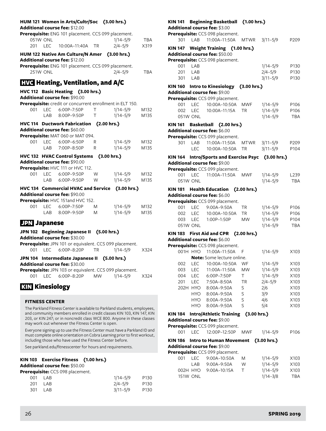|                     |                        | HUM 121 Women in Arts/Cultr/Soc (3.00 hrs.)<br>Additional course fee: \$12.00             |           |                             |                    |
|---------------------|------------------------|-------------------------------------------------------------------------------------------|-----------|-----------------------------|--------------------|
| 201                 | 051W ONL<br><b>LEC</b> | Prerequisite: ENG 101 placement. CCS 099 placement.<br>10:00A-11:40A                      | <b>TR</b> | $1/14 - 5/9$<br>$2/4 - 5/9$ | <b>TBA</b><br>X319 |
|                     |                        |                                                                                           |           |                             |                    |
|                     |                        | HUM 122 Native Am Culture/N Amer (3.00 hrs.)<br><b>Additional course fee: \$12.00</b>     |           |                             |                    |
|                     | <b>251W ONL</b>        | Prerequisite: ENG 101 placement. CCS 099 placement.                                       |           | $2/4 - 5/9$                 | <b>TBA</b>         |
|                     |                        | <b>HVG</b> Heating, Ventilation, and A/C                                                  |           |                             |                    |
|                     |                        | HVC 112 Basic Heating (3.00 hrs.)                                                         |           |                             |                    |
|                     |                        | Additional course fee: \$90.00                                                            |           |                             |                    |
|                     |                        | Prerequisite: credit or concurrent enrollment in ELT 150.                                 |           |                             |                    |
| 001                 | <b>LEC</b>             | 6:00P-7:50P                                                                               | Τ         | $1/14 - 5/9$                | M132               |
|                     | LAB                    | 8:00P-9:50P                                                                               | Τ         | $1/14 - 5/9$                | M135               |
|                     |                        | HVC 114 Ductwork Fabrication (2.00 hrs.)                                                  |           |                             |                    |
|                     |                        | Additional course fee: \$60.00                                                            |           |                             |                    |
| 001                 | <b>LEC</b>             | Prerequisite: MAT 060 or MAT 094.                                                         |           | $1/14 - 5/9$                |                    |
|                     | LAB                    | 6:00P-6:50P<br>7:00P-8:50P                                                                | R<br>R    | $1/14 - 5/9$                | M132<br>M135       |
|                     |                        |                                                                                           |           |                             |                    |
|                     |                        | HVC 132 HVAC Control Systems (3.00 hrs.)<br>Additional course fee: \$90.00                |           |                             |                    |
|                     |                        | Prerequisite: HVC 111 or HVC 112.                                                         |           |                             |                    |
| 001                 | <b>LEC</b>             | 6:00P-9:50P                                                                               | W         | $1/14 - 5/9$                | M132               |
|                     | LAB                    | 6:00P-9:50P                                                                               | W         | $1/14 - 5/9$                | M135               |
|                     |                        | HVC 134 Commercial HVAC and Service                                                       |           | (3.00 hrs.)                 |                    |
|                     |                        | Additional course fee: \$90.00                                                            |           |                             |                    |
|                     |                        | Prerequisite: HVC 151and HVC 152.                                                         |           |                             |                    |
| 001                 |                        | LEC 6:00P-7:50P                                                                           | M         | $1/14 - 5/9$                | M132               |
|                     |                        | LAB 8:00P-9:50P                                                                           | M         | $1/14 - 5/9$                | M135               |
| <b>JPN</b> Japanese |                        |                                                                                           |           |                             |                    |
|                     |                        | JPN 102 Beginning Japanese II (5.00 hrs.)                                                 |           |                             |                    |
|                     |                        | Additional course fee: \$30.00                                                            |           |                             |                    |
|                     | 001 LEC                | Prerequisite: JPN 101 or equivalent. CCS 099 placement.<br>6:00P-8:20P                    | <b>TR</b> | $1/14 - 5/9$                | X324               |
|                     |                        |                                                                                           |           |                             |                    |
|                     |                        | JPN 104 Intermediate Japanese II (5.00 hrs.)                                              |           |                             |                    |
|                     |                        | Additional course fee: \$30.00<br>Prerequisite: JPN 103 or equivalent. CCS 099 placement. |           |                             |                    |
| 001                 | <b>LEC</b>             | 6:00P-8:20P                                                                               | <b>MW</b> | $1/14 - 5/9$                | X324               |

# KIN Kinesiology

#### **FITNESS CENTER**

The Parkland Fitness Center is available to Parkland students, employees, and community members enrolled in credit classes KIN 103, KIN 147, KIN 203, or KIN 247; or in noncredit class WCE 800. Anyone in these classes may work out whenever the Fitness Center is open.

Everyone signing up to use the Fitness Center must have a Parkland ID and must complete online orientation on Cobra Learning prior to first workout, including those who have used the Fitness Center before.

See parkland.edu/fitnesscenter for hours and requirements.

#### **KIN 103 Exercise Fitness (1.00 hrs.) Additional course fee:** \$50.00

**Prerequisite:** CCS 098 placement.

| 001 | I AR    | $1/14 - 5/9$ | P <sub>130</sub> |
|-----|---------|--------------|------------------|
|     | 201 LAB | $2/4 - 5/9$  | P <sub>130</sub> |
|     | 301 LAB | $3/11 - 5/9$ | P <sub>130</sub> |
|     |         |              |                  |

# **KIN 141 Beginning Basketball (1.00 hrs.) Additional course fee:** \$3.00 **Prerequisite:** CCS 098 placement. 301 LAB 11:00A–11:50A MTWR 3/11–5/9 P209 **KIN 147 Weight Training (1.00 hrs.) Additional course fee:** \$50.00 **Prerequisite:** CCS 098 placement. 001 LAB 1/14–5/9 P130 201 LAB 2/4–5/9 P130 301 LAB 3/11–5/9 P130 **KIN 160 Intro to Kinesiology (3.00 hrs.) Additional course fee:** \$9.00 **Prerequisite:** CCS 099 placement. 001 LEC 10:00A–10:50A MWF 1/14–5/9 P106 002 LEC 10:00A–11:15A TR 1/14–5/9 P106 051W ONL 1/14–5/9 TBA **KIN 161 Basketball (2.00 hrs.) Additional course fee:** \$6.00 **Prerequisite:** CCS 099 placement. 301 LAB 11:00A–11:50A MTWR 3/11–5/9 P209 LEC 10:00A–10:50A TR 3/11–5/9 P104 **KIN 164 Intro/Sports and Exercise Psyc (3.00 hrs.) Additional course fee:** \$9.00 **Prerequisite:** CCS 099 placement. 001 LEC 11:00A–11:50A MWF 1/14–5/9 L239 051W ONL 1/14–5/9 TBA **KIN 181 Health Education (2.00 hrs.) Additional course fee:** \$6.00 **Prerequisite:** CCS 099 placement. 001 LEC 9:00A–9:50A TR 1/14–5/9 P106 002 LEC 10:00A-10:50A TR 1/14-5/9 P106 003 LEC 1:00P–1:50P MW 1/14–5/9 P104

| $\mathbb{R}^1$ . All $\mathbb{R}^1$ and $\mathbb{R}^1$ and $\mathbb{R}^1$<br> |              |     |
|-------------------------------------------------------------------------------|--------------|-----|
| 051W ONL                                                                      | $1/14 - 5/9$ | TBA |

# **KIN 183 First Aid and CPR (2.00 hrs.)**

**Additional course fee:** \$6.00

|          |            | Prerequisite: CCS 098 placement.  |           |              |      |
|----------|------------|-----------------------------------|-----------|--------------|------|
| 001H HYO |            | 11:00A-11:50A                     | F         | $1/14 - 5/9$ | X103 |
|          |            | <b>Note:</b> Some lecture online. |           |              |      |
| 002      | LEC.       | 10:00A-10:50A                     | WF        | $1/14 - 5/9$ | X103 |
| 003      | LEC.       | 11:00A-11:50A                     | <b>MW</b> | $1/14 - 5/9$ | X103 |
| 004      | LEC.       | $6:00P - 7:50P$                   | Τ         | $1/14 - 5/9$ | X103 |
| 201      | <b>LEC</b> | 7:50A-8:50A                       | TR        | $2/4 - 5/9$  | X103 |
| 202H     | <b>HYO</b> | 8:00A-9:50A                       | S         | 2/6          | X103 |
|          | <b>HYO</b> | 8:00A-9:50A                       | S         | 3/9          | X103 |
|          | <b>HYO</b> | 8:00A-9:50A                       | S         | 4/6          | X103 |
|          | <b>HYO</b> | 8:00A-9:50A                       | S         | 5/4          | X103 |

#### **KIN 184 Intro/Athletic Training (3.00 hrs.) Additional course fee:** \$9.00

**Prerequisite:** CCS 099 placement.

|  | 001 LEC 12:00P-12:50P MWF | 1/14–5/9 | P <sub>106</sub> |
|--|---------------------------|----------|------------------|

# **KIN 186 Intro to Human Movement (3.00 hrs.) Additional course fee:** \$9.00

**Prerequisite:** CCS 099 placement. 001 LEC 9:00A–10:50A M 1/14–5/9 X103 LAB 9:00A–9:50A W 1/14–5/9 X103 002H HYO 9:00A–10:15A T 1/14–5/9 X103 151W ONL 1/14–3/8 TBA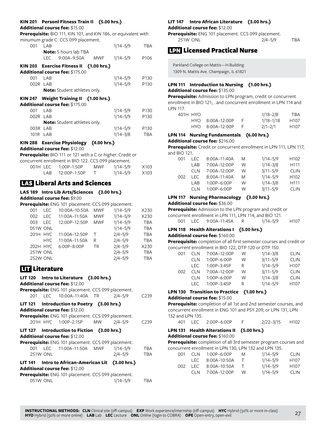#### **KIN 201 Personl Fitness Train II (5.00 hrs.)**

#### **Additional course fee:** \$15.00

**Prerequisite:** BIO 111, KIN 101, and KIN 186, or equivalent with minumum grade C. CCS 099 placement.

| 001      | LAB |                                         |     | $1/14 - 5/9$ | TBA              |
|----------|-----|-----------------------------------------|-----|--------------|------------------|
|          |     | <b>Note:</b> 5 hours lab TBA            |     |              |                  |
|          | LEC | 9:00A-9:50A                             | MWF | $1/14 - 5/9$ | P <sub>106</sub> |
|          |     | KIN 203 Exercise Fitness II (1.00 hrs.) |     |              |                  |
|          |     | <b>Additional course fee: \$175.00</b>  |     |              |                  |
| 001      | LAB |                                         |     | $1/14 - 5/9$ | P <sub>130</sub> |
| 002R LAB |     |                                         |     | $1/14 - 5/9$ | P <sub>130</sub> |
|          |     | <b>Note:</b> Student athletes only.     |     |              |                  |
|          |     | KIN 247 Weight Training II (1.00 hrs.)  |     |              |                  |
|          |     | <b>Additional course fee: \$175.00</b>  |     |              |                  |
| 001      | LAB |                                         |     | $1/14 - 5/9$ | P <sub>130</sub> |
| 002R LAB |     |                                         |     | $1/14 - 5/9$ | P <sub>130</sub> |
|          |     | <b>Note:</b> Student athletes only.     |     |              |                  |
| 003R LAB |     |                                         |     | $1/14 - 5/9$ | P <sub>130</sub> |
| 101R LAB |     |                                         |     | $1/14 - 3/8$ | <b>TBA</b>       |
|          |     | KIN 288 Exercise Physiology (4.00 hrs.) |     |              |                  |
|          |     | <b>Additional course fee: \$12.00</b>   |     |              |                  |

**Prerequisite:** BIO 111 or 121 with a C or higher. Credit or

|       | concurrent enrollment in BIO 122. CCS 099 placement. |     |          |      |
|-------|------------------------------------------------------|-----|----------|------|
|       | 001H LEC 1:00P-1:50P                                 | MWF | 1/14–5/9 | X103 |
| I AR- | 12:00P-1:50P                                         |     | 1/14–5/9 | X103 |

# **LAS Liberal Arts and Sciences**

#### **LAS 189 Intro Lib Arts/Sciences (3.00 hrs.) Additional course fee:** \$9.00

**Prerequisite:** ENG 101 placement. CCS 099 placement.

| LEC<br>001   | 10:00A-10:50A | <b>MWF</b> | $1/14 - 5/9$ | X230       |
|--------------|---------------|------------|--------------|------------|
| 002<br>I FC. | 11:00A-11:50A | <b>MWF</b> | $1/14 - 5/9$ | X230       |
| 003<br>I FC. | 12:00P-12:50P | <b>MWF</b> | $1/14 - 5/9$ | <b>TBA</b> |
| 051W ONL     |               |            | $1/14 - 5/9$ | <b>TBA</b> |
| $201H$ HYC   | 11:00A-12:50P | т          | $2/4 - 5/9$  | <b>TBA</b> |
| HYC.         | 11:00A-11:50A | R          | $2/4 - 5/9$  | <b>TBA</b> |
| 202H HYC     | 6:00P-8:00P   | <b>TR</b>  | $2/4 - 5/9$  | X230       |
| 251W ONL     |               |            | $2/4 - 5/9$  | <b>TBA</b> |
| 252W ONL     |               |            | $2/4 - 5/9$  | <b>TBA</b> |

# **LITE** Literature

# **LIT 120 Intro to Literature (3.00 hrs.) Additional course fee:** \$12.00 **Prerequisite:** ENG 101 placement. CCS 099 placement. 201 LEC 10:00A–11:40A TR 2/4–5/9 C239 **LIT 121 Introduction to Poetry (3.00 hrs.) Additional course fee:** \$12.00 **Prerequisite:** ENG 101 placement. CCS 099 placement. 201H HYC 1:00P–2:15P MW 2/4–5/9 C239 **LIT 127 Introduction to Fiction (3.00 hrs.) Additional course fee:** \$12.00 **Prerequisite:** ENG 101 placement. CCS 099 placement. 001 LEC 11:00A–11:50A MWF 1/14–5/9 TBA 251W ONL 2/4–5/9 TBA **LIT 141 Intro to African-American Lit (3.00 hrs.) Additional course fee:** \$12.00

| Prerequisite: ENG 101 placement. CCS 099 placement. |              |     |
|-----------------------------------------------------|--------------|-----|
| 051W ONL                                            | $1/14 - 5/9$ | TBA |

# **LIT 147 Intro African Literature (3.00 hrs.)**

#### **Additional course fee:** \$12.00

**Prerequisite:** ENG 101 placement. CCS 099 placement. 251W ONL 2/4–5/9 TBA

# LPN Licensed Practical Nurse

Parkland College on Mattis—H Building 1309 N. Mattis Ave. Champaign, IL 61821

# **LPN 111 Introduction to Nursing (1.00 hrs.) Additional course fee:** \$135.00

**Prerequisite:** Admission to LPN program; credit or concurrent enrollment in BIO 121; . and concurrent enrollment in LPN 114 and LPN 117.

| 401H HYO |                  | $1/18 - 2/8$  | TBA              |
|----------|------------------|---------------|------------------|
|          | HYO 8:00A-12:00P | $1/18 - 1/18$ | H <sub>107</sub> |
|          | HYO 8:00A-12:00P | $2/1 - 2/1$   | H <sub>107</sub> |

#### **LPN 114 Nursing Fundamentals (6.00 hrs.) Additional course fee:** \$216.00

**Prerequisite:** Credit or concurrent enrollment in LPN 111, LPN 117, and BIO 121.

| I EC.      | 8:00A-11:40A | M | $1/14 - 5/9$ | H <sub>102</sub> |
|------------|--------------|---|--------------|------------------|
| I AR       | 7:00A-12:00P | W | $1/14 - 3/8$ | H <sub>111</sub> |
| <b>CLN</b> | 7:00A-12:00P | W | $3/11 - 5/9$ | <b>CLIN</b>      |
| I EC.      | 8:00A-11:40A | M | $1/14 - 5/9$ | H <sub>102</sub> |
| I AR       | 1:00P-6:00P  | W | $1/14 - 3/8$ | H111             |
| CI N       | 1:00P-6:00P  | W | $3/11 - 5/9$ | <b>CLIN</b>      |
|            |              |   |              |                  |

# **LPN 117 Nursing Pharmacology (3.00 hrs.)**

**Additional course fee:** \$36.00

**Prerequisite:** Admission to the LPN program and credit or concurrent enrollment in LPN 111, LPN 114, and BIO 121.

|  | 001 LEC 9:00A-11:45A | 1/14–5/9 | H <sub>107</sub> |
|--|----------------------|----------|------------------|

# **LPN 118 Health Alterations I (5.00 hrs.)**

#### **Additional course fee:** \$160.00

**Prerequisite:** completion of all first semester courses and credit or concurrent enrollment in BIO 122, DTP 120 or DTP 150.

| 001 | <b>CLN</b> | 7:00A-12:00P  | W | $1/14 - 3/8$ | <b>CLIN</b>      |
|-----|------------|---------------|---|--------------|------------------|
|     | <b>CLN</b> | 1:00P-6:00P   | W | $3/11 - 5/9$ | <b>CLIN</b>      |
|     | I FC.      | $1:00P-3:45P$ | R | $1/14 - 5/9$ | H <sub>107</sub> |
| 002 | CI N       | 7:00A-12:00P  | W | $3/11 - 5/9$ | <b>CLIN</b>      |
|     | CI N       | $1:00P-6:00P$ | W | $1/14 - 3/8$ | <b>CLIN</b>      |
|     | I FC.      | 1:00P-3:45P   | R | $1/14 - 5/9$ | H <sub>107</sub> |
|     |            |               |   |              |                  |

### **LPN 130 Transition to Practice (1.00 hrs.) Additional course fee:** \$15.00

**Prerequisite:** completion of all 1st and 2nd semester courses, and concurrent enrollment in ENG 101 and PSY 209, or LPN 131, LPN 132 and LPN 135.

|  |  | 401 LEC 2:00P-6:00P |  | 2/22-3/15 | H102 |
|--|--|---------------------|--|-----------|------|
|--|--|---------------------|--|-----------|------|

# **LPN 131 Health Alterations II (5.00 hrs.) Additional course fee:** \$160.00

**Prerequisite:** completion of all 3rd semester program courses and concurrent enrollment in LPN 130, LPN 132 and LPN 135.

| 001 | CI N  | $1:00P-6:00P$    | M        | $1/14 - 5/9$ | <b>CLIN</b>      |
|-----|-------|------------------|----------|--------------|------------------|
|     |       | LEC 8:00A-10:50A | <b>T</b> | $1/14 - 5/9$ | H <sub>107</sub> |
| 002 | I EC. | 8:00A–10:50A     | $\top$   | $1/14 - 5/9$ | H <sub>107</sub> |
|     | CI N  | 7:00A-12:00P     | W        | $1/14 - 5/9$ | <b>CLIN</b>      |
|     |       |                  |          |              |                  |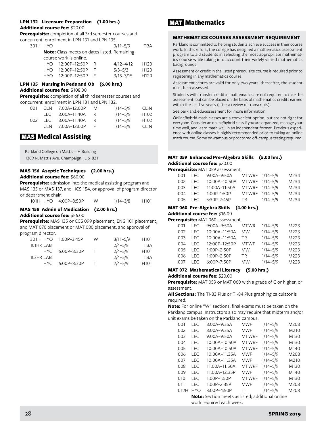### **LPN 132 Licensure Preparation (1.00 hrs.) Additional course fee:** \$20.00

**Prerequisite:** completion of all 3rd semester courses and concurrent enrollment in LPN 131 and LPN 135.

| 301H HYO |                                                     |   | $3/11 - 5/9$  | TBA              |
|----------|-----------------------------------------------------|---|---------------|------------------|
|          | <b>Note:</b> Class meets on dates listed. Remaining |   |               |                  |
|          | course work is online.                              |   |               |                  |
|          | HYO 12:00P-12:50P                                   | R | $4/12 - 4/12$ | H <sub>120</sub> |
|          | HYO 12:00P-12:50P                                   | F | $5/3 - 5/3$   | H <sub>120</sub> |
|          | HYO 12:00P-12:50P                                   |   | $3/15 - 3/15$ | H <sub>120</sub> |

# **LPN 135 Nursing in Peds and Ob (6.00 hrs.)**

**Additional course fee:** \$108.00

**Prerequisite:** completion of all third semester courses and

concurrent enrollment in LPN 131 and LPN 132.

| 001  | CI N | 7:00A-12:00P     | M   | $1/14 - 5/9$ | <b>CLIN</b> |
|------|------|------------------|-----|--------------|-------------|
|      |      | LEC 8:00A-11:40A | – R | $1/14 - 5/9$ | H102        |
| 002. | LEC  | 8:00A–11:40A     | – R | $1/14 - 5/9$ | H102        |
|      | CI N | 7:00A–12:00P     | -F  | $1/14 - 5/9$ | <b>CLIN</b> |

# MAS Medical Assisting

Parkland College on Mattis—H Building 1309 N. Mattis Ave. Champaign, IL 61821

# **MAS 156 Aseptic Techniques (2.00 hrs.) Additional course fee:** \$60.00

**Prerequisite:** admission into the medical assisting program and MAS 135 or MAS 137, and HCS 154, or approval of program director or department chair.

| 101H HYO 4:00P-8:50P | $1/14 - 3/8$ | H <sub>101</sub> |
|----------------------|--------------|------------------|

# **MAS 158 Admin of Medication (2.00 hrs.)**

**Additional course fee:** \$56.00

**Prerequisite:** MAS 135 or CCS 099 placement, ENG 101 placement, and MAT 070 placement or MAT 080 placement, and approval of program director.

| 301H HYO  | $1.00P - 3.45P$ | W    | $3/11 - 5/9$ | H <sub>101</sub> |
|-----------|-----------------|------|--------------|------------------|
| 101HR LAB |                 |      | $2/4 - 5/9$  | TBA              |
| HYC.      | $6:00P - 8:30P$ | . Т. | $2/4 - 5/9$  | H <sub>101</sub> |
| 102HR LAB |                 |      | $2/4 - 5/9$  | TBA              |
| HYC.      | $6:00P - 8:30P$ |      | $2/4 - 5/9$  | H <sub>101</sub> |

# MAT Mathematics

### **MATHEMATICS COURSES ASSESSMENT REQUIREMENT**

Parkland is committed to helping students achieve success in their course work. In this effort, the college has designed a mathematics assessment program to aid students in selecting the most appropriate mathematics course while taking into account their widely varied mathematics backgrounds.

Assessment or credit in the listed prerequisite course is required prior to registering in any mathematics course.

Assessment scores are valid for only two years; thereafter, the student must be reassessed.

Students with transfer credit in mathematics are not required to take the assessment, but can be placed on the basis of mathematics credits earned within the last five years (after a review of transcripts).

See parkland.edu/assessment for more information.

Online/hybrid math classes are a convenient option, but are not right for everyone. Consider an online/hybrid class if you are organized, manage your time well, and learn math well in an independent format. Previous experience with online classes is highly recommended prior to taking an online math course. Some on-campus or proctored off-campus testing required.

# **MAT 059 Enhanced Pre-Algebra Skills (5.00 hrs.) Additional course fee:** \$20.00

**Prerequisite:** MAT 059 assessment.

|  | 001 LEC | $9:00A-9:50A$                | MTWRF 1/14-5/9 | M234 |
|--|---------|------------------------------|----------------|------|
|  | 002 LEC | 10:00A-10:50A                | MTWRF 1/14-5/9 | M234 |
|  | 003 LEC | 11:00A-11:50A MTWRF 1/14-5/9 |                | M234 |
|  | 004 LEC | $1:00P-1:50P$                | MTWRF 1/14-5/9 | M234 |
|  | 005 LEC | 5:30P-7:45P                  | TR 1/14-5/9    | M234 |

# **MAT 060 Pre-Algebra Skills (4.00 hrs.)**

**Additional course fee:** \$16.00

#### **Prerequisite:** MAT 060 assessment.

| 001 | I FC. | $9:00A-9:50A$ | <b>MTWR</b> | $1/14 - 5/9$ | M223 |
|-----|-------|---------------|-------------|--------------|------|
| 002 | LEC.  | 10:00A-11:50A | <b>MW</b>   | $1/14 - 5/9$ | M223 |
| 003 | I FC. | 10:00A-11:50A | TR          | $1/14 - 5/9$ | M223 |
| 004 | I FC. | 12:00P-12:50P | <b>MTWF</b> | $1/14 - 5/9$ | M223 |
| 005 | I FC. | 1:00P-2:50P   | <b>MW</b>   | $1/14 - 5/9$ | M223 |
| 006 | I FC. | 1:00P-2:50P   | <b>TR</b>   | $1/14 - 5/9$ | M223 |
| 007 | I FC. | 6:00P-7:50P   | <b>MW</b>   | $1/14 - 5/9$ | M223 |
|     |       |               |             |              |      |

#### **MAT 072 Mathematical Literacy (5.00 hrs.) Additional course fee:** \$20.00

**Prerequisite:** MAT 059 or MAT 060 with a grade of C or higher, or assessment.

**All Sections:** The TI-83 Plus or TI-84 Plus graphing calculator is required.

**Note:** For online "W" sections, final exams must be taken on the Parkland campus. Instructors also may require that midterm and/or unit exams be taken on the Parkland campus.

| 001  | <b>LEC</b> | 8:00A-9:35A                                      | <b>MWF</b>   | $1/14 - 5/9$ | M208 |
|------|------------|--------------------------------------------------|--------------|--------------|------|
| 002  | <b>LEC</b> | $8:00A - 9:35A$                                  | <b>MWF</b>   | $1/14 - 5/9$ | M210 |
| 003  | <b>LEC</b> | $9:00A - 9:50A$                                  | <b>MTWRF</b> | $1/14 - 5/9$ | M130 |
| 004  | <b>LEC</b> | $10:00A-10:50A$                                  | <b>MTWRF</b> | $1/14 - 5/9$ | M130 |
| 005  | <b>LEC</b> | $10:00A-10:50A$                                  | <b>MTWRF</b> | $1/14 - 5/9$ | M140 |
| 006  | <b>LEC</b> | 10:00A-11:35A                                    | <b>MWF</b>   | $1/14 - 5/9$ | M208 |
| 007  | I FC       | 10:00A-11:35A                                    | <b>MWF</b>   | $1/14 - 5/9$ | M210 |
| 008  | <b>LEC</b> | 11:00A-11:50A                                    | <b>MTWRF</b> | $1/14 - 5/9$ | M130 |
| 009  | <b>LEC</b> | 11:00A-12:35P                                    | <b>MWF</b>   | $1/14 - 5/9$ | M140 |
| 010  | I FC       | 1:00P-1:50P                                      | <b>MTWRF</b> | $1/14 - 5/9$ | M130 |
| 011  | I FC       | 1:00P-2:35P                                      | <b>MWF</b>   | $1/14 - 5/9$ | M208 |
| 012H | <b>HYO</b> | 3:00P-4:50P                                      | Τ            | $1/14 - 5/9$ | M208 |
|      |            | Note: Section meets as listed; additional online |              |              |      |

work required each week.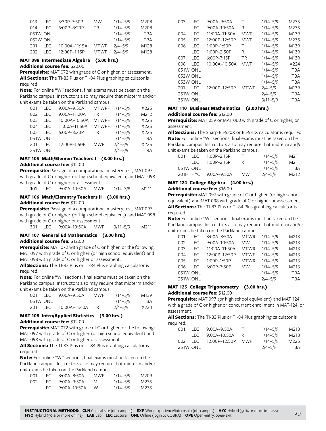| 013 | LEC.     | 5:30P-7:50P   | <b>MW</b>   | $1/14 - 5/9$ | M208       |
|-----|----------|---------------|-------------|--------------|------------|
| 014 | I FC.    | 6:00P-8:20P   | TR.         | $1/14 - 5/9$ | M208       |
|     | 051W ONL |               |             | $1/14 - 5/9$ | <b>TBA</b> |
|     | 052W ONL |               |             | $1/14 - 5/9$ | <b>TBA</b> |
| 201 | I FC.    | 10:00A-11:15A | <b>MTWF</b> | $2/4 - 5/9$  | M128       |
| 202 | I FC.    | 12:00P-1:15P  | <b>MTWF</b> | $2/4 - 5/9$  | M128       |
|     |          |               |             |              |            |

# **MAT 098 Intermediate Algebra (5.00 hrs.)**

**Additional course fee:** \$20.00

**Prerequisite:** MAT 072 with grade of C or higher, or assessment. **All Sections:** The TI-83 Plus or TI-84 Plus graphing calculator is required.

**Note:** For online "W" sections, final exams must be taken on the Parkland campus. Instructors also may require that midterm and/or unit exams be taken on the Parkland campus.

| 001             | LEC. | 9:00A-9:50A   | MTWRF 1/14-5/9 |              | X225       |
|-----------------|------|---------------|----------------|--------------|------------|
| 002             | LEC. | 9:00A-11:20A  | TR 1           | $1/14 - 5/9$ | M212       |
| 003             | LEC. | 10:00A-10:50A | MTWRF          | $1/14 - 5/9$ | X225       |
| 004             | LEC. | 11:00A-11:50A | <b>MTWRF</b>   | $1/14 - 5/9$ | X225       |
| 005             | LEC. | 6:00P-8:20P   | TR.            | $1/14 - 5/9$ | X225       |
| 051W ONL        |      |               |                | $1/14 - 5/9$ | <b>TBA</b> |
| 201             | LEC. | 12:00P-1:50P  | <b>MWF</b>     | $2/4 - 5/9$  | X225       |
| <b>251W ONL</b> |      |               |                | $2/4 - 5/9$  | TBA        |

#### **MAT 105 Math/Elemen Teachers I (3.00 hrs.) Additional course fee:** \$12.00

**Prerequisite:** Passage of a computational mastery test, MAT 097 with grade of C or higher (or high school equivalent), and MAT 098 with grade of C or higher or assessment.

|  |  |  | 101 LEC 9:00A-10:50A | MWF | $1/14 - 3/8$ | M211 |
|--|--|--|----------------------|-----|--------------|------|
|--|--|--|----------------------|-----|--------------|------|

#### **MAT 106 Math/Elemntry Teachers II (3.00 hrs.) Additional course fee:** \$12.00

**Prerequisite:** Passage of a computational mastery test, MAT 097 with grade of C or higher (or high school equivalent), and MAT 098 with grade of C or higher or assessment.

301 LEC 9:00A–10:50A MWF 3/11–5/9 M211

# **MAT 107 General Ed Mathematics (3.00 hrs.) Additional course fee:** \$12.00

**Prerequisite:** MAT 072 with grade of C or higher, or the following: MAT 097 with grade of C or higher (or high school equivalent) and MAT 098 with grade of C or higher or assessment.

**All Sections:** The TI-83 Plus or TI-84 Plus graphing calculator is required.

**Note:** For online "W" sections, final exams must be taken on the Parkland campus. Instructors also may require that midterm and/or unit exams be taken on the Parkland campus.

| OO1 | TEC.     | 9:00A–9:50A     | MWF | $1/14 - 5/9$ | M139 |
|-----|----------|-----------------|-----|--------------|------|
|     | 051W ONL |                 |     | $1/14 - 5/9$ | TBA  |
| 201 | I EC.    | $10:00A-11:40A$ | TR. | $2/4 - 5/9$  | X224 |

### **MAT 108 Intro/Applied Statistics (3.00 hrs.) Additional course fee:** \$12.00

**Prerequisite:** MAT 072 with grade of C or higher, or the following: MAT 097 with grade of C or higher (or high school equivalent) and MAT 098 with grade of C or higher or assessment.

**All Sections:** The TI-83 Plus or TI-84 Plus graphing calculator is required.

**Note:** For online "W" sections, final exams must be taken on the Parkland campus. Instructors also may require that midterm and/or unit exams be taken on the Parkland campus.

| -001 | LEC 8:00A-8:50A  | MWF. | $1/14 - 5/9$ | M209              |
|------|------------------|------|--------------|-------------------|
| 002  | LEC 9:00A–9:50A  | M    | $1/14 - 5/9$ | M235              |
|      | LEC 9:00A-10:50A | W.   | $1/14 - 5/9$ | M <sub>2</sub> 35 |

| 003             | I FC       | $9:00A - 9:50A$   | Τ           | $1/14 - 5/9$ | M235       |
|-----------------|------------|-------------------|-------------|--------------|------------|
|                 | <b>LEC</b> | $9:00A-10:50A$    | R           | $1/14 - 5/9$ | M235       |
| 004             | <b>LEC</b> | $11:00A-11:50A$   | MWF         | $1/14 - 5/9$ | M139       |
| 005             | <b>LEC</b> | 12:00P-12:50P     | <b>MWF</b>  | $1/14 - 5/9$ | M235       |
| 006             | I FC       | 1:00P-1:50P       | т           | $1/14 - 5/9$ | M139       |
|                 | <b>LEC</b> | 1:00P-2:50P       | R           | $1/14 - 5/9$ | M139       |
| 007             | <b>LEC</b> | $6:00P - 7:15P$   | TR          | $1/14 - 5/9$ | M139       |
| 008             | I FC       | $10:00A - 10:50A$ | <b>MWF</b>  | $1/14 - 5/9$ | X224       |
| 051W ONL        |            |                   |             | $1/14 - 5/9$ | <b>TBA</b> |
| 052W ONL        |            |                   |             | $1/14 - 5/9$ | <b>TBA</b> |
| 053W ONL        |            |                   |             | $1/14 - 5/9$ | <b>TBA</b> |
| 201             | I FC       | 12:00P-12:50P     | <b>MTWF</b> | $2/4 - 5/9$  | M139       |
| <b>251W ONL</b> |            |                   |             | $2/4 - 5/9$  | <b>TBA</b> |
| <b>351W ONL</b> |            |                   |             | $3/11 - 5/9$ | TBA        |

# **MAT 110 Business Mathematics (3.00 hrs.)**

#### **Additional course fee:** \$12.00

**Prerequisite:** MAT 059 or MAT 060 with grade of C or higher, or assessment.

**All Sections:** The Sharp EL-520X or EL-531X calculator is required. **Note:** For online "W" sections, final exams must be taken on the Parkland campus. Instructors also may require that midterm and/or unit exams be taken on the Parkland campus.

| 001 | I FC.      | $1.00P - 2.15P$ |           | $1/14 - 5/9$ | M211 |
|-----|------------|-----------------|-----------|--------------|------|
|     | I EC.      | $1.00P - 2.15P$ |           | $1/14 - 5/9$ | M211 |
|     | 051W ONL   |                 |           | $1/14 - 5/9$ | TBA  |
|     | $201H$ HYC | 9:00A–9:50A     | <b>MW</b> | $2/4 - 5/9$  | M212 |

### **MAT 124 College Algebra (4.00 hrs.)**

#### **Additional course fee:** \$16.00

**Prerequisite:** MAT 097 with grade of C or higher (or high school equivalent) and MAT 098 with grade of C or higher or assessment. **All Sections:** The TI-83 Plus or TI-84 Plus graphing calculator is required.

**Note:** For online "W" sections, final exams must be taken on the Parkland campus. Instructors also may require that midterm and/or unit exams be taken on the Parkland campus.

| 001 | I EC.           | $8:00A - 8:50A$ | <b>MTWR</b> | $1/14 - 5/9$ | M213       |
|-----|-----------------|-----------------|-------------|--------------|------------|
| 002 | I EC.           | 9:00A-10:50A    | <b>MW</b>   | $1/14 - 5/9$ | M213       |
| 003 | I FC            | 11:00A-11:50A   | <b>MTWR</b> | $1/14 - 5/9$ | M213       |
| 004 | I FC            | 12:00P-12:50P   | <b>MTWF</b> | $1/14 - 5/9$ | M213       |
| 005 | I FC            | 1:00P-1:50P     | <b>MTWR</b> | $1/14 - 5/9$ | M213       |
| 006 | I FC            | 6:00P-7:50P     | <b>MW</b>   | $1/14 - 5/9$ | M213       |
|     | 051W ONL        |                 |             | $1/14 - 5/9$ | <b>TBA</b> |
|     | <b>251W ONL</b> |                 |             | $2/4 - 5/9$  | <b>TBA</b> |

#### **MAT 125 College Trigonometry (3.00 hrs.) Additional course fee:** \$12.00

**Prerequisite:** MAT 097 (or high school equivalent) and MAT 124 with a grade of C or higher or concurrent enrollment in MAT-124, or assessment.

**All Sections:** The TI-83 Plus or TI-84 Plus graphing calculator is required.

| 001  | I FC.           | $9:00A - 9:50A$  | T   | $1/14 - 5/9$ | M213 |
|------|-----------------|------------------|-----|--------------|------|
|      |                 | LEC 9:00A-10:50A | R   | $1/14 - 5/9$ | M213 |
| 002. | IFC.            | 12:00P-12:50P    | MWF | $1/14 - 5/9$ | M225 |
|      | <b>251W ONL</b> |                  |     | $2/4 - 5/9$  | TBA  |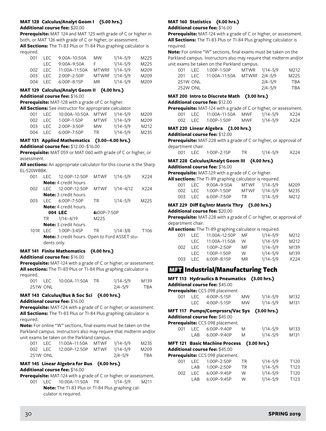### **MAT 128 Calculus/Analyt Geom I (5.00 hrs.) Additional course fee:** \$20.00

**Prerequisite:** MAT 124 and MAT 125 with grade of C or higher in both, or MAT 126 with grade of C or higher, or assessment.

**All Sections:** The TI-83 Plus or TI-84 Plus graphing calculator is required.

| 001 | I EC.   | $9:00A-10:50A$    | MW       | $1/14 - 5/9$   | M225             |
|-----|---------|-------------------|----------|----------------|------------------|
|     |         | LEC 9:00A-9:50A   | <b>E</b> | $1/14 - 5/9$   | M <sub>225</sub> |
| 002 |         | LEC 11:00A-11:50A |          | MTWRF 1/14-5/9 | M <sub>209</sub> |
|     | 003 LEC | 2:00P-2:50P       |          | MTWRF 1/14-5/9 | M <sub>209</sub> |
| 004 | I FC.   | $6:00P-8:15P$     | MR —     | 1/14–5/9       | M209             |

# **MAT 129 Calculus/Analyt Geom II (4.00 hrs.)**

**Additional course fee:** \$16.00

**Prerequisite:** MAT-128 with a grade of C or higher.

**All Sections:** See instructor for appropriate calculator.

| 001   | LEC. | 10:00A-10:50A MTWF |             | $1/14 - 5/9$ | M209 |
|-------|------|--------------------|-------------|--------------|------|
| 002 L | LEC. | $1:00P-1:50P$      | <b>MTWF</b> | $1/14 - 5/9$ | M209 |
| 003   | LEC. | $2:00P-3:50P$      | MW.         | $1/14 - 5/9$ | M212 |
| 004   | LEC. | $6:00P - 7:50P$    | TR.         | $1/14 - 5/9$ | M235 |

# **MAT 131 Applied Mathematics (3.00–4.00 hrs.)**

**Additional course fee:** \$12.00–\$16.00

**Prerequisite:** MAT 059 or MAT 060 with grade of C or higher, or assessment.

**All sections:** An appropriate calculator for this course is the Sharp EL-520WBBK.

| 001  | I FC  | 12:00P-12:50P                | <b>MTWF</b>     | $1/14 - 5/9$  | X224             |
|------|-------|------------------------------|-----------------|---------------|------------------|
|      |       | <b>Note:</b> 4 credit hours. |                 |               |                  |
| 002  | I FC. | 12:00P-12:50P                | <b>MTWF</b>     | $1/14 - 4/12$ | X224             |
|      |       | <b>Note:</b> 3 credit hours. |                 |               |                  |
| 003  | I FC. | $6.00P - 7.50P$              | TR              | $1/14 - 5/9$  | M225             |
|      |       | <b>Note:</b> 4 credit hours. |                 |               |                  |
|      |       | 004 LEC                      | $6:00P - 7:50P$ |               |                  |
|      | TR.   | $1/14 - 4/19$                | M225            |               |                  |
|      |       | Note: 3 credit hours.        |                 |               |                  |
| 101R | FC    | $1:00P-3:45P$                | ΤR              | $1/14 - 3/8$  | T <sub>106</sub> |
|      |       |                              |                 |               |                  |

**Note:** 3 credit hours. Open to Ford ASSET students only.

# **MAT 141 Finite Mathematics (4.00 hrs.)**

**Additional course fee:** \$16.00

**Prerequisite:** MAT-124 with a grade of C or higher, or assessment. **All sections:** The TI-83 Plus or TI-84 Plus graphing calculator is required.

| 001 L |                 |  | $1/14 - 5/9$ | M139 |
|-------|-----------------|--|--------------|------|
|       | <b>251W ONL</b> |  | $2/4 - 5/9$  | TBA  |

### **MAT 143 Calculus/Bus & Soc Sci (4.00 hrs.) Additional course fee:** \$16.00

**Prerequisite:** MAT-124 with a grade of C or higher, or assessment. **All Sections:** The TI-83 Plus or TI-84 Plus graphing calculator is required.

**Note:** For online "W" sections, final exams must be taken on the Parkland campus. Instructors also may require that midterm and/or unit exams be taken on the Parkland campus.

|          | 001 LEC 11:00A-11:50A MTWF 1/14-5/9 |         | M235 |
|----------|-------------------------------------|---------|------|
|          | 002 LEC 12:00P-12:50P MTWF 1/14-5/9 |         | M209 |
| 251W ONL |                                     | 2/4–5/9 | TBA  |

# **MAT 145 Linear Algebra for Bus (4.00 hrs.) Additional course fee:** \$16.00

**Prerequisite:** MAT-124 with a grade of C or higher, or assessment.

001 LEC 10:00A–11:50A TR 1/14–5/9 M211 **Note:** The TI-83 Plus or TI-84 Plus graphing calculator is required.

# **MAT 160 Statistics (4.00 hrs.)**

**Additional course fee:** \$16.00

**Prerequisite:** MAT-124 with a grade of C or higher, or assessment. **All Sections:** The TI-83 Plus or TI-84 Plus graphing calculator is required.

**Note:** For online "W" sections, final exams must be taken on the Parkland campus. Instructors also may require that midterm and/or unit exams be taken on the Parkland campus.

| 001             |            | LEC 1:00P-1:50P             | MTWR 1/14-5/9 |             | M212 |
|-----------------|------------|-----------------------------|---------------|-------------|------|
| 201             | <b>LEC</b> | 11:00A-11:50A MTWRF 2/4-5/9 |               |             | M225 |
| <b>251W ONL</b> |            |                             |               | $2/4 - 5/9$ | TBA  |
| <b>252W ONL</b> |            |                             |               | 2/4–5/9     | TBA  |

### **MAT 200 Intro to Discrete Math (3.00 hrs.)**

#### **Additional course fee:** \$12.00

|      |     | <b>Prerequisite:</b> MAT-124 with a grade of C or higher, or assessment. |     |          |      |
|------|-----|--------------------------------------------------------------------------|-----|----------|------|
| 001. |     |                                                                          |     | 1/14–5/9 | X224 |
| 002. | LEC | 1:00P-1:50P                                                              | MWF | 1/14–5/9 | X224 |

|   | UUZ LEC I:UUP-I:5UP |   | ∀/5–1/14 MIVV |  |
|---|---------------------|---|---------------|--|
| . | - -                 | . |               |  |

#### **MAT 220 Linear Algebra (3.00 hrs.) Additional course fee:** \$12.00

**Prerequisite:** MAT-228 with a grade of C or higher, or approval of department chair.

| 001 LEC 1:00P-2:15P | <b>TR</b> | 1/14–5/9 | X224 |
|---------------------|-----------|----------|------|

# **MAT 228 Calculus/Analyt Geom III (4.00 hrs.)**

# **Additional course fee:** \$16.00

**Prerequisite:** MAT-129 with a grade of C or higher.

**All sections:** The TI-89 graphing calculator is required.

| 001 | LEC 9:00A-9:50A     |      | MTWF 1/14-5/9 | M209 |
|-----|---------------------|------|---------------|------|
|     | 002 LEC 1:00P-1:50P |      | MTWF 1/14-5/9 | M235 |
|     | 003 LEC 6:00P-7:50P | TR . | 1/14–5/9      | M212 |

### **MAT 229 Diff Eq/Intr Matrix Thry (5.00 hrs.) Additional course fee:** \$20.00

**Prerequisite:** MAT-228 with a grade of C or higher, or approval of department chair.

| All sections: The TI-89 graphing calculator is required. |  |  |  |
|----------------------------------------------------------|--|--|--|
|----------------------------------------------------------|--|--|--|

| 001 | I EC. | 11:00A-12:50P   | MF | $1/14 - 5/9$ | M212 |
|-----|-------|-----------------|----|--------------|------|
|     | I EC. | 11:00A-11:50A   | W. | $1/14 - 5/9$ | M212 |
| 002 | I EC. | $1:00P - 2:50P$ | MF | $1/14 - 5/9$ | M139 |
|     | I FC. | $1:00P-1:50P$   | W  | $1/14 - 5/9$ | M139 |
| 003 | I FC. | $6:00P - 8:15P$ | MR | $1/14 - 5/9$ | X224 |
|     |       |                 |    |              |      |

# **MET** Industrial/Manufacturing Tech

#### **MFT 113 Hydraulics & Pneumatics (3.00 hrs.) Additional course fee:** \$45.00

**Prerequisite:** CCS 098 placement.

|  | 001 LEC 4:00P-5:15P | MW        | 1/14–5/9 | M <sub>132</sub> |
|--|---------------------|-----------|----------|------------------|
|  | LEC 4:00P-5:15P     | <b>MW</b> | 1/14–5/9 | M131             |

# **MFT 117 Pumps/Comprssrs/Vac Sys (3.00 hrs.)**

**Additional course fee:** \$45.00

| Prerequisite: CCS 098 placement. |  |
|----------------------------------|--|
|----------------------------------|--|

|  | 001 LEC 6:00P-9:40P | M | $1/14 - 5/9$ | M133 |
|--|---------------------|---|--------------|------|
|  | LAB 6:00P-9:40P     | M | $1/14 - 5/9$ | M131 |

# **MFT 121 Basic Machine Process (3.00 hrs.)**

**Additional course fee:** \$45.00

|      |       | Prerequisite: CCS 098 placement. |           |              |                  |
|------|-------|----------------------------------|-----------|--------------|------------------|
| 001. | I EC. | $1:00P - 2:50P$                  | <b>TR</b> | $1/14 - 5/9$ | T <sub>120</sub> |
|      | I AR  | $1:00P - 2:50P$                  | TR.       | $1/14 - 5/9$ | T <sub>123</sub> |
| 002  | I FC. | $6:00P-9:45P$                    | W         | $1/14 - 5/9$ | T <sub>120</sub> |
|      | I AR  | $6:00P-9:45P$                    | W         | $1/14 - 5/9$ | T <sub>123</sub> |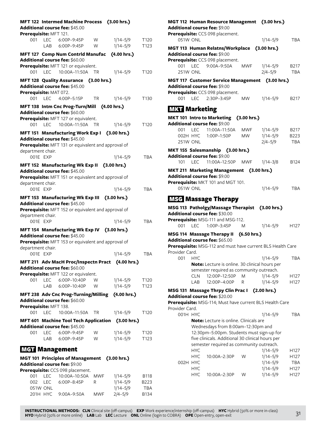| Prerequisite: MFT 121.        |                   | MFT 122 Intermed Machine Process (3.00 hrs.)<br>Additional course fee: \$45.00                                                                  |                 |                                                   |                                   |
|-------------------------------|-------------------|-------------------------------------------------------------------------------------------------------------------------------------------------|-----------------|---------------------------------------------------|-----------------------------------|
| 001                           |                   |                                                                                                                                                 | W               | $1/14 - 5/9$                                      | T <sub>120</sub>                  |
|                               |                   | LAB 6:00P-9:45P                                                                                                                                 | W               | $1/14 - 5/9$                                      | T123                              |
|                               |                   | MFT 127 Comp Num Contrld Manufac (4.00 hrs.)<br>Additional course fee: \$60.00<br>Prerequisite: MFT 121 or equivalent.<br>001 LEC 10:00A-11:50A | - TR            | $1/14 - 5/9$                                      | T <sub>120</sub>                  |
| Prerequisite: MAT 072.        |                   | MFT 128 Quality Assurance (3.00 hrs.)<br>Additional course fee: \$45.00                                                                         |                 |                                                   |                                   |
| 001                           |                   |                                                                                                                                                 | TR              | $1/14 - 5/9$                                      | T <sub>130</sub>                  |
|                               |                   | MFT 138 Intm Cnc Prog-Turn/Mill<br>Additional course fee: \$60.00<br>Prerequisite: MFT 127 or equivalent.                                       |                 | (4.00 hrs.)                                       |                                   |
| 001                           | LEC.              | 10:00A-11:50A                                                                                                                                   | <b>TR</b>       | $1/14 - 5/9$                                      | T <sub>120</sub>                  |
|                               |                   | MFT 151 Manufacturing Work Exp I (3.00 hrs.)<br>Additional course fee: \$45.00<br>Prerequisite: MFT 131 or equivalent and approval of           |                 |                                                   |                                   |
| department chair.<br>001F FXP |                   |                                                                                                                                                 |                 | $1/14 - 5/9$                                      | <b>TBA</b>                        |
|                               |                   | MFT 152 Manufacturing Wk Exp II (3.00 hrs.)<br>Additional course fee: \$45.00                                                                   |                 |                                                   |                                   |
| department chair.             |                   | Prerequisite: MFT 151 or equivalent and approval of                                                                                             |                 |                                                   |                                   |
| 001E EXP                      |                   |                                                                                                                                                 |                 | $1/14 - 5/9$                                      | <b>TBA</b>                        |
| department chair.             |                   | MFT 153 Manufacturing Wk Exp III (3.00 hrs.)<br>Additional course fee: \$45.00<br>Prerequisite: MFT 152 or equivalent and approval of           |                 |                                                   |                                   |
| 001E EXP                      |                   |                                                                                                                                                 |                 | $1/14 - 5/9$                                      | <b>TBA</b>                        |
| department chair.             |                   | MFT 154 Manufacturing Wk Exp IV (3.00 hrs.)<br>Additional course fee: \$45.00<br>Prerequisite: MFT 153 or equivalent and approval of            |                 |                                                   |                                   |
| 001E EXP                      |                   |                                                                                                                                                 |                 | 1/14-5/9                                          | <b>TBA</b>                        |
|                               |                   | MFT 211 Adv MacH Proc/Inspectn Pract (4.00 hrs.)<br>Additional course fee: \$60.00                                                              |                 |                                                   |                                   |
| 001                           | LEC               | Prerequisite: MFT 122 or equivalent.<br>6:00P-10:40P                                                                                            | W               | $1/14 - 5/9$                                      | T120                              |
|                               | LAB               | 6:00P-10:40P                                                                                                                                    | W               | 1/14-5/9                                          | T123                              |
|                               |                   | MFT 238 Adv Cnc Prog-Turning/Milling (4.00 hrs.)                                                                                                |                 |                                                   |                                   |
| Prerequisite: MFT 138.        |                   | Additional course fee: \$60.00                                                                                                                  |                 |                                                   |                                   |
|                               |                   | 001 LEC 10:00A-11:50A                                                                                                                           | <b>TR</b>       | $1/14 - 5/9$                                      | T120                              |
|                               |                   | Additional course fee: \$45.00                                                                                                                  |                 | MFT 601 Machine Tool Tech Application (3.00 hrs.) |                                   |
| 001                           |                   | LEC 6:00P-9:45P                                                                                                                                 | W               | $1/14 - 5/9$                                      | T120                              |
|                               |                   | LAB 6:00P-9:45P                                                                                                                                 | W               | $1/14 - 5/9$                                      | T123                              |
| <b>MGT</b> Management         |                   | MGT 101 Principles of Management (3.00 hrs.)                                                                                                    |                 |                                                   |                                   |
|                               |                   | Additional course fee: \$9.00                                                                                                                   |                 |                                                   |                                   |
|                               |                   | Prerequisite: CCS 098 placement.                                                                                                                |                 |                                                   |                                   |
| 001<br>002<br>051W ONL        | <b>LEC</b><br>LEC | 10:00A-10:50A<br>6:00P-8:45P                                                                                                                    | <b>MWF</b><br>R | $1/14 - 5/9$<br>$1/14 - 5/9$<br>$1/14 - 5/9$      | <b>B118</b><br>B223<br><b>TBA</b> |
|                               |                   | 201H HYC 9:00A-9:50A                                                                                                                            | MWF             | $2/4 - 5/9$                                       | B134                              |

|                      |            | MGT 112 Human Resource Managemnt (3.00 hrs.)<br>Additional course fee: \$9.00 |            |              |                   |
|----------------------|------------|-------------------------------------------------------------------------------|------------|--------------|-------------------|
| 051W ONL             |            | Prerequisite: CCS 098 placement.                                              |            | $1/14 - 5/9$ | <b>TBA</b>        |
|                      |            | MGT 113 Human Relatns/Workplace (3.00 hrs.)                                   |            |              |                   |
|                      |            | Additional course fee: \$9.00                                                 |            |              |                   |
|                      |            | Prerequisite: CCS 098 placement.                                              |            |              |                   |
|                      |            | 001 LEC 9:00A-9:50A                                                           | MWF        | $1/14 - 5/9$ | B217              |
| <b>251W ONL</b>      |            |                                                                               |            | $2/4 - 5/9$  | <b>TBA</b>        |
|                      |            |                                                                               |            |              |                   |
|                      |            | MGT 117 Customer Service Management (3.00 hrs.)                               |            |              |                   |
|                      |            | <b>Additional course fee: \$9.00</b><br>Prerequisite: CCS 098 placement.      |            |              |                   |
|                      |            | 001 LEC 2:30P-3:45P                                                           | <b>MW</b>  | 1/14-5/9     | B <sub>2</sub> 17 |
|                      |            |                                                                               |            |              |                   |
| <b>MKT</b> Marketing |            |                                                                               |            |              |                   |
|                      |            | MKT 101 Intro to Marketing (3.00 hrs.)                                        |            |              |                   |
|                      |            | Additional course fee: \$9.00                                                 |            |              |                   |
|                      | 001 LEC    | 11:00A-11:50A                                                                 | <b>MWF</b> | 1/14–5/9     | B217              |
| 002H HYC             |            | 1:00P-1:50P                                                                   | MW -       | 1/14-5/9     | B223              |
| 251W ONL             |            |                                                                               |            | $2/4 - 5/9$  | <b>TBA</b>        |
|                      |            |                                                                               |            |              |                   |
|                      |            | MKT 155 Salesmanship (3.00 hrs.)                                              |            |              |                   |
|                      |            | <b>Additional course fee: \$9.00</b>                                          |            |              |                   |
| 101                  | LEC        | 11:00A-12:50P MWF 1/14-3/8                                                    |            |              | B124              |
|                      |            | MKT 211 Marketing Management (3.00 hrs.)                                      |            |              |                   |
|                      |            | Additional course fee: \$9.00                                                 |            |              |                   |
|                      |            | Prerequisite: MKT 101 and MGT 101.                                            |            |              |                   |
| 051W ONL             |            |                                                                               |            | $1/14 - 5/9$ | <b>TBA</b>        |
|                      |            |                                                                               |            |              |                   |
|                      |            | <b>MSG Massage Therapy</b>                                                    |            |              |                   |
|                      |            | MSG 113 Patholgy/Massage Therapist (3.00 hrs.)                                |            |              |                   |
|                      |            | Additional course fee: \$30.00                                                |            |              |                   |
|                      |            | Prerequisite: MSG-111 and MSG-112.                                            |            |              |                   |
| 001                  | <b>LEC</b> | 1:00P-3:45P                                                                   | M          | $1/14 - 5/9$ | H <sub>127</sub>  |
|                      |            | MSG 114 Massage Therapy II (6.50 hrs.)                                        |            |              |                   |
|                      |            | Additional course fee: \$65.00                                                |            |              |                   |
|                      |            | Prerequisite: MSG-112 and must have current BLS Health Care                   |            |              |                   |
| Provider Card.       |            |                                                                               |            |              |                   |
| 001                  | <b>HYC</b> |                                                                               |            | 1/14–5/9     | TBA               |
|                      |            | Note: Lecture is online. 30 clinical hours per                                |            |              |                   |
|                      |            | semester required as community outreach.                                      |            |              |                   |
|                      | CLN        | 12:00P-12:50P                                                                 | Μ          | $1/14 - 5/9$ | H <sub>127</sub>  |
|                      | LAB        | 12:00P-4:00P                                                                  | R          | $1/14 - 5/9$ | H127              |
|                      |            |                                                                               |            |              |                   |
|                      |            | MSG 131 Massage Thrpy Clin Prac I (2.00 hrs.)                                 |            |              |                   |
|                      |            | Additional course fee: \$20.00                                                |            |              |                   |
| Provider Card.       |            | Prerequisite: MSG-114; Must have current BLS Health Care                      |            |              |                   |
| 001H HYC             |            |                                                                               |            | $1/14 - 5/9$ | <b>TBA</b>        |
|                      |            | Note: Lecture is online. Clinicals are                                        |            |              |                   |
|                      |            | Wednesdays from 8:00am-12:30pm and                                            |            |              |                   |
|                      |            | 12:30pm-5:00pm. Students must sign-up for                                     |            |              |                   |
|                      |            |                                                                               |            |              |                   |
|                      |            | five clinicals. Additional 30 clinical hours per                              |            |              |                   |
|                      |            | semester required as community outreach.                                      |            |              |                   |
|                      | <b>HYC</b> |                                                                               | W          | $1/14 - 5/9$ | H127              |
| 002H HYC             | <b>HYC</b> | 10:00A-2:30P                                                                  |            | $1/14 - 5/9$ | H127              |
|                      |            |                                                                               |            | $1/14 - 5/9$ | TBA               |
|                      | <b>HYC</b> |                                                                               |            | $1/14 - 5/9$ | H127              |
|                      | <b>HYC</b> | 10:00A-2:30P                                                                  | W          | $1/14 - 5/9$ | H127              |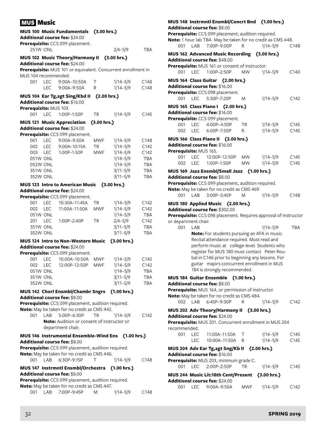# MUS Music

|                        |                 | <b>MUS 100 Music Fundamentals</b><br>Additional course fee: \$24.00 | (3.00 hrs.) |              |            |
|------------------------|-----------------|---------------------------------------------------------------------|-------------|--------------|------------|
|                        |                 | Prerequisite: CCS 099 placement.                                    |             |              |            |
|                        | 251W ONL        |                                                                     |             | $2/4 - 5/9$  | TBA        |
|                        |                 | MUS 102 Music Theory/Harmony II                                     |             | (3.00 hrs.)  |            |
|                        |                 | Additional course fee: \$24.00                                      |             |              |            |
|                        |                 | Prerequisite: MUS 101 or equivalent. Concurrent enrollment in       |             |              |            |
| MUS 104 recommended.   |                 |                                                                     |             |              |            |
| 001                    | <b>LEC</b>      | 9:00A-10:50A                                                        | Τ           | $1/14 - 5/9$ | C148       |
|                        | <b>LEC</b>      | 9:00A-9:50A                                                         | R           | $1/14 - 5/9$ | C148       |
|                        |                 | MUS 104 Ear Tg,sgt Sing/Kbd II                                      | (2.00 hrs.) |              |            |
|                        |                 | Additional course fee: \$16.00                                      |             |              |            |
| Prerequisite: MUS 103. |                 |                                                                     |             |              |            |
| 001 LEC                |                 | 1:00P-1:50P                                                         | TR          | $1/14 - 5/9$ | C145       |
|                        |                 | <b>MUS 121 Music Appreciation</b>                                   | (3.00 hrs.) |              |            |
|                        |                 | Additional course fee: \$24.00                                      |             |              |            |
|                        |                 | Prerequisite: CCS 099 placement.                                    |             |              |            |
| 001                    | <b>LEC</b>      | 9:00A-9:50A                                                         | <b>MWF</b>  | $1/14 - 5/9$ | C148       |
| 002                    | <b>LEC</b>      | 9:00A-10:15A                                                        | TR          | $1/14 - 5/9$ | C142       |
| 003                    | <b>LEC</b>      | 1:00P-1:50P                                                         | <b>MWF</b>  | $1/14 - 5/9$ | C142       |
|                        | 051W ONL        |                                                                     |             | $1/14 - 5/9$ | <b>TBA</b> |
|                        | 052W ONL        |                                                                     |             | $1/14 - 5/9$ | <b>TBA</b> |
|                        | <b>351W ONL</b> |                                                                     |             | $3/11 - 5/9$ | <b>TBA</b> |
|                        | <b>352W ONL</b> |                                                                     |             | $3/11 - 5/9$ | <b>TBA</b> |
|                        |                 | <b>MUS 123 Intro to American Music</b>                              |             | (3.00 hrs.)  |            |
|                        |                 | Additional course fee: \$24.00                                      |             |              |            |
|                        |                 | Prerequisite: CCS 099 placement.                                    |             |              |            |
| 001                    | <b>LEC</b>      | 10:30A-11:45A                                                       | ТR          | $1/14 - 5/9$ | C142       |
| 002                    | <b>LEC</b>      | 11:00A-11:50A                                                       | <b>MWF</b>  | $1/14 - 5/9$ | C142       |
|                        | 051W ONL        |                                                                     |             | $1/14 - 5/9$ | <b>TBA</b> |
| 201                    | <b>LEC</b>      | 1:00P-2:40P                                                         | TR          | $2/4 - 5/9$  | C142       |
|                        | 351W ONL        |                                                                     |             | $3/11 - 5/9$ | <b>TBA</b> |
|                        | <b>352W ONL</b> |                                                                     |             | $3/11 - 5/9$ | <b>TBA</b> |
|                        |                 | <b>MUS 124 Intro to Non-Western Music</b>                           |             | (3.00 hrs.)  |            |
|                        |                 | <b>Additional course fee: \$24.00</b>                               |             |              |            |
|                        |                 | Prerequisite: CCS 099 placement.                                    |             |              |            |
| 001                    | <b>LEC</b>      | 10:00A-10:50A                                                       | <b>MWF</b>  | $1/14 - 5/9$ | C142       |
| 002                    | <b>LEC</b>      | 12:00P-12:50P                                                       | <b>MWF</b>  | $1/14 - 5/9$ | C142       |
|                        | 051W ONL        |                                                                     |             | $1/14 - 5/9$ | <b>TBA</b> |
|                        | 351W ONL        |                                                                     |             | $3/11 - 5/9$ | TBA        |
|                        | 352W ONL        |                                                                     |             | $3/11 - 5/9$ | TBA        |
|                        |                 | MUS 142 Chorl Ensmbl/Chambr Sngrs (1.00 hrs.)                       |             |              |            |
|                        |                 | <b>Additional course fee: \$8.00</b>                                |             |              |            |
|                        |                 | Prerequisite: CCS 099 placement, audition required.                 |             |              |            |
| 001                    |                 | Note: May be taken for no credit as CMS 442.<br>5:00P-6:30P         |             |              |            |
|                        | LAB             | Note: Audition or consent of instructor or                          | ТR          | 1/14–5/9     | C142       |
|                        |                 | department chair.                                                   |             |              |            |
|                        |                 |                                                                     |             |              |            |
|                        |                 | MUS 146 Instrumental Ensemble-Wind Ens (1.00 hrs.)                  |             |              |            |
|                        |                 | Additional course fee: \$8.00                                       |             |              |            |
|                        |                 | Prerequisite: CCS 099 placement, audition required.                 |             |              |            |
| 001                    | LAB             | Note: May be taken for no credit as CMS 446.<br>6:30P-9:15P         | Τ           | $1/14 - 5/9$ | C148       |
|                        |                 |                                                                     |             |              |            |
|                        |                 | MUS 147 Instrmntl Ensmbl/Orchestra (1.00 hrs.)                      |             |              |            |
|                        |                 | <b>Additional course fee: \$8.00</b>                                |             |              |            |
|                        |                 | Prerequisite: CCS 099 placement, audition required.                 |             |              |            |
| 001                    |                 | Note: May be taken for no credit as CMS 447.<br>LAB 7:00P-9:45P     |             |              | C148       |
|                        |                 |                                                                     | Μ           | 1/14-5/9     |            |

# **MUS 148 Instrmntl Ensmbl/Concrt Bnd (1.00 hrs.) Additional course fee:** \$8.00 **Prerequisite:** CCS 099 placement; audition required. **Note:** 1 hour lab TBA. May be taken for no credit as CMS 448. 001 LAB 7:00P–9:00P R 1/14–5/9 C148 **MUS 162 Advanced Music Recording (3.00 hrs.) Additional course fee:** \$48.00 **Prerequisite:** MUS 161 or consent of instructor. 001 LEC 1:00P–2:50P MW 1/14–5/9 C140 **MUS 164 Class Guitar (2.00 hrs.) Additional course fee:** \$16.00 **Prerequisite:** CCS 098 placement. 001 LEC 5:30P–7:20P M 1/14–5/9 C142 **MUS 165 Class Piano I (2.00 hrs.) Additional course fee:** \$16.00 **Prerequisite:** CCS 099 placement. 001 LEC 4:00P–4:50P TR 1/14–5/9 C145 002 LEC 6:00P-7:50P R 1/14-5/9 C145 **MUS 166 Class Piano II (2.00 hrs.) Additional course fee:** \$16.00 **Prerequisite:** MUS 165. 001 LEC 12:00P–12:50P MW 1/14–5/9 C145 002 LEC 1:00P–1:50P MW 1/14–5/9 C145 **MUS 169 Jazz Ensmbl/Small Jazz (1.00 hrs.) Additional course fee:** \$8.00 **Prerequisite:** CCS 099 placement, audition required. **Note:** May be taken for no credit as CMS 469. 001 LAB 3:00P–5:45P M 1/14–5/9 C148 **MUS 180 Applied Music (2.00 hrs.) Additional course fee:** \$302.00 **Prerequisite:** CCS 098 placement. Requires approval of instructor or department chair. 001 LAB 1/14–5/9 TBA **Note:** For students pursuing an AFA in music. Recital attendance required. Must read and perform music at college-level. Students who register for MUS 180 must contact Peter Roubal in C146 prior to beginning any lessons. For guitar majors concurrent enrollment in MUS 184 is strongly recommended. **MUS 184 Guitar Ensemble (1.00 hrs.) Additional course fee:** \$8.00 **Prerequisite:** MUS 164, or permission of instructor. **Note:** May be taken for no credit as CMS 484. 002 LAB 6:45P–9:30P R 1/14–5/9 C142 **MUS 202 Adv Theory/Harmony II (3.00 hrs.) Additional course fee:** \$24.00 **Prerequisite:** MUS 201. Concurrent enrollment in MUS 204 recommended. 001 LEC 11:00A-11:50A T 1/14-5/9 C145 LEC 10:00A-11:50A R 1/14-5/9 C145 **MUS 204 Adv Ear Tg,sgt Sng/Kb II (2.00 hrs.) Additional course fee:** \$16.00 **Prerequisite:** MUS 203, minimum grade C. 001 LEC 2:00P–2:50P TR 1/14–5/9 C145 **MUS 244 Music Lit:18th Cent/Present (3.00 hrs.) Additional course fee:** \$24.00 001 LEC 9:00A–9:50A MWF 1/14–5/9 C142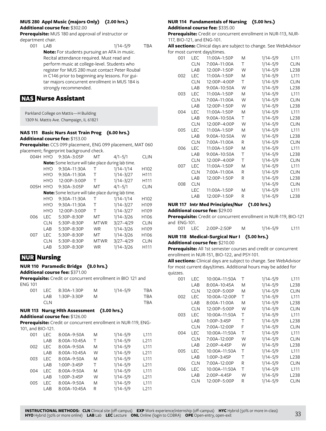# **MUS 280 Appl Music (majors Only) (2.00 hrs.) Additional course fee:** \$302.00

**Prerequisite:** MUS 180 and approval of instructor or department chair.

001 LAB 1/14–5/9 TBA **Note:** For students pursuing an AFA in music. Recital attendance required. Must read and perform music at college-level. Students who register for MUS 280 must contact Peter Roubal in C146 prior to beginning any lessons. For guitar majors concurrent enrollment in MUS 184 is strongly recommended.

# NAS Nurse Assistant

Parkland College on Mattis—H Building 1309 N. Mattis Ave. Champaign, IL 61821

#### **NAS 111 Basic Nurs Asst Train Prog (6.00 hrs.) Additional course fee:** \$153.00

**Prerequisite:** CCS 099 placement, ENG 099 placement, MAT 060 placement; fingerprint background check.

| 004H HYO |            | 9:30A-3:05P                                                | МT          | $4/1 - 5/1$   | <b>CLIN</b>      |
|----------|------------|------------------------------------------------------------|-------------|---------------|------------------|
|          |            | <b>Note:</b> Some lecture will take place during lab time. |             |               |                  |
|          | HYO        | 9:30A–11:30A                                               | Т           | $1/14 - 1/14$ | H <sub>102</sub> |
|          | <b>HYO</b> | 9:30A-11:30A                                               | Т           | $1/14 - 3/27$ | H111             |
|          | <b>HYO</b> | 12:00P-3:00P                                               | т           | $1/14 - 3/27$ | H111             |
| 005H     | <b>HYO</b> | 9:30A-3:05P                                                | МT          | $4/1 - 5/1$   | <b>CLIN</b>      |
|          |            | Note: Some lecture will take place during lab time.        |             |               |                  |
|          | <b>HYO</b> | 9:30A-11:30A                                               | т           | $1/14 - 1/14$ | H <sub>102</sub> |
|          | <b>HYO</b> | $9:30A-11:30A$                                             | т           | $1/14 - 3/27$ | H <sub>109</sub> |
|          | <b>HYO</b> | 12:00P-3:00P                                               | т           | $1/14 - 3/27$ | H <sub>109</sub> |
| 006      | LEC.       | 5:30P-8:30P                                                | MT          | $1/14 - 3/26$ | H <sub>106</sub> |
|          | <b>CLN</b> | 5:30P-8:30P                                                | <b>MTWR</b> | $3/27 - 4/29$ | <b>CLIN</b>      |
|          | LAB        | 5:30P-8:30P                                                | <b>WR</b>   | $1/14 - 3/26$ | H <sub>109</sub> |
| 007      | LEC        | 5:30P-8:30P                                                | MT          | $1/14 - 3/26$ | H <sub>106</sub> |
|          | <b>CLN</b> | 5:30P-8:30P                                                | MTWR        | $3/27 - 4/29$ | <b>CLIN</b>      |
|          | LAB        | 5:30P-8:30P                                                | WR          | $1/14 - 3/26$ | H111             |
|          |            |                                                            |             |               |                  |

# NUR Nursing

# **NUR 110 Paramedic Bridge (8.0 hrs.)**

**Additional course fee:** \$371.00

**Prerequisite:** Credit or concurrent enrollment in BIO 121 and ENG 101

| 001 |            | LEC 8:30A-1:30P | M  | $1/14 - 5/9$ | TBA |
|-----|------------|-----------------|----|--------------|-----|
|     |            | LAB 1:30P-3:30P | M. |              | TBA |
|     | <b>CLN</b> |                 |    |              | TBA |

#### **NUR 113 Nursg Hlth Assessment (3.00 hrs.) Additional course fee:** \$126.00

**Prerequisite:** Credit or concurrent enrollment in NUR-119, ENG-101, and BIO-121.

| 001 | LEC. | 8:00A-9:50A    | M | $1/14 - 5/9$ | L111             |
|-----|------|----------------|---|--------------|------------------|
|     | LAB  | 8:00A-10:45A   | т | $1/14 - 5/9$ | L <sub>211</sub> |
| 002 | LEC  | 8:00A-9:50A    | M | $1/14 - 5/9$ | L111             |
|     | LAB  | 8:00A-10:45A   | W | $1/14 - 5/9$ | L <sub>211</sub> |
| 003 | LEC  | 8:00A-9:50A    | M | $1/14 - 5/9$ | L <sub>111</sub> |
|     | LAB  | 1:00P-3:45P    | т | $1/14 - 5/9$ | L <sub>211</sub> |
| 004 | LEC  | 8:00A-9:50A    | M | $1/14 - 5/9$ | L111             |
|     | LAB  | 1:00P-3:45P    | W | $1/14 - 5/9$ | L <sub>211</sub> |
| 005 | LEC  | 8:00A-9:50A    | M | $1/14 - 5/9$ | L <sub>111</sub> |
|     | LAB  | $8:00A-10:45A$ | R | $1/14 - 5/9$ | 211              |

# **NUR 114 Fundamentals of Nursing (5.00 hrs.)**

**Additional course fee:** \$335.00

**Prerequisite:** Credit or concurrent enrollment in NUR-113, NUR-117, BIO-121, and ENG-101.

**All sections:** Clinical days are subject to change. See WebAdvisor for most current days/times.

| 001 | <b>LEC</b> | 11:00A-1:50P | M | $1/14 - 5/9$ | L111             |
|-----|------------|--------------|---|--------------|------------------|
|     | <b>CLN</b> | 7:00A-11:00A | Τ | $1/14 - 5/9$ | <b>CLIN</b>      |
|     | LAB        | 12:00P-1:50P | W | $1/14 - 5/9$ | L238             |
| 002 | <b>LEC</b> | 11:00A-1:50P | M | $1/14 - 5/9$ | L111             |
|     | <b>CLN</b> | 12:00P-4:00P | Τ | $1/14 - 5/9$ | <b>CLIN</b>      |
|     | LAB        | 9:00A-10:50A | W | $1/14 - 5/9$ | L238             |
| 003 | <b>LEC</b> | 11:00A-1:50P | M | $1/14 - 5/9$ | L111             |
|     | <b>CLN</b> | 7:00A-11:00A | W | $1/14 - 5/9$ | <b>CLIN</b>      |
|     | LAB        | 12:00P-1:50P | W | $1/14 - 5/9$ | L238             |
| 004 | <b>LEC</b> | 11:00A-1:50P | M | $1/14 - 5/9$ | L111             |
|     | LAB        | 9:00A-10:50A | Τ | $1/14 - 5/9$ | L238             |
|     | <b>CLN</b> | 12:00P-4:00P | W | $1/14 - 5/9$ | <b>CLIN</b>      |
| 005 | <b>LEC</b> | 11:00A-1:50P | M | $1/14 - 5/9$ | L111             |
|     | LAB        | 9:00A-10:50A | W | $1/14 - 5/9$ | L238             |
|     | <b>CLN</b> | 7:00A-11:00A | R | $1/14 - 5/9$ | <b>CLIN</b>      |
| 006 | <b>LEC</b> | 11:00A-1:50P | M | $1/14 - 5/9$ | L111             |
|     | LAB        | 9:00A-10:50A | Τ | $1/14 - 5/9$ | L238             |
|     | <b>CLN</b> | 12:00P-4:00P | Τ | $1/14 - 5/9$ | <b>CLIN</b>      |
| 007 | <b>LEC</b> | 11:00A-1:50P | M | $1/14 - 5/9$ | L111             |
|     | <b>CLN</b> | 7:00A-11:00A | R | $1/14 - 5/9$ | <b>CLIN</b>      |
|     | LAB        | 12:00P-1:50P | R | $1/14 - 5/9$ | L238             |
| 008 | <b>CLN</b> |              |   | $1/14 - 5/9$ | <b>CLIN</b>      |
|     | <b>LEC</b> | 11:00A-1:50P | M | $1/14 - 5/9$ | L111             |
|     | LAB        | 12:00P-1:50P | R | $1/14 - 5/9$ | L <sub>238</sub> |

# **NUR 117 Intr Med Principles/Nur (1.00 hrs.)**

# **Additional course fee:** \$29.00

**Prerequisite:** Credit or concurrent enrollment in NUR-119, BIO-121 and ENG-101.

|  | 001 LEC 2:00P-2:50P | $1/14 - 5/9$ | L <sub>111</sub> |
|--|---------------------|--------------|------------------|
|  |                     |              |                  |

# **NUR 118 Medical-Surgical Nur I (5.00 hrs.)**

### **Additional course fee:** \$210.00

**Prerequisite:** All 1st semester courses and credit or concurrent enrollment in NUR-151, BIO-122, and PSY-101.

**All sections:** Clinical days are subject to change. See WebAdvisor for most current days/times. Additional hours may be added for quizzes.

| 001 | I FC       | 10:00A-11:50A     | Τ | $1/14 - 5/9$ | L111             |
|-----|------------|-------------------|---|--------------|------------------|
|     | LAB        | 8:00A–10:45A      | M | $1/14 - 5/9$ | L238             |
|     | <b>CLN</b> | 12:00P-5:00P      | M | $1/14 - 5/9$ | <b>CLIN</b>      |
| 002 | LEC        | 10:00A-12:00P     | Т | $1/14 - 5/9$ | L <sub>111</sub> |
|     | LAB        | 8:00A-11:00A      | M | $1/14 - 5/9$ | L238             |
|     | <b>CLN</b> | 12:00P-5:00P      | W | $1/14 - 5/9$ | <b>CLIN</b>      |
| 003 | LEC        | 10:00A-11:50A     | т | $1/14 - 5/9$ | L111             |
|     | LAB        | $1:00P-3:45P$     | т | $1/14 - 5/9$ | L238             |
|     | <b>CLN</b> | 7:00A-12:00P      | F | $1/14 - 5/9$ | <b>CLIN</b>      |
| 004 | LEC        | 10:00A-11:50A     | т | $1/14 - 5/9$ | L111             |
|     | <b>CLN</b> | 7:00A-12:00P      | W | $1/14 - 5/9$ | <b>CLIN</b>      |
|     | LAB        | 2:00P-4:45P       | W | $1/14 - 5/9$ | L238             |
| 005 | I FC       | $10:00A - 11:50A$ | т | $1/14 - 5/9$ | L111             |
|     | LAB        | 1:00P-3:45P       | Τ | $1/14 - 5/9$ | L <sub>238</sub> |
|     | CLN        | 7:00A-12:00P      | R | $1/14 - 5/9$ | <b>CLIN</b>      |
| 006 | LEC        | 10:00A-11:50A     | Т | $1/14 - 5/9$ | L111             |
|     | LAB        | 2:00P-4:45P       | W | $1/14 - 5/9$ | L <sub>238</sub> |
|     | CLN        | 12:00P-5:00P      | R | $1/14 - 5/9$ | CLIN             |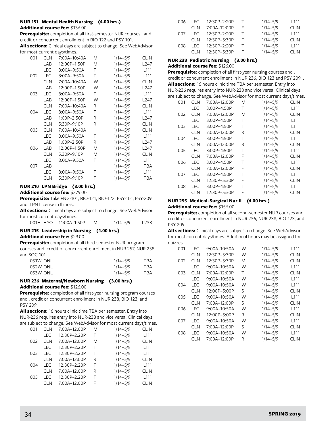# **NUR 151 Mental Health Nursing (4.00 hrs.)**

#### **Additional course fee:** \$136.00

**Prerequisite:** completion of all first-semester NUR courses . and credit or concurrent enrollment in BIO 122 and PSY 101.

**All sections:** Clinical days are subject to change. See WebAdvisor for most current days/times.

| 001 | <b>CLN</b> | 7:00A-10:40A | M | $1/14 - 5/9$ | <b>CLIN</b>      |
|-----|------------|--------------|---|--------------|------------------|
|     | LAB        | 12:00P-1:50P | M | $1/14 - 5/9$ | L247             |
|     | LEC        | 8:00A-9:50A  | Τ | $1/14 - 5/9$ | L <sub>111</sub> |
| 002 | LEC        | 8:00A-9:50A  | Τ | $1/14 - 5/9$ | L111             |
|     | <b>CLN</b> | 7:00A-10:40A | W | $1/14 - 5/9$ | <b>CLIN</b>      |
|     | LAB        | 12:00P-1:50P | W | $1/14 - 5/9$ | L247             |
| 003 | <b>LEC</b> | 8:00A-9:50A  | Τ | $1/14 - 5/9$ | L111             |
|     | LAB        | 12:00P-1:50P | W | $1/14 - 5/9$ | L <sub>247</sub> |
|     | <b>CLN</b> | 7:00A-10:40A | R | $1/14 - 5/9$ | <b>CLIN</b>      |
| 004 | <b>LEC</b> | 8:00A-9:50A  | Т | $1/14 - 5/9$ | L111             |
|     | LAB        | 1:00P-2:50P  | R | $1/14 - 5/9$ | L247             |
|     | <b>CLN</b> | 5:30P-9:10P  | R | $1/14 - 5/9$ | <b>CLIN</b>      |
| 005 | <b>CLN</b> | 7:00A-10:40A |   | $1/14 - 5/9$ | <b>CLIN</b>      |
|     | LEC        | 8:00A-9:50A  | т | $1/14 - 5/9$ | L <sub>111</sub> |
|     | LAB        | 1:00P-2:50P  | R | $1/14 - 5/9$ | L <sub>247</sub> |
| 006 | LAB        | 12:00P-1:50P | M | $1/14 - 5/9$ | L247             |
|     | <b>CLN</b> | 5:30P-9:10P  | M | $1/14 - 5/9$ | <b>CLIN</b>      |
|     | <b>LEC</b> | 8:00A-9:50A  | Τ | $1/14 - 5/9$ | L <sub>111</sub> |
| 007 | LAB        |              |   | $1/14 - 5/9$ | <b>TBA</b>       |
|     | <b>LEC</b> | 8:00A-9:50A  | Τ | $1/14 - 5/9$ | L <sub>111</sub> |
|     | <b>CLN</b> | 5:30P-9:10P  | Τ | $1/14 - 5/9$ | TBA              |

# **NUR 210 LPN Bridge (3.00 hrs.)**

### **Additional course fee:** \$279.00

**Prerequisite:** Take ENG-101, BIO-121, BIO-122, PSY-101, PSY-209 and LPN License in Illinois.

**All sections:** Clinical days are subject to change. See WebAdvisor for most current days/times.

| $1/14 - 5/9$<br>001H HYO 11:00A-1:50P | L238 |
|---------------------------------------|------|
|---------------------------------------|------|

# **NUR 215 Leadership in Nursing (1.00 hrs.)**

#### **Additional course fee:** \$29.00

**Prerequisite:** completion of all third-semester NUR program courses and. credit or concurrent enrollment in NUR 257, NUR 258, and SOC 101.

| 051W ONL | $1/14 - 5/9$ | TBA |
|----------|--------------|-----|
| 052W ONL | $1/14 - 5/9$ | TBA |
| 053W ONL | $1/14 - 5/9$ | TBA |

#### **NUR 236 Maternal/Newborn Nursing (3.00 hrs.) Additional course fee:** \$126.00

**Prerequisite:** completion of all first-year nursing program courses and . credit or concurrent enrollment in NUR 238, BIO 123, and PSY 209.

**All sections:** 16 hours clinic time TBA per semester. Entry into NUR-236 requires entry into NUR-238 and vice versa. Clinical days are subject to change. See WebAdvisor for most current days/times.

| 001 | <b>CLN</b> | 7:00A-12:00P | M | $1/14 - 5/9$ | <b>CLIN</b>      |
|-----|------------|--------------|---|--------------|------------------|
|     | <b>LEC</b> | 12:30P-2:20P | т | $1/14 - 5/9$ | L <sub>111</sub> |
| 002 | <b>CLN</b> | 7:00A-12:00P | M | $1/14 - 5/9$ | <b>CLIN</b>      |
|     | <b>LEC</b> | 12:30P-2:20P | т | $1/14 - 5/9$ | L111             |
| 003 | LEC        | 12:30P-2:20P | т | $1/14 - 5/9$ | L <sub>111</sub> |
|     | <b>CLN</b> | 7:00A-12:00P | R | $1/14 - 5/9$ | <b>CLIN</b>      |
| 004 | <b>LEC</b> | 12:30P-2:20P | т | $1/14 - 5/9$ | L111             |
|     | <b>CLN</b> | 7:00A-12:00P | R | $1/14 - 5/9$ | <b>CLIN</b>      |
| 005 | <b>LEC</b> | 12:30P-2:20P | т | $1/14 - 5/9$ | L <sub>111</sub> |
|     | <b>CLN</b> | 7:00A-12:00P | F | $1/14 - 5/9$ | <b>CLIN</b>      |

| 006 | I FC. | 12:30P-2:20P |    | $1/14 - 5/9$ | L <sub>111</sub> |
|-----|-------|--------------|----|--------------|------------------|
|     | CI N  | 7:00A-12:00P | F  | $1/14 - 5/9$ | <b>CLIN</b>      |
| 007 | I EC. | 12:30P-2:20P |    | $1/14 - 5/9$ | L <sub>111</sub> |
|     | CI N  | 12:30P-5:30P |    | $1/14 - 5/9$ | <b>CLIN</b>      |
| 008 | I EC. | 12:30P-2:20P | т. | $1/14 - 5/9$ | L <sub>111</sub> |
|     | CI N  | 12:30P-5:30P |    | $1/14 - 5/9$ | $C1$ IN          |

#### **NUR 238 Pediatric Nursing (3.00 hrs.) Additional course fee:** \$126.00

**Prerequisite:** completion of all first-year nursing courses and . credit or concurrent enrollment in NUR 236, BIO 123 and PSY 209. . **All sections:** 16 hours clinic time TBA per semester. Entry into NUR-236 requires entry into NUR-238 and vice versa. Clinical days are subject to change. See WebAdvisor for most current days/times.

| 001 | <b>CLN</b> | 7:00A-12:00P    | M | $1/14 - 5/9$ | <b>CLIN</b>      |
|-----|------------|-----------------|---|--------------|------------------|
|     | <b>LEC</b> | 3:00P-4:50P     | Т | $1/14 - 5/9$ | L <sub>111</sub> |
| 002 | CLN        | 7:00A-12:00P    | M | $1/14 - 5/9$ | <b>CLIN</b>      |
|     | <b>LEC</b> | $3:00P - 4:50P$ | Τ | $1/14 - 5/9$ | L111             |
| 003 | <b>LEC</b> | 3:00P-4:50P     | Τ | $1/14 - 5/9$ | L111             |
|     | <b>CLN</b> | 7:00A-12:00P    | R | $1/14 - 5/9$ | <b>CLIN</b>      |
| 004 | LEC        | 3:00P-4:50P     | Т | $1/14 - 5/9$ | L111             |
|     | <b>CLN</b> | 7:00A-12:00P    | R | $1/14 - 5/9$ | <b>CLIN</b>      |
| 005 | LEC        | $3:00P - 4:50P$ | Τ | $1/14 - 5/9$ | L111             |
|     | CLN        | 7:00A-12:00P    | F | $1/14 - 5/9$ | <b>CLIN</b>      |
| 006 | LEC        | $3:00P - 4:50P$ | Τ | $1/14 - 5/9$ | L <sub>111</sub> |
|     | <b>CLN</b> | 7:00A-12:00P    | F | $1/14 - 5/9$ | <b>CLIN</b>      |
| 007 | <b>LEC</b> | 3:00P-4:50P     | Τ | $1/14 - 5/9$ | L111             |
|     | <b>CLN</b> | 12:30P-5:30P    | F | $1/14 - 5/9$ | <b>CLIN</b>      |
| 008 | LEC        | $3:00P - 4:50P$ | Т | $1/14 - 5/9$ | L <sub>111</sub> |
|     | <b>CLN</b> | 12:30P-5:30P    | F | $1/14 - 5/9$ | <b>CLIN</b>      |

# **NUR 255 Medical-Surgical Nur II (4.00 hrs.)**

#### **Additional course fee:** \$156.00

**Prerequisite:** completion of all second-semester NUR courses and . credit or concurrent enrollment in NUR 236, NUR 238, BIO 123, and PSY 209.

**All sections:** Clinical days are subject to change. See WebAdvisor for most current days/times. Additional hours may be assigned for quizzes.

| 001 | LEC        | 9:00A–10:50A   | W | $1/14 - 5/9$ | L111             |
|-----|------------|----------------|---|--------------|------------------|
|     | <b>CLN</b> | 12:30P-5:30P   | W | $1/14 - 5/9$ | <b>CLIN</b>      |
| 002 | <b>CLN</b> | 12:30P-5:30P   | M | $1/14 - 5/9$ | CLIN             |
|     | LEC        | 9:00A-10:50A   | W | $1/14 - 5/9$ | L111             |
| 003 | CLN        | 7:00A-12:00P   | т | $1/14 - 5/9$ | <b>CLIN</b>      |
|     | LEC        | $9:00A-10:50A$ | W | $1/14 - 5/9$ | L111             |
| 004 | LEC        | 9:00A–10:50A   | W | $1/14 - 5/9$ | L111             |
|     | CLN        | 12:00P-5:00P   | S | $1/14 - 5/9$ | <b>CLIN</b>      |
| 005 | I FC       | $9:00A-10:50A$ | W | $1/14 - 5/9$ | L111             |
|     | <b>CLN</b> | 7:00A-12:00P   | S | $1/14 - 5/9$ | <b>CLIN</b>      |
| 006 | LEC        | $9:00A-10:50A$ | W | $1/14 - 5/9$ | L111             |
|     | <b>CLN</b> | 12:00P-5:00P   | R | $1/14 - 5/9$ | CLIN             |
| 007 | LEC        | $9:00A-10:50A$ | W | $1/14 - 5/9$ | L111             |
|     | <b>CLN</b> | 7:00A-12:00P   | S | $1/14 - 5/9$ | <b>CLIN</b>      |
| 008 | LEC        | $9:00A-10:50A$ | W | $1/14 - 5/9$ | L <sub>111</sub> |
|     | CLN        | 7:00A-12:00P   | R | $1/14 - 5/9$ | CLIN             |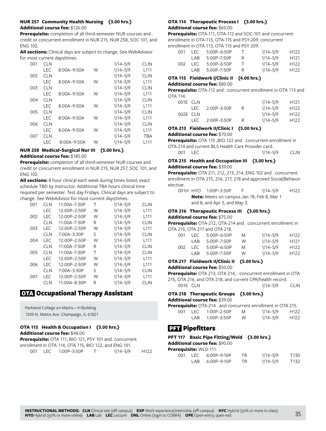# **NUR 257 Community Health Nursing (3.00 hrs.) Additional course fee:** \$126.00

**Prerequisite:** completion of all third-semester NUR courses and . credit or concurrent enrollment in NUR 215, NUR 258, SOC 101, and ENG 102.

**All sections:** Clinical days are subject to change. See WebAdvisor for most current days/times.

| 001 | <b>CLN</b> |                 |   | $1/14 - 5/9$ | <b>CLIN</b>      |
|-----|------------|-----------------|---|--------------|------------------|
|     | LEC        | $8:00A - 9:50A$ | W | $1/14 - 5/9$ | L <sub>111</sub> |
| 002 | <b>CLN</b> |                 |   | $1/14 - 5/9$ | <b>CLIN</b>      |
|     | LEC        | $8:00A-9:50A$   | W | $1/14 - 5/9$ | L <sub>111</sub> |
| 003 | <b>CLN</b> |                 |   | $1/14 - 5/9$ | CLIN             |
|     | LEC        | $8:00A - 9:50A$ | W | $1/14 - 5/9$ | L111             |
| 004 | <b>CLN</b> |                 |   | $1/14 - 5/9$ | <b>CLIN</b>      |
|     | LEC        | $8:00A - 9:50A$ | W | $1/14 - 5/9$ | L <sub>111</sub> |
| 005 | <b>CLN</b> |                 |   | $1/14 - 5/9$ | <b>CLIN</b>      |
|     | LEC        | $8:00A - 9:50A$ | W | $1/14 - 5/9$ | L <sub>111</sub> |
| 006 | <b>CLN</b> |                 |   | $1/14 - 5/9$ | <b>CLIN</b>      |
|     | LEC        | $8:00A - 9:50A$ | W | $1/14 - 5/9$ | L111             |
| 007 | <b>CLN</b> |                 |   | $1/14 - 5/9$ | <b>TBA</b>       |
|     | I FC       | 8:00A-9:50A     | W | $1/14 - 5/9$ | l 111            |

#### **NUR 258 Medical-Surgical Nur III (5.00 hrs.) Additional course fee:** \$185.00

**Prerequisite:** completion of all third-semester NUR courses and credit or concurrent enrollment in NUR 215, NUR 257, SOC 101, and ENG 102.

**All sections:** 8 hour clinical each week during times listed; exact schedule TBD by instructor. Additional TBA hours clinical time required per semester. Test day Fridays. Clinical days are subject to change. See WebAdvisor for most current days/times.

| 001 | <b>CLN</b> | 11:00A-7:30P | Т | $1/14 - 5/9$ | <b>CLIN</b>      |
|-----|------------|--------------|---|--------------|------------------|
|     | LEC        | 12:00P-2:50P | W | $1/14 - 5/9$ | L <sub>111</sub> |
| 002 | <b>LEC</b> | 12:00P-2:50P | W | $1/14 - 5/9$ | L <sub>111</sub> |
|     | <b>CLN</b> | 11:00A-7:30P | R | $1/14 - 5/9$ | <b>CLIN</b>      |
| 003 | LEC        | 12:00P-2:50P | W | $1/14 - 5/9$ | L <sub>111</sub> |
|     | <b>CLN</b> | 7:00A-3:30P  | S | $1/14 - 5/9$ | <b>CLIN</b>      |
| 004 | <b>LEC</b> | 12:00P-2:50P | W | $1/14 - 5/9$ | L <sub>111</sub> |
|     | <b>CLN</b> | 11:00A-7:30P | R | $1/14 - 5/9$ | <b>CLIN</b>      |
| 005 | <b>CLN</b> | 11:00A-7:30P | т | $1/14 - 5/9$ | <b>CLIN</b>      |
|     | LEC        | 12:00P-2:50P | W | $1/14 - 5/9$ | L <sub>111</sub> |
| 006 | LEC        | 12:00P-2:50P | W | $1/14 - 5/9$ | L111             |
|     | <b>CLN</b> | 7:00A-3:30P  | S | $1/14 - 5/9$ | <b>CLIN</b>      |
| 007 | <b>LEC</b> | 12:00P-2:50P | W | $1/14 - 5/9$ | L <sub>111</sub> |
|     | <b>CLN</b> | 11:00A-8:30P | R | $1/14 - 5/9$ | <b>CLIN</b>      |

# OTA Occupational Therapy Assistant

Parkland College on Mattis—H Building 1309 N. Mattis Ave. Champaign, IL 61821

# **OTA 113 Health & Occupation I (3.00 hrs.) Additional course fee:** \$48.00

|      |                 |     | <b>Prerequisite:</b> OTA 111, BIO 121, PSY 101 and. concurrent |                  |
|------|-----------------|-----|----------------------------------------------------------------|------------------|
|      |                 |     | enrollment in OTA 114, OTA 115, BIO 122, and ENG 101. .        |                  |
| -001 | LEC 1:00P-3:50P | - T | 1/14–5/9                                                       | H <sub>122</sub> |

### **OTA 114 Therapeutic Process I (3.00 hrs.) Additional course fee:** \$60.00

**Prerequisite:** OTA-111, OTA-112 and SOC-101 and concurrent enrollment in OTA-113, OTA-115 and PSY-209. concurrent enrollment in OTA 113, OTA 115 and PSY 209.

| 001 | I EC. | $5.00P - 6.50P$ |              | $1/14 - 5/9$ | H <sub>122</sub> |
|-----|-------|-----------------|--------------|--------------|------------------|
|     | I AR  | $5:00P - 7:50P$ | R.           | $1/14 - 5/9$ | H <sub>121</sub> |
| 002 | I EC. | $5:00P - 6:50P$ | $\mathbf{I}$ | $1/14 - 5/9$ | H <sub>122</sub> |
|     | I AR  | $5:00P - 7:50P$ | R            | $1/14 - 5/9$ | H <sub>122</sub> |

# **OTA 115 Fieldwork I/Clinic II (4.00 hrs.)**

# **Additional course fee:** \$80.00

**Prerequisite:** OTA-112 and . concurrent enrollment in OTA 113 and OTA 114.

| 001E CLN |       |               | $1/14 - 5/9$ | H <sub>121</sub> |
|----------|-------|---------------|--------------|------------------|
|          | IFC.  | 2:00P-3:50P   | $1/14 - 5/9$ | H <sub>122</sub> |
| 002E CLN |       |               | $1/14 - 5/9$ | H <sub>122</sub> |
|          | I EC. | $2:00P-3:50P$ | $1/14 - 5/9$ | H <sub>122</sub> |

# **OTA 213 Fieldwork II/Clinic I (5.00 hrs.)**

### **Additional course fee:** \$70.00

**Prerequisite:** OTA 115 ,BIO 122 and . concurrent enrollment in OTA 214 and current BLS Health Care Provider card.

```
001 LEC 1/14–5/9 CLIN
```
# **OTA 215 Health and Occupation III (3.00 hrs.) Additional course fee:** \$39.00

**Prerequisite:** OTA 211, 212, 213, 214, ENG 102 and . concurrent enrollment in OTA 215, 216, 217, 218 and approved Social/Behavor elective.

001H HYO 1:00P–3:50P F 1/14–5/9 H122 **Note:** Meets on campus Jan 18; Feb 8, Mar 1 and 8; and Apr 5, and May 3.

# **OTA 216 Therapeutic Process III (3.00 hrs.)**

### **Additional course fee:** \$75.00

**Prerequisite:** OTA-212, OTA-214 and . concurrent enrollment in OTA 215, OTA 217 and OTA 218.

| 001 | I FC. | $5:00P-6:50P$   | M | $1/14 - 5/9$ | H <sub>122</sub> |
|-----|-------|-----------------|---|--------------|------------------|
|     | I AR  | $5:00P - 7:50P$ | W | $1/14 - 5/9$ | H <sub>121</sub> |
| 002 | I FC. | $5:00P-6:50P$   | M | $1/14 - 5/9$ | H <sub>122</sub> |
|     | I AR  | $5:00P - 7:50P$ | W | $1/14 - 5/9$ | H <sub>122</sub> |

# **OTA 217 Fieldwork II/Clinic II (5.00 hrs.)**

**Additional course fee:** \$50.00

**Prerequisite:** OTA 213, OTA 214, . concurrent enrollment in OTA 215, OTA 216, and OTA 218, and current CPR/health record.

001E CLN 1/14–5/9 CLIN

# **OTA 218 Therapeutic Groups (3.00 hrs.)**

**Additional course fee:** \$39.00

|     |                |             |   | <b>Prerequisite:</b> OTA-214 . and concurrent enrollment in OTA 215. |                  |
|-----|----------------|-------------|---|----------------------------------------------------------------------|------------------|
| 001 | LEC <b>LEC</b> | 1:00P-2:50P | M | $1/14 - 5/9$                                                         | H <sub>122</sub> |

|  | LAB 1:00P-3:50P | - W | 1/14–5/9 | H <sub>122</sub> |
|--|-----------------|-----|----------|------------------|
|  |                 |     |          |                  |

# **PFT** Pipefitters

### **PFT 117 Basic Pipe Fitting/Weld (3.00 hrs.)**

**Additional course fee:** \$90.00

| Prerequisite: WLD 111. |      |                 |     |              |      |
|------------------------|------|-----------------|-----|--------------|------|
| 001.                   |      | LEC 6:00P-9:10P | TR. | $1/14 - 5/9$ | T130 |
|                        | I AR | 6:00P-9:10P     | TR. | $1/14 - 5/9$ | T132 |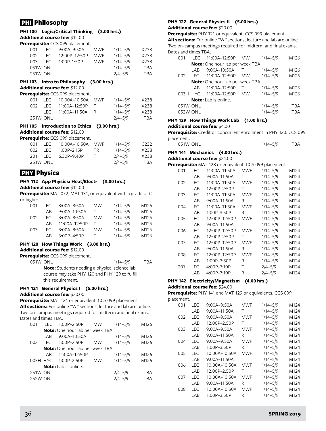# **PHI** Philosophy

#### **PHI 100 Logic/Critical Thinking (3.00 hrs.) Additional course fee:** \$12.00

**Prerequisite:** CCS 099 placement.

|          |                 | 001 LEC 9:00A-9:50A | MWF        | $1/14 - 5/9$ | X238 |
|----------|-----------------|---------------------|------------|--------------|------|
|          | 002 LEC         | 12:00P-12:50P       | <b>MWF</b> | $1/14 - 5/9$ | X238 |
| 003 LEC  |                 | 1:00P-1:50P         | MWF        | $1/14 - 5/9$ | X238 |
| 051W ONL |                 |                     |            | $1/14 - 5/9$ | TBA  |
|          | <b>251W ONL</b> |                     |            | $2/4 - 5/9$  | TBA  |

#### **PHI 103 Intro to Philosophy (3.00 hrs.) Additional course fee:** \$12.00

**Prerequisite:** CCS 099 placement.

|     |                 | <b>El equisite.</b> CC3 077 placement. |              |      |
|-----|-----------------|----------------------------------------|--------------|------|
| 001 |                 | LEC  10:00A-10:50A  MWF                | $1/14 - 5/9$ | X238 |
| 002 |                 | LEC  11:00A-12:50P  T                  | $1/14 - 5/9$ | X238 |
|     |                 | LEC 11:00A-11:50A R                    | $1/14 - 5/9$ | X238 |
|     | <b>251W ONL</b> |                                        | $2/4 - 5/9$  | TBA  |

### **PHI 105 Introduction to Ethics (3.00 hrs.) Additional course fee:** \$12.00

**Prerequisite:** CCS 099 placement.

| OO1. |                 |                     |           | $1/14 - 5/9$ | C <sub>232</sub> |
|------|-----------------|---------------------|-----------|--------------|------------------|
|      |                 | 002 LEC 1:00P-2:15P | <b>TR</b> | $1/14 - 5/9$ | X238             |
|      |                 | 201 LEC 6:30P-9:40P |           | $2/4 - 5/9$  | X238             |
|      | <b>251W ONL</b> |                     |           | $2/4 - 5/9$  | TBA              |

# **PHY Physics**

#### **PHY 112 App Physics: Heat/Electr (3.00 hrs.) Additional course fee:** \$12.00

**Prerequisite:** MAT 072, MAT 131, or equivalent with a grade of C or higher.

| 001 | LEC.  | $8:00A - 8:50A$ | <b>MW</b> | $1/14 - 5/9$ | M126 |
|-----|-------|-----------------|-----------|--------------|------|
|     | I AR  | 9:00A-10:50A    | т         | $1/14 - 5/9$ | M126 |
| 002 | I FC. | $8:00A - 8:50A$ | <b>MW</b> | $1/14 - 5/9$ | M126 |
|     | I AR  | 11:00A-12:50P   | т         | $1/14 - 5/9$ | M126 |
| 003 | I FC. | $8:00A - 8:50A$ | <b>MW</b> | $1/14 - 5/9$ | M126 |
|     | I AR  | $3:00P-4:50P$   | T         | $1/14 - 5/9$ | M126 |

# **PHY 120 How Things Work (3.00 hrs.)**

**Additional course fee:** \$12.00

**Prerequisite:** CCS 099 placement.

051W ONL 1/14–5/9 TBA **Note:** Students needing a physical science lab course may take PHY 120 and PHY 129 to fulfill this requirement.

# **PHY 121 General Physics I (5.00 hrs.)**

# **Additional course fee:** \$20.00

**Prerequisite:** MAT 124 or equivalent. CCS 099 placement. **All sections:** For online "W" sections, lecture and lab are online. Two on-campus meetings required for midterm and final exams. Dates and times TBA.

| 001             | I FC. | 1:00P-2:50P                      | MW        | $1/14 - 5/9$ | M126       |
|-----------------|-------|----------------------------------|-----------|--------------|------------|
|                 |       | Note: One hour lab per week TBA. |           |              |            |
|                 | LAB   | 9:00A-10:50A                     | Τ         | $1/14 - 5/9$ | M126       |
| 002             | I FC. | 1:00P-2:50P                      | <b>MW</b> | $1/14 - 5/9$ | M126       |
|                 |       | Note: One hour lab per week TBA. |           |              |            |
|                 | LAB   | 11:00A-12:50P                    | т         | $1/14 - 5/9$ | M126       |
|                 |       | 003H HYC 1:00P-2:50P             | <b>MW</b> | $1/14 - 5/9$ | M126       |
|                 |       | <b>Note:</b> Lab is online.      |           |              |            |
| <b>251W ONL</b> |       |                                  |           | $2/4 - 5/9$  | <b>TBA</b> |
| <b>252W ONL</b> |       |                                  |           | $2/4 - 5/9$  | <b>TBA</b> |
|                 |       |                                  |           |              |            |

# **PHY 122 General Physics II (5.00 hrs.) Additional course fee:** \$20.00

**Prerequisite:** PHY 121 or equivalent. CCS 099 placement.

**All sections:** For online "W" sections, lecture and lab are online. Two on-campus meetings required for midterm and final exams. Dates and times TBA.

| 001      | I FC. | 11:00A-12:50P MW                        |           | $1/14 - 5/9$ | M126 |
|----------|-------|-----------------------------------------|-----------|--------------|------|
|          |       | Note: One hour lab per week TBA.        |           |              |      |
|          | LAB   | $9:00A-10:50A$                          | $\top$    | $1/14 - 5/9$ | M126 |
| 002      | I FC. | 11:00A-12:50P                           | <b>MW</b> | $1/14 - 5/9$ | M126 |
|          |       | <b>Note:</b> One hour lab per week TBA. |           |              |      |
|          | I AR  | 11:00A-12:50P                           | т         | $1/14 - 5/9$ | M126 |
|          |       | 003H HYC 11:00A-12:50P                  | <b>MW</b> | $1/14 - 5/9$ | M126 |
|          |       | <b>Note:</b> Lab is online.             |           |              |      |
| 051W ONL |       |                                         |           | $1/14 - 5/9$ | TBA  |
| 052W ONL |       |                                         |           | $1/14 - 5/9$ | TBA  |

### **PHY 129 How Things Work Lab (1.00 hrs.) Additional course fee:** \$4.00

**Prerequisite:** Credit or concurrent enrollment in PHY 120. CCS 099 placement.

| 051W ONL | 1/14–5/9 | TBA |
|----------|----------|-----|
|          |          |     |

### **PHY 141 Mechanics (4.00 hrs.)**

**Additional course fee:** \$24.00

**Prerequisite:** MAT 128 or equivalent. CCS 099 placement.

| 001 | LEC        | 11:00A-11:50A  | <b>MWF</b> | $1/14 - 5/9$ | M124 |
|-----|------------|----------------|------------|--------------|------|
|     | LAB        | 9:00A-11:50A   | Τ          | $1/14 - 5/9$ | M124 |
| 002 | LEC        | 11:00A-11:50A  | <b>MWF</b> | $1/14 - 5/9$ | M124 |
|     | LAB        | 12:00P-2:50P   | Τ          | $1/14 - 5/9$ | M124 |
| 003 | LEC        | 11:00A-11:50A  | <b>MWF</b> | $1/14 - 5/9$ | M124 |
|     | LAB        | $9:00A-11:50A$ | R          | $1/14 - 5/9$ | M124 |
| 004 | <b>LEC</b> | 11:00A-11:50A  | <b>MWF</b> | $1/14 - 5/9$ | M124 |
|     | LAB        | 1:00P-3:50P    | R          | $1/14 - 5/9$ | M124 |
| 005 | <b>LEC</b> | 12:00P-12:50P  | <b>MWF</b> | $1/14 - 5/9$ | M124 |
|     | LAB        | 9:00A-11:50A   | т          | $1/14 - 5/9$ | M124 |
| 006 | LEC        | 12:00P-12:50P  | MWF        | $1/14 - 5/9$ | M124 |
|     | LAB        | 12:00P-2:50P   | т          | $1/14 - 5/9$ | M124 |
| 007 | LEC        | 12:00P-12:50P  | MWF        | $1/14 - 5/9$ | M124 |
|     | LAB        | 9:00A-11:50A   | R          | $1/14 - 5/9$ | M124 |
| 008 | <b>LEC</b> | 12:00P-12:50P  | <b>MWF</b> | $1/14 - 5/9$ | M124 |
|     | LAB        | 1:00P-3:50P    | R          | $1/14 - 5/9$ | M124 |
| 201 | <b>LEC</b> | 4:00P-7:10P    | Τ          | $2/4 - 5/9$  | M124 |
|     | LAB        | 4:00P-7:10P    | R          | $2/4 - 5/9$  | M124 |

# **PHY 142 Electricity/Magnetism (4.00 hrs.)**

**Additional course fee:** \$24.00

**Prerequisite:** PHY 141 and MAT 129 or equivalents. CCS 099 placement.

| 001 | LEC  | $9:00A - 9:50A$ | MWF        | $1/14 - 5/9$ | M124 |
|-----|------|-----------------|------------|--------------|------|
|     | LAB  | $9:00A-11:50A$  | т          | $1/14 - 5/9$ | M124 |
| 002 | LEC  | 9:00A-9:50A     | MWF        | $1/14 - 5/9$ | M124 |
|     | LAB  | 12:00P-2:50P    | т          | $1/14 - 5/9$ | M124 |
| 003 | LEC  | $9:00A - 9:50A$ | MWF        | $1/14 - 5/9$ | M124 |
|     | LAB  | 9:00A-11:50A    | R          | $1/14 - 5/9$ | M124 |
| 004 | I FC | $9:00A - 9:50A$ | MWF        | $1/14 - 5/9$ | M124 |
|     | LAB  | $1:00P-3:50P$   | R          | $1/14 - 5/9$ | M124 |
| 005 | I FC | 10:00A-10:50A   | <b>MWF</b> | $1/14 - 5/9$ | M124 |
|     | LAB  | $9:00A-11:50A$  | т          | $1/14 - 5/9$ | M124 |
| 006 | LEC  | 10:00A-10:50A   | MWF        | $1/14 - 5/9$ | M124 |
|     | LAB  | 12:00P-2:50P    | т          | $1/14 - 5/9$ | M124 |
| 007 | LEC  | 10:00A-10:50A   | MWF        | $1/14 - 5/9$ | M124 |
|     | LAB  | $9:00A-11:50A$  | R          | $1/14 - 5/9$ | M124 |
| 008 | I FC | 10:00A-10:50A   | MWF        | $1/14 - 5/9$ | M124 |
|     | LAB  | $1:00P-3:50P$   | R          | $1/14 - 5/9$ | M124 |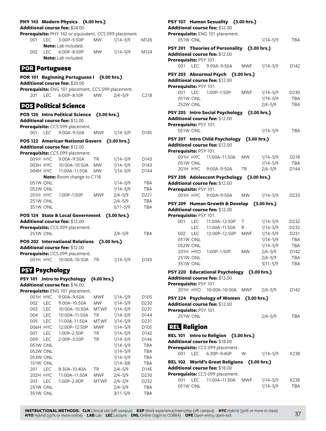|                       |                      | PHY 143 Modern Physics (4.00 hrs.)<br>Additional course fee: \$24.00 |             |                             |                   |
|-----------------------|----------------------|----------------------------------------------------------------------|-------------|-----------------------------|-------------------|
|                       |                      | Prerequisite: PHY 142 or equivalent. CCS 099 placement.              |             |                             |                   |
| 001                   | <b>LEC</b>           | 3:00P-5:50P                                                          | <b>MW</b>   | $1/14 - 5/9$                | M126              |
|                       |                      | <b>Note:</b> Lab included.                                           |             |                             |                   |
| 002                   |                      | LEC 6:00P-8:50P                                                      | <b>MW</b>   | $1/14 - 5/9$                | M124              |
|                       |                      | Note: Lab included.                                                  |             |                             |                   |
| <b>POR Portuguese</b> |                      |                                                                      |             |                             |                   |
|                       |                      | POR 101 Beginning Portuguese I (4.00 hrs.)                           |             |                             |                   |
|                       |                      | Additional course fee: \$20.00                                       |             |                             |                   |
|                       |                      | Prerequisite: ENG 101 placement. CCS 099 placement.                  |             |                             |                   |
|                       |                      | 201 LEC 6:00P-8:10P                                                  | MW          | $2/4 - 5/9$                 | C <sub>218</sub>  |
|                       |                      | <b>POS Political Science</b>                                         |             |                             |                   |
|                       |                      | POS 120 Intro Political Science                                      | (3.00 hrs.) |                             |                   |
|                       |                      | Additional course fee: \$12.00                                       |             |                             |                   |
|                       |                      | Prerequisite: CCS 099 placement.                                     |             |                             |                   |
| 001                   |                      | LEC 9:00A-9:50A                                                      | MWF         | $1/14 - 5/9$                | D145              |
|                       |                      | POS 122 American National Govern (3.00 hrs.)                         |             |                             |                   |
|                       |                      | <b>Additional course fee: \$12.00</b>                                |             |                             |                   |
|                       |                      | Prerequisite: CCS 099 placement.                                     |             |                             |                   |
|                       |                      | 001H HYC 9:00A-9:50A                                                 | <b>TR</b>   | $1/14 - 5/9$                | D143              |
|                       | 003H HYC             | 10:00A-10:50A MW                                                     |             | $1/14 - 5/9$                | D143              |
|                       | 004H HYC             | 11:00A-11:50A MW                                                     |             | $1/14 - 5/9$                | D144              |
|                       |                      | Note: Room change to C118                                            |             |                             |                   |
|                       | 051W ONL             |                                                                      |             | $1/14 - 5/9$                | <b>TBA</b>        |
|                       | 052W ONL             |                                                                      |             | $1/14 - 5/9$                | <b>TBA</b>        |
|                       | 201H HYC             | 1:00P-1:50P                                                          | MWF         | $2/4 - 5/9$                 | D <sub>221</sub>  |
|                       | <b>251W ONL</b>      |                                                                      |             | $2/4 - 5/9$                 | <b>TBA</b>        |
|                       | <b>351W ONL</b>      |                                                                      |             | $3/11 - 5/9$                | <b>TBA</b>        |
|                       |                      | POS 124 State & Local Government (3.00 hrs.)                         |             |                             |                   |
|                       |                      | Additional course fee: \$12.00                                       |             |                             |                   |
|                       |                      | Prerequisite: CCS 099 placement.                                     |             |                             |                   |
|                       | 251W ONL             |                                                                      |             | $2/4 - 5/9$                 | <b>TBA</b>        |
|                       |                      | POS 202 International Relations (3.00 hrs.)                          |             |                             |                   |
|                       |                      | Additional course fee: \$12.00                                       |             |                             |                   |
|                       |                      | Prerequisite: CCS 099 placement.                                     |             |                             |                   |
|                       |                      | 001H HYC 10:00A-10:50A                                               | <b>TR</b>   | $1/14 - 5/9$                | D143              |
| <b>PSY Psychology</b> |                      |                                                                      |             |                             |                   |
| <b>PSY 101</b>        |                      | <b>Intro to Psychology</b>                                           | (4.00 hrs.) |                             |                   |
|                       |                      | Additional course fee: \$16.00                                       |             |                             |                   |
|                       |                      |                                                                      |             |                             |                   |
|                       |                      |                                                                      |             |                             |                   |
|                       | 001H HYC             | Prerequisite: ENG 101 placement.                                     | <b>MWF</b>  | $1/14 - 5/9$                | D105              |
| 002                   | <b>LEC</b>           | 9:00A-9:50A<br>9:00A-10:50A                                          | <b>MW</b>   | $1/14 - 5/9$                | D230              |
| 003                   | LEC                  | 10:00A-10:50A                                                        | MTWF        | $1/14 - 5/9$                | D231              |
| 004                   | <b>LEC</b>           | 10:00A-11:50A                                                        | ΤR          | $1/14 - 5/9$                | D144              |
| 005                   | LEC                  | 11:00A-11:50A                                                        | MTWF        | $1/14 - 5/9$                | D231              |
|                       | 006H HYC             | 12:00P-12:50P                                                        | <b>MWF</b>  | $1/14 - 5/9$                | D105              |
| 007                   | <b>LEC</b>           | 1:00P-2:50P                                                          | <b>TR</b>   | $1/14 - 5/9$                | D142              |
| 009                   | LEC                  | 2:00P-3:50P                                                          | TR          | $1/14 - 5/9$                | D146              |
|                       | 051W ONL             |                                                                      |             | $1/14 - 5/9$                | <b>TBA</b>        |
|                       | 052W ONL             |                                                                      |             | $1/14 - 5/9$                | <b>TBA</b>        |
|                       | 053W ONL             |                                                                      |             | $1/14 - 5/9$                | TBA               |
|                       | <b>151W ONL</b>      |                                                                      |             | $1/14 - 3/8$                | <b>TBA</b>        |
| 201                   | <b>LEC</b>           | 8:30A-10:40A                                                         | ΤR          | $2/4 - 5/9$                 | D145              |
|                       | 202H HYC             | 11:00A-11:50A                                                        | <b>MWF</b>  | $2/4 - 5/9$                 | D <sub>2</sub> 30 |
| 203                   | <b>LEC</b>           | 1:00P-2:00P                                                          | <b>MTWF</b> | $2/4 - 5/9$                 | D232              |
|                       | 251W ONL<br>351W ONL |                                                                      |             | $2/4 - 5/9$<br>$3/11 - 5/9$ | TBA<br><b>TBA</b> |

| Additional course fee: \$12.00        | PSY 107 Human Sexuality (3.00 hrs.)         |            |                              |                   |
|---------------------------------------|---------------------------------------------|------------|------------------------------|-------------------|
| 051W ONL                              | Prerequisite: ENG 101 placement.            |            | $1/14 - 5/9$                 | <b>TBA</b>        |
|                                       | PSY 201 Theories of Personality (3.00 hrs.) |            |                              |                   |
| Additional course fee: \$12.00        |                                             |            |                              |                   |
| Prerequisite: PSY 101.                |                                             |            |                              |                   |
| 001 LEC                               | 9:00A-9:50A                                 |            | MWF 1/14-5/9                 | D142              |
|                                       | PSY 203 Abnormal Psych (3.00 hrs.)          |            |                              |                   |
| <b>Additional course fee: \$12.00</b> |                                             |            |                              |                   |
| Prerequisite: PSY 101.                |                                             |            |                              |                   |
| 001<br><b>LEC</b>                     | 1:00P-1:50P                                 | MWF        | $1/14 - 5/9$                 | D <sub>230</sub>  |
| 051W ONL                              |                                             |            | $1/14 - 5/9$                 | <b>TBA</b>        |
| 252W ONL                              |                                             |            | $2/4 - 5/9$                  | <b>TBA</b>        |
|                                       | PSY 205 Intro Social Psychology (3.00 hrs.) |            |                              |                   |
| Additional course fee: \$12.00        |                                             |            |                              |                   |
| Prerequisite: PSY 101.                |                                             |            |                              |                   |
| 051W ONL                              |                                             |            | $1/14 - 5/9$                 | <b>TBA</b>        |
|                                       | PSY 207 Intro Child Psychology (3.00 hrs.)  |            |                              |                   |
| Additional course fee: \$12.00        |                                             |            |                              |                   |
| Prerequisite: PSY 101.                |                                             |            |                              |                   |
| 001H HYC<br>051W ONL                  | 11:00A-11:50A MW                            |            | $1/14 - 5/9$<br>$1/14 - 5/9$ | D218<br>TBA       |
|                                       | 201H HYC 9:00A-9:50A                        | <b>TR</b>  | $2/4 - 5/9$                  | D144              |
|                                       |                                             |            |                              |                   |
| Additional course fee: \$12.00        | PSY 208 Adolescent Psychology (3.00 hrs.)   |            |                              |                   |
| Prerequisite: PSY 101.                |                                             |            |                              |                   |
|                                       | 001H HYC 9:00A-9:50A                        | <b>MW</b>  | $1/14 - 5/9$                 | D <sub>2</sub> 33 |
|                                       | PSY 209 Human Growth & Develop (3.00 hrs.)  |            |                              |                   |
| Additional course fee: \$12.00        |                                             |            |                              |                   |
| Prerequisite: PSY 101.                |                                             |            |                              |                   |
| 001<br><b>LEC</b>                     | 11:00A-12:50P T                             |            | $1/14 - 5/9$                 | D232              |
| <b>LEC</b>                            | 11:00A-11:50A                               | - R        | $1/14 - 5/9$                 | D232              |
| 002<br>LEC                            | 12:00P-12:50P                               | <b>MWF</b> | $1/14 - 5/9$                 | D231              |
| 051W ONL                              |                                             |            | $1/14 - 5/9$                 | <b>TBA</b>        |
| 052W ONL                              |                                             |            | $1/14 - 5/9$                 | <b>TBA</b>        |
| 201H HYO                              | 1:00P-1:50P                                 | <b>MW</b>  | $2/4 - 5/9$                  | D142              |
| 251W ONL                              |                                             |            | $2/4 - 5/9$                  | <b>TBA</b>        |
| 351W ONL                              |                                             |            | $3/11 - 5/9$                 | <b>TBA</b>        |
|                                       | PSY 220 Educational Psychology (3.00 hrs.)  |            |                              |                   |
| Additional course fee: \$12.00        |                                             |            |                              |                   |
| Prerequisite: PSY 101.                |                                             |            |                              |                   |
|                                       | 201H HYO  10:00A-10:50A  MWF                |            | $2/4 - 5/9$                  | D <sub>142</sub>  |
|                                       | PSY 224 Psychology of Women (3.00 hrs.)     |            |                              |                   |
| Additional course fee: \$12.00        |                                             |            |                              |                   |
| Prerequisite: PSY 101.<br>251W ONL    |                                             |            | $2/4 - 5/9$                  | <b>TBA</b>        |
|                                       |                                             |            |                              |                   |
| <u>ान</u> Religion                    |                                             |            |                              |                   |
|                                       | REL 101 Intro to Religion (3.00 hrs.)       |            |                              |                   |
| Additional course fee: \$18.00        |                                             |            |                              |                   |
|                                       | Prerequisite: CCS 099 placement.            |            |                              |                   |
|                                       | 001 LEC 6:30P-9:40P                         | W          | $1/14 - 5/9$ X238            |                   |
|                                       | REL 102 World's Great Religions (3.00 hrs.) |            |                              |                   |
| <b>Additional course fee: \$18.00</b> |                                             |            |                              |                   |

**Prerequisite:** CCS 099 placement.

|          | <b>erequisite:</b> CCS 099 placement. |          |            |
|----------|---------------------------------------|----------|------------|
|          | 001 LEC 11:00A-11:50A MWF             | 1/14–5/9 | X238       |
| 051W ONL |                                       | 1/14–5/9 | <b>TBA</b> |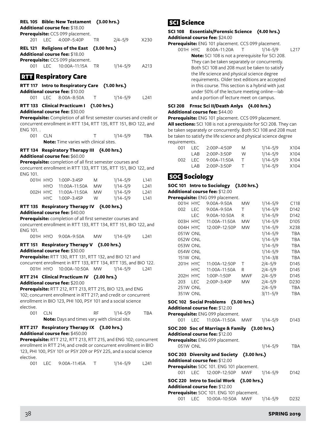|           |            | REL 105 Bible: New Testament                                         | (3.00 hrs.) |              |                  | <b>SCI</b> Science               |                 |                      |
|-----------|------------|----------------------------------------------------------------------|-------------|--------------|------------------|----------------------------------|-----------------|----------------------|
|           |            | Additional course fee: \$18.00<br>Prerequisite: CCS 099 placement.   |             |              |                  | SCI 108 Essentials/For           |                 |                      |
| 201       | <b>LEC</b> | 4:00P-5:40P                                                          | TR          | $2/4 - 5/9$  | X230             | Additional course fee: $$$       |                 |                      |
|           |            |                                                                      |             |              |                  | Prerequisite: ENG 101 pl         |                 |                      |
|           |            | REL 121 Religions of the East                                        | (3.00 hrs.) |              |                  |                                  |                 | 001H HYC 8:00A-      |
|           |            | Additional course fee: \$18.00                                       |             |              |                  |                                  |                 | <b>Note: SCI 108</b> |
|           |            | Prerequisite: CCS 099 placement.                                     |             |              |                  |                                  |                 | They can be ta       |
| 001 LEC   |            | 10:00A-11:15A                                                        | TR          | $1/14 - 5/9$ | A213             |                                  |                 | Both SCI 108 a       |
|           |            |                                                                      |             |              |                  |                                  |                 | the life science     |
|           |            | <b>RTT</b> Respiratory Care                                          |             |              |                  |                                  |                 | requirements.        |
|           |            | RTT 117 Intro to Respiratory Care (1.00 hrs.)                        |             |              |                  |                                  |                 | in this course.      |
|           |            | Additional course fee: \$10.00                                       |             |              |                  |                                  |                 | under 50% of t       |
| 001       | <b>LEC</b> | $8:00A - 8:50A$                                                      | Τ           | $1/14 - 5/9$ | L241             |                                  |                 | and a portion        |
|           |            |                                                                      |             |              |                  |                                  |                 |                      |
|           |            | RTT 133 Clinical Practicum I                                         | (1.00 hrs.) |              |                  | <b>SCI 208</b>                   |                 | Frnsc Sci II/De      |
|           |            | Additional course fee: \$30.00                                       |             |              |                  | <b>Additional course fee: \$</b> |                 |                      |
|           |            | Prerequisite: Completion of all first semester courses and credit or |             |              |                  | Prerequisite: ENG 101 pl         |                 |                      |
|           |            | concurrent enrollment in RTT 134, RTT 135, RTT 151, BIO 122, and     |             |              |                  | All sections: SCI 108 is no      |                 |                      |
| ENG 101   |            |                                                                      |             |              |                  | be taken separately or cor       |                 |                      |
| 001       | <b>CLN</b> |                                                                      | т           | $1/14 - 5/9$ | TBA              | be taken to satisfy the life     |                 |                      |
|           |            | <b>Note:</b> Time varies with clinical sites.                        |             |              |                  | requirements.                    |                 |                      |
|           |            |                                                                      |             |              |                  | 001                              | <b>LEC</b>      | $2:00P-$             |
|           |            | RTT 134 Respiratory Therapy III (4.00 hrs.)                          |             |              |                  |                                  | LAB             | $2:00P-$             |
|           |            | <b>Additional course fee:</b> \$60.00                                |             |              |                  | 002                              | LEC             | $9:00A -$            |
|           |            | Prerequisite: completion of all first semester courses and           |             |              |                  |                                  | LAB             | $2:00P-$             |
|           |            | concurrent enrollment in RTT 133, RTT 135, RTT 151, BIO 122, and     |             |              |                  |                                  |                 |                      |
| ENG 101.  |            |                                                                      |             |              |                  | <b>SOG</b> Sociology             |                 |                      |
|           | 001H HYO   | 1:00P-3:45P                                                          | M           | $1/14 - 5/9$ | L <sub>141</sub> |                                  |                 |                      |
|           | HYO        | 11:00A-11:50A                                                        | MW          | $1/14 - 5/9$ | L <sub>241</sub> | SOC 101 Intro to Socio           |                 |                      |
|           | 002H HYC   | 11:00A-11:50A                                                        | <b>MW</b>   | $1/14 - 5/9$ | L241             | Additional course fee: \$        |                 |                      |
|           | HYC.       | 1:00P-3:45P                                                          | W           | $1/14 - 5/9$ | L <sub>141</sub> | Prerequisite: ENG 099 pl         |                 |                      |
|           |            | RTT 135 Respiratory Therapy IV (4.00 hrs.)                           |             |              |                  |                                  | 001H HYC        | $9:00A -$            |
|           |            | Additional course fee: \$40.00                                       |             |              |                  | 002                              | LEC             | $9:00A -$            |
|           |            |                                                                      |             |              |                  |                                  | <b>LEC</b>      | $9:00A -$            |
|           |            | Prerequisite: completion of all first semester courses and           |             |              |                  |                                  | 003H HYC        | 11:00A               |
|           |            | concurrent enrollment in RTT 133, RTT 134, RTT 151, BIO 122, and     |             |              |                  |                                  | 004H HYC        | 12:00P               |
| ENG 101.  |            |                                                                      |             |              |                  |                                  | 051W ONL        |                      |
|           |            | 001H HYO 9:00A-9:50A                                                 | <b>MW</b>   | $1/14 - 5/9$ | L <sub>241</sub> |                                  | 052W ONL        |                      |
|           |            | RTT 151 Respiratory Therapy V (3.00 hrs.)                            |             |              |                  |                                  | 053W ONL        |                      |
|           |            | Additional course fee: \$30.00                                       |             |              |                  |                                  | 054W ONL        |                      |
|           |            | Prerequisite: RTT 130, RTT 131, RTT 132, and BIO 121 and             |             |              |                  |                                  | <b>151W ONL</b> |                      |
|           |            | concurrent enrollment in RTT 133, RTT 134, RTT 135, and BIO 122.     |             |              |                  |                                  | 201H HYC        |                      |
| 001H HYO  |            | 10:00A-10:50A                                                        | MW          | $1/14 - 5/9$ | L <sub>241</sub> |                                  |                 | 11:00A               |
|           |            |                                                                      |             |              |                  |                                  | <b>HYC</b>      | 11:00A               |
|           |            | RTT 214 Clinical Practicum IV                                        | (2.00 hrs.) |              |                  |                                  | 202H HYC        | $1:00P-$             |
|           |            | <b>Additional course fee: </b> \$20.00                               |             |              |                  | 203                              | <b>LEC</b>      | $2:00P -$            |
|           |            | <b>Prerequisite:</b> RTT 212, RTT 213, RTT 215, BIO 123, and ENG     |             |              |                  |                                  | 251W ONL        |                      |
|           |            | 102; concurrent enrollment in RTT 217; and credit or concurrent      |             |              |                  |                                  | 351W ONL        |                      |
|           |            | enrollment in BIO 123, PHI 100, PSY 101 and a social science         |             |              |                  | SOC 102 Social Probler           |                 |                      |
| elective. |            |                                                                      |             |              |                  | <b>Additional course fee: \$</b> |                 |                      |
| 001       | <b>CLN</b> |                                                                      | RF          | $1/14 - 5/9$ | TBA              | Prerequisite: ENG 099 pl         |                 |                      |
|           |            | Note: Days and times vary with clinical site.                        |             |              |                  | 001                              | <b>LEC</b>      | 11:00A               |
|           |            |                                                                      |             |              |                  |                                  |                 |                      |
|           |            | RTT 217 Respiratory Therapy IX (3.00 hrs.)                           |             |              |                  | SOC 200 Soc of Marria            |                 |                      |
|           |            | Additional course fee: \$450.00                                      |             |              |                  | Additional course fee: \$        |                 |                      |
|           |            | Prerequisite: RTT 212, RTT 213, RTT 215, and ENG 102; concurrent     |             |              |                  | Prerequisite: ENG 099 pl         |                 |                      |
|           |            | enrollment in RTT 214; and credit or concurrent enrollment in BIO    |             |              |                  |                                  | 051W ONL        |                      |
|           |            | 123, PHI 100, PSY 101 or PSY 209 or PSY 225, and a social science    |             |              |                  |                                  |                 |                      |
| elective. |            |                                                                      |             |              |                  | SOC 203 Diversity and            |                 |                      |
| 001       | LEC        | 9:00A-11:45A                                                         | Τ           | $1/14 - 5/9$ | L241             | <b>Additional course fee: \$</b> |                 |                      |
|           |            |                                                                      |             |              |                  | Prerequisite: SOC 101. E         |                 |                      |
|           |            |                                                                      |             |              |                  | 001                              | <b>LEC</b>      | 12:00P               |
|           |            |                                                                      |             |              |                  |                                  |                 |                      |

**SCI 108 Essentials/Forensic Science (4.00 hrs.)**  $$24.00$ 

lacement. CCS 099 placement.

-11:20A T 1/14–5/9 L217 is not a prerequisite for SCI 208. aken separately or concurrently. and 208 must be taken to satisfy e and physical science degree Older text editions are accepted This section is a hybrid with just the lecture meeting online—lab of lecture meet on campus.

#### **SCI 208 Frnsc Sci II/Death Anlys (4.00 hrs.)**  $$44.00$

lacement. CCS 099 placement. ot a prerequisite for SCI 208. They can ncurrently. Both SCI 108 and 208 must science and physical science degree

| 001 | I EC. | $2.00P - 4.50P$ | M        | $1/14 - 5/9$ | X <sub>104</sub> |
|-----|-------|-----------------|----------|--------------|------------------|
|     |       |                 |          |              |                  |
|     | I AR  | 2:00P-3:50P     | W        | $1/14 - 5/9$ | X104             |
| 002 | I FC. | 9:00A–11:50A    | <b>T</b> | $1/14 - 5/9$ | X104             |
|     | I AR  | 2:00P-3:50P     |          | $1/14 - 5/9$ | X <sub>104</sub> |

# **SOC 101 Intro to Sociology (3.00 hrs.)**

 $$12.00$ 

**Pacement** 

|                 |            | 191391 E110 0222 E11101101101 |            |              |                  |
|-----------------|------------|-------------------------------|------------|--------------|------------------|
| 001H HYC        |            | $9:00A - 9:50A$               | <b>MW</b>  | $1/14 - 5/9$ | C118             |
| 002             | LEC        | $9:00A-9:50A$                 | т          | $1/14 - 5/9$ | D142             |
|                 | LEC.       | $9:00A-10:50A$                | R          | $1/14 - 5/9$ | D142             |
| 003H HYC        |            | $11:00A-11:50A$               | <b>MW</b>  | $1/14 - 5/9$ | D <sub>105</sub> |
| 004H HYC        |            | 12:00P-12:50P                 | <b>MW</b>  | $1/14 - 5/9$ | X238             |
| 051W ONL        |            |                               |            | $1/14 - 5/9$ | TBA              |
| 052W ONL        |            |                               |            | $1/14 - 5/9$ | <b>TBA</b>       |
| 053W ONL        |            |                               |            | $1/14 - 5/9$ | TBA              |
| 054W ONL        |            |                               |            | $1/14 - 5/9$ | <b>TBA</b>       |
| <b>151W ONL</b> |            |                               |            | $1/14 - 3/8$ | <b>TBA</b>       |
| 201H HYC        |            | 11:00A-12:50P                 | т          | $2/4 - 5/9$  | D145             |
|                 | <b>HYC</b> | 11:00A-11:50A                 | R          | $2/4 - 5/9$  | D145             |
| 202H HYC        |            | $1:00P-1:50P$                 | <b>MWF</b> | $2/4 - 5/9$  | D145             |
| 203             | I FC       | $2:00P-3:40P$                 | <b>MW</b>  | $2/4 - 5/9$  | D <sub>230</sub> |
| 251W ONL        |            |                               |            | $2/4 - 5/9$  | <b>TBA</b>       |
| 351W ONL        |            |                               |            | $3/11 - 5/9$ | TBA              |

# **SOC 102 Social Problems (3.00 hrs.)**

**k**12.00

| $A$ uultional course ree, $\psi$ 12.00<br>Prerequisite: ENG 099 placement.                                                     |                              |
|--------------------------------------------------------------------------------------------------------------------------------|------------------------------|
| LEC  11:00A-11:50A  MWF<br>001                                                                                                 | 1/14–5/9<br>D <sub>143</sub> |
| SOC 200 Soc of Marriage & Family (3.00 hrs.)<br>Additional course fee: \$12.00<br>Prerequisite: ENG 099 placement.<br>051W ONI |                              |
| SOC 203 Diversity and Society (3.00 hrs.)                                                                                      | $1/14 - 5/9$<br><b>TBA</b>   |
| <b>Additional course fee: \$12.00</b><br>Prerequisite: SOC 101. ENG 101 placement.<br>001 LEC 12:00P-12:50P MWF 1/14-5/9       | D142                         |
| SOC 220 Intro to Social Work                                                                                                   | (3.00 hrs.)                  |
| <b>Additional course fee: \$12.00</b><br><b>Prerequisite:</b> SOC 101. ENG 101 placement.                                      |                              |

001 LEC 10:00A–10:50A MWF 1/14–5/9 D232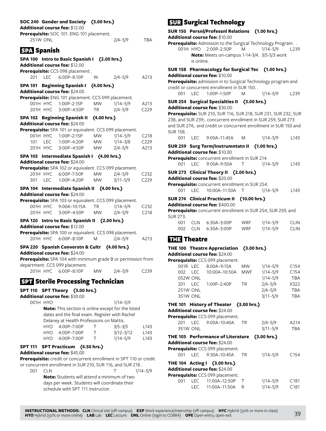# **SOC 240 Gender and Society (3.00 hrs.)**

**Additional course fee:** \$12.00

|                    |                 | Additional course fee: \$12.00                                                                  |             |                              |                                       |
|--------------------|-----------------|-------------------------------------------------------------------------------------------------|-------------|------------------------------|---------------------------------------|
|                    |                 | Prerequisite: SOC 101. ENG 101 placement.                                                       |             |                              |                                       |
|                    | <b>251W ONL</b> |                                                                                                 |             | $2/4 - 5/9$                  | TBA                                   |
| <b>SPA</b> Spanish |                 |                                                                                                 |             |                              |                                       |
|                    |                 |                                                                                                 |             |                              |                                       |
|                    |                 | SPA 100 Intro to Basic Spanish I (2.00 hrs.)                                                    |             |                              |                                       |
|                    |                 | Additional course fee: \$12.00                                                                  |             |                              |                                       |
| 201                |                 | Prerequisite: CCS 098 placement.<br>LEC 6:00P-8:10P                                             | W           | $2/4 - 5/9$                  | A213                                  |
|                    |                 |                                                                                                 |             |                              |                                       |
|                    |                 | SPA 101 Beginning Spanish I                                                                     | (4.00 hrs.) |                              |                                       |
|                    |                 | <b>Additional course fee: \$24.00</b>                                                           |             |                              |                                       |
|                    | 001H HYC        | Prerequisite: ENG 101 placement. CCS 099 placement.<br>1:00P-2:15P                              | <b>MW</b>   | $1/14 - 5/9$                 |                                       |
|                    | 201H HYC        | 3:00P-4:50P                                                                                     | ТR          | $2/4 - 5/9$                  | A213<br>C <sub>229</sub>              |
|                    |                 |                                                                                                 |             |                              |                                       |
|                    |                 | SPA 102 Beginning Spanish II                                                                    | (4.00 hrs.) |                              |                                       |
|                    |                 | Additional course fee: \$24.00                                                                  |             |                              |                                       |
|                    |                 | Prerequisite: SPA 101 or equivalent. CCS 099 placement.<br>1:00P-2:15P                          | MW.         |                              |                                       |
| 101                | 001H HYC<br>LEC | 1:00P-4:20P                                                                                     | <b>MW</b>   | $1/14 - 5/9$<br>$1/14 - 3/8$ | C <sub>2</sub> 18<br>C <sub>229</sub> |
|                    | 201H HYC        | 3:00P-4:50P                                                                                     | <b>MW</b>   | $2/4 - 5/9$                  | A213                                  |
|                    |                 |                                                                                                 |             |                              |                                       |
|                    |                 | SPA 103 Intermediate Spanish I (4.00 hrs.)                                                      |             |                              |                                       |
|                    |                 | Additional course fee: \$24.00                                                                  |             |                              |                                       |
|                    |                 | Prerequisite: SPA 102 or equivalent. CCS 099 placement.<br>201H HYC 6:00P-7:50P                 | <b>MW</b>   | $2/4 - 5/9$                  |                                       |
| 301                | LEC.            | 1:00P-4:20P                                                                                     | <b>MW</b>   | $3/11 - 5/9$                 | C <sub>2</sub> 3 <sub>2</sub><br>C229 |
|                    |                 |                                                                                                 |             |                              |                                       |
|                    |                 | SPA 104 Intermediate Spanish II                                                                 |             | (4.00 hrs.)                  |                                       |
|                    |                 | Additional course fee: \$24.00                                                                  |             |                              |                                       |
|                    | 001H HYC        | Prerequisite: SPA 103 or equivalent. CCS 099 placement.<br>9:00A-10:15A                         | <b>TR</b>   |                              | C <sub>232</sub>                      |
|                    | 201H HYC        | 3:00P-4:50P                                                                                     | <b>MW</b>   | $1/14 - 5/9$<br>$2/4 - 5/9$  | C <sub>218</sub>                      |
|                    |                 |                                                                                                 |             |                              |                                       |
|                    |                 | SPA 120 Intro to Basic Spanish II (2.00 hrs.)                                                   |             |                              |                                       |
|                    |                 | Additional course fee: \$12.00<br>Prerequisite: SPA 100 or equivalent. CCS 098 placement.       |             |                              |                                       |
|                    |                 | 201H HYC 6:00P-8:10P                                                                            | M           | $2/4 - 5/9$                  | A213                                  |
|                    |                 |                                                                                                 |             |                              |                                       |
|                    |                 | SPA 220 Spanish Converstn & Cultr (4.00 hrs.)                                                   |             |                              |                                       |
|                    |                 | Additional course fee: \$24.00                                                                  |             |                              |                                       |
|                    |                 | Prerequisite: SPA 104 with minimum grade B or permission from<br>department. CCS 099 placement. |             |                              |                                       |
|                    |                 | 201H HYC 6:00P-8:10P                                                                            | <b>MW</b>   | $2/4 - 5/9$                  | C <sub>239</sub>                      |
|                    |                 |                                                                                                 |             |                              |                                       |
|                    |                 | <b>SPT</b> Sterile Processing Technician                                                        |             |                              |                                       |
|                    |                 | SPT 110 SPT Theory (3.00 hrs.)                                                                  |             |                              |                                       |
|                    |                 | Additional course fee: \$30.00                                                                  |             |                              |                                       |
|                    | 001H HYO        |                                                                                                 |             | $1/14 - 5/9$                 |                                       |
|                    |                 | Note: This section is online except for the listed                                              |             |                              |                                       |
|                    |                 | dates and the final exam. Register with Rachel                                                  |             |                              |                                       |
|                    |                 | Delaney at Health Professions on Mattis.                                                        |             |                              |                                       |
|                    |                 | HYO 4:00P-7:00P                                                                                 | Τ           | $3/5 - 3/5$                  | L143                                  |
|                    |                 | HYO 4:00P-7:00P                                                                                 | Τ           | $3/12 - 3/12$                | L143                                  |
|                    |                 | HYO 4:00P-7:00P                                                                                 | Τ           | $1/14 - 5/9$                 | L143                                  |
|                    |                 | SPT 111 SPT Practicum (4.50 hrs.)                                                               |             |                              |                                       |
|                    |                 | Additional course fee: \$45.00                                                                  |             |                              |                                       |
|                    |                 | Prerequisite: credit or concurrent enrollment in SPT 110 or credit                              |             |                              |                                       |
|                    |                 | or concurrent enrollment in SUR 210, SUR 116, and SUR 218.                                      |             |                              |                                       |
| 001                | <b>CLN</b>      |                                                                                                 |             | Т                            | $1/14 - 5/9$                          |
|                    |                 | <b>Note:</b> Students will attend a minimum of two                                              |             |                              |                                       |

days per week. Students will coordinate their

schedule with SPT 111 instructor.

# SUR Surgical Technology

**SUR 150 Persnl/Professnl Relations (1.00 hrs.) Additional course fee:** \$10.00 **Prerequisite:** Admission to the Surgical Technology Program. .

001H HYO 2:00P–2:50P M 1/14–5/9 L239 **Note:** Meets on-campus 1-14-3/4. 3/5-5/3 work is online.

**SUR 158 Pharmacology for Surgical Tec (1.00 hrs.) Additional course fee:** \$10.00

**Prerequisite:** admission in to Surgical Technology program and credit or concurrent enrollment in SUR 150. .

001 LEC 1:00P–1:50P M 1/14–5/9 L239

**SUR 254 Surgical Specialties II (3.00 hrs.)**

**Additional course fee:** \$30.00

**Prerequisite:** SUR 210, SUR 116, SUR 218, SUR 231, SUR 232, SUR 238, and SUR 239;. concurrent enrollment in SUR 259, SUR 273 and SUR 274;. and credit or concurrent enrollment in SUR 150 and SUR 158. .

001 LEC 9:00A-11:45A M 1/14-5/9 L143

**SUR 259 Surg Term/Instrumntatn II (1.00 hrs.) Additional course fee:** \$10.00

|  | Prerequisite: concurrent enrollment in SUR 214. |              |      |
|--|-------------------------------------------------|--------------|------|
|  | 001 LEC 9:00A-9:50A                             | $1/14 - 5/9$ | L143 |

# **SUR 273 Clinical Theory II (2.00 hrs.)**

# **Additional course fee:** \$20.00

**Prerequisite:** concurrent enrollment in SUR 254.

001 LEC 10:00A-11:50A T 1/14-5/9 L143

# **SUR 274 Clinical Practicum II (10.00 hrs.)**

**Additional course fee:** \$400.00

**Prerequisite:** concurrent enrollment in SUR 254, SUR 259, and SUR 273.

|  | 001 CLN 6:30A-3:00P | <b>WRF</b> | 1/14–5/9 | <b>CLIN</b> |
|--|---------------------|------------|----------|-------------|
|  | 002 CLN 6:30A-3:00P | <b>WRF</b> | 1/14–5/9 | <b>CLIN</b> |

# **THE Theatre**

**THE 100 Theatre Appreciation (3.00 hrs.)**

**Additional course fee:** \$24.00 **Prerequisite:** CCS 099 placement.

| e <b>requisite:</b> CCS 099 placement. |      |                 |           |              |                  |  |  |  |  |
|----------------------------------------|------|-----------------|-----------|--------------|------------------|--|--|--|--|
| 001R LEC                               |      | 8:00A-9:15A     | <b>MW</b> | $1/14 - 5/9$ | C <sub>154</sub> |  |  |  |  |
| 002                                    | IFC. | 10:00A-10:50A   | MWF       | $1/14 - 5/9$ | C <sub>154</sub> |  |  |  |  |
| 052W ONL                               |      |                 |           | $1/14 - 5/9$ | <b>TBA</b>       |  |  |  |  |
| 201                                    | LEC  | $1:00P - 2:40P$ | TR.       | $2/4 - 5/9$  | X322             |  |  |  |  |
| 251W ONL                               |      |                 |           | $2/4 - 5/9$  | <b>TBA</b>       |  |  |  |  |
| <b>351W ONL</b>                        |      |                 |           | $3/11 - 5/9$ | <b>TBA</b>       |  |  |  |  |

# **THE 101 History of Theater (3.00 hrs.)**

**Additional course fee:** \$24.00

|     |                 | Prerequisite: CCS 099 placement.      |           |              |                  |
|-----|-----------------|---------------------------------------|-----------|--------------|------------------|
|     |                 | 201 LEC 9:00A-10:40A                  | <b>TR</b> | $2/4 - 5/9$  | A214             |
|     | <b>351W ONL</b> |                                       |           | $3/11 - 5/9$ | <b>TBA</b>       |
|     |                 | THE 103 Performance of Literature     |           | (3.00 hrs.)  |                  |
|     |                 | <b>Additional course fee:</b> \$24.00 |           |              |                  |
|     |                 | Prerequisite: CCS 099 placement.      |           |              |                  |
|     |                 | 001 LEC 9:30A-10:45A                  | <b>TR</b> | $1/14 - 5/9$ | C <sub>154</sub> |
|     |                 | THE 104 Acting I (3.00 hrs.)          |           |              |                  |
|     |                 | <b>Additional course fee:</b> \$24.00 |           |              |                  |
|     |                 | Prerequisite: CCS 099 placement.      |           |              |                  |
| 001 |                 | LEC  11:00A-12:50P                    | $\top$    | $1/14 - 5/9$ | C <sub>181</sub> |
|     | LEC.            | 11:00A–11:50A                         | R         | $1/14 - 5/9$ | C <sub>181</sub> |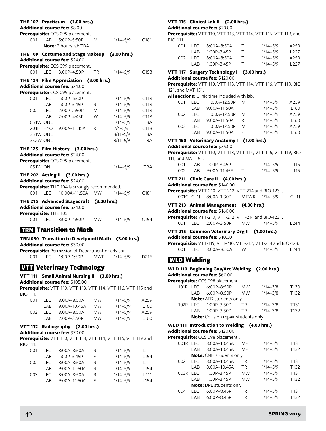| THE 107 Practicum                     |            | (1.00 hrs.)                                                                         |             |              |                  |
|---------------------------------------|------------|-------------------------------------------------------------------------------------|-------------|--------------|------------------|
| <b>Additional course fee: \$8.00</b>  |            |                                                                                     |             |              |                  |
| 001                                   |            | Prerequisite: CCS 099 placement.<br>LAB 5:00P-5:50P<br><b>Note:</b> 2 hours lab TBA | M           | $1/14 - 5/9$ | C <sub>181</sub> |
|                                       |            | THE 109 Costume and Stage Makeup (3.00 hrs.)                                        |             |              |                  |
| Additional course fee: \$24.00        |            |                                                                                     |             |              |                  |
| 001                                   | <b>LEC</b> | Prerequisite: CCS 099 placement.<br>3:00P-4:50P                                     | <b>TR</b>   | $1/14 - 5/9$ | C153             |
|                                       |            | THE 124 Film Appreciation (3.00 hrs.)                                               |             |              |                  |
| Additional course fee: \$24.00        |            |                                                                                     |             |              |                  |
|                                       |            | Prerequisite: CCS 099 placement.                                                    |             |              |                  |
| 001                                   | <b>LEC</b> | 1:00P-1:50P                                                                         | T           | $1/14 - 5/9$ | C118             |
|                                       |            | LAB 1:00P-3:45P                                                                     | R           | $1/14 - 5/9$ | C118             |
| 002                                   |            | LEC 2:00P-2:50P                                                                     | M           | $1/14 - 5/9$ | C118             |
|                                       | LAB        | 2:00P-4:45P                                                                         | W           | $1/14 - 5/9$ | C118             |
| 051W ONL                              |            |                                                                                     |             | $1/14 - 5/9$ | <b>TBA</b>       |
| 201H HYO                              |            | 9:00A-11:45A                                                                        | R           | $2/4 - 5/9$  | C118             |
| <b>351W ONL</b>                       |            |                                                                                     |             | $3/11 - 5/9$ | <b>TBA</b>       |
| <b>352W ONL</b>                       |            |                                                                                     |             | $3/11 - 5/9$ | <b>TBA</b>       |
|                                       |            | THE 125 Film History (3.00 hrs.)                                                    |             |              |                  |
| Additional course fee: \$24.00        |            |                                                                                     |             |              |                  |
|                                       |            | Prerequisite: CCS 099 placement.                                                    |             |              |                  |
| 051W ONL                              |            |                                                                                     |             | $1/14 - 5/9$ | TBA              |
|                                       |            | THE 202 Acting II (3.00 hrs.)                                                       |             |              |                  |
| <b>Additional course fee: \$24.00</b> |            |                                                                                     |             |              |                  |
|                                       |            | Prerequisite: THE 104 is strongly recommended.                                      |             |              |                  |
| 001                                   | I FC       | 10:00A-11:50A                                                                       | <b>MW</b>   | $1/14 - 5/9$ | C181             |
|                                       |            | THE 215 Advanced Stagecraft (3.00 hrs.)                                             |             |              |                  |
| Additional course fee: \$24.00        |            |                                                                                     |             |              |                  |
| Prerequisite: THE 105.                |            |                                                                                     |             |              |                  |
|                                       |            | 001 LEC 3:00P-4:50P                                                                 | <b>MW</b>   | $1/14 - 5/9$ | C154             |
|                                       |            | <b>निरेश</b> Transition to Math                                                     |             |              |                  |
|                                       |            |                                                                                     |             |              |                  |
| Additional course fee: \$30.00        |            | TRN 050 Transition to Develpmntl Math (3.00 hrs.)                                   |             |              |                  |
|                                       |            | Prerequisite: Permission of Department or advisor.                                  |             |              |                  |
| 001<br><b>LEC</b>                     |            | 1:00P-1:50P                                                                         | <b>MWF</b>  | $1/14 - 5/9$ | D216             |
|                                       |            |                                                                                     |             |              |                  |
|                                       |            | <b>VIT Veterinary Technology</b>                                                    |             |              |                  |
|                                       |            | VTT 111 Small Animal Nursing II                                                     | (3.00 hrs.) |              |                  |

**Additional course fee:** \$105.00 **Prerequisite:** VTT 110, VTT 113, VTT 114, VTT 116, VTT 119 and BIO 111.

| I EC. | $8:00A - 8:50A$ | <b>MW</b> | $1/14 - 5/9$ | A259             |
|-------|-----------------|-----------|--------------|------------------|
| I AR  | $9:00A-10:45A$  | <b>MW</b> | $1/14 - 5/9$ | L <sub>160</sub> |
| I EC. | $8:00A - 8:50A$ | <b>MW</b> | $1/14 - 5/9$ | A259             |
| I AR  | $2:00P-3:50P$   | <b>MW</b> | $1/14 - 5/9$ | L <sub>160</sub> |
|       |                 |           |              |                  |

# **VTT 112 Radiography (2.00 hrs.)**

**Additional course fee:** \$70.00 **Prerequisite:** VTT 110, VTT 113, VTT 114, VTT 116, VTT 119 and BIO 111.

| OO1 | I EC. | $8:00A - 8:50A$ | R | $1/14 - 5/9$ | L <sub>111</sub> |
|-----|-------|-----------------|---|--------------|------------------|
|     | I AR  | 1:00P-3:45P     | F | $1/14 - 5/9$ | L <sub>154</sub> |
| 002 | I EC. | $8:00A - 8:50A$ | R | $1/14 - 5/9$ | L <sub>111</sub> |
|     | I AR  | 9:00A-11:50A    | R | $1/14 - 5/9$ | L <sub>154</sub> |
| 003 | I EC  | $8:00A - 8:50A$ | R | $1/14 - 5/9$ | L <sub>111</sub> |
|     | I AR  | 9:00A-11:50A    | E | $1/14 - 5/9$ | L <sub>154</sub> |
|     |       |                 |   |              |                  |

# **VTT 115 Clinical Lab II (2.00 hrs.)**

**Additional course fee:** \$70.00

**Prerequisite:** VTT 110, VTT 113, VTT 114, VTT 116, VTT 119, and BIO 111.

| 001 | I EC. | $8:00A - 8:50A$ | Т.       | $1/14 - 5/9$ | A259             |
|-----|-------|-----------------|----------|--------------|------------------|
|     | I AR  | $1:00P-3:45P$   |          | $1/14 - 5/9$ | L <sub>227</sub> |
| 002 | I EC. | $8:00A - 8:50A$ | <b>T</b> | $1/14 - 5/9$ | A259             |
|     | I AR  | $1:00P-3:45P$   | T        | $1/14 - 5/9$ | 1227             |

# **VTT 117 Surgery Technology I (3.00 hrs.)**

**Additional course fee:** \$120.00 **Prerequisite:** VTT 110, VTT 113, VTT 114, VTT 116, VTT 119, BIO

121, and MAT 151.

| <b>All sections:</b> Clinic time included with lab. |  |
|-----------------------------------------------------|--|
|-----------------------------------------------------|--|

| 001 |       | LEC 11:00A-12:50P | M | $1/14 - 5/9$ | A259             |
|-----|-------|-------------------|---|--------------|------------------|
|     | LAB   | 9:00A-11:50A      | T | $1/14 - 5/9$ | L <sub>160</sub> |
| 002 | LEC   | 11:00A-12:50P     | M | $1/14 - 5/9$ | A259             |
|     | I AR  | 9:00A-11:50A      | R | $1/14 - 5/9$ | L <sub>160</sub> |
| 003 | I FC. | 11:00A-12:50P     | M | $1/14 - 5/9$ | A259             |
|     | I AR  | 9:00A-11:50A      |   | $1/14 - 5/9$ | L <sub>160</sub> |

# **VTT 150 Veterinary Anatomy I (1.00 hrs.)**

**Additional course fee:** \$35.00

| <b>Prerequisite:</b> VTT 110, VTT 113, VTT 114, VTT 116, VTT 119, BIO |      |                     |        |              |                  |  |  |
|-----------------------------------------------------------------------|------|---------------------|--------|--------------|------------------|--|--|
| 111, and MAT 151.                                                     |      |                     |        |              |                  |  |  |
|                                                                       |      | 001 LAB 1:00P-3:45P |        | $1/14 - 5/9$ | L <sub>115</sub> |  |  |
| ററാ                                                                   | I AR | 9:00A–11:45A        | $\top$ | $1/14 - 5/9$ | L <sub>115</sub> |  |  |
|                                                                       |      |                     |        |              |                  |  |  |

# **VTT 211 Clinic Care II (4.00 hrs.)**

**Additional course fee:** \$140.00 **Prerequisite:** VTT-210, VTT-212, VTT-214 and BIO-123. .

001C CLN 8:00A–1:30P MTWR 1/14–5/9 CLIN

**VTT 213 Animal Management (4.00 hrs.) Additional course fee:** \$160.00

**Prerequisite:** VTT-210, VTT-212, VTT-214 and BIO-123. . 001 LEC 2:00P–3:50P MW 1/14–5/9 L244

#### **VTT 215 Common Veterinary Drg II (1.00 hrs.) Additional course fee:** \$10.00

**Prerequisite:** VTT-119, VTT-210, VTT-212, VTT-214 and BIO-123. 001 LEC 8:00A–8:50A W 1/14–5/9 L244

# WLD Welding

|          |     | WLD 110 Beginning Gas/Arc Welding (2.00 hrs.) |           |              |                  |
|----------|-----|-----------------------------------------------|-----------|--------------|------------------|
|          |     | <b>Additional course fee: </b> \$60.00        |           |              |                  |
|          |     | Prerequisite: CCS 098 placement.              |           |              |                  |
|          |     | 101R LEC 6:00P-8:50P                          | <b>MW</b> | $1/14 - 3/8$ | T <sub>130</sub> |
|          |     | LAB 6:00P-8:50P                               | <b>MW</b> | $1/14 - 3/8$ | T <sub>132</sub> |
|          |     | <b>Note:</b> AFD students only.               |           |              |                  |
| 102R LEC |     | 1:00P-3:50P                                   | <b>TR</b> | $1/14 - 3/8$ | T <sub>131</sub> |
|          | LAB | 1:00P-3:50P                                   | <b>TR</b> | $1/14 - 3/8$ | T132             |
|          |     | Note: Collision repair students only.         |           |              |                  |

# **WLD 111 Introduction to Welding (4.00 hrs.)**

**Additional course fee:** \$120.00 **Prerequisite:** CCS 098 place

|                                |            | e <b>requisite:</b> CCS 098 placement . |           |              |                  |  |  |
|--------------------------------|------------|-----------------------------------------|-----------|--------------|------------------|--|--|
| 001R                           | <b>LEC</b> | 8:00A-10:45A                            | MF        | $1/14 - 5/9$ | T <sub>131</sub> |  |  |
|                                | LAB        | 8:00A-10:45A                            | MF        | $1/14 - 5/9$ | T132             |  |  |
|                                |            | <b>Note:</b> CNH students only.         |           |              |                  |  |  |
| 002                            | <b>LEC</b> | 8:00A-10:45A                            | TR        | $1/14 - 5/9$ | T <sub>131</sub> |  |  |
|                                | LAB        | 8:00A-10:45A                            | <b>TR</b> | $1/14 - 5/9$ | T132             |  |  |
| 003R                           | <b>LEC</b> | 1:00P-3:45P                             | <b>MW</b> | $1/14 - 5/9$ | T <sub>131</sub> |  |  |
|                                | LAB        | 1:00P-3:45P                             | <b>MW</b> | $1/14 - 5/9$ | T132             |  |  |
| <b>Note:</b> DPE students only |            |                                         |           |              |                  |  |  |
| 004                            | LEC        | 6:00P-8:45P                             | TR        | $1/14 - 5/9$ | T <sub>131</sub> |  |  |
|                                | LAB        | $6:00P - 8:45P$                         | TR        | $1/14 - 5/9$ | T132             |  |  |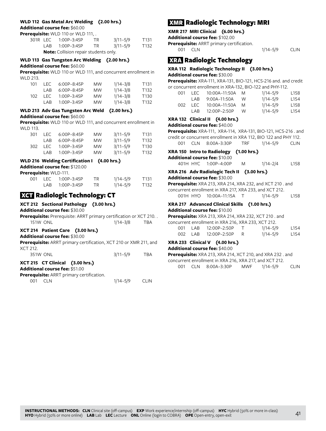#### **WLD 112 Gas Metal Arc Welding (2.00 hrs.)**

**Additional course fee:** \$60.00

|  | Prerequisite: WLD 110 or WLD 111, .          |           |              |                  |
|--|----------------------------------------------|-----------|--------------|------------------|
|  | 301R LEC 1:00P-3:45P                         | TR.       | $3/11 - 5/9$ | T <sub>131</sub> |
|  | LAB 1:00P-3:45P                              | <b>TR</b> | $3/11 - 5/9$ | T <sub>132</sub> |
|  | <b>Note:</b> Collision repair students only. |           |              |                  |

#### **WLD 113 Gas Tungsten Arc Welding (2.00 hrs.) Additional course fee:** \$60.00

**Prerequisite:** WLD 110 or WLD 111, and concurrent enrollment in WLD 213.

| 101 | I EC. | $6.00P - 8.45P$ | <b>MW</b> | $1/14 - 3/8$ | T131 |
|-----|-------|-----------------|-----------|--------------|------|
|     | I AR  | $6.00P - 8.45P$ | <b>MW</b> | $1/14 - 3/8$ | T132 |
| 102 | I FC. | $1.00P - 3.45P$ | <b>MW</b> | $1/14 - 3/8$ | T130 |
|     | I AR  | $1.00P - 3.45P$ | <b>MW</b> | $1/14 - 3/8$ | T132 |

# **WLD 213 Adv Gas Tungsten Arc Weld (2.00 hrs.)**

#### **Additional course fee:** \$60.00

**Prerequisite:** WLD 110 or WLD 111, and concurrent enrollment in WLD 113.

| 301 | I FC. | $6.00P - 8.45P$ | <b>MW</b> | $3/11 - 5/9$ | T131 |
|-----|-------|-----------------|-----------|--------------|------|
|     | I AB  | $6.00P - 8.45P$ | <b>MW</b> | $3/11 - 5/9$ | T132 |
| 302 | I EC. | $1.00P - 3.45P$ | <b>MW</b> | $3/11 - 5/9$ | T130 |
|     | I AR  | $1:00P - 3:45P$ | <b>MW</b> | $3/11 - 5/9$ | T132 |

### **WLD 216 Welding Certification I (4.00 hrs.)**

**Additional course fee:** \$120.00

| <b>Prerequisite: WLD-111.</b> |        |                 |     |          |                  |  |
|-------------------------------|--------|-----------------|-----|----------|------------------|--|
| OO1.                          |        | LEC 1:00P-3:45P | TR. | 1/14–5/9 | T <sub>131</sub> |  |
|                               | I AR I | 1:00P-3:45P     | TR. | 1/14–5/9 | T132             |  |

# XCT Radiologic Technology: CT

**XCT 212 Sectional Pathology (3.00 hrs.) Additional course fee:** \$30.00

**Prerequisite:** Prerequisite: ARRT primary certification or XCT 210. . 151W ONL 1/14–3/8 TBA

## **XCT 214 Patient Care (3.00 hrs.)**

**Additional course fee:** \$30.00

**Prerequisite:** ARRT primary certification, XCT 210 or XMR 211, and  $XCT 212.$ 

| 351W ONL                        | $3/11 - 5/9$ | TBA |
|---------------------------------|--------------|-----|
| XCT 215 CT Clinical (3.00 hrs.) |              |     |

# **Additional course fee:** \$51.00

| Prerequisite: ARRT primary certification. |          |      |
|-------------------------------------------|----------|------|
| 001 CLN                                   | 1/14–5/9 | CLIN |

# XMR Radiologic Technology: MRI

**XMR 217 MRI Clinical (6.00 hrs.)**

**Additional course fee:** \$102.00

**Prerequisite:** ARRT primary certification. 001 CLN 1/14–5/9 CLIN

# XRA Radiologic Technology

#### **XRA 112 Radiologic Technology II (3.00 hrs.) Additional course fee:** \$30.00

**Prerequisite:** XRA-111, XRA-131, BIO-121, HCS-216 and. and credit or concurrent enrollment in XRA-132, BIO-122 and PHY-112.

|     |         | CONCULTURE CHI OMNICHE IN ANY LISZ, DIO TEZ UNU I III TIZ. |   |              |                  |
|-----|---------|------------------------------------------------------------|---|--------------|------------------|
| 001 |         |                                                            |   | $1/14 - 5/9$ | L158             |
|     | I AR    | 9:00A-11:50A W                                             |   | $1/14 - 5/9$ | L154             |
|     | 002 LEC | 10:00A-11:50A M                                            |   | $1/14 - 5/9$ | L <sub>158</sub> |
|     | I AR    | 12:00P-2:50P                                               | W | $1/14 - 5/9$ | L154             |

### **XRA 132 Clinical II (4.00 hrs.)**

```
Additional course fee: $40.00
```
**Prerequisite:** XRA-111, XRA-114, XRA-131, BIO-121, HCS-216 . and credit or concurrent enrollment in XRA 112, BIO 122 and PHY 112. 001 CLN 8:00A–3:30P TRF 1/14–5/9 CLIN

#### **XRA 150 Intro to Radiology (1.00 hrs.)**

**Additional course fee:** \$10.00

401H HYC 1:00P–4:00P M 1/14–2/4 L158

# **XRA 216 Adv Radiologic Tech II (3.00 hrs.)**

**Additional course fee:** \$30.00

**Prerequisite:** XRA 213, XRA 214, XRA 232, and XCT 210 . and concurrent enrollment in XRA 217, XRA 233, and XCT 212. 001H HYO 10:00A-11:15A T 1/14-5/9 L158

#### **XRA 217 Advanced Clinical Skills (1.00 hrs.) Additional course fee:** \$10.00

**Prerequisite:** XRA 213, XRA 214, XRA 232, XCT 210 . and

|  | 001 LAB 12:00P-2:50P   | $1/14 - 5/9$ | L <sub>154</sub> |
|--|------------------------|--------------|------------------|
|  | 002 LAB 12:00P-2:50P R | $1/14 - 5/9$ | L <sub>154</sub> |

# **XRA 233 Clinical V (4.00 hrs.)**

**Additional course fee:** \$40.00

| Prerequisite: XRA 213, XRA 214, XCT 210, and XRA 232, and |  |  |  |                                      |              |      |  |
|-----------------------------------------------------------|--|--|--|--------------------------------------|--------------|------|--|
| concurrent enrollment in XRA 216, XRA 217, and XCT 212.   |  |  |  |                                      |              |      |  |
|                                                           |  |  |  | $0.01$ $C(N)$ $0.000$ $2.20D$ $M(N)$ | $1/14$ $E/0$ | C11N |  |

001 CLN 8:00A–3:30P MWF 1/14–5/9 CLIN